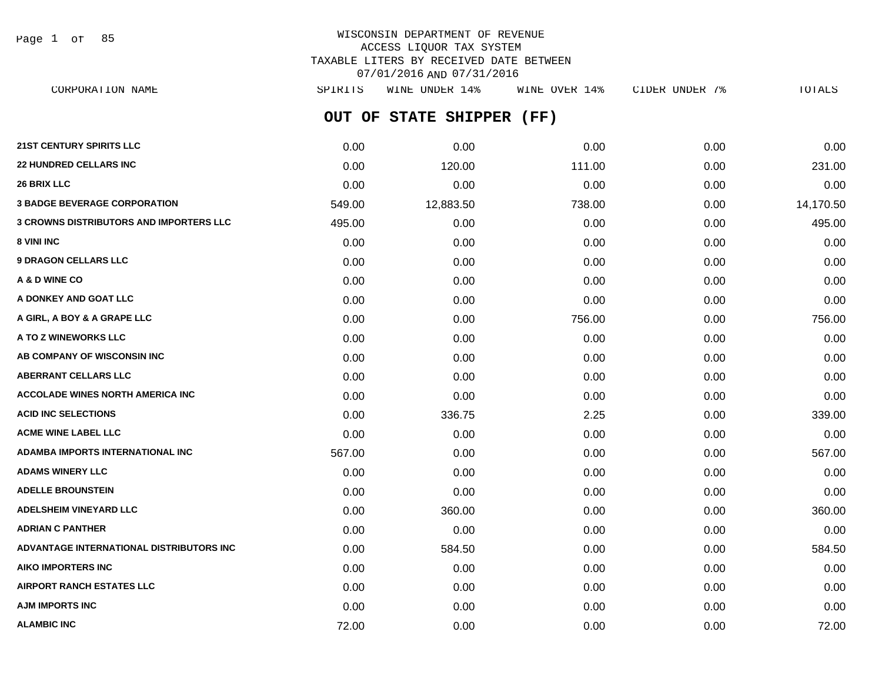Page 1 of 85

# WISCONSIN DEPARTMENT OF REVENUE ACCESS LIQUOR TAX SYSTEM TAXABLE LITERS BY RECEIVED DATE BETWEEN 07/01/2016 AND 07/31/2016

**OUT OF STATE SHIPPER (FF)** CORPORATION NAME SPIRITS WINE UNDER 14% WINE OVER 14% CIDER UNDER 7% TOTALS

| 21ST CENTURY SPIRITS LLC                 | 0.00   | 0.00      | 0.00   | 0.00 | 0.00      |
|------------------------------------------|--------|-----------|--------|------|-----------|
| <b>22 HUNDRED CELLARS INC</b>            | 0.00   | 120.00    | 111.00 | 0.00 | 231.00    |
| 26 BRIX LLC                              | 0.00   | 0.00      | 0.00   | 0.00 | 0.00      |
| <b>3 BADGE BEVERAGE CORPORATION</b>      | 549.00 | 12,883.50 | 738.00 | 0.00 | 14,170.50 |
| 3 CROWNS DISTRIBUTORS AND IMPORTERS LLC  | 495.00 | 0.00      | 0.00   | 0.00 | 495.00    |
| 8 VINI INC                               | 0.00   | 0.00      | 0.00   | 0.00 | 0.00      |
| <b>9 DRAGON CELLARS LLC</b>              | 0.00   | 0.00      | 0.00   | 0.00 | 0.00      |
| A & D WINE CO                            | 0.00   | 0.00      | 0.00   | 0.00 | 0.00      |
| A DONKEY AND GOAT LLC                    | 0.00   | 0.00      | 0.00   | 0.00 | 0.00      |
| A GIRL, A BOY & A GRAPE LLC              | 0.00   | 0.00      | 756.00 | 0.00 | 756.00    |
| A TO Z WINEWORKS LLC                     | 0.00   | 0.00      | 0.00   | 0.00 | 0.00      |
| AB COMPANY OF WISCONSIN INC              | 0.00   | 0.00      | 0.00   | 0.00 | 0.00      |
| <b>ABERRANT CELLARS LLC</b>              | 0.00   | 0.00      | 0.00   | 0.00 | 0.00      |
| <b>ACCOLADE WINES NORTH AMERICA INC</b>  | 0.00   | 0.00      | 0.00   | 0.00 | 0.00      |
| <b>ACID INC SELECTIONS</b>               | 0.00   | 336.75    | 2.25   | 0.00 | 339.00    |
| <b>ACME WINE LABEL LLC</b>               | 0.00   | 0.00      | 0.00   | 0.00 | 0.00      |
| <b>ADAMBA IMPORTS INTERNATIONAL INC</b>  | 567.00 | 0.00      | 0.00   | 0.00 | 567.00    |
| <b>ADAMS WINERY LLC</b>                  | 0.00   | 0.00      | 0.00   | 0.00 | 0.00      |
| <b>ADELLE BROUNSTEIN</b>                 | 0.00   | 0.00      | 0.00   | 0.00 | 0.00      |
| <b>ADELSHEIM VINEYARD LLC</b>            | 0.00   | 360.00    | 0.00   | 0.00 | 360.00    |
| <b>ADRIAN C PANTHER</b>                  | 0.00   | 0.00      | 0.00   | 0.00 | 0.00      |
| ADVANTAGE INTERNATIONAL DISTRIBUTORS INC | 0.00   | 584.50    | 0.00   | 0.00 | 584.50    |
| <b>AIKO IMPORTERS INC</b>                | 0.00   | 0.00      | 0.00   | 0.00 | 0.00      |
| <b>AIRPORT RANCH ESTATES LLC</b>         | 0.00   | 0.00      | 0.00   | 0.00 | 0.00      |
| <b>AJM IMPORTS INC</b>                   | 0.00   | 0.00      | 0.00   | 0.00 | 0.00      |
| <b>ALAMBIC INC</b>                       | 72.00  | 0.00      | 0.00   | 0.00 | 72.00     |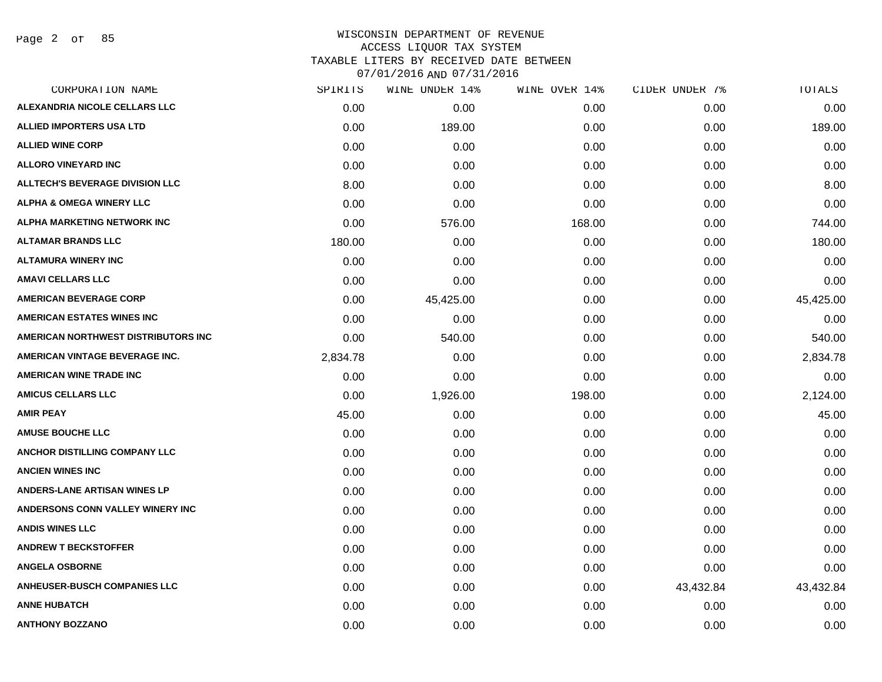Page 2 of 85

| CORPORATION NAME                       | SPIRITS  | WINE UNDER 14% | WINE OVER 14% | CIDER UNDER 7% | TOTALS    |
|----------------------------------------|----------|----------------|---------------|----------------|-----------|
| <b>ALEXANDRIA NICOLE CELLARS LLC</b>   | 0.00     | 0.00           | 0.00          | 0.00           | 0.00      |
| <b>ALLIED IMPORTERS USA LTD</b>        | 0.00     | 189.00         | 0.00          | 0.00           | 189.00    |
| <b>ALLIED WINE CORP</b>                | 0.00     | 0.00           | 0.00          | 0.00           | 0.00      |
| <b>ALLORO VINEYARD INC</b>             | 0.00     | 0.00           | 0.00          | 0.00           | 0.00      |
| <b>ALLTECH'S BEVERAGE DIVISION LLC</b> | 8.00     | 0.00           | 0.00          | 0.00           | 8.00      |
| ALPHA & OMEGA WINERY LLC               | 0.00     | 0.00           | 0.00          | 0.00           | 0.00      |
| ALPHA MARKETING NETWORK INC            | 0.00     | 576.00         | 168.00        | 0.00           | 744.00    |
| <b>ALTAMAR BRANDS LLC</b>              | 180.00   | 0.00           | 0.00          | 0.00           | 180.00    |
| <b>ALTAMURA WINERY INC</b>             | 0.00     | 0.00           | 0.00          | 0.00           | 0.00      |
| <b>AMAVI CELLARS LLC</b>               | 0.00     | 0.00           | 0.00          | 0.00           | 0.00      |
| <b>AMERICAN BEVERAGE CORP</b>          | 0.00     | 45,425.00      | 0.00          | 0.00           | 45,425.00 |
| <b>AMERICAN ESTATES WINES INC</b>      | 0.00     | 0.00           | 0.00          | 0.00           | 0.00      |
| AMERICAN NORTHWEST DISTRIBUTORS INC    | 0.00     | 540.00         | 0.00          | 0.00           | 540.00    |
| AMERICAN VINTAGE BEVERAGE INC.         | 2,834.78 | 0.00           | 0.00          | 0.00           | 2,834.78  |
| AMERICAN WINE TRADE INC                | 0.00     | 0.00           | 0.00          | 0.00           | 0.00      |
| <b>AMICUS CELLARS LLC</b>              | 0.00     | 1,926.00       | 198.00        | 0.00           | 2,124.00  |
| <b>AMIR PEAY</b>                       | 45.00    | 0.00           | 0.00          | 0.00           | 45.00     |
| <b>AMUSE BOUCHE LLC</b>                | 0.00     | 0.00           | 0.00          | 0.00           | 0.00      |
| ANCHOR DISTILLING COMPANY LLC          | 0.00     | 0.00           | 0.00          | 0.00           | 0.00      |
| <b>ANCIEN WINES INC</b>                | 0.00     | 0.00           | 0.00          | 0.00           | 0.00      |
| <b>ANDERS-LANE ARTISAN WINES LP</b>    | 0.00     | 0.00           | 0.00          | 0.00           | 0.00      |
| ANDERSONS CONN VALLEY WINERY INC       | 0.00     | 0.00           | 0.00          | 0.00           | 0.00      |
| <b>ANDIS WINES LLC</b>                 | 0.00     | 0.00           | 0.00          | 0.00           | 0.00      |
| <b>ANDREW T BECKSTOFFER</b>            | 0.00     | 0.00           | 0.00          | 0.00           | 0.00      |
| <b>ANGELA OSBORNE</b>                  | 0.00     | 0.00           | 0.00          | 0.00           | 0.00      |
| <b>ANHEUSER-BUSCH COMPANIES LLC</b>    | 0.00     | 0.00           | 0.00          | 43,432.84      | 43,432.84 |
| <b>ANNE HUBATCH</b>                    | 0.00     | 0.00           | 0.00          | 0.00           | 0.00      |
| <b>ANTHONY BOZZANO</b>                 | 0.00     | 0.00           | 0.00          | 0.00           | 0.00      |
|                                        |          |                |               |                |           |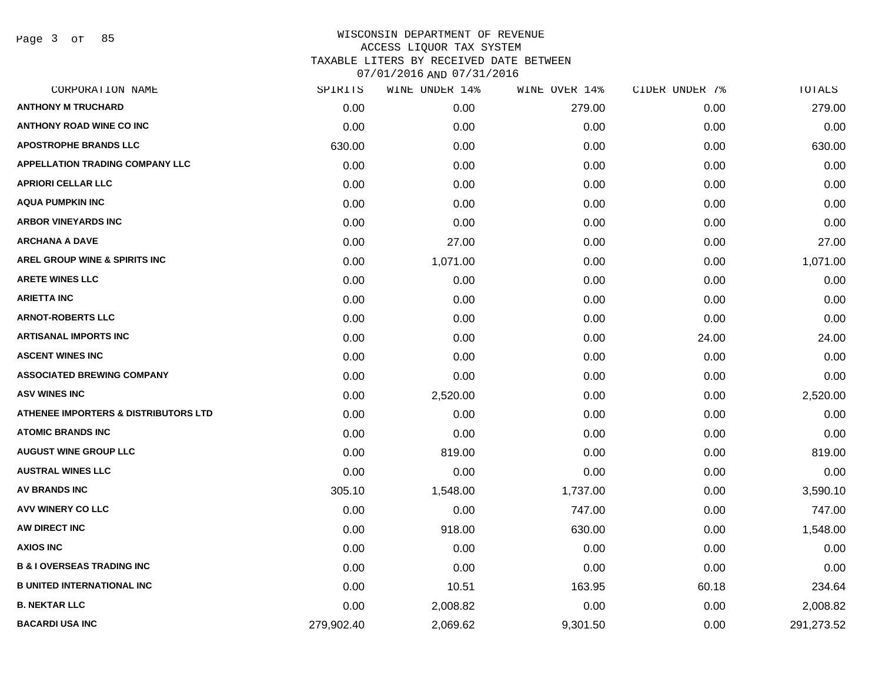Page 3 of 85

| CORPORATION NAME                                | SPIRITS    | WINE UNDER 14% | WINE OVER 14% | CIDER UNDER 7% | TOTALS     |
|-------------------------------------------------|------------|----------------|---------------|----------------|------------|
| <b>ANTHONY M TRUCHARD</b>                       | 0.00       | 0.00           | 279.00        | 0.00           | 279.00     |
| <b>ANTHONY ROAD WINE CO INC</b>                 | 0.00       | 0.00           | 0.00          | 0.00           | 0.00       |
| <b>APOSTROPHE BRANDS LLC</b>                    | 630.00     | 0.00           | 0.00          | 0.00           | 630.00     |
| <b>APPELLATION TRADING COMPANY LLC</b>          | 0.00       | 0.00           | 0.00          | 0.00           | 0.00       |
| <b>APRIORI CELLAR LLC</b>                       | 0.00       | 0.00           | 0.00          | 0.00           | 0.00       |
| <b>AQUA PUMPKIN INC</b>                         | 0.00       | 0.00           | 0.00          | 0.00           | 0.00       |
| <b>ARBOR VINEYARDS INC</b>                      | 0.00       | 0.00           | 0.00          | 0.00           | 0.00       |
| <b>ARCHANA A DAVE</b>                           | 0.00       | 27.00          | 0.00          | 0.00           | 27.00      |
| AREL GROUP WINE & SPIRITS INC                   | 0.00       | 1,071.00       | 0.00          | 0.00           | 1,071.00   |
| <b>ARETE WINES LLC</b>                          | 0.00       | 0.00           | 0.00          | 0.00           | 0.00       |
| <b>ARIETTA INC</b>                              | 0.00       | 0.00           | 0.00          | 0.00           | 0.00       |
| <b>ARNOT-ROBERTS LLC</b>                        | 0.00       | 0.00           | 0.00          | 0.00           | 0.00       |
| <b>ARTISANAL IMPORTS INC</b>                    | 0.00       | 0.00           | 0.00          | 24.00          | 24.00      |
| <b>ASCENT WINES INC</b>                         | 0.00       | 0.00           | 0.00          | 0.00           | 0.00       |
| <b>ASSOCIATED BREWING COMPANY</b>               | 0.00       | 0.00           | 0.00          | 0.00           | 0.00       |
| <b>ASV WINES INC</b>                            | 0.00       | 2,520.00       | 0.00          | 0.00           | 2,520.00   |
| <b>ATHENEE IMPORTERS &amp; DISTRIBUTORS LTD</b> | 0.00       | 0.00           | 0.00          | 0.00           | 0.00       |
| <b>ATOMIC BRANDS INC</b>                        | 0.00       | 0.00           | 0.00          | 0.00           | 0.00       |
| <b>AUGUST WINE GROUP LLC</b>                    | 0.00       | 819.00         | 0.00          | 0.00           | 819.00     |
| <b>AUSTRAL WINES LLC</b>                        | 0.00       | 0.00           | 0.00          | 0.00           | 0.00       |
| <b>AV BRANDS INC</b>                            | 305.10     | 1,548.00       | 1,737.00      | 0.00           | 3,590.10   |
| <b>AVV WINERY CO LLC</b>                        | 0.00       | 0.00           | 747.00        | 0.00           | 747.00     |
| AW DIRECT INC                                   | 0.00       | 918.00         | 630.00        | 0.00           | 1,548.00   |
| <b>AXIOS INC</b>                                | 0.00       | 0.00           | 0.00          | 0.00           | 0.00       |
| <b>B &amp; I OVERSEAS TRADING INC</b>           | 0.00       | 0.00           | 0.00          | 0.00           | 0.00       |
| <b>B UNITED INTERNATIONAL INC</b>               | 0.00       | 10.51          | 163.95        | 60.18          | 234.64     |
| <b>B. NEKTAR LLC</b>                            | 0.00       | 2,008.82       | 0.00          | 0.00           | 2,008.82   |
| <b>BACARDI USA INC</b>                          | 279,902.40 | 2,069.62       | 9,301.50      | 0.00           | 291,273.52 |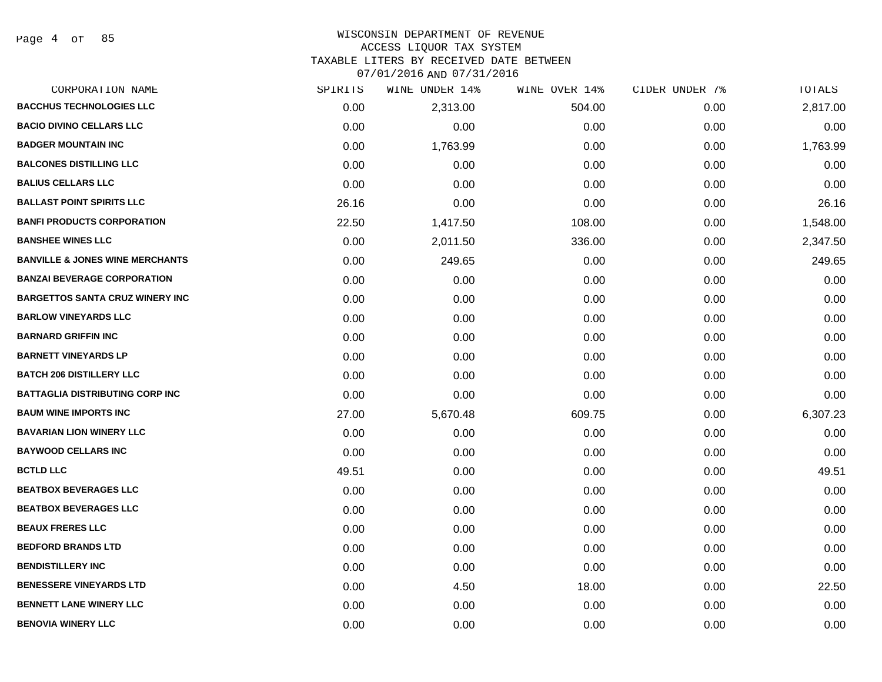#### WISCONSIN DEPARTMENT OF REVENUE ACCESS LIQUOR TAX SYSTEM

TAXABLE LITERS BY RECEIVED DATE BETWEEN

| CORPORATION NAME                           | SPIRITS | WINE UNDER 14% | WINE OVER 14% | CIDER UNDER 7% | TOTALS   |
|--------------------------------------------|---------|----------------|---------------|----------------|----------|
| <b>BACCHUS TECHNOLOGIES LLC</b>            | 0.00    | 2,313.00       | 504.00        | 0.00           | 2,817.00 |
| <b>BACIO DIVINO CELLARS LLC</b>            | 0.00    | 0.00           | 0.00          | 0.00           | 0.00     |
| <b>BADGER MOUNTAIN INC</b>                 | 0.00    | 1,763.99       | 0.00          | 0.00           | 1,763.99 |
| <b>BALCONES DISTILLING LLC</b>             | 0.00    | 0.00           | 0.00          | 0.00           | 0.00     |
| <b>BALIUS CELLARS LLC</b>                  | 0.00    | 0.00           | 0.00          | 0.00           | 0.00     |
| <b>BALLAST POINT SPIRITS LLC</b>           | 26.16   | 0.00           | 0.00          | 0.00           | 26.16    |
| <b>BANFI PRODUCTS CORPORATION</b>          | 22.50   | 1,417.50       | 108.00        | 0.00           | 1,548.00 |
| <b>BANSHEE WINES LLC</b>                   | 0.00    | 2,011.50       | 336.00        | 0.00           | 2,347.50 |
| <b>BANVILLE &amp; JONES WINE MERCHANTS</b> | 0.00    | 249.65         | 0.00          | 0.00           | 249.65   |
| <b>BANZAI BEVERAGE CORPORATION</b>         | 0.00    | 0.00           | 0.00          | 0.00           | 0.00     |
| <b>BARGETTOS SANTA CRUZ WINERY INC</b>     | 0.00    | 0.00           | 0.00          | 0.00           | 0.00     |
| <b>BARLOW VINEYARDS LLC</b>                | 0.00    | 0.00           | 0.00          | 0.00           | 0.00     |
| <b>BARNARD GRIFFIN INC</b>                 | 0.00    | 0.00           | 0.00          | 0.00           | 0.00     |
| <b>BARNETT VINEYARDS LP</b>                | 0.00    | 0.00           | 0.00          | 0.00           | 0.00     |
| <b>BATCH 206 DISTILLERY LLC</b>            | 0.00    | 0.00           | 0.00          | 0.00           | 0.00     |
| <b>BATTAGLIA DISTRIBUTING CORP INC</b>     | 0.00    | 0.00           | 0.00          | 0.00           | 0.00     |
| <b>BAUM WINE IMPORTS INC</b>               | 27.00   | 5,670.48       | 609.75        | 0.00           | 6,307.23 |
| <b>BAVARIAN LION WINERY LLC</b>            | 0.00    | 0.00           | 0.00          | 0.00           | 0.00     |
| <b>BAYWOOD CELLARS INC</b>                 | 0.00    | 0.00           | 0.00          | 0.00           | 0.00     |
| <b>BCTLD LLC</b>                           | 49.51   | 0.00           | 0.00          | 0.00           | 49.51    |
| <b>BEATBOX BEVERAGES LLC</b>               | 0.00    | 0.00           | 0.00          | 0.00           | 0.00     |
| <b>BEATBOX BEVERAGES LLC</b>               | 0.00    | 0.00           | 0.00          | 0.00           | 0.00     |
| <b>BEAUX FRERES LLC</b>                    | 0.00    | 0.00           | 0.00          | 0.00           | 0.00     |
| <b>BEDFORD BRANDS LTD</b>                  | 0.00    | 0.00           | 0.00          | 0.00           | 0.00     |
| <b>BENDISTILLERY INC</b>                   | 0.00    | 0.00           | 0.00          | 0.00           | 0.00     |
| <b>BENESSERE VINEYARDS LTD</b>             | 0.00    | 4.50           | 18.00         | 0.00           | 22.50    |
| <b>BENNETT LANE WINERY LLC</b>             | 0.00    | 0.00           | 0.00          | 0.00           | 0.00     |
| <b>BENOVIA WINERY LLC</b>                  | 0.00    | 0.00           | 0.00          | 0.00           | 0.00     |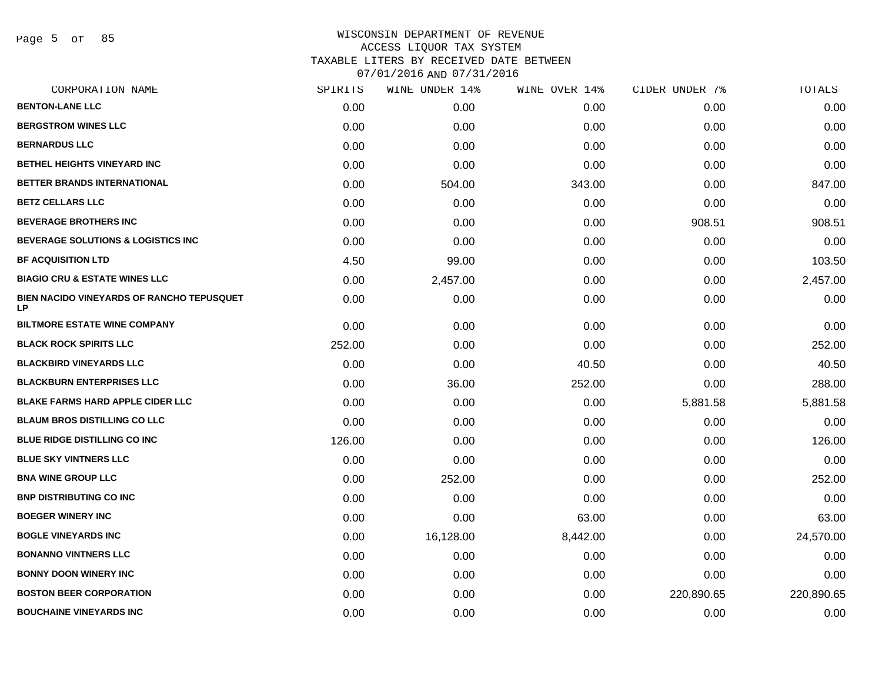Page 5 of 85

| CORPORATION NAME                                       | SPIRITS | WINE UNDER 14% | WINE OVER 14% | CIDER UNDER 7% | <b>TOTALS</b> |
|--------------------------------------------------------|---------|----------------|---------------|----------------|---------------|
| <b>BENTON-LANE LLC</b>                                 | 0.00    | 0.00           | 0.00          | 0.00           | 0.00          |
| <b>BERGSTROM WINES LLC</b>                             | 0.00    | 0.00           | 0.00          | 0.00           | 0.00          |
| <b>BERNARDUS LLC</b>                                   | 0.00    | 0.00           | 0.00          | 0.00           | 0.00          |
| <b>BETHEL HEIGHTS VINEYARD INC</b>                     | 0.00    | 0.00           | 0.00          | 0.00           | 0.00          |
| BETTER BRANDS INTERNATIONAL                            | 0.00    | 504.00         | 343.00        | 0.00           | 847.00        |
| <b>BETZ CELLARS LLC</b>                                | 0.00    | 0.00           | 0.00          | 0.00           | 0.00          |
| <b>BEVERAGE BROTHERS INC</b>                           | 0.00    | 0.00           | 0.00          | 908.51         | 908.51        |
| <b>BEVERAGE SOLUTIONS &amp; LOGISTICS INC</b>          | 0.00    | 0.00           | 0.00          | 0.00           | 0.00          |
| <b>BF ACQUISITION LTD</b>                              | 4.50    | 99.00          | 0.00          | 0.00           | 103.50        |
| <b>BIAGIO CRU &amp; ESTATE WINES LLC</b>               | 0.00    | 2,457.00       | 0.00          | 0.00           | 2,457.00      |
| BIEN NACIDO VINEYARDS OF RANCHO TEPUSQUET<br><b>LP</b> | 0.00    | 0.00           | 0.00          | 0.00           | 0.00          |
| <b>BILTMORE ESTATE WINE COMPANY</b>                    | 0.00    | 0.00           | 0.00          | 0.00           | 0.00          |
| <b>BLACK ROCK SPIRITS LLC</b>                          | 252.00  | 0.00           | 0.00          | 0.00           | 252.00        |
| <b>BLACKBIRD VINEYARDS LLC</b>                         | 0.00    | 0.00           | 40.50         | 0.00           | 40.50         |
| <b>BLACKBURN ENTERPRISES LLC</b>                       | 0.00    | 36.00          | 252.00        | 0.00           | 288.00        |
| <b>BLAKE FARMS HARD APPLE CIDER LLC</b>                | 0.00    | 0.00           | 0.00          | 5,881.58       | 5,881.58      |
| <b>BLAUM BROS DISTILLING CO LLC</b>                    | 0.00    | 0.00           | 0.00          | 0.00           | 0.00          |
| BLUE RIDGE DISTILLING CO INC                           | 126.00  | 0.00           | 0.00          | 0.00           | 126.00        |
| <b>BLUE SKY VINTNERS LLC</b>                           | 0.00    | 0.00           | 0.00          | 0.00           | 0.00          |
| <b>BNA WINE GROUP LLC</b>                              | 0.00    | 252.00         | 0.00          | 0.00           | 252.00        |
| <b>BNP DISTRIBUTING CO INC</b>                         | 0.00    | 0.00           | 0.00          | 0.00           | 0.00          |
| <b>BOEGER WINERY INC</b>                               | 0.00    | 0.00           | 63.00         | 0.00           | 63.00         |
| <b>BOGLE VINEYARDS INC</b>                             | 0.00    | 16,128.00      | 8,442.00      | 0.00           | 24,570.00     |
| <b>BONANNO VINTNERS LLC</b>                            | 0.00    | 0.00           | 0.00          | 0.00           | 0.00          |
| <b>BONNY DOON WINERY INC</b>                           | 0.00    | 0.00           | 0.00          | 0.00           | 0.00          |
| <b>BOSTON BEER CORPORATION</b>                         | 0.00    | 0.00           | 0.00          | 220,890.65     | 220,890.65    |
| <b>BOUCHAINE VINEYARDS INC</b>                         | 0.00    | 0.00           | 0.00          | 0.00           | 0.00          |
|                                                        |         |                |               |                |               |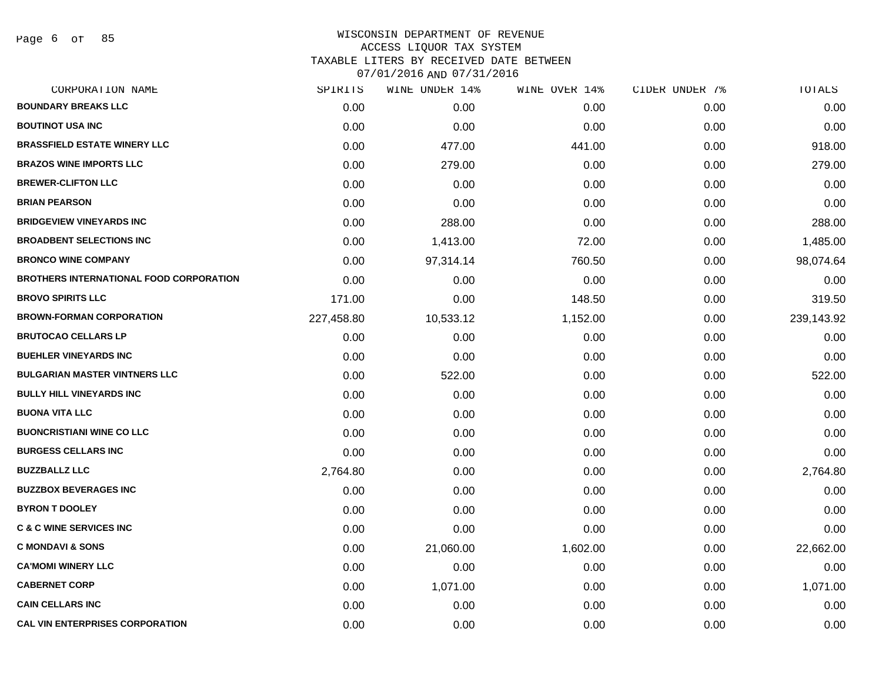Page 6 of 85

| CORPORATION NAME                               | SPIRITS    | WINE UNDER 14% | WINE OVER 14% | CIDER UNDER 7% | TOTALS     |
|------------------------------------------------|------------|----------------|---------------|----------------|------------|
| <b>BOUNDARY BREAKS LLC</b>                     | 0.00       | 0.00           | 0.00          | 0.00           | 0.00       |
| <b>BOUTINOT USA INC</b>                        | 0.00       | 0.00           | 0.00          | 0.00           | 0.00       |
| <b>BRASSFIELD ESTATE WINERY LLC</b>            | 0.00       | 477.00         | 441.00        | 0.00           | 918.00     |
| <b>BRAZOS WINE IMPORTS LLC</b>                 | 0.00       | 279.00         | 0.00          | 0.00           | 279.00     |
| <b>BREWER-CLIFTON LLC</b>                      | 0.00       | 0.00           | 0.00          | 0.00           | 0.00       |
| <b>BRIAN PEARSON</b>                           | 0.00       | 0.00           | 0.00          | 0.00           | 0.00       |
| <b>BRIDGEVIEW VINEYARDS INC</b>                | 0.00       | 288.00         | 0.00          | 0.00           | 288.00     |
| <b>BROADBENT SELECTIONS INC</b>                | 0.00       | 1,413.00       | 72.00         | 0.00           | 1,485.00   |
| <b>BRONCO WINE COMPANY</b>                     | 0.00       | 97,314.14      | 760.50        | 0.00           | 98,074.64  |
| <b>BROTHERS INTERNATIONAL FOOD CORPORATION</b> | 0.00       | 0.00           | 0.00          | 0.00           | 0.00       |
| <b>BROVO SPIRITS LLC</b>                       | 171.00     | 0.00           | 148.50        | 0.00           | 319.50     |
| <b>BROWN-FORMAN CORPORATION</b>                | 227,458.80 | 10,533.12      | 1,152.00      | 0.00           | 239,143.92 |
| <b>BRUTOCAO CELLARS LP</b>                     | 0.00       | 0.00           | 0.00          | 0.00           | 0.00       |
| <b>BUEHLER VINEYARDS INC</b>                   | 0.00       | 0.00           | 0.00          | 0.00           | 0.00       |
| <b>BULGARIAN MASTER VINTNERS LLC</b>           | 0.00       | 522.00         | 0.00          | 0.00           | 522.00     |
| <b>BULLY HILL VINEYARDS INC</b>                | 0.00       | 0.00           | 0.00          | 0.00           | 0.00       |
| <b>BUONA VITA LLC</b>                          | 0.00       | 0.00           | 0.00          | 0.00           | 0.00       |
| <b>BUONCRISTIANI WINE CO LLC</b>               | 0.00       | 0.00           | 0.00          | 0.00           | 0.00       |
| <b>BURGESS CELLARS INC</b>                     | 0.00       | 0.00           | 0.00          | 0.00           | 0.00       |
| <b>BUZZBALLZ LLC</b>                           | 2,764.80   | 0.00           | 0.00          | 0.00           | 2,764.80   |
| <b>BUZZBOX BEVERAGES INC</b>                   | 0.00       | 0.00           | 0.00          | 0.00           | 0.00       |
| <b>BYRON T DOOLEY</b>                          | 0.00       | 0.00           | 0.00          | 0.00           | 0.00       |
| <b>C &amp; C WINE SERVICES INC</b>             | 0.00       | 0.00           | 0.00          | 0.00           | 0.00       |
| <b>C MONDAVI &amp; SONS</b>                    | 0.00       | 21,060.00      | 1,602.00      | 0.00           | 22,662.00  |
| <b>CA'MOMI WINERY LLC</b>                      | 0.00       | 0.00           | 0.00          | 0.00           | 0.00       |
| <b>CABERNET CORP</b>                           | 0.00       | 1,071.00       | 0.00          | 0.00           | 1,071.00   |
| <b>CAIN CELLARS INC</b>                        | 0.00       | 0.00           | 0.00          | 0.00           | 0.00       |
| <b>CAL VIN ENTERPRISES CORPORATION</b>         | 0.00       | 0.00           | 0.00          | 0.00           | 0.00       |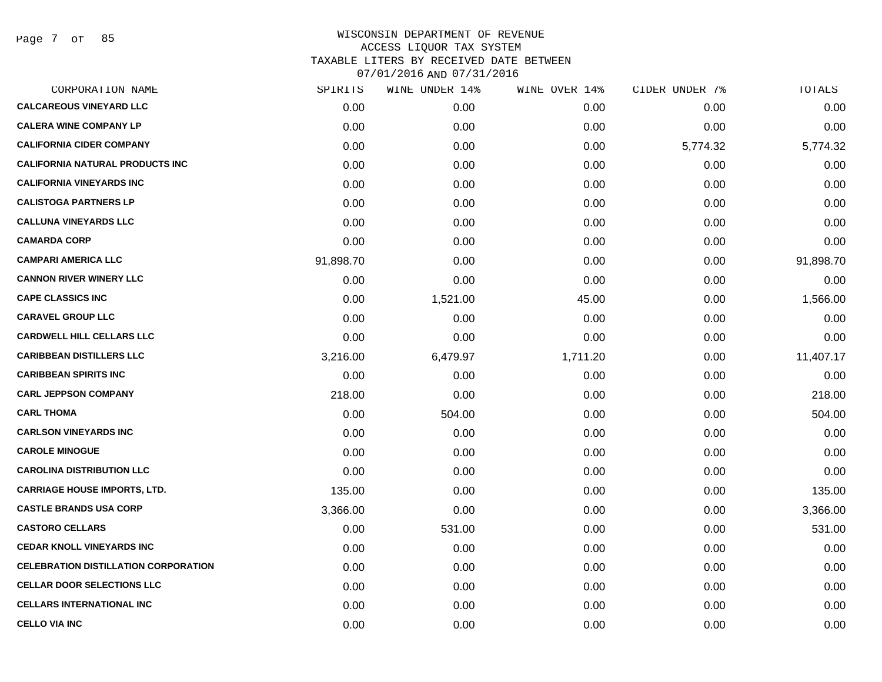Page 7 of 85

| CORPORATION NAME                            | SPIRITS   | WINE UNDER 14% | WINE OVER 14% | CIDER UNDER 7% | TOTALS    |
|---------------------------------------------|-----------|----------------|---------------|----------------|-----------|
| <b>CALCAREOUS VINEYARD LLC</b>              | 0.00      | 0.00           | 0.00          | 0.00           | 0.00      |
| <b>CALERA WINE COMPANY LP</b>               | 0.00      | 0.00           | 0.00          | 0.00           | 0.00      |
| <b>CALIFORNIA CIDER COMPANY</b>             | 0.00      | 0.00           | 0.00          | 5,774.32       | 5,774.32  |
| <b>CALIFORNIA NATURAL PRODUCTS INC</b>      | 0.00      | 0.00           | 0.00          | 0.00           | 0.00      |
| <b>CALIFORNIA VINEYARDS INC</b>             | 0.00      | 0.00           | 0.00          | 0.00           | 0.00      |
| <b>CALISTOGA PARTNERS LP</b>                | 0.00      | 0.00           | 0.00          | 0.00           | 0.00      |
| <b>CALLUNA VINEYARDS LLC</b>                | 0.00      | 0.00           | 0.00          | 0.00           | 0.00      |
| <b>CAMARDA CORP</b>                         | 0.00      | 0.00           | 0.00          | 0.00           | 0.00      |
| <b>CAMPARI AMERICA LLC</b>                  | 91,898.70 | 0.00           | 0.00          | 0.00           | 91,898.70 |
| <b>CANNON RIVER WINERY LLC</b>              | 0.00      | 0.00           | 0.00          | 0.00           | 0.00      |
| <b>CAPE CLASSICS INC</b>                    | 0.00      | 1,521.00       | 45.00         | 0.00           | 1,566.00  |
| <b>CARAVEL GROUP LLC</b>                    | 0.00      | 0.00           | 0.00          | 0.00           | 0.00      |
| <b>CARDWELL HILL CELLARS LLC</b>            | 0.00      | 0.00           | 0.00          | 0.00           | 0.00      |
| <b>CARIBBEAN DISTILLERS LLC</b>             | 3,216.00  | 6,479.97       | 1,711.20      | 0.00           | 11,407.17 |
| <b>CARIBBEAN SPIRITS INC</b>                | 0.00      | 0.00           | 0.00          | 0.00           | 0.00      |
| <b>CARL JEPPSON COMPANY</b>                 | 218.00    | 0.00           | 0.00          | 0.00           | 218.00    |
| <b>CARL THOMA</b>                           | 0.00      | 504.00         | 0.00          | 0.00           | 504.00    |
| <b>CARLSON VINEYARDS INC</b>                | 0.00      | 0.00           | 0.00          | 0.00           | 0.00      |
| <b>CAROLE MINOGUE</b>                       | 0.00      | 0.00           | 0.00          | 0.00           | 0.00      |
| <b>CAROLINA DISTRIBUTION LLC</b>            | 0.00      | 0.00           | 0.00          | 0.00           | 0.00      |
| <b>CARRIAGE HOUSE IMPORTS, LTD.</b>         | 135.00    | 0.00           | 0.00          | 0.00           | 135.00    |
| <b>CASTLE BRANDS USA CORP</b>               | 3,366.00  | 0.00           | 0.00          | 0.00           | 3,366.00  |
| <b>CASTORO CELLARS</b>                      | 0.00      | 531.00         | 0.00          | 0.00           | 531.00    |
| <b>CEDAR KNOLL VINEYARDS INC</b>            | 0.00      | 0.00           | 0.00          | 0.00           | 0.00      |
| <b>CELEBRATION DISTILLATION CORPORATION</b> | 0.00      | 0.00           | 0.00          | 0.00           | 0.00      |
| <b>CELLAR DOOR SELECTIONS LLC</b>           | 0.00      | 0.00           | 0.00          | 0.00           | 0.00      |
| <b>CELLARS INTERNATIONAL INC</b>            | 0.00      | 0.00           | 0.00          | 0.00           | 0.00      |
| <b>CELLO VIA INC</b>                        | 0.00      | 0.00           | 0.00          | 0.00           | 0.00      |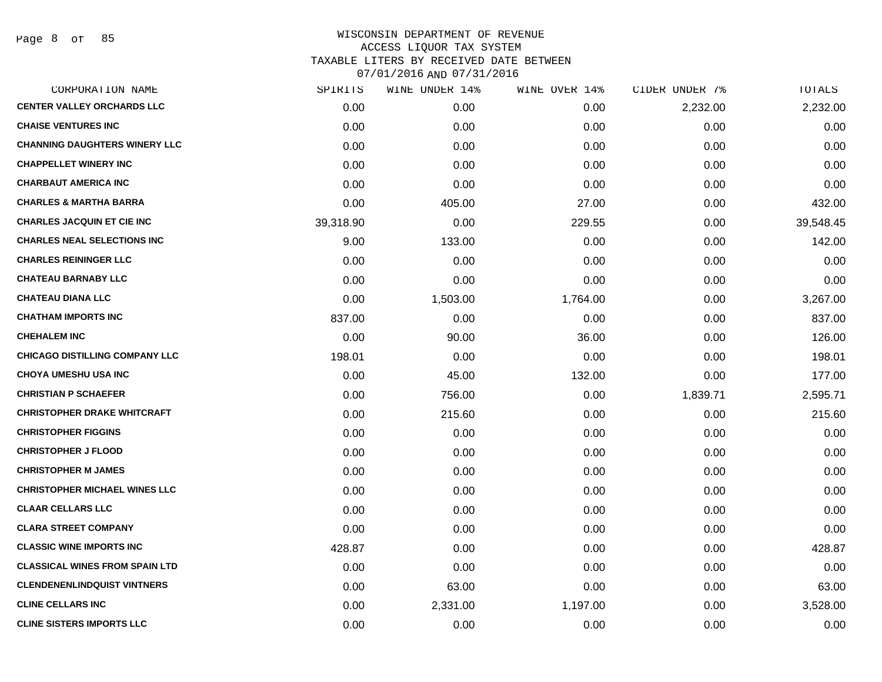Page 8 of 85

| CORPORATION NAME                      | SPIRITS   | WINE UNDER 14% | WINE OVER 14% | CIDER UNDER 7% | TOTALS    |
|---------------------------------------|-----------|----------------|---------------|----------------|-----------|
| <b>CENTER VALLEY ORCHARDS LLC</b>     | 0.00      | 0.00           | 0.00          | 2,232.00       | 2,232.00  |
| <b>CHAISE VENTURES INC</b>            | 0.00      | 0.00           | 0.00          | 0.00           | 0.00      |
| <b>CHANNING DAUGHTERS WINERY LLC</b>  | 0.00      | 0.00           | 0.00          | 0.00           | 0.00      |
| <b>CHAPPELLET WINERY INC</b>          | 0.00      | 0.00           | 0.00          | 0.00           | 0.00      |
| <b>CHARBAUT AMERICA INC</b>           | 0.00      | 0.00           | 0.00          | 0.00           | 0.00      |
| <b>CHARLES &amp; MARTHA BARRA</b>     | 0.00      | 405.00         | 27.00         | 0.00           | 432.00    |
| <b>CHARLES JACQUIN ET CIE INC</b>     | 39,318.90 | 0.00           | 229.55        | 0.00           | 39,548.45 |
| <b>CHARLES NEAL SELECTIONS INC</b>    | 9.00      | 133.00         | 0.00          | 0.00           | 142.00    |
| <b>CHARLES REININGER LLC</b>          | 0.00      | 0.00           | 0.00          | 0.00           | 0.00      |
| <b>CHATEAU BARNABY LLC</b>            | 0.00      | 0.00           | 0.00          | 0.00           | 0.00      |
| <b>CHATEAU DIANA LLC</b>              | 0.00      | 1,503.00       | 1,764.00      | 0.00           | 3,267.00  |
| <b>CHATHAM IMPORTS INC</b>            | 837.00    | 0.00           | 0.00          | 0.00           | 837.00    |
| <b>CHEHALEM INC</b>                   | 0.00      | 90.00          | 36.00         | 0.00           | 126.00    |
| <b>CHICAGO DISTILLING COMPANY LLC</b> | 198.01    | 0.00           | 0.00          | 0.00           | 198.01    |
| <b>CHOYA UMESHU USA INC</b>           | 0.00      | 45.00          | 132.00        | 0.00           | 177.00    |
| <b>CHRISTIAN P SCHAEFER</b>           | 0.00      | 756.00         | 0.00          | 1,839.71       | 2,595.71  |
| <b>CHRISTOPHER DRAKE WHITCRAFT</b>    | 0.00      | 215.60         | 0.00          | 0.00           | 215.60    |
| <b>CHRISTOPHER FIGGINS</b>            | 0.00      | 0.00           | 0.00          | 0.00           | 0.00      |
| <b>CHRISTOPHER J FLOOD</b>            | 0.00      | 0.00           | 0.00          | 0.00           | 0.00      |
| <b>CHRISTOPHER M JAMES</b>            | 0.00      | 0.00           | 0.00          | 0.00           | 0.00      |
| <b>CHRISTOPHER MICHAEL WINES LLC</b>  | 0.00      | 0.00           | 0.00          | 0.00           | 0.00      |
| <b>CLAAR CELLARS LLC</b>              | 0.00      | 0.00           | 0.00          | 0.00           | 0.00      |
| <b>CLARA STREET COMPANY</b>           | 0.00      | 0.00           | 0.00          | 0.00           | 0.00      |
| <b>CLASSIC WINE IMPORTS INC</b>       | 428.87    | 0.00           | 0.00          | 0.00           | 428.87    |
| <b>CLASSICAL WINES FROM SPAIN LTD</b> | 0.00      | 0.00           | 0.00          | 0.00           | 0.00      |
| <b>CLENDENENLINDQUIST VINTNERS</b>    | 0.00      | 63.00          | 0.00          | 0.00           | 63.00     |
| <b>CLINE CELLARS INC</b>              | 0.00      | 2,331.00       | 1,197.00      | 0.00           | 3,528.00  |
| <b>CLINE SISTERS IMPORTS LLC</b>      | 0.00      | 0.00           | 0.00          | 0.00           | 0.00      |
|                                       |           |                |               |                |           |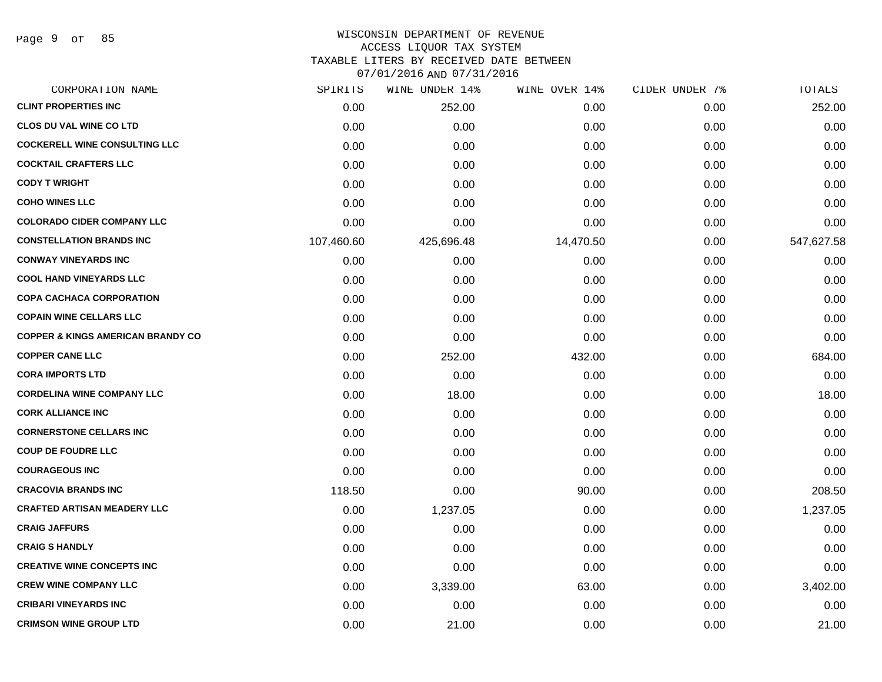Page 9 of 85

# WISCONSIN DEPARTMENT OF REVENUE ACCESS LIQUOR TAX SYSTEM TAXABLE LITERS BY RECEIVED DATE BETWEEN

| CORPORATION NAME                             | SPIRITS    | WINE UNDER 14% | WINE OVER 14% | CIDER UNDER 7% | TOTALS     |
|----------------------------------------------|------------|----------------|---------------|----------------|------------|
| <b>CLINT PROPERTIES INC</b>                  | 0.00       | 252.00         | 0.00          | 0.00           | 252.00     |
| <b>CLOS DU VAL WINE CO LTD</b>               | 0.00       | 0.00           | 0.00          | 0.00           | 0.00       |
| <b>COCKERELL WINE CONSULTING LLC</b>         | 0.00       | 0.00           | 0.00          | 0.00           | 0.00       |
| <b>COCKTAIL CRAFTERS LLC</b>                 | 0.00       | 0.00           | 0.00          | 0.00           | 0.00       |
| <b>CODY T WRIGHT</b>                         | 0.00       | 0.00           | 0.00          | 0.00           | 0.00       |
| <b>COHO WINES LLC</b>                        | 0.00       | 0.00           | 0.00          | 0.00           | 0.00       |
| <b>COLORADO CIDER COMPANY LLC</b>            | 0.00       | 0.00           | 0.00          | 0.00           | 0.00       |
| <b>CONSTELLATION BRANDS INC</b>              | 107,460.60 | 425,696.48     | 14,470.50     | 0.00           | 547,627.58 |
| <b>CONWAY VINEYARDS INC</b>                  | 0.00       | 0.00           | 0.00          | 0.00           | 0.00       |
| <b>COOL HAND VINEYARDS LLC</b>               | 0.00       | 0.00           | 0.00          | 0.00           | 0.00       |
| <b>COPA CACHACA CORPORATION</b>              | 0.00       | 0.00           | 0.00          | 0.00           | 0.00       |
| <b>COPAIN WINE CELLARS LLC</b>               | 0.00       | 0.00           | 0.00          | 0.00           | 0.00       |
| <b>COPPER &amp; KINGS AMERICAN BRANDY CO</b> | 0.00       | 0.00           | 0.00          | 0.00           | 0.00       |
| <b>COPPER CANE LLC</b>                       | 0.00       | 252.00         | 432.00        | 0.00           | 684.00     |
| <b>CORA IMPORTS LTD</b>                      | 0.00       | 0.00           | 0.00          | 0.00           | 0.00       |
| <b>CORDELINA WINE COMPANY LLC</b>            | 0.00       | 18.00          | 0.00          | 0.00           | 18.00      |
| <b>CORK ALLIANCE INC</b>                     | 0.00       | 0.00           | 0.00          | 0.00           | 0.00       |
| <b>CORNERSTONE CELLARS INC</b>               | 0.00       | 0.00           | 0.00          | 0.00           | 0.00       |
| <b>COUP DE FOUDRE LLC</b>                    | 0.00       | 0.00           | 0.00          | 0.00           | 0.00       |
| <b>COURAGEOUS INC</b>                        | 0.00       | 0.00           | 0.00          | 0.00           | 0.00       |
| <b>CRACOVIA BRANDS INC</b>                   | 118.50     | 0.00           | 90.00         | 0.00           | 208.50     |
| <b>CRAFTED ARTISAN MEADERY LLC</b>           | 0.00       | 1,237.05       | 0.00          | 0.00           | 1,237.05   |
| <b>CRAIG JAFFURS</b>                         | 0.00       | 0.00           | 0.00          | 0.00           | 0.00       |
| <b>CRAIG S HANDLY</b>                        | 0.00       | 0.00           | 0.00          | 0.00           | 0.00       |
| <b>CREATIVE WINE CONCEPTS INC</b>            | 0.00       | 0.00           | 0.00          | 0.00           | 0.00       |
| <b>CREW WINE COMPANY LLC</b>                 | 0.00       | 3,339.00       | 63.00         | 0.00           | 3,402.00   |
| <b>CRIBARI VINEYARDS INC</b>                 | 0.00       | 0.00           | 0.00          | 0.00           | 0.00       |
| <b>CRIMSON WINE GROUP LTD</b>                | 0.00       | 21.00          | 0.00          | 0.00           | 21.00      |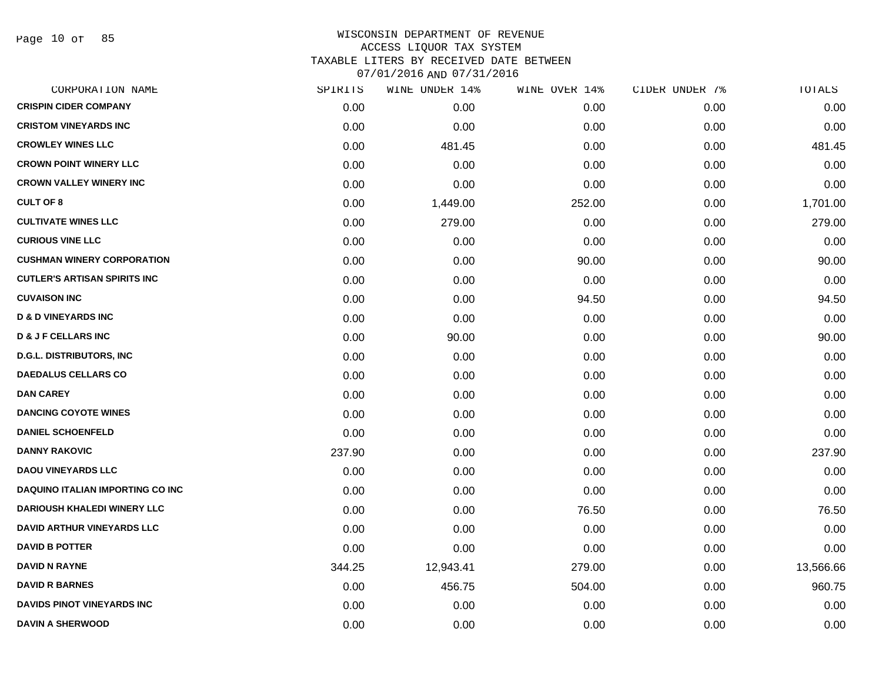Page 10 of 85

| CORPORATION NAME                        | SPIRITS | WINE UNDER 14% | WINE OVER 14% | CIDER UNDER 7% | TOTALS    |
|-----------------------------------------|---------|----------------|---------------|----------------|-----------|
| <b>CRISPIN CIDER COMPANY</b>            | 0.00    | 0.00           | 0.00          | 0.00           | 0.00      |
| <b>CRISTOM VINEYARDS INC</b>            | 0.00    | 0.00           | 0.00          | 0.00           | 0.00      |
| <b>CROWLEY WINES LLC</b>                | 0.00    | 481.45         | 0.00          | 0.00           | 481.45    |
| <b>CROWN POINT WINERY LLC</b>           | 0.00    | 0.00           | 0.00          | 0.00           | 0.00      |
| <b>CROWN VALLEY WINERY INC</b>          | 0.00    | 0.00           | 0.00          | 0.00           | 0.00      |
| <b>CULT OF 8</b>                        | 0.00    | 1,449.00       | 252.00        | 0.00           | 1,701.00  |
| <b>CULTIVATE WINES LLC</b>              | 0.00    | 279.00         | 0.00          | 0.00           | 279.00    |
| <b>CURIOUS VINE LLC</b>                 | 0.00    | 0.00           | 0.00          | 0.00           | 0.00      |
| <b>CUSHMAN WINERY CORPORATION</b>       | 0.00    | 0.00           | 90.00         | 0.00           | 90.00     |
| <b>CUTLER'S ARTISAN SPIRITS INC</b>     | 0.00    | 0.00           | 0.00          | 0.00           | 0.00      |
| <b>CUVAISON INC</b>                     | 0.00    | 0.00           | 94.50         | 0.00           | 94.50     |
| <b>D &amp; D VINEYARDS INC</b>          | 0.00    | 0.00           | 0.00          | 0.00           | 0.00      |
| <b>D &amp; J F CELLARS INC</b>          | 0.00    | 90.00          | 0.00          | 0.00           | 90.00     |
| <b>D.G.L. DISTRIBUTORS, INC</b>         | 0.00    | 0.00           | 0.00          | 0.00           | 0.00      |
| <b>DAEDALUS CELLARS CO</b>              | 0.00    | 0.00           | 0.00          | 0.00           | 0.00      |
| <b>DAN CAREY</b>                        | 0.00    | 0.00           | 0.00          | 0.00           | 0.00      |
| <b>DANCING COYOTE WINES</b>             | 0.00    | 0.00           | 0.00          | 0.00           | 0.00      |
| <b>DANIEL SCHOENFELD</b>                | 0.00    | 0.00           | 0.00          | 0.00           | 0.00      |
| <b>DANNY RAKOVIC</b>                    | 237.90  | 0.00           | 0.00          | 0.00           | 237.90    |
| <b>DAOU VINEYARDS LLC</b>               | 0.00    | 0.00           | 0.00          | 0.00           | 0.00      |
| <b>DAQUINO ITALIAN IMPORTING CO INC</b> | 0.00    | 0.00           | 0.00          | 0.00           | 0.00      |
| <b>DARIOUSH KHALEDI WINERY LLC</b>      | 0.00    | 0.00           | 76.50         | 0.00           | 76.50     |
| <b>DAVID ARTHUR VINEYARDS LLC</b>       | 0.00    | 0.00           | 0.00          | 0.00           | 0.00      |
| <b>DAVID B POTTER</b>                   | 0.00    | 0.00           | 0.00          | 0.00           | 0.00      |
| <b>DAVID N RAYNE</b>                    | 344.25  | 12,943.41      | 279.00        | 0.00           | 13,566.66 |
| <b>DAVID R BARNES</b>                   | 0.00    | 456.75         | 504.00        | 0.00           | 960.75    |
| DAVIDS PINOT VINEYARDS INC              | 0.00    | 0.00           | 0.00          | 0.00           | 0.00      |
| <b>DAVIN A SHERWOOD</b>                 | 0.00    | 0.00           | 0.00          | 0.00           | 0.00      |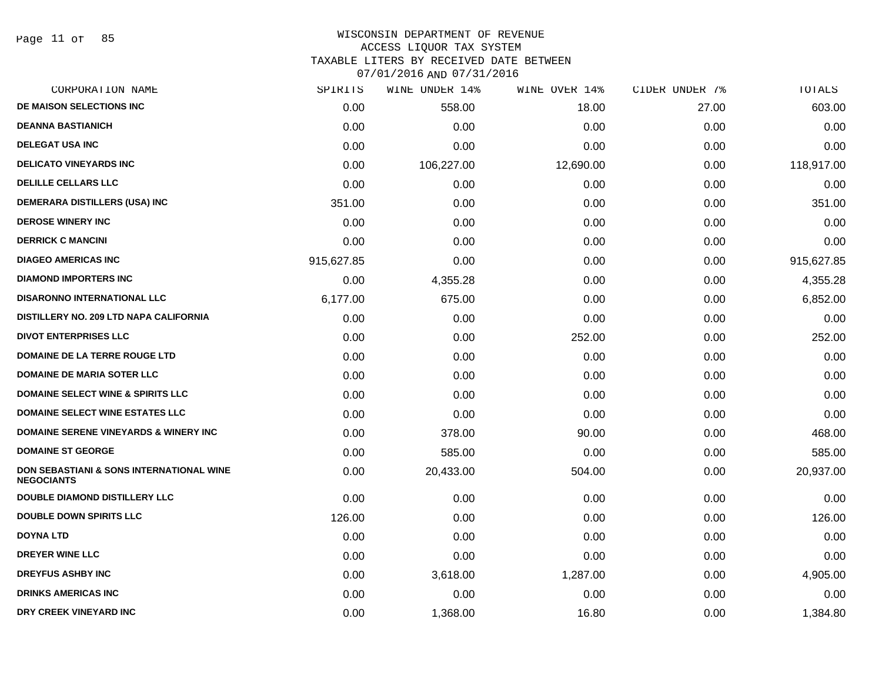#### WISCONSIN DEPARTMENT OF REVENUE ACCESS LIQUOR TAX SYSTEM TAXABLE LITERS BY RECEIVED DATE BETWEEN

| CORPORATION NAME                                                         | SPIRITS    | WINE UNDER 14% | WINE OVER 14% | CIDER UNDER 7% | TOTALS     |
|--------------------------------------------------------------------------|------------|----------------|---------------|----------------|------------|
| DE MAISON SELECTIONS INC                                                 | 0.00       | 558.00         | 18.00         | 27.00          | 603.00     |
| <b>DEANNA BASTIANICH</b>                                                 | 0.00       | 0.00           | 0.00          | 0.00           | 0.00       |
| <b>DELEGAT USA INC</b>                                                   | 0.00       | 0.00           | 0.00          | 0.00           | 0.00       |
| <b>DELICATO VINEYARDS INC</b>                                            | 0.00       | 106,227.00     | 12,690.00     | 0.00           | 118,917.00 |
| <b>DELILLE CELLARS LLC</b>                                               | 0.00       | 0.00           | 0.00          | 0.00           | 0.00       |
| DEMERARA DISTILLERS (USA) INC                                            | 351.00     | 0.00           | 0.00          | 0.00           | 351.00     |
| <b>DEROSE WINERY INC</b>                                                 | 0.00       | 0.00           | 0.00          | 0.00           | 0.00       |
| <b>DERRICK C MANCINI</b>                                                 | 0.00       | 0.00           | 0.00          | 0.00           | 0.00       |
| <b>DIAGEO AMERICAS INC</b>                                               | 915,627.85 | 0.00           | 0.00          | 0.00           | 915,627.85 |
| <b>DIAMOND IMPORTERS INC</b>                                             | 0.00       | 4,355.28       | 0.00          | 0.00           | 4,355.28   |
| <b>DISARONNO INTERNATIONAL LLC</b>                                       | 6,177.00   | 675.00         | 0.00          | 0.00           | 6,852.00   |
| DISTILLERY NO. 209 LTD NAPA CALIFORNIA                                   | 0.00       | 0.00           | 0.00          | 0.00           | 0.00       |
| <b>DIVOT ENTERPRISES LLC</b>                                             | 0.00       | 0.00           | 252.00        | 0.00           | 252.00     |
| <b>DOMAINE DE LA TERRE ROUGE LTD</b>                                     | 0.00       | 0.00           | 0.00          | 0.00           | 0.00       |
| <b>DOMAINE DE MARIA SOTER LLC</b>                                        | 0.00       | 0.00           | 0.00          | 0.00           | 0.00       |
| DOMAINE SELECT WINE & SPIRITS LLC                                        | 0.00       | 0.00           | 0.00          | 0.00           | 0.00       |
| DOMAINE SELECT WINE ESTATES LLC                                          | 0.00       | 0.00           | 0.00          | 0.00           | 0.00       |
| <b>DOMAINE SERENE VINEYARDS &amp; WINERY INC</b>                         | 0.00       | 378.00         | 90.00         | 0.00           | 468.00     |
| <b>DOMAINE ST GEORGE</b>                                                 | 0.00       | 585.00         | 0.00          | 0.00           | 585.00     |
| <b>DON SEBASTIANI &amp; SONS INTERNATIONAL WINE</b><br><b>NEGOCIANTS</b> | 0.00       | 20,433.00      | 504.00        | 0.00           | 20,937.00  |
| DOUBLE DIAMOND DISTILLERY LLC                                            | 0.00       | 0.00           | 0.00          | 0.00           | 0.00       |
| <b>DOUBLE DOWN SPIRITS LLC</b>                                           | 126.00     | 0.00           | 0.00          | 0.00           | 126.00     |
| <b>DOYNA LTD</b>                                                         | 0.00       | 0.00           | 0.00          | 0.00           | 0.00       |
| <b>DREYER WINE LLC</b>                                                   | 0.00       | 0.00           | 0.00          | 0.00           | 0.00       |
| <b>DREYFUS ASHBY INC</b>                                                 | 0.00       | 3,618.00       | 1,287.00      | 0.00           | 4,905.00   |
| <b>DRINKS AMERICAS INC</b>                                               | 0.00       | 0.00           | 0.00          | 0.00           | 0.00       |
| DRY CREEK VINEYARD INC                                                   | 0.00       | 1,368.00       | 16.80         | 0.00           | 1,384.80   |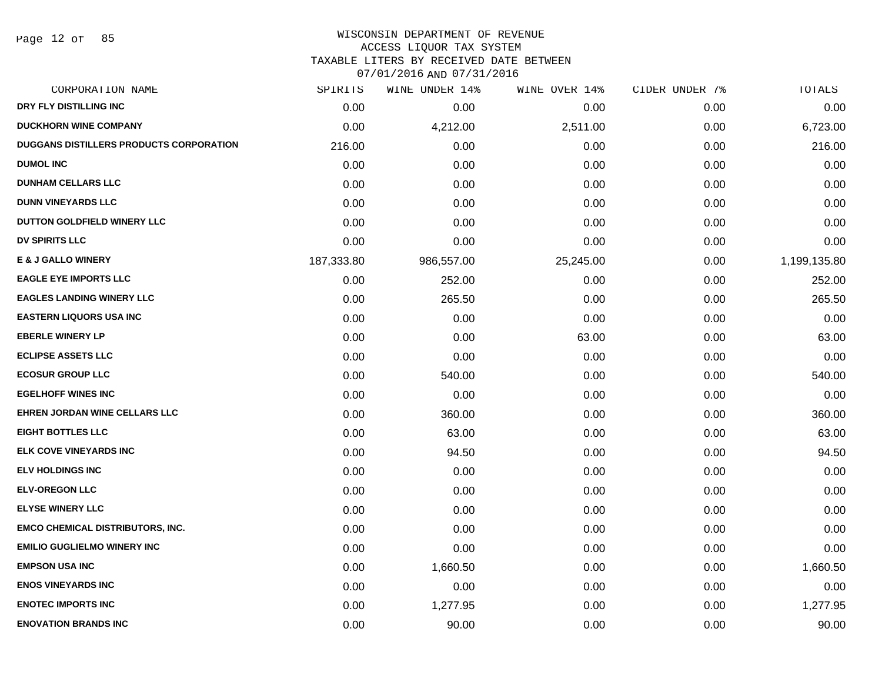Page 12 of 85

#### WISCONSIN DEPARTMENT OF REVENUE ACCESS LIQUOR TAX SYSTEM

TAXABLE LITERS BY RECEIVED DATE BETWEEN

| CORPORATION NAME                               | SPIRITS    | WINE UNDER 14% | WINE OVER 14% | CIDER UNDER 7% | TOTALS       |
|------------------------------------------------|------------|----------------|---------------|----------------|--------------|
| DRY FLY DISTILLING INC                         | 0.00       | 0.00           | 0.00          | 0.00           | 0.00         |
| <b>DUCKHORN WINE COMPANY</b>                   | 0.00       | 4,212.00       | 2,511.00      | 0.00           | 6,723.00     |
| <b>DUGGANS DISTILLERS PRODUCTS CORPORATION</b> | 216.00     | 0.00           | 0.00          | 0.00           | 216.00       |
| <b>DUMOL INC</b>                               | 0.00       | 0.00           | 0.00          | 0.00           | 0.00         |
| <b>DUNHAM CELLARS LLC</b>                      | 0.00       | 0.00           | 0.00          | 0.00           | 0.00         |
| <b>DUNN VINEYARDS LLC</b>                      | 0.00       | 0.00           | 0.00          | 0.00           | 0.00         |
| DUTTON GOLDFIELD WINERY LLC                    | 0.00       | 0.00           | 0.00          | 0.00           | 0.00         |
| <b>DV SPIRITS LLC</b>                          | 0.00       | 0.00           | 0.00          | 0.00           | 0.00         |
| <b>E &amp; J GALLO WINERY</b>                  | 187,333.80 | 986,557.00     | 25,245.00     | 0.00           | 1,199,135.80 |
| <b>EAGLE EYE IMPORTS LLC</b>                   | 0.00       | 252.00         | 0.00          | 0.00           | 252.00       |
| <b>EAGLES LANDING WINERY LLC</b>               | 0.00       | 265.50         | 0.00          | 0.00           | 265.50       |
| <b>EASTERN LIQUORS USA INC</b>                 | 0.00       | 0.00           | 0.00          | 0.00           | 0.00         |
| <b>EBERLE WINERY LP</b>                        | 0.00       | 0.00           | 63.00         | 0.00           | 63.00        |
| <b>ECLIPSE ASSETS LLC</b>                      | 0.00       | 0.00           | 0.00          | 0.00           | 0.00         |
| <b>ECOSUR GROUP LLC</b>                        | 0.00       | 540.00         | 0.00          | 0.00           | 540.00       |
| <b>EGELHOFF WINES INC</b>                      | 0.00       | 0.00           | 0.00          | 0.00           | 0.00         |
| <b>EHREN JORDAN WINE CELLARS LLC</b>           | 0.00       | 360.00         | 0.00          | 0.00           | 360.00       |
| <b>EIGHT BOTTLES LLC</b>                       | 0.00       | 63.00          | 0.00          | 0.00           | 63.00        |
| ELK COVE VINEYARDS INC                         | 0.00       | 94.50          | 0.00          | 0.00           | 94.50        |
| <b>ELV HOLDINGS INC</b>                        | 0.00       | 0.00           | 0.00          | 0.00           | 0.00         |
| <b>ELV-OREGON LLC</b>                          | 0.00       | 0.00           | 0.00          | 0.00           | 0.00         |
| <b>ELYSE WINERY LLC</b>                        | 0.00       | 0.00           | 0.00          | 0.00           | 0.00         |
| <b>EMCO CHEMICAL DISTRIBUTORS, INC.</b>        | 0.00       | 0.00           | 0.00          | 0.00           | 0.00         |
| <b>EMILIO GUGLIELMO WINERY INC</b>             | 0.00       | 0.00           | 0.00          | 0.00           | 0.00         |
| <b>EMPSON USA INC</b>                          | 0.00       | 1,660.50       | 0.00          | 0.00           | 1,660.50     |
| <b>ENOS VINEYARDS INC</b>                      | 0.00       | 0.00           | 0.00          | 0.00           | 0.00         |
| <b>ENOTEC IMPORTS INC</b>                      | 0.00       | 1,277.95       | 0.00          | 0.00           | 1,277.95     |
| <b>ENOVATION BRANDS INC</b>                    | 0.00       | 90.00          | 0.00          | 0.00           | 90.00        |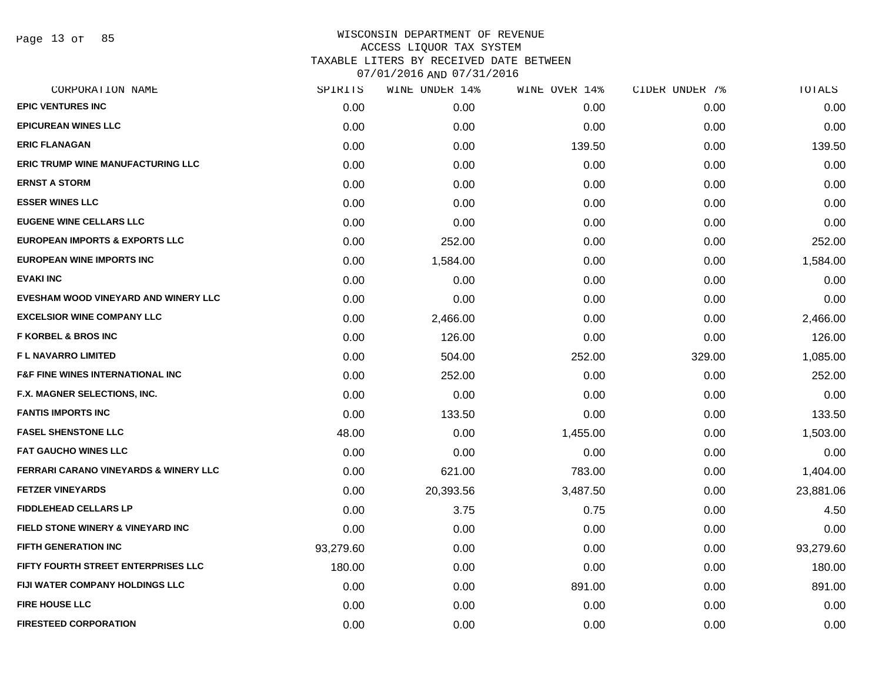Page 13 of 85

| SPIRITS   | WINE UNDER 14% | WINE OVER 14% | CIDER UNDER 7% | TOTALS    |
|-----------|----------------|---------------|----------------|-----------|
| 0.00      | 0.00           | 0.00          | 0.00           | 0.00      |
| 0.00      | 0.00           | 0.00          | 0.00           | 0.00      |
| 0.00      | 0.00           | 139.50        | 0.00           | 139.50    |
| 0.00      | 0.00           | 0.00          | 0.00           | 0.00      |
| 0.00      | 0.00           | 0.00          | 0.00           | 0.00      |
| 0.00      | 0.00           | 0.00          | 0.00           | 0.00      |
| 0.00      | 0.00           | 0.00          | 0.00           | 0.00      |
| 0.00      | 252.00         | 0.00          | 0.00           | 252.00    |
| 0.00      | 1,584.00       | 0.00          | 0.00           | 1,584.00  |
| 0.00      | 0.00           | 0.00          | 0.00           | 0.00      |
| 0.00      | 0.00           | 0.00          | 0.00           | 0.00      |
| 0.00      | 2,466.00       | 0.00          | 0.00           | 2,466.00  |
| 0.00      | 126.00         | 0.00          | 0.00           | 126.00    |
| 0.00      | 504.00         | 252.00        | 329.00         | 1,085.00  |
| 0.00      | 252.00         | 0.00          | 0.00           | 252.00    |
| 0.00      | 0.00           | 0.00          | 0.00           | 0.00      |
| 0.00      | 133.50         | 0.00          | 0.00           | 133.50    |
| 48.00     | 0.00           | 1,455.00      | 0.00           | 1,503.00  |
| 0.00      | 0.00           | 0.00          | 0.00           | 0.00      |
| 0.00      | 621.00         | 783.00        | 0.00           | 1,404.00  |
| 0.00      | 20,393.56      | 3,487.50      | 0.00           | 23,881.06 |
| 0.00      | 3.75           | 0.75          | 0.00           | 4.50      |
| 0.00      | 0.00           | 0.00          | 0.00           | 0.00      |
| 93,279.60 | 0.00           | 0.00          | 0.00           | 93,279.60 |
| 180.00    | 0.00           | 0.00          | 0.00           | 180.00    |
| 0.00      | 0.00           | 891.00        | 0.00           | 891.00    |
| 0.00      | 0.00           | 0.00          | 0.00           | 0.00      |
| 0.00      | 0.00           | 0.00          | 0.00           | 0.00      |
|           |                |               |                |           |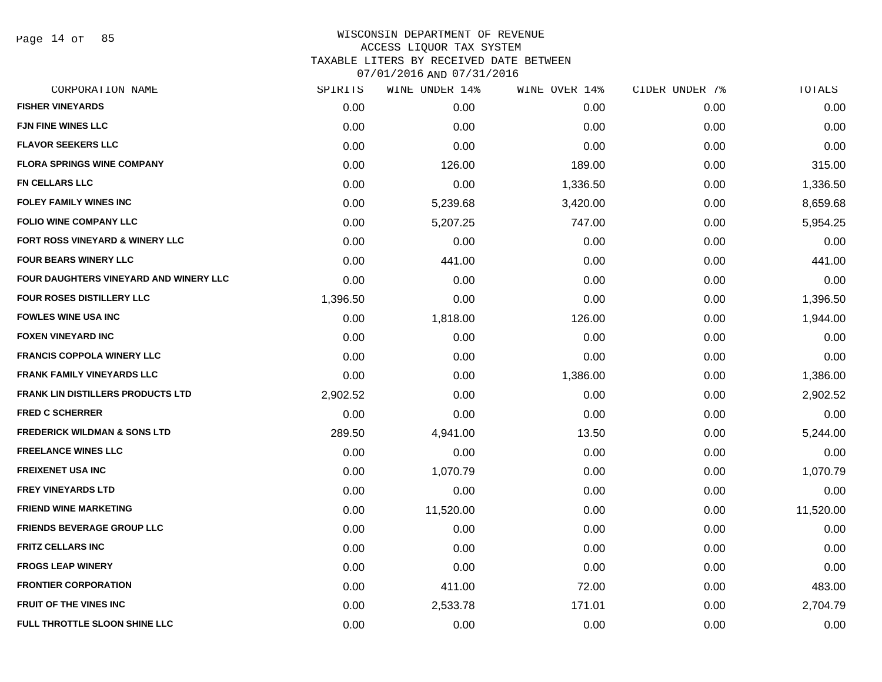Page 14 of 85

| CORPORATION NAME                         | SPIRITS  | WINE UNDER 14% | WINE OVER 14% | CIDER UNDER 7% | TOTALS    |
|------------------------------------------|----------|----------------|---------------|----------------|-----------|
| <b>FISHER VINEYARDS</b>                  | 0.00     | 0.00           | 0.00          | 0.00           | 0.00      |
| <b>FJN FINE WINES LLC</b>                | 0.00     | 0.00           | 0.00          | 0.00           | 0.00      |
| <b>FLAVOR SEEKERS LLC</b>                | 0.00     | 0.00           | 0.00          | 0.00           | 0.00      |
| <b>FLORA SPRINGS WINE COMPANY</b>        | 0.00     | 126.00         | 189.00        | 0.00           | 315.00    |
| <b>FN CELLARS LLC</b>                    | 0.00     | 0.00           | 1,336.50      | 0.00           | 1,336.50  |
| <b>FOLEY FAMILY WINES INC</b>            | 0.00     | 5,239.68       | 3,420.00      | 0.00           | 8,659.68  |
| <b>FOLIO WINE COMPANY LLC</b>            | 0.00     | 5,207.25       | 747.00        | 0.00           | 5,954.25  |
| FORT ROSS VINEYARD & WINERY LLC          | 0.00     | 0.00           | 0.00          | 0.00           | 0.00      |
| <b>FOUR BEARS WINERY LLC</b>             | 0.00     | 441.00         | 0.00          | 0.00           | 441.00    |
| FOUR DAUGHTERS VINEYARD AND WINERY LLC   | 0.00     | 0.00           | 0.00          | 0.00           | 0.00      |
| FOUR ROSES DISTILLERY LLC                | 1,396.50 | 0.00           | 0.00          | 0.00           | 1,396.50  |
| <b>FOWLES WINE USA INC</b>               | 0.00     | 1,818.00       | 126.00        | 0.00           | 1,944.00  |
| <b>FOXEN VINEYARD INC</b>                | 0.00     | 0.00           | 0.00          | 0.00           | 0.00      |
| <b>FRANCIS COPPOLA WINERY LLC</b>        | 0.00     | 0.00           | 0.00          | 0.00           | 0.00      |
| <b>FRANK FAMILY VINEYARDS LLC</b>        | 0.00     | 0.00           | 1,386.00      | 0.00           | 1,386.00  |
| <b>FRANK LIN DISTILLERS PRODUCTS LTD</b> | 2,902.52 | 0.00           | 0.00          | 0.00           | 2,902.52  |
| <b>FRED C SCHERRER</b>                   | 0.00     | 0.00           | 0.00          | 0.00           | 0.00      |
| <b>FREDERICK WILDMAN &amp; SONS LTD</b>  | 289.50   | 4,941.00       | 13.50         | 0.00           | 5,244.00  |
| <b>FREELANCE WINES LLC</b>               | 0.00     | 0.00           | 0.00          | 0.00           | 0.00      |
| <b>FREIXENET USA INC</b>                 | 0.00     | 1,070.79       | 0.00          | 0.00           | 1,070.79  |
| <b>FREY VINEYARDS LTD</b>                | 0.00     | 0.00           | 0.00          | 0.00           | 0.00      |
| <b>FRIEND WINE MARKETING</b>             | 0.00     | 11,520.00      | 0.00          | 0.00           | 11,520.00 |
| <b>FRIENDS BEVERAGE GROUP LLC</b>        | 0.00     | 0.00           | 0.00          | 0.00           | 0.00      |
| <b>FRITZ CELLARS INC</b>                 | 0.00     | 0.00           | 0.00          | 0.00           | 0.00      |
| <b>FROGS LEAP WINERY</b>                 | 0.00     | 0.00           | 0.00          | 0.00           | 0.00      |
| <b>FRONTIER CORPORATION</b>              | 0.00     | 411.00         | 72.00         | 0.00           | 483.00    |
| <b>FRUIT OF THE VINES INC</b>            | 0.00     | 2,533.78       | 171.01        | 0.00           | 2,704.79  |
| FULL THROTTLE SLOON SHINE LLC            | 0.00     | 0.00           | 0.00          | 0.00           | 0.00      |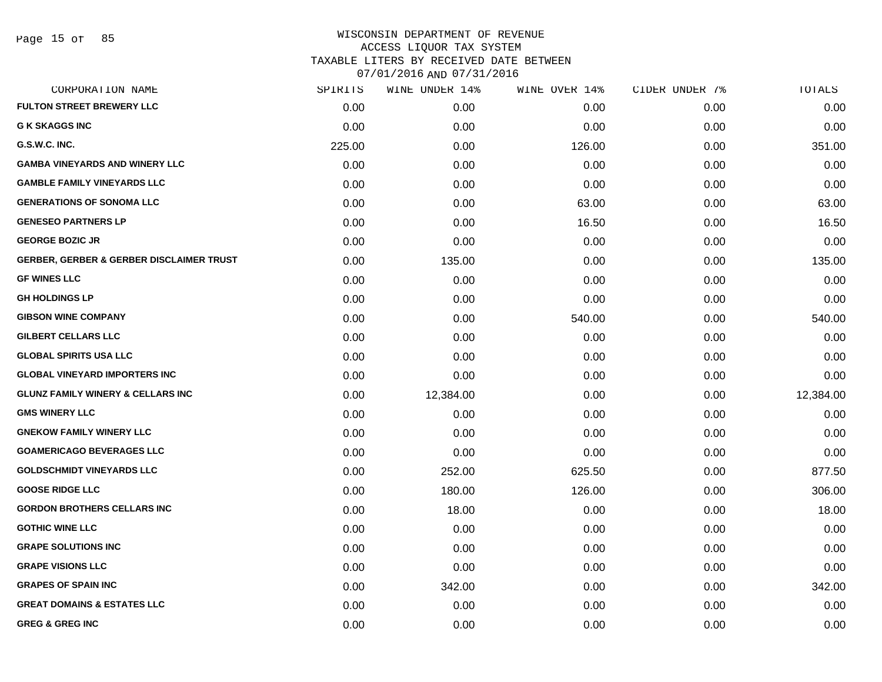| CORPORATION NAME                                    | SPIRITS | WINE UNDER 14% | WINE OVER 14% | CIDER UNDER 7% | TOTALS    |
|-----------------------------------------------------|---------|----------------|---------------|----------------|-----------|
| <b>FULTON STREET BREWERY LLC</b>                    | 0.00    | 0.00           | 0.00          | 0.00           | 0.00      |
| <b>G K SKAGGS INC</b>                               | 0.00    | 0.00           | 0.00          | 0.00           | 0.00      |
| G.S.W.C. INC.                                       | 225.00  | 0.00           | 126.00        | 0.00           | 351.00    |
| <b>GAMBA VINEYARDS AND WINERY LLC</b>               | 0.00    | 0.00           | 0.00          | 0.00           | 0.00      |
| <b>GAMBLE FAMILY VINEYARDS LLC</b>                  | 0.00    | 0.00           | 0.00          | 0.00           | 0.00      |
| <b>GENERATIONS OF SONOMA LLC</b>                    | 0.00    | 0.00           | 63.00         | 0.00           | 63.00     |
| <b>GENESEO PARTNERS LP</b>                          | 0.00    | 0.00           | 16.50         | 0.00           | 16.50     |
| <b>GEORGE BOZIC JR</b>                              | 0.00    | 0.00           | 0.00          | 0.00           | 0.00      |
| <b>GERBER, GERBER &amp; GERBER DISCLAIMER TRUST</b> | 0.00    | 135.00         | 0.00          | 0.00           | 135.00    |
| <b>GF WINES LLC</b>                                 | 0.00    | 0.00           | 0.00          | 0.00           | 0.00      |
| <b>GH HOLDINGS LP</b>                               | 0.00    | 0.00           | 0.00          | 0.00           | 0.00      |
| <b>GIBSON WINE COMPANY</b>                          | 0.00    | 0.00           | 540.00        | 0.00           | 540.00    |
| <b>GILBERT CELLARS LLC</b>                          | 0.00    | 0.00           | 0.00          | 0.00           | 0.00      |
| <b>GLOBAL SPIRITS USA LLC</b>                       | 0.00    | 0.00           | 0.00          | 0.00           | 0.00      |
| <b>GLOBAL VINEYARD IMPORTERS INC</b>                | 0.00    | 0.00           | 0.00          | 0.00           | 0.00      |
| <b>GLUNZ FAMILY WINERY &amp; CELLARS INC</b>        | 0.00    | 12,384.00      | 0.00          | 0.00           | 12,384.00 |
| <b>GMS WINERY LLC</b>                               | 0.00    | 0.00           | 0.00          | 0.00           | 0.00      |
| <b>GNEKOW FAMILY WINERY LLC</b>                     | 0.00    | 0.00           | 0.00          | 0.00           | 0.00      |
| <b>GOAMERICAGO BEVERAGES LLC</b>                    | 0.00    | 0.00           | 0.00          | 0.00           | 0.00      |
| <b>GOLDSCHMIDT VINEYARDS LLC</b>                    | 0.00    | 252.00         | 625.50        | 0.00           | 877.50    |
| <b>GOOSE RIDGE LLC</b>                              | 0.00    | 180.00         | 126.00        | 0.00           | 306.00    |
| <b>GORDON BROTHERS CELLARS INC</b>                  | 0.00    | 18.00          | 0.00          | 0.00           | 18.00     |
| <b>GOTHIC WINE LLC</b>                              | 0.00    | 0.00           | 0.00          | 0.00           | 0.00      |
| <b>GRAPE SOLUTIONS INC</b>                          | 0.00    | 0.00           | 0.00          | 0.00           | 0.00      |
| <b>GRAPE VISIONS LLC</b>                            | 0.00    | 0.00           | 0.00          | 0.00           | 0.00      |
| <b>GRAPES OF SPAIN INC</b>                          | 0.00    | 342.00         | 0.00          | 0.00           | 342.00    |
| <b>GREAT DOMAINS &amp; ESTATES LLC</b>              | 0.00    | 0.00           | 0.00          | 0.00           | 0.00      |
| <b>GREG &amp; GREG INC</b>                          | 0.00    | 0.00           | 0.00          | 0.00           | 0.00      |
|                                                     |         |                |               |                |           |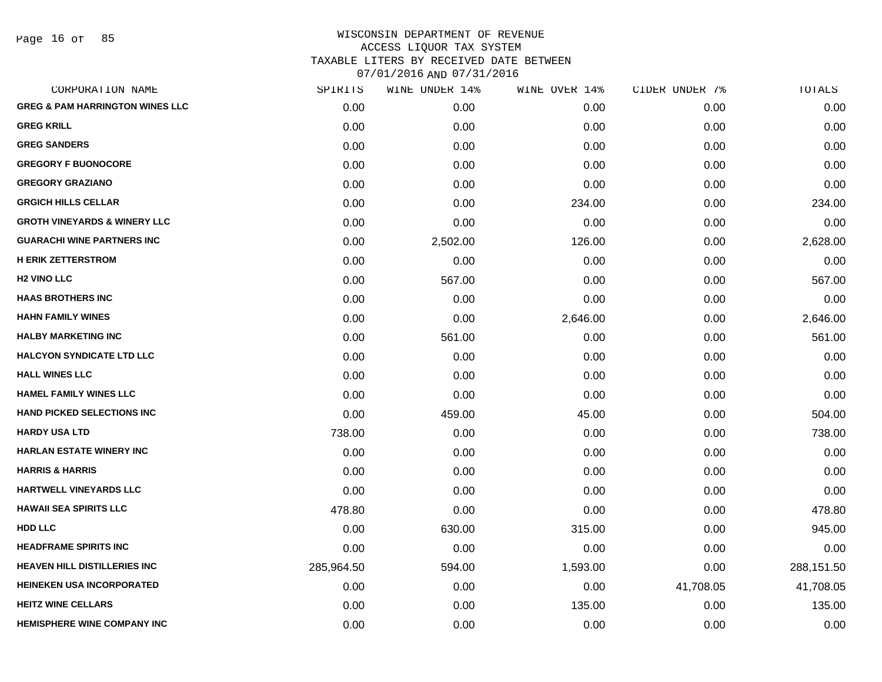Page 16 of 85

| SPIRITS    | WINE UNDER 14% |          |               | TOTALS         |
|------------|----------------|----------|---------------|----------------|
| 0.00       | 0.00           | 0.00     | 0.00          | 0.00           |
| 0.00       | 0.00           | 0.00     | 0.00          | 0.00           |
| 0.00       | 0.00           | 0.00     | 0.00          | 0.00           |
| 0.00       | 0.00           | 0.00     | 0.00          | 0.00           |
| 0.00       | 0.00           | 0.00     | 0.00          | 0.00           |
| 0.00       | 0.00           | 234.00   | 0.00          | 234.00         |
| 0.00       | 0.00           | 0.00     | 0.00          | 0.00           |
| 0.00       | 2,502.00       | 126.00   | 0.00          | 2,628.00       |
| 0.00       | 0.00           | 0.00     | 0.00          | 0.00           |
| 0.00       | 567.00         | 0.00     | 0.00          | 567.00         |
| 0.00       | 0.00           | 0.00     | 0.00          | 0.00           |
| 0.00       | 0.00           | 2,646.00 | 0.00          | 2,646.00       |
| 0.00       | 561.00         | 0.00     | 0.00          | 561.00         |
| 0.00       | 0.00           | 0.00     | 0.00          | 0.00           |
| 0.00       | 0.00           | 0.00     | 0.00          | 0.00           |
| 0.00       | 0.00           | 0.00     | 0.00          | 0.00           |
| 0.00       | 459.00         | 45.00    | 0.00          | 504.00         |
| 738.00     | 0.00           | 0.00     | 0.00          | 738.00         |
| 0.00       | 0.00           | 0.00     | 0.00          | 0.00           |
| 0.00       | 0.00           | 0.00     | 0.00          | 0.00           |
| 0.00       | 0.00           | 0.00     | 0.00          | 0.00           |
| 478.80     | 0.00           | 0.00     | 0.00          | 478.80         |
| 0.00       | 630.00         | 315.00   | 0.00          | 945.00         |
| 0.00       | 0.00           | 0.00     | 0.00          | 0.00           |
| 285,964.50 | 594.00         | 1,593.00 | 0.00          | 288,151.50     |
| 0.00       | 0.00           | 0.00     | 41,708.05     | 41,708.05      |
| 0.00       | 0.00           | 135.00   | 0.00          | 135.00         |
| 0.00       | 0.00           | 0.00     | 0.00          | 0.00           |
|            |                |          | WINE OVER 14% | CIDER UNDER 7% |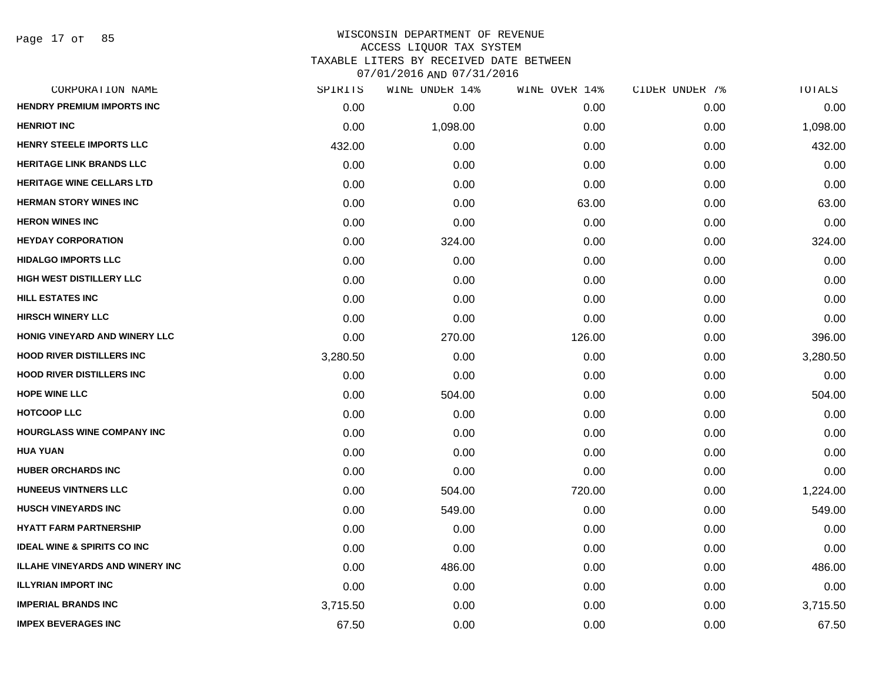| CORPORATION NAME                       | SPIRITS  | WINE UNDER 14% | WINE OVER 14% | CIDER UNDER 7% | TOTALS   |
|----------------------------------------|----------|----------------|---------------|----------------|----------|
| <b>HENDRY PREMIUM IMPORTS INC</b>      | 0.00     | 0.00           | 0.00          | 0.00           | 0.00     |
| <b>HENRIOT INC</b>                     | 0.00     | 1,098.00       | 0.00          | 0.00           | 1,098.00 |
| HENRY STEELE IMPORTS LLC               | 432.00   | 0.00           | 0.00          | 0.00           | 432.00   |
| <b>HERITAGE LINK BRANDS LLC</b>        | 0.00     | 0.00           | 0.00          | 0.00           | 0.00     |
| <b>HERITAGE WINE CELLARS LTD</b>       | 0.00     | 0.00           | 0.00          | 0.00           | 0.00     |
| <b>HERMAN STORY WINES INC</b>          | 0.00     | 0.00           | 63.00         | 0.00           | 63.00    |
| <b>HERON WINES INC</b>                 | 0.00     | 0.00           | 0.00          | 0.00           | 0.00     |
| <b>HEYDAY CORPORATION</b>              | 0.00     | 324.00         | 0.00          | 0.00           | 324.00   |
| <b>HIDALGO IMPORTS LLC</b>             | 0.00     | 0.00           | 0.00          | 0.00           | 0.00     |
| <b>HIGH WEST DISTILLERY LLC</b>        | 0.00     | 0.00           | 0.00          | 0.00           | 0.00     |
| <b>HILL ESTATES INC</b>                | 0.00     | 0.00           | 0.00          | 0.00           | 0.00     |
| <b>HIRSCH WINERY LLC</b>               | 0.00     | 0.00           | 0.00          | 0.00           | 0.00     |
| HONIG VINEYARD AND WINERY LLC          | 0.00     | 270.00         | 126.00        | 0.00           | 396.00   |
| <b>HOOD RIVER DISTILLERS INC</b>       | 3,280.50 | 0.00           | 0.00          | 0.00           | 3,280.50 |
| <b>HOOD RIVER DISTILLERS INC</b>       | 0.00     | 0.00           | 0.00          | 0.00           | 0.00     |
| <b>HOPE WINE LLC</b>                   | 0.00     | 504.00         | 0.00          | 0.00           | 504.00   |
| <b>HOTCOOP LLC</b>                     | 0.00     | 0.00           | 0.00          | 0.00           | 0.00     |
| <b>HOURGLASS WINE COMPANY INC</b>      | 0.00     | 0.00           | 0.00          | 0.00           | 0.00     |
| <b>HUA YUAN</b>                        | 0.00     | 0.00           | 0.00          | 0.00           | 0.00     |
| <b>HUBER ORCHARDS INC</b>              | 0.00     | 0.00           | 0.00          | 0.00           | 0.00     |
| HUNEEUS VINTNERS LLC                   | 0.00     | 504.00         | 720.00        | 0.00           | 1,224.00 |
| <b>HUSCH VINEYARDS INC</b>             | 0.00     | 549.00         | 0.00          | 0.00           | 549.00   |
| <b>HYATT FARM PARTNERSHIP</b>          | 0.00     | 0.00           | 0.00          | 0.00           | 0.00     |
| <b>IDEAL WINE &amp; SPIRITS CO INC</b> | 0.00     | 0.00           | 0.00          | 0.00           | 0.00     |
| <b>ILLAHE VINEYARDS AND WINERY INC</b> | 0.00     | 486.00         | 0.00          | 0.00           | 486.00   |
| <b>ILLYRIAN IMPORT INC</b>             | 0.00     | 0.00           | 0.00          | 0.00           | 0.00     |
| <b>IMPERIAL BRANDS INC</b>             | 3,715.50 | 0.00           | 0.00          | 0.00           | 3,715.50 |
| <b>IMPEX BEVERAGES INC</b>             | 67.50    | 0.00           | 0.00          | 0.00           | 67.50    |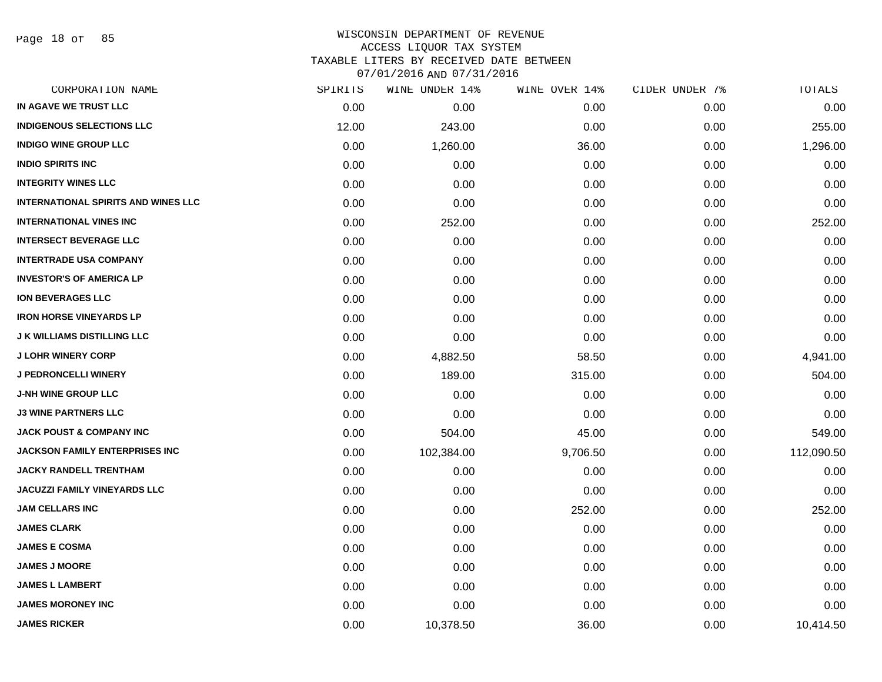Page 18 of 85

### WISCONSIN DEPARTMENT OF REVENUE ACCESS LIQUOR TAX SYSTEM TAXABLE LITERS BY RECEIVED DATE BETWEEN

| CORPORATION NAME                           | SPIRITS | WINE UNDER 14% | WINE OVER 14% | CIDER UNDER 7% | TOTALS     |
|--------------------------------------------|---------|----------------|---------------|----------------|------------|
| IN AGAVE WE TRUST LLC                      | 0.00    | 0.00           | 0.00          | 0.00           | 0.00       |
| <b>INDIGENOUS SELECTIONS LLC</b>           | 12.00   | 243.00         | 0.00          | 0.00           | 255.00     |
| <b>INDIGO WINE GROUP LLC</b>               | 0.00    | 1,260.00       | 36.00         | 0.00           | 1,296.00   |
| <b>INDIO SPIRITS INC</b>                   | 0.00    | 0.00           | 0.00          | 0.00           | 0.00       |
| <b>INTEGRITY WINES LLC</b>                 | 0.00    | 0.00           | 0.00          | 0.00           | 0.00       |
| <b>INTERNATIONAL SPIRITS AND WINES LLC</b> | 0.00    | 0.00           | 0.00          | 0.00           | 0.00       |
| <b>INTERNATIONAL VINES INC</b>             | 0.00    | 252.00         | 0.00          | 0.00           | 252.00     |
| <b>INTERSECT BEVERAGE LLC</b>              | 0.00    | 0.00           | 0.00          | 0.00           | 0.00       |
| <b>INTERTRADE USA COMPANY</b>              | 0.00    | 0.00           | 0.00          | 0.00           | 0.00       |
| <b>INVESTOR'S OF AMERICA LP</b>            | 0.00    | 0.00           | 0.00          | 0.00           | 0.00       |
| <b>ION BEVERAGES LLC</b>                   | 0.00    | 0.00           | 0.00          | 0.00           | 0.00       |
| <b>IRON HORSE VINEYARDS LP</b>             | 0.00    | 0.00           | 0.00          | 0.00           | 0.00       |
| <b>J K WILLIAMS DISTILLING LLC</b>         | 0.00    | 0.00           | 0.00          | 0.00           | 0.00       |
| <b>J LOHR WINERY CORP</b>                  | 0.00    | 4,882.50       | 58.50         | 0.00           | 4,941.00   |
| <b>J PEDRONCELLI WINERY</b>                | 0.00    | 189.00         | 315.00        | 0.00           | 504.00     |
| <b>J-NH WINE GROUP LLC</b>                 | 0.00    | 0.00           | 0.00          | 0.00           | 0.00       |
| <b>J3 WINE PARTNERS LLC</b>                | 0.00    | 0.00           | 0.00          | 0.00           | 0.00       |
| <b>JACK POUST &amp; COMPANY INC</b>        | 0.00    | 504.00         | 45.00         | 0.00           | 549.00     |
| JACKSON FAMILY ENTERPRISES INC             | 0.00    | 102,384.00     | 9,706.50      | 0.00           | 112,090.50 |
| <b>JACKY RANDELL TRENTHAM</b>              | 0.00    | 0.00           | 0.00          | 0.00           | 0.00       |
| JACUZZI FAMILY VINEYARDS LLC               | 0.00    | 0.00           | 0.00          | 0.00           | 0.00       |
| <b>JAM CELLARS INC</b>                     | 0.00    | 0.00           | 252.00        | 0.00           | 252.00     |
| <b>JAMES CLARK</b>                         | 0.00    | 0.00           | 0.00          | 0.00           | 0.00       |
| <b>JAMES E COSMA</b>                       | 0.00    | 0.00           | 0.00          | 0.00           | 0.00       |
| <b>JAMES J MOORE</b>                       | 0.00    | 0.00           | 0.00          | 0.00           | 0.00       |
| <b>JAMES L LAMBERT</b>                     | 0.00    | 0.00           | 0.00          | 0.00           | 0.00       |
| <b>JAMES MORONEY INC</b>                   | 0.00    | 0.00           | 0.00          | 0.00           | 0.00       |
| <b>JAMES RICKER</b>                        | 0.00    | 10,378.50      | 36.00         | 0.00           | 10,414.50  |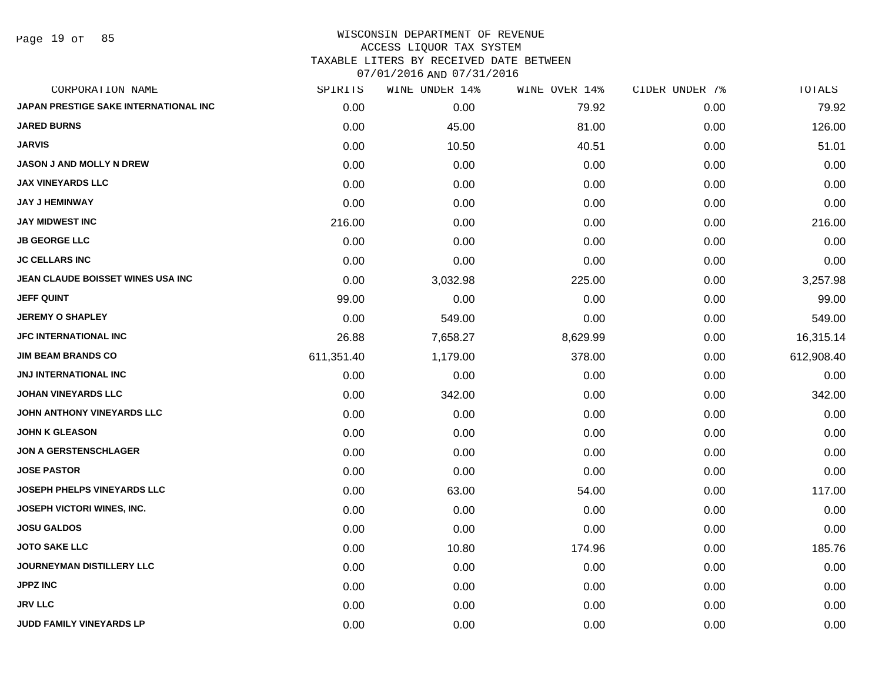Page 19 of 85

| CORPORATION NAME                      | SPIRITS    | WINE UNDER 14% | WINE OVER 14% | CIDER UNDER 7% | TOTALS     |
|---------------------------------------|------------|----------------|---------------|----------------|------------|
| JAPAN PRESTIGE SAKE INTERNATIONAL INC | 0.00       | 0.00           | 79.92         | 0.00           | 79.92      |
| <b>JARED BURNS</b>                    | 0.00       | 45.00          | 81.00         | 0.00           | 126.00     |
| <b>JARVIS</b>                         | 0.00       | 10.50          | 40.51         | 0.00           | 51.01      |
| <b>JASON J AND MOLLY N DREW</b>       | 0.00       | 0.00           | 0.00          | 0.00           | 0.00       |
| <b>JAX VINEYARDS LLC</b>              | 0.00       | 0.00           | 0.00          | 0.00           | 0.00       |
| <b>JAY J HEMINWAY</b>                 | 0.00       | 0.00           | 0.00          | 0.00           | 0.00       |
| <b>JAY MIDWEST INC</b>                | 216.00     | 0.00           | 0.00          | 0.00           | 216.00     |
| <b>JB GEORGE LLC</b>                  | 0.00       | 0.00           | 0.00          | 0.00           | 0.00       |
| <b>JC CELLARS INC</b>                 | 0.00       | 0.00           | 0.00          | 0.00           | 0.00       |
| JEAN CLAUDE BOISSET WINES USA INC     | 0.00       | 3,032.98       | 225.00        | 0.00           | 3,257.98   |
| <b>JEFF QUINT</b>                     | 99.00      | 0.00           | 0.00          | 0.00           | 99.00      |
| <b>JEREMY O SHAPLEY</b>               | 0.00       | 549.00         | 0.00          | 0.00           | 549.00     |
| <b>JFC INTERNATIONAL INC</b>          | 26.88      | 7,658.27       | 8,629.99      | 0.00           | 16,315.14  |
| <b>JIM BEAM BRANDS CO</b>             | 611,351.40 | 1,179.00       | 378.00        | 0.00           | 612,908.40 |
| <b>JNJ INTERNATIONAL INC</b>          | 0.00       | 0.00           | 0.00          | 0.00           | 0.00       |
| <b>JOHAN VINEYARDS LLC</b>            | 0.00       | 342.00         | 0.00          | 0.00           | 342.00     |
| JOHN ANTHONY VINEYARDS LLC            | 0.00       | 0.00           | 0.00          | 0.00           | 0.00       |
| <b>JOHN K GLEASON</b>                 | 0.00       | 0.00           | 0.00          | 0.00           | 0.00       |
| <b>JON A GERSTENSCHLAGER</b>          | 0.00       | 0.00           | 0.00          | 0.00           | 0.00       |
| <b>JOSE PASTOR</b>                    | 0.00       | 0.00           | 0.00          | 0.00           | 0.00       |
| JOSEPH PHELPS VINEYARDS LLC           | 0.00       | 63.00          | 54.00         | 0.00           | 117.00     |
| JOSEPH VICTORI WINES, INC.            | 0.00       | 0.00           | 0.00          | 0.00           | 0.00       |
| <b>JOSU GALDOS</b>                    | 0.00       | 0.00           | 0.00          | 0.00           | 0.00       |
| <b>JOTO SAKE LLC</b>                  | 0.00       | 10.80          | 174.96        | 0.00           | 185.76     |
| JOURNEYMAN DISTILLERY LLC             | 0.00       | 0.00           | 0.00          | 0.00           | 0.00       |
| <b>JPPZ INC</b>                       | 0.00       | 0.00           | 0.00          | 0.00           | 0.00       |
| <b>JRV LLC</b>                        | 0.00       | 0.00           | 0.00          | 0.00           | 0.00       |
| JUDD FAMILY VINEYARDS LP              | 0.00       | 0.00           | 0.00          | 0.00           | 0.00       |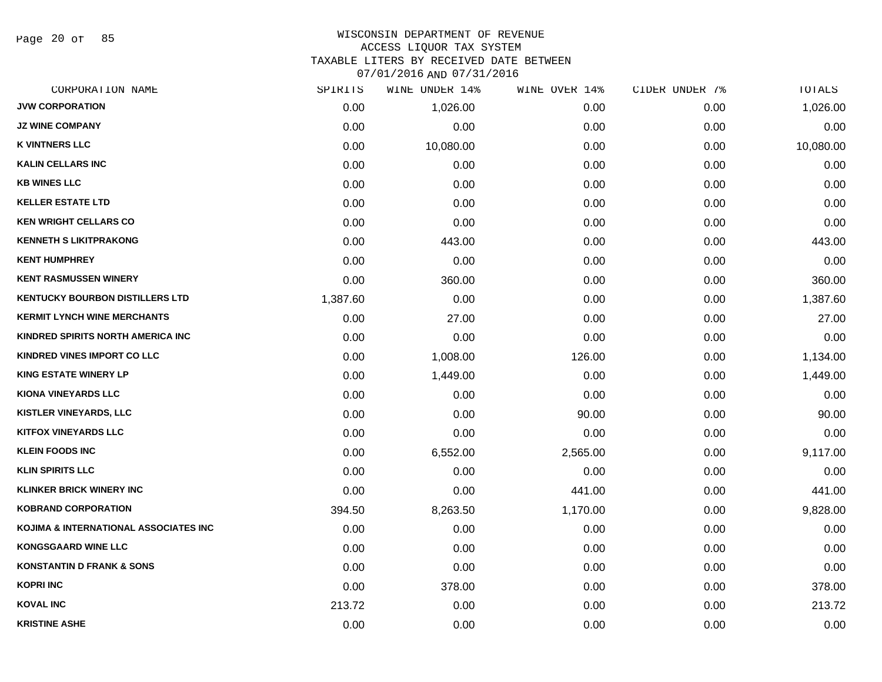Page 20 of 85

#### WISCONSIN DEPARTMENT OF REVENUE ACCESS LIQUOR TAX SYSTEM TAXABLE LITERS BY RECEIVED DATE BETWEEN

| CORPORATION NAME                       | SPIRITS  | WINE UNDER 14% | WINE OVER 14% | CIDER UNDER 7% | TOTALS    |
|----------------------------------------|----------|----------------|---------------|----------------|-----------|
| <b>JVW CORPORATION</b>                 | 0.00     | 1,026.00       | 0.00          | 0.00           | 1,026.00  |
| <b>JZ WINE COMPANY</b>                 | 0.00     | 0.00           | 0.00          | 0.00           | 0.00      |
| <b>K VINTNERS LLC</b>                  | 0.00     | 10,080.00      | 0.00          | 0.00           | 10,080.00 |
| <b>KALIN CELLARS INC</b>               | 0.00     | 0.00           | 0.00          | 0.00           | 0.00      |
| <b>KB WINES LLC</b>                    | 0.00     | 0.00           | 0.00          | 0.00           | 0.00      |
| <b>KELLER ESTATE LTD</b>               | 0.00     | 0.00           | 0.00          | 0.00           | 0.00      |
| <b>KEN WRIGHT CELLARS CO</b>           | 0.00     | 0.00           | 0.00          | 0.00           | 0.00      |
| <b>KENNETH S LIKITPRAKONG</b>          | 0.00     | 443.00         | 0.00          | 0.00           | 443.00    |
| <b>KENT HUMPHREY</b>                   | 0.00     | 0.00           | 0.00          | 0.00           | 0.00      |
| <b>KENT RASMUSSEN WINERY</b>           | 0.00     | 360.00         | 0.00          | 0.00           | 360.00    |
| <b>KENTUCKY BOURBON DISTILLERS LTD</b> | 1,387.60 | 0.00           | 0.00          | 0.00           | 1,387.60  |
| <b>KERMIT LYNCH WINE MERCHANTS</b>     | 0.00     | 27.00          | 0.00          | 0.00           | 27.00     |
| KINDRED SPIRITS NORTH AMERICA INC      | 0.00     | 0.00           | 0.00          | 0.00           | 0.00      |
| KINDRED VINES IMPORT CO LLC            | 0.00     | 1,008.00       | 126.00        | 0.00           | 1,134.00  |
| <b>KING ESTATE WINERY LP</b>           | 0.00     | 1,449.00       | 0.00          | 0.00           | 1,449.00  |
| KIONA VINEYARDS LLC                    | 0.00     | 0.00           | 0.00          | 0.00           | 0.00      |
| <b>KISTLER VINEYARDS, LLC</b>          | 0.00     | 0.00           | 90.00         | 0.00           | 90.00     |
| <b>KITFOX VINEYARDS LLC</b>            | 0.00     | 0.00           | 0.00          | 0.00           | 0.00      |
| <b>KLEIN FOODS INC</b>                 | 0.00     | 6,552.00       | 2,565.00      | 0.00           | 9,117.00  |
| <b>KLIN SPIRITS LLC</b>                | 0.00     | 0.00           | 0.00          | 0.00           | 0.00      |
| <b>KLINKER BRICK WINERY INC</b>        | 0.00     | 0.00           | 441.00        | 0.00           | 441.00    |
| <b>KOBRAND CORPORATION</b>             | 394.50   | 8,263.50       | 1,170.00      | 0.00           | 9,828.00  |
| KOJIMA & INTERNATIONAL ASSOCIATES INC  | 0.00     | 0.00           | 0.00          | 0.00           | 0.00      |
| <b>KONGSGAARD WINE LLC</b>             | 0.00     | 0.00           | 0.00          | 0.00           | 0.00      |
| <b>KONSTANTIN D FRANK &amp; SONS</b>   | 0.00     | 0.00           | 0.00          | 0.00           | 0.00      |
| <b>KOPRI INC</b>                       | 0.00     | 378.00         | 0.00          | 0.00           | 378.00    |
| <b>KOVAL INC</b>                       | 213.72   | 0.00           | 0.00          | 0.00           | 213.72    |
| <b>KRISTINE ASHE</b>                   | 0.00     | 0.00           | 0.00          | 0.00           | 0.00      |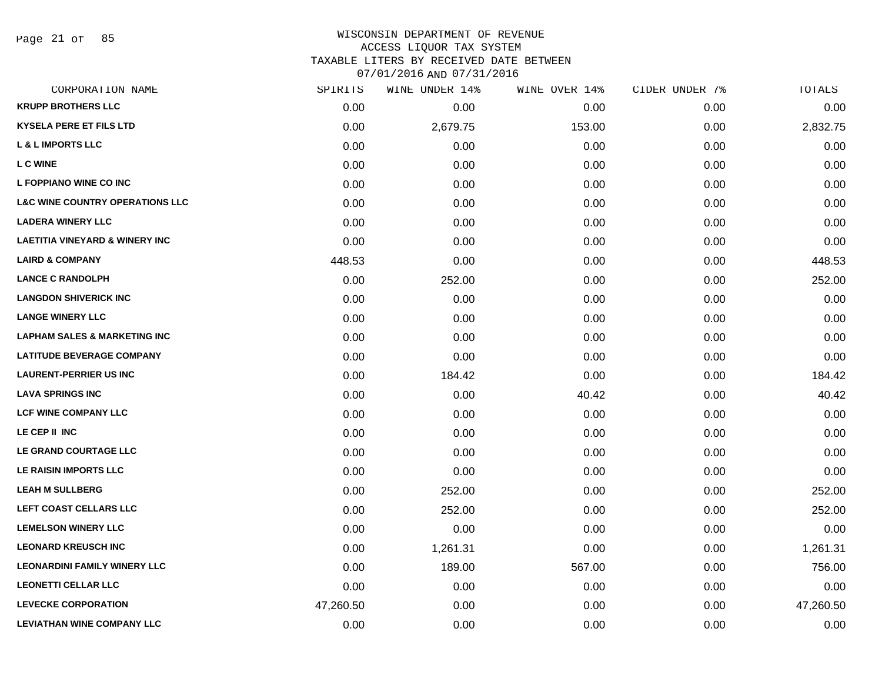Page 21 of 85

#### WISCONSIN DEPARTMENT OF REVENUE ACCESS LIQUOR TAX SYSTEM

TAXABLE LITERS BY RECEIVED DATE BETWEEN

| CORPORATION NAME                           | SPIRITS   | WINE UNDER 14% | WINE OVER 14% | CIDER UNDER 7% | TOTALS    |
|--------------------------------------------|-----------|----------------|---------------|----------------|-----------|
| <b>KRUPP BROTHERS LLC</b>                  | 0.00      | 0.00           | 0.00          | 0.00           | 0.00      |
| <b>KYSELA PERE ET FILS LTD</b>             | 0.00      | 2,679.75       | 153.00        | 0.00           | 2,832.75  |
| <b>L &amp; L IMPORTS LLC</b>               | 0.00      | 0.00           | 0.00          | 0.00           | 0.00      |
| L C WINE                                   | 0.00      | 0.00           | 0.00          | 0.00           | 0.00      |
| L FOPPIANO WINE CO INC                     | 0.00      | 0.00           | 0.00          | 0.00           | 0.00      |
| <b>L&amp;C WINE COUNTRY OPERATIONS LLC</b> | 0.00      | 0.00           | 0.00          | 0.00           | 0.00      |
| <b>LADERA WINERY LLC</b>                   | 0.00      | 0.00           | 0.00          | 0.00           | 0.00      |
| <b>LAETITIA VINEYARD &amp; WINERY INC</b>  | 0.00      | 0.00           | 0.00          | 0.00           | 0.00      |
| <b>LAIRD &amp; COMPANY</b>                 | 448.53    | 0.00           | 0.00          | 0.00           | 448.53    |
| <b>LANCE C RANDOLPH</b>                    | 0.00      | 252.00         | 0.00          | 0.00           | 252.00    |
| <b>LANGDON SHIVERICK INC</b>               | 0.00      | 0.00           | 0.00          | 0.00           | 0.00      |
| <b>LANGE WINERY LLC</b>                    | 0.00      | 0.00           | 0.00          | 0.00           | 0.00      |
| <b>LAPHAM SALES &amp; MARKETING INC</b>    | 0.00      | 0.00           | 0.00          | 0.00           | 0.00      |
| <b>LATITUDE BEVERAGE COMPANY</b>           | 0.00      | 0.00           | 0.00          | 0.00           | 0.00      |
| <b>LAURENT-PERRIER US INC</b>              | 0.00      | 184.42         | 0.00          | 0.00           | 184.42    |
| <b>LAVA SPRINGS INC</b>                    | 0.00      | 0.00           | 40.42         | 0.00           | 40.42     |
| <b>LCF WINE COMPANY LLC</b>                | 0.00      | 0.00           | 0.00          | 0.00           | 0.00      |
| LE CEP II INC                              | 0.00      | 0.00           | 0.00          | 0.00           | 0.00      |
| LE GRAND COURTAGE LLC                      | 0.00      | 0.00           | 0.00          | 0.00           | 0.00      |
| LE RAISIN IMPORTS LLC                      | 0.00      | 0.00           | 0.00          | 0.00           | 0.00      |
| <b>LEAH M SULLBERG</b>                     | 0.00      | 252.00         | 0.00          | 0.00           | 252.00    |
| LEFT COAST CELLARS LLC                     | 0.00      | 252.00         | 0.00          | 0.00           | 252.00    |
| <b>LEMELSON WINERY LLC</b>                 | 0.00      | 0.00           | 0.00          | 0.00           | 0.00      |
| <b>LEONARD KREUSCH INC</b>                 | 0.00      | 1,261.31       | 0.00          | 0.00           | 1,261.31  |
| <b>LEONARDINI FAMILY WINERY LLC</b>        | 0.00      | 189.00         | 567.00        | 0.00           | 756.00    |
| <b>LEONETTI CELLAR LLC</b>                 | 0.00      | 0.00           | 0.00          | 0.00           | 0.00      |
| <b>LEVECKE CORPORATION</b>                 | 47,260.50 | 0.00           | 0.00          | 0.00           | 47,260.50 |
| <b>LEVIATHAN WINE COMPANY LLC</b>          | 0.00      | 0.00           | 0.00          | 0.00           | 0.00      |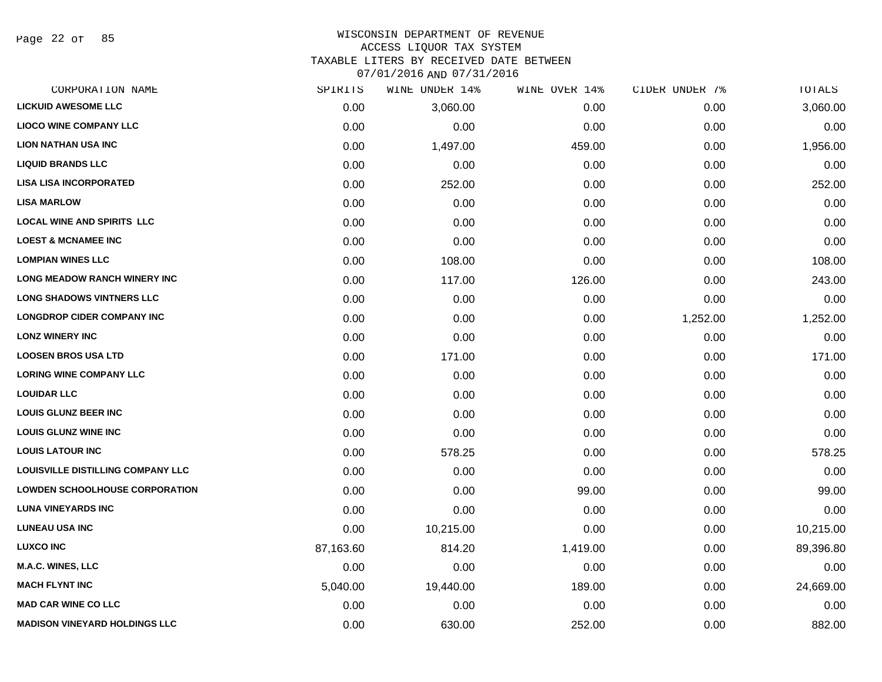Page 22 of 85

# WISCONSIN DEPARTMENT OF REVENUE ACCESS LIQUOR TAX SYSTEM

TAXABLE LITERS BY RECEIVED DATE BETWEEN

| CORPORATION NAME                         | SPIRITS   | WINE UNDER 14% | WINE OVER 14% | CIDER UNDER 7% | TOTALS    |
|------------------------------------------|-----------|----------------|---------------|----------------|-----------|
| <b>LICKUID AWESOME LLC</b>               | 0.00      | 3,060.00       | 0.00          | 0.00           | 3,060.00  |
| <b>LIOCO WINE COMPANY LLC</b>            | 0.00      | 0.00           | 0.00          | 0.00           | 0.00      |
| <b>LION NATHAN USA INC</b>               | 0.00      | 1,497.00       | 459.00        | 0.00           | 1,956.00  |
| <b>LIQUID BRANDS LLC</b>                 | 0.00      | 0.00           | 0.00          | 0.00           | 0.00      |
| <b>LISA LISA INCORPORATED</b>            | 0.00      | 252.00         | 0.00          | 0.00           | 252.00    |
| <b>LISA MARLOW</b>                       | 0.00      | 0.00           | 0.00          | 0.00           | 0.00      |
| <b>LOCAL WINE AND SPIRITS LLC</b>        | 0.00      | 0.00           | 0.00          | 0.00           | 0.00      |
| <b>LOEST &amp; MCNAMEE INC</b>           | 0.00      | 0.00           | 0.00          | 0.00           | 0.00      |
| <b>LOMPIAN WINES LLC</b>                 | 0.00      | 108.00         | 0.00          | 0.00           | 108.00    |
| <b>LONG MEADOW RANCH WINERY INC</b>      | 0.00      | 117.00         | 126.00        | 0.00           | 243.00    |
| <b>LONG SHADOWS VINTNERS LLC</b>         | 0.00      | 0.00           | 0.00          | 0.00           | 0.00      |
| <b>LONGDROP CIDER COMPANY INC</b>        | 0.00      | 0.00           | 0.00          | 1,252.00       | 1,252.00  |
| <b>LONZ WINERY INC</b>                   | 0.00      | 0.00           | 0.00          | 0.00           | 0.00      |
| <b>LOOSEN BROS USA LTD</b>               | 0.00      | 171.00         | 0.00          | 0.00           | 171.00    |
| <b>LORING WINE COMPANY LLC</b>           | 0.00      | 0.00           | 0.00          | 0.00           | 0.00      |
| <b>LOUIDAR LLC</b>                       | 0.00      | 0.00           | 0.00          | 0.00           | 0.00      |
| <b>LOUIS GLUNZ BEER INC</b>              | 0.00      | 0.00           | 0.00          | 0.00           | 0.00      |
| <b>LOUIS GLUNZ WINE INC</b>              | 0.00      | 0.00           | 0.00          | 0.00           | 0.00      |
| <b>LOUIS LATOUR INC</b>                  | 0.00      | 578.25         | 0.00          | 0.00           | 578.25    |
| <b>LOUISVILLE DISTILLING COMPANY LLC</b> | 0.00      | 0.00           | 0.00          | 0.00           | 0.00      |
| <b>LOWDEN SCHOOLHOUSE CORPORATION</b>    | 0.00      | 0.00           | 99.00         | 0.00           | 99.00     |
| <b>LUNA VINEYARDS INC</b>                | 0.00      | 0.00           | 0.00          | 0.00           | 0.00      |
| <b>LUNEAU USA INC</b>                    | 0.00      | 10,215.00      | 0.00          | 0.00           | 10,215.00 |
| <b>LUXCO INC</b>                         | 87,163.60 | 814.20         | 1,419.00      | 0.00           | 89,396.80 |
| <b>M.A.C. WINES, LLC</b>                 | 0.00      | 0.00           | 0.00          | 0.00           | 0.00      |
| <b>MACH FLYNT INC</b>                    | 5,040.00  | 19,440.00      | 189.00        | 0.00           | 24,669.00 |
| <b>MAD CAR WINE CO LLC</b>               | 0.00      | 0.00           | 0.00          | 0.00           | 0.00      |
| <b>MADISON VINEYARD HOLDINGS LLC</b>     | 0.00      | 630.00         | 252.00        | 0.00           | 882.00    |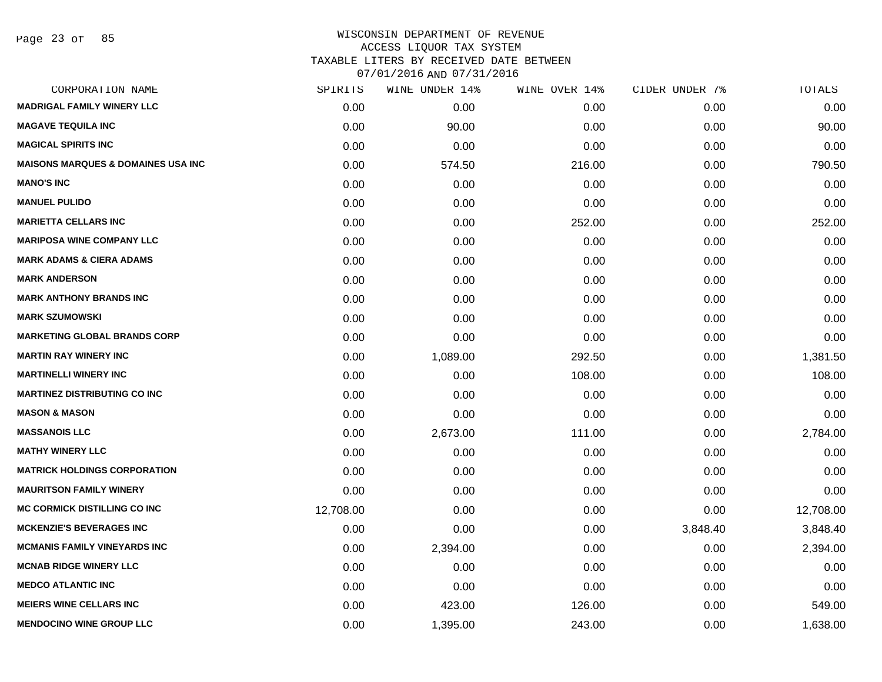| CORPORATION NAME                               | SPIRITS   | WINE UNDER 14% | WINE OVER 14% | CIDER UNDER 7% | <b>TOTALS</b> |
|------------------------------------------------|-----------|----------------|---------------|----------------|---------------|
| <b>MADRIGAL FAMILY WINERY LLC</b>              | 0.00      | 0.00           | 0.00          | 0.00           | 0.00          |
| <b>MAGAVE TEQUILA INC</b>                      | 0.00      | 90.00          | 0.00          | 0.00           | 90.00         |
| <b>MAGICAL SPIRITS INC</b>                     | 0.00      | 0.00           | 0.00          | 0.00           | 0.00          |
| <b>MAISONS MARQUES &amp; DOMAINES USA INC.</b> | 0.00      | 574.50         | 216.00        | 0.00           | 790.50        |
| <b>MANO'S INC</b>                              | 0.00      | 0.00           | 0.00          | 0.00           | 0.00          |
| <b>MANUEL PULIDO</b>                           | 0.00      | 0.00           | 0.00          | 0.00           | 0.00          |
| <b>MARIETTA CELLARS INC</b>                    | 0.00      | 0.00           | 252.00        | 0.00           | 252.00        |
| <b>MARIPOSA WINE COMPANY LLC</b>               | 0.00      | 0.00           | 0.00          | 0.00           | 0.00          |
| <b>MARK ADAMS &amp; CIERA ADAMS</b>            | 0.00      | 0.00           | 0.00          | 0.00           | 0.00          |
| <b>MARK ANDERSON</b>                           | 0.00      | 0.00           | 0.00          | 0.00           | 0.00          |
| <b>MARK ANTHONY BRANDS INC</b>                 | 0.00      | 0.00           | 0.00          | 0.00           | 0.00          |
| <b>MARK SZUMOWSKI</b>                          | 0.00      | 0.00           | 0.00          | 0.00           | 0.00          |
| <b>MARKETING GLOBAL BRANDS CORP</b>            | 0.00      | 0.00           | 0.00          | 0.00           | 0.00          |
| <b>MARTIN RAY WINERY INC</b>                   | 0.00      | 1,089.00       | 292.50        | 0.00           | 1,381.50      |
| <b>MARTINELLI WINERY INC</b>                   | 0.00      | 0.00           | 108.00        | 0.00           | 108.00        |
| <b>MARTINEZ DISTRIBUTING CO INC</b>            | 0.00      | 0.00           | 0.00          | 0.00           | 0.00          |
| <b>MASON &amp; MASON</b>                       | 0.00      | 0.00           | 0.00          | 0.00           | 0.00          |
| <b>MASSANOIS LLC</b>                           | 0.00      | 2,673.00       | 111.00        | 0.00           | 2,784.00      |
| <b>MATHY WINERY LLC</b>                        | 0.00      | 0.00           | 0.00          | 0.00           | 0.00          |
| <b>MATRICK HOLDINGS CORPORATION</b>            | 0.00      | 0.00           | 0.00          | 0.00           | 0.00          |
| <b>MAURITSON FAMILY WINERY</b>                 | 0.00      | 0.00           | 0.00          | 0.00           | 0.00          |
| <b>MC CORMICK DISTILLING CO INC</b>            | 12,708.00 | 0.00           | 0.00          | 0.00           | 12,708.00     |
| <b>MCKENZIE'S BEVERAGES INC</b>                | 0.00      | 0.00           | 0.00          | 3,848.40       | 3,848.40      |
| <b>MCMANIS FAMILY VINEYARDS INC</b>            | 0.00      | 2,394.00       | 0.00          | 0.00           | 2,394.00      |
| <b>MCNAB RIDGE WINERY LLC</b>                  | 0.00      | 0.00           | 0.00          | 0.00           | 0.00          |
| <b>MEDCO ATLANTIC INC</b>                      | 0.00      | 0.00           | 0.00          | 0.00           | 0.00          |
| <b>MEIERS WINE CELLARS INC</b>                 | 0.00      | 423.00         | 126.00        | 0.00           | 549.00        |
| <b>MENDOCINO WINE GROUP LLC</b>                | 0.00      | 1,395.00       | 243.00        | 0.00           | 1,638.00      |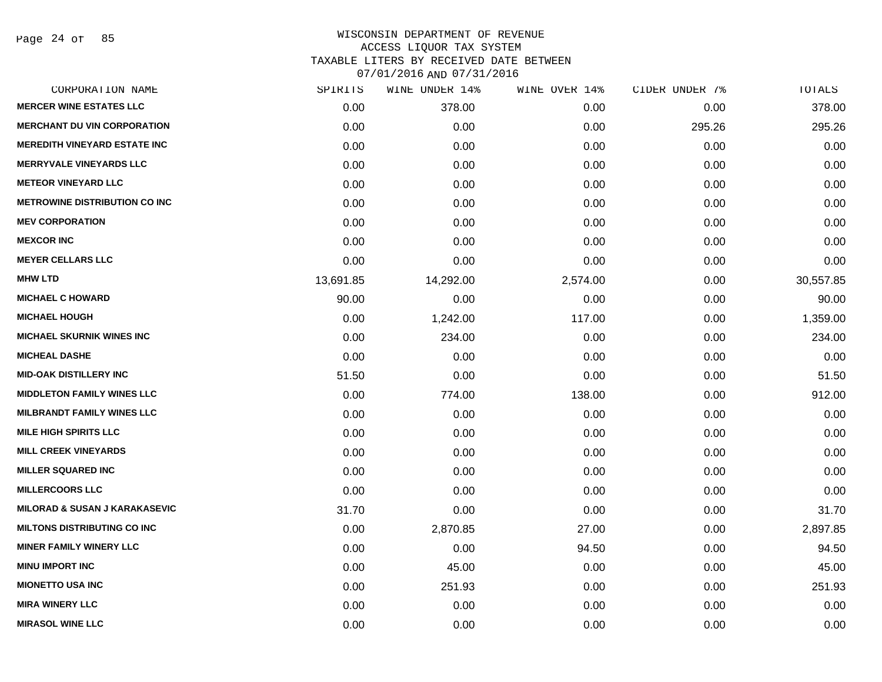Page 24 of 85

| SPIRITS   | WINE UNDER 14% | WINE OVER 14% | CIDER UNDER 7% | TOTALS    |
|-----------|----------------|---------------|----------------|-----------|
| 0.00      | 378.00         | 0.00          | 0.00           | 378.00    |
| 0.00      | 0.00           | 0.00          | 295.26         | 295.26    |
| 0.00      | 0.00           | 0.00          | 0.00           | 0.00      |
| 0.00      | 0.00           | 0.00          | 0.00           | 0.00      |
| 0.00      | 0.00           | 0.00          | 0.00           | 0.00      |
| 0.00      | 0.00           | 0.00          | 0.00           | 0.00      |
| 0.00      | 0.00           | 0.00          | 0.00           | 0.00      |
| 0.00      | 0.00           | 0.00          | 0.00           | 0.00      |
| 0.00      | 0.00           | 0.00          | 0.00           | 0.00      |
| 13,691.85 | 14,292.00      | 2,574.00      | 0.00           | 30,557.85 |
| 90.00     | 0.00           | 0.00          | 0.00           | 90.00     |
| 0.00      | 1,242.00       | 117.00        | 0.00           | 1,359.00  |
| 0.00      | 234.00         | 0.00          | 0.00           | 234.00    |
| 0.00      | 0.00           | 0.00          | 0.00           | 0.00      |
| 51.50     | 0.00           | 0.00          | 0.00           | 51.50     |
| 0.00      | 774.00         | 138.00        | 0.00           | 912.00    |
| 0.00      | 0.00           | 0.00          | 0.00           | 0.00      |
| 0.00      | 0.00           | 0.00          | 0.00           | 0.00      |
| 0.00      | 0.00           | 0.00          | 0.00           | 0.00      |
| 0.00      | 0.00           | 0.00          | 0.00           | 0.00      |
| 0.00      | 0.00           | 0.00          | 0.00           | 0.00      |
| 31.70     | 0.00           | 0.00          | 0.00           | 31.70     |
| 0.00      | 2,870.85       | 27.00         | 0.00           | 2,897.85  |
| 0.00      | 0.00           | 94.50         | 0.00           | 94.50     |
| 0.00      | 45.00          | 0.00          | 0.00           | 45.00     |
| 0.00      | 251.93         | 0.00          | 0.00           | 251.93    |
| 0.00      | 0.00           | 0.00          | 0.00           | 0.00      |
| 0.00      | 0.00           | 0.00          | 0.00           | 0.00      |
|           |                |               |                |           |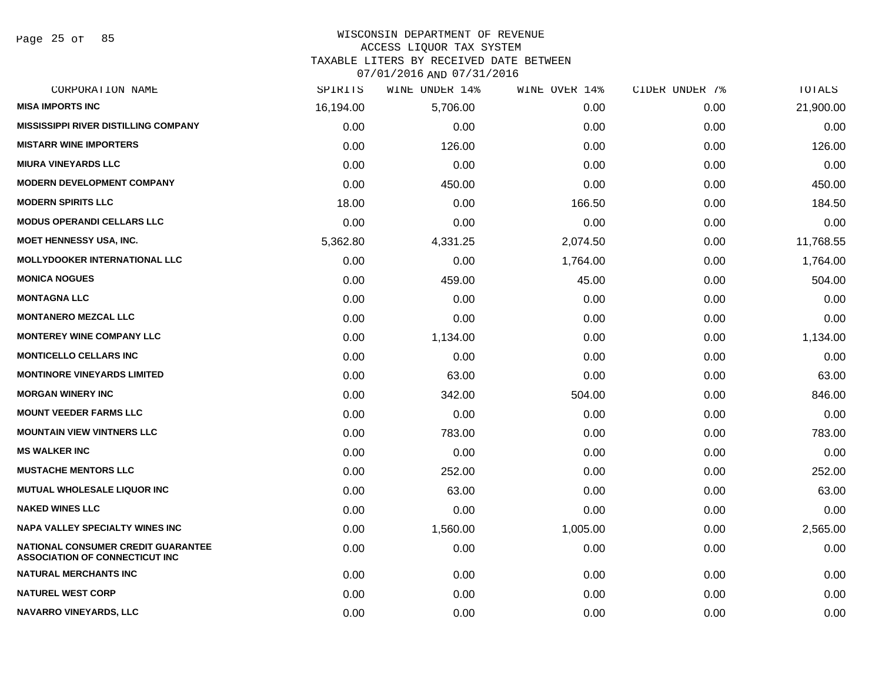Page 25 of 85

# WISCONSIN DEPARTMENT OF REVENUE

ACCESS LIQUOR TAX SYSTEM

TAXABLE LITERS BY RECEIVED DATE BETWEEN

| CORPORATION NAME                                                            | SPIRITS   | WINE UNDER 14% | WINE OVER 14% | CIDER UNDER 7% | TOTALS    |
|-----------------------------------------------------------------------------|-----------|----------------|---------------|----------------|-----------|
| <b>MISA IMPORTS INC</b>                                                     | 16,194.00 | 5,706.00       | 0.00          | 0.00           | 21,900.00 |
| <b>MISSISSIPPI RIVER DISTILLING COMPANY</b>                                 | 0.00      | 0.00           | 0.00          | 0.00           | 0.00      |
| <b>MISTARR WINE IMPORTERS</b>                                               | 0.00      | 126.00         | 0.00          | 0.00           | 126.00    |
| <b>MIURA VINEYARDS LLC</b>                                                  | 0.00      | 0.00           | 0.00          | 0.00           | 0.00      |
| <b>MODERN DEVELOPMENT COMPANY</b>                                           | 0.00      | 450.00         | 0.00          | 0.00           | 450.00    |
| <b>MODERN SPIRITS LLC</b>                                                   | 18.00     | 0.00           | 166.50        | 0.00           | 184.50    |
| <b>MODUS OPERANDI CELLARS LLC</b>                                           | 0.00      | 0.00           | 0.00          | 0.00           | 0.00      |
| <b>MOET HENNESSY USA, INC.</b>                                              | 5,362.80  | 4,331.25       | 2,074.50      | 0.00           | 11,768.55 |
| <b>MOLLYDOOKER INTERNATIONAL LLC</b>                                        | 0.00      | 0.00           | 1,764.00      | 0.00           | 1,764.00  |
| <b>MONICA NOGUES</b>                                                        | 0.00      | 459.00         | 45.00         | 0.00           | 504.00    |
| <b>MONTAGNA LLC</b>                                                         | 0.00      | 0.00           | 0.00          | 0.00           | 0.00      |
| <b>MONTANERO MEZCAL LLC</b>                                                 | 0.00      | 0.00           | 0.00          | 0.00           | 0.00      |
| <b>MONTEREY WINE COMPANY LLC</b>                                            | 0.00      | 1,134.00       | 0.00          | 0.00           | 1,134.00  |
| <b>MONTICELLO CELLARS INC</b>                                               | 0.00      | 0.00           | 0.00          | 0.00           | 0.00      |
| <b>MONTINORE VINEYARDS LIMITED</b>                                          | 0.00      | 63.00          | 0.00          | 0.00           | 63.00     |
| <b>MORGAN WINERY INC</b>                                                    | 0.00      | 342.00         | 504.00        | 0.00           | 846.00    |
| <b>MOUNT VEEDER FARMS LLC</b>                                               | 0.00      | 0.00           | 0.00          | 0.00           | 0.00      |
| <b>MOUNTAIN VIEW VINTNERS LLC</b>                                           | 0.00      | 783.00         | 0.00          | 0.00           | 783.00    |
| <b>MS WALKER INC</b>                                                        | 0.00      | 0.00           | 0.00          | 0.00           | 0.00      |
| <b>MUSTACHE MENTORS LLC</b>                                                 | 0.00      | 252.00         | 0.00          | 0.00           | 252.00    |
| <b>MUTUAL WHOLESALE LIQUOR INC</b>                                          | 0.00      | 63.00          | 0.00          | 0.00           | 63.00     |
| <b>NAKED WINES LLC</b>                                                      | 0.00      | 0.00           | 0.00          | 0.00           | 0.00      |
| NAPA VALLEY SPECIALTY WINES INC                                             | 0.00      | 1,560.00       | 1,005.00      | 0.00           | 2,565.00  |
| NATIONAL CONSUMER CREDIT GUARANTEE<br><b>ASSOCIATION OF CONNECTICUT INC</b> | 0.00      | 0.00           | 0.00          | 0.00           | 0.00      |
| <b>NATURAL MERCHANTS INC</b>                                                | 0.00      | 0.00           | 0.00          | 0.00           | 0.00      |
| <b>NATUREL WEST CORP</b>                                                    | 0.00      | 0.00           | 0.00          | 0.00           | 0.00      |
| <b>NAVARRO VINEYARDS, LLC</b>                                               | 0.00      | 0.00           | 0.00          | 0.00           | 0.00      |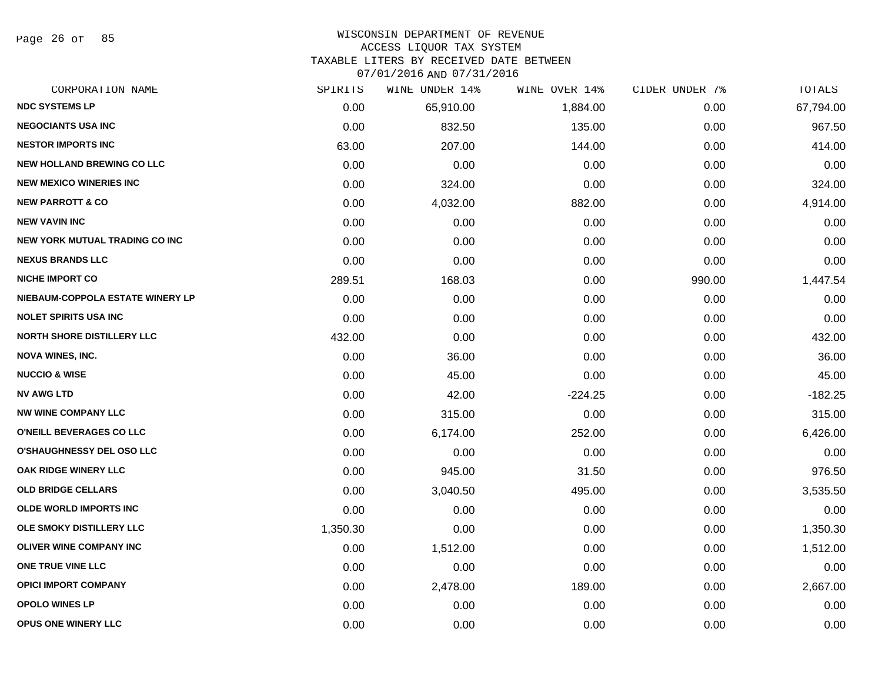Page 26 of 85

#### WISCONSIN DEPARTMENT OF REVENUE ACCESS LIQUOR TAX SYSTEM

TAXABLE LITERS BY RECEIVED DATE BETWEEN

| CORPORATION NAME                  | SPIRITS  | WINE UNDER 14% | WINE OVER 14% | CIDER UNDER 7% | TOTALS    |
|-----------------------------------|----------|----------------|---------------|----------------|-----------|
| <b>NDC SYSTEMS LP</b>             | 0.00     | 65,910.00      | 1,884.00      | 0.00           | 67,794.00 |
| <b>NEGOCIANTS USA INC</b>         | 0.00     | 832.50         | 135.00        | 0.00           | 967.50    |
| <b>NESTOR IMPORTS INC</b>         | 63.00    | 207.00         | 144.00        | 0.00           | 414.00    |
| <b>NEW HOLLAND BREWING CO LLC</b> | 0.00     | 0.00           | 0.00          | 0.00           | 0.00      |
| <b>NEW MEXICO WINERIES INC</b>    | 0.00     | 324.00         | 0.00          | 0.00           | 324.00    |
| <b>NEW PARROTT &amp; CO</b>       | 0.00     | 4,032.00       | 882.00        | 0.00           | 4,914.00  |
| <b>NEW VAVIN INC</b>              | 0.00     | 0.00           | 0.00          | 0.00           | 0.00      |
| NEW YORK MUTUAL TRADING CO INC    | 0.00     | 0.00           | 0.00          | 0.00           | 0.00      |
| <b>NEXUS BRANDS LLC</b>           | 0.00     | 0.00           | 0.00          | 0.00           | 0.00      |
| <b>NICHE IMPORT CO</b>            | 289.51   | 168.03         | 0.00          | 990.00         | 1,447.54  |
| NIEBAUM-COPPOLA ESTATE WINERY LP  | 0.00     | 0.00           | 0.00          | 0.00           | 0.00      |
| <b>NOLET SPIRITS USA INC</b>      | 0.00     | 0.00           | 0.00          | 0.00           | 0.00      |
| <b>NORTH SHORE DISTILLERY LLC</b> | 432.00   | 0.00           | 0.00          | 0.00           | 432.00    |
| <b>NOVA WINES, INC.</b>           | 0.00     | 36.00          | 0.00          | 0.00           | 36.00     |
| <b>NUCCIO &amp; WISE</b>          | 0.00     | 45.00          | 0.00          | 0.00           | 45.00     |
| <b>NV AWG LTD</b>                 | 0.00     | 42.00          | $-224.25$     | 0.00           | $-182.25$ |
| <b>NW WINE COMPANY LLC</b>        | 0.00     | 315.00         | 0.00          | 0.00           | 315.00    |
| O'NEILL BEVERAGES CO LLC          | 0.00     | 6,174.00       | 252.00        | 0.00           | 6,426.00  |
| <b>O'SHAUGHNESSY DEL OSO LLC</b>  | 0.00     | 0.00           | 0.00          | 0.00           | 0.00      |
| OAK RIDGE WINERY LLC              | 0.00     | 945.00         | 31.50         | 0.00           | 976.50    |
| <b>OLD BRIDGE CELLARS</b>         | 0.00     | 3,040.50       | 495.00        | 0.00           | 3,535.50  |
| <b>OLDE WORLD IMPORTS INC</b>     | 0.00     | 0.00           | 0.00          | 0.00           | 0.00      |
| OLE SMOKY DISTILLERY LLC          | 1,350.30 | 0.00           | 0.00          | 0.00           | 1,350.30  |
| OLIVER WINE COMPANY INC           | 0.00     | 1,512.00       | 0.00          | 0.00           | 1,512.00  |
| ONE TRUE VINE LLC                 | 0.00     | 0.00           | 0.00          | 0.00           | 0.00      |
| <b>OPICI IMPORT COMPANY</b>       | 0.00     | 2,478.00       | 189.00        | 0.00           | 2,667.00  |
| <b>OPOLO WINES LP</b>             | 0.00     | 0.00           | 0.00          | 0.00           | 0.00      |
| <b>OPUS ONE WINERY LLC</b>        | 0.00     | 0.00           | 0.00          | 0.00           | 0.00      |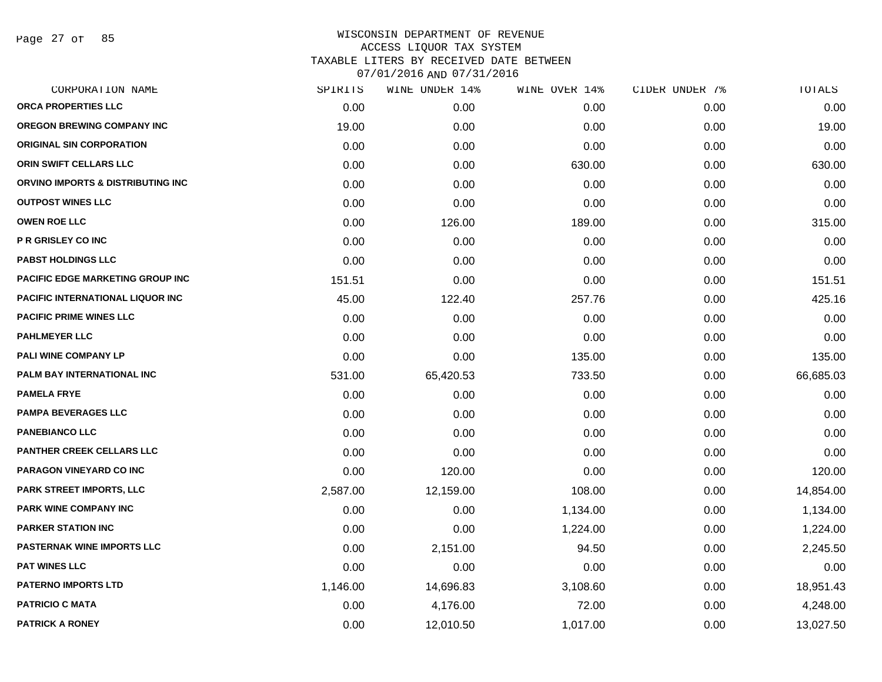Page 27 of 85

| CORPORATION NAME                         | SPIRITS  | WINE UNDER 14% | WINE OVER 14% | CIDER UNDER 7% | TOTALS    |
|------------------------------------------|----------|----------------|---------------|----------------|-----------|
| ORCA PROPERTIES LLC                      | 0.00     | 0.00           | 0.00          | 0.00           | 0.00      |
| <b>OREGON BREWING COMPANY INC</b>        | 19.00    | 0.00           | 0.00          | 0.00           | 19.00     |
| <b>ORIGINAL SIN CORPORATION</b>          | 0.00     | 0.00           | 0.00          | 0.00           | 0.00      |
| ORIN SWIFT CELLARS LLC                   | 0.00     | 0.00           | 630.00        | 0.00           | 630.00    |
| ORVINO IMPORTS & DISTRIBUTING INC        | 0.00     | 0.00           | 0.00          | 0.00           | 0.00      |
| <b>OUTPOST WINES LLC</b>                 | 0.00     | 0.00           | 0.00          | 0.00           | 0.00      |
| <b>OWEN ROE LLC</b>                      | 0.00     | 126.00         | 189.00        | 0.00           | 315.00    |
| <b>P R GRISLEY CO INC</b>                | 0.00     | 0.00           | 0.00          | 0.00           | 0.00      |
| <b>PABST HOLDINGS LLC</b>                | 0.00     | 0.00           | 0.00          | 0.00           | 0.00      |
| <b>PACIFIC EDGE MARKETING GROUP INC</b>  | 151.51   | 0.00           | 0.00          | 0.00           | 151.51    |
| <b>PACIFIC INTERNATIONAL LIQUOR INC.</b> | 45.00    | 122.40         | 257.76        | 0.00           | 425.16    |
| <b>PACIFIC PRIME WINES LLC</b>           | 0.00     | 0.00           | 0.00          | 0.00           | 0.00      |
| <b>PAHLMEYER LLC</b>                     | 0.00     | 0.00           | 0.00          | 0.00           | 0.00      |
| PALI WINE COMPANY LP                     | 0.00     | 0.00           | 135.00        | 0.00           | 135.00    |
| PALM BAY INTERNATIONAL INC               | 531.00   | 65,420.53      | 733.50        | 0.00           | 66,685.03 |
| <b>PAMELA FRYE</b>                       | 0.00     | 0.00           | 0.00          | 0.00           | 0.00      |
| <b>PAMPA BEVERAGES LLC</b>               | 0.00     | 0.00           | 0.00          | 0.00           | 0.00      |
| <b>PANEBIANCO LLC</b>                    | 0.00     | 0.00           | 0.00          | 0.00           | 0.00      |
| <b>PANTHER CREEK CELLARS LLC</b>         | 0.00     | 0.00           | 0.00          | 0.00           | 0.00      |
| PARAGON VINEYARD CO INC                  | 0.00     | 120.00         | 0.00          | 0.00           | 120.00    |
| PARK STREET IMPORTS, LLC                 | 2,587.00 | 12,159.00      | 108.00        | 0.00           | 14,854.00 |
| PARK WINE COMPANY INC                    | 0.00     | 0.00           | 1,134.00      | 0.00           | 1,134.00  |
| <b>PARKER STATION INC</b>                | 0.00     | 0.00           | 1,224.00      | 0.00           | 1,224.00  |
| <b>PASTERNAK WINE IMPORTS LLC</b>        | 0.00     | 2,151.00       | 94.50         | 0.00           | 2,245.50  |
| <b>PAT WINES LLC</b>                     | 0.00     | 0.00           | 0.00          | 0.00           | 0.00      |
| <b>PATERNO IMPORTS LTD</b>               | 1,146.00 | 14,696.83      | 3,108.60      | 0.00           | 18,951.43 |
| <b>PATRICIO C MATA</b>                   | 0.00     | 4,176.00       | 72.00         | 0.00           | 4,248.00  |
| <b>PATRICK A RONEY</b>                   | 0.00     | 12,010.50      | 1,017.00      | 0.00           | 13,027.50 |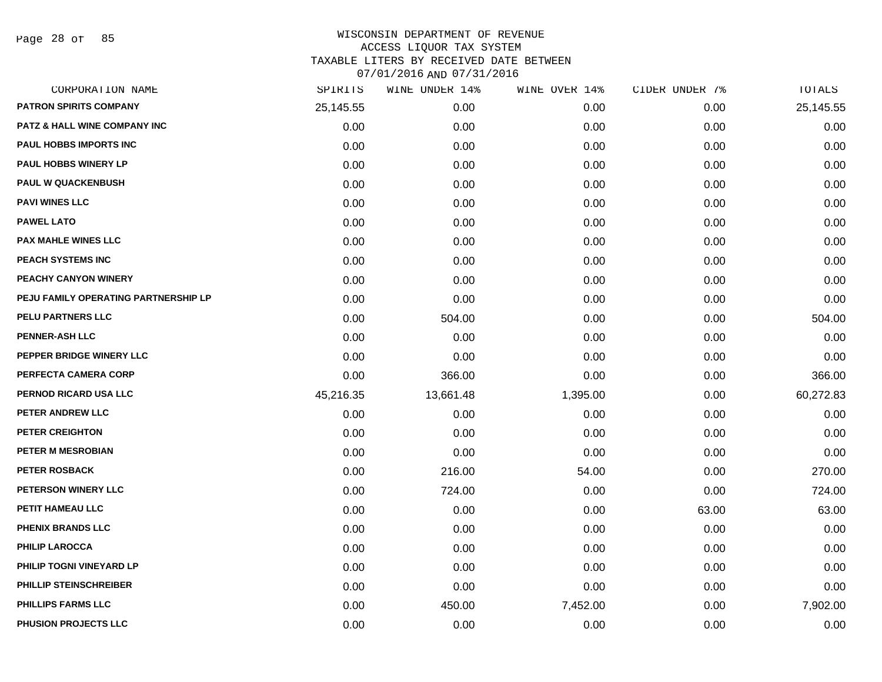Page 28 of 85

| CORPORATION NAME                        | SPIRITS   | WINE UNDER 14% | WINE OVER 14% | CIDER UNDER 7% | TOTALS    |
|-----------------------------------------|-----------|----------------|---------------|----------------|-----------|
| <b>PATRON SPIRITS COMPANY</b>           | 25,145.55 | 0.00           | 0.00          | 0.00           | 25,145.55 |
| <b>PATZ &amp; HALL WINE COMPANY INC</b> | 0.00      | 0.00           | 0.00          | 0.00           | 0.00      |
| <b>PAUL HOBBS IMPORTS INC</b>           | 0.00      | 0.00           | 0.00          | 0.00           | 0.00      |
| PAUL HOBBS WINERY LP                    | 0.00      | 0.00           | 0.00          | 0.00           | 0.00      |
| <b>PAUL W QUACKENBUSH</b>               | 0.00      | 0.00           | 0.00          | 0.00           | 0.00      |
| <b>PAVI WINES LLC</b>                   | 0.00      | 0.00           | 0.00          | 0.00           | 0.00      |
| <b>PAWEL LATO</b>                       | 0.00      | 0.00           | 0.00          | 0.00           | 0.00      |
| <b>PAX MAHLE WINES LLC</b>              | 0.00      | 0.00           | 0.00          | 0.00           | 0.00      |
| PEACH SYSTEMS INC                       | 0.00      | 0.00           | 0.00          | 0.00           | 0.00      |
| PEACHY CANYON WINERY                    | 0.00      | 0.00           | 0.00          | 0.00           | 0.00      |
| PEJU FAMILY OPERATING PARTNERSHIP LP    | 0.00      | 0.00           | 0.00          | 0.00           | 0.00      |
| <b>PELU PARTNERS LLC</b>                | 0.00      | 504.00         | 0.00          | 0.00           | 504.00    |
| <b>PENNER-ASH LLC</b>                   | 0.00      | 0.00           | 0.00          | 0.00           | 0.00      |
| PEPPER BRIDGE WINERY LLC                | 0.00      | 0.00           | 0.00          | 0.00           | 0.00      |
| PERFECTA CAMERA CORP                    | 0.00      | 366.00         | 0.00          | 0.00           | 366.00    |
| PERNOD RICARD USA LLC                   | 45,216.35 | 13,661.48      | 1,395.00      | 0.00           | 60,272.83 |
| PETER ANDREW LLC                        | 0.00      | 0.00           | 0.00          | 0.00           | 0.00      |
| <b>PETER CREIGHTON</b>                  | 0.00      | 0.00           | 0.00          | 0.00           | 0.00      |
| PETER M MESROBIAN                       | 0.00      | 0.00           | 0.00          | 0.00           | 0.00      |
| <b>PETER ROSBACK</b>                    | 0.00      | 216.00         | 54.00         | 0.00           | 270.00    |
| PETERSON WINERY LLC                     | 0.00      | 724.00         | 0.00          | 0.00           | 724.00    |
| PETIT HAMEAU LLC                        | 0.00      | 0.00           | 0.00          | 63.00          | 63.00     |
| PHENIX BRANDS LLC                       | 0.00      | 0.00           | 0.00          | 0.00           | 0.00      |
| <b>PHILIP LAROCCA</b>                   | 0.00      | 0.00           | 0.00          | 0.00           | 0.00      |
| PHILIP TOGNI VINEYARD LP                | 0.00      | 0.00           | 0.00          | 0.00           | 0.00      |
| PHILLIP STEINSCHREIBER                  | 0.00      | 0.00           | 0.00          | 0.00           | 0.00      |
| <b>PHILLIPS FARMS LLC</b>               | 0.00      | 450.00         | 7,452.00      | 0.00           | 7,902.00  |
| PHUSION PROJECTS LLC                    | 0.00      | 0.00           | 0.00          | 0.00           | 0.00      |
|                                         |           |                |               |                |           |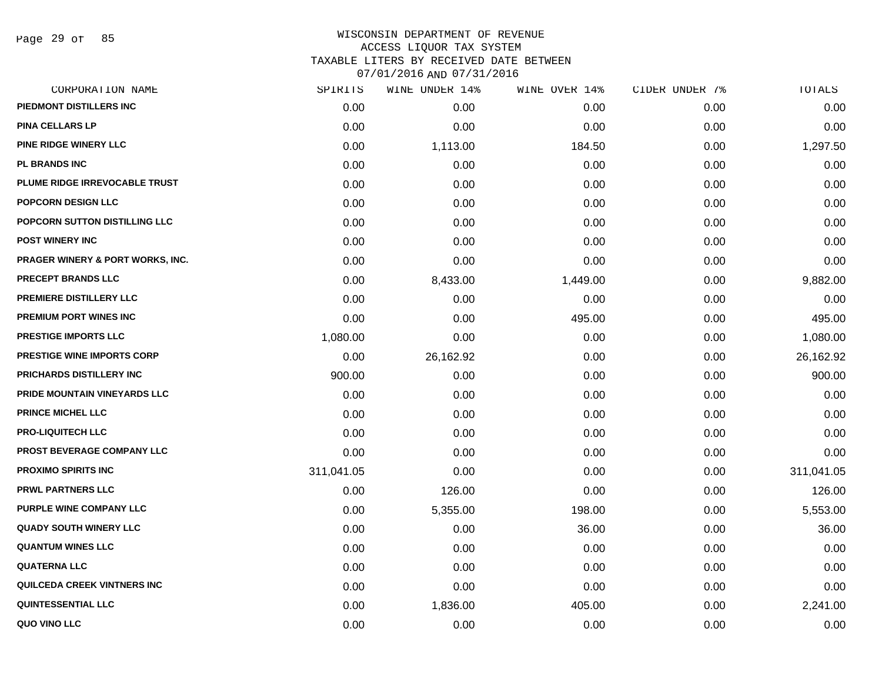Page 29 of 85

# WISCONSIN DEPARTMENT OF REVENUE ACCESS LIQUOR TAX SYSTEM TAXABLE LITERS BY RECEIVED DATE BETWEEN

| CORPORATION NAME                  | SPIRITS    | WINE UNDER 14% | WINE OVER 14% | CIDER UNDER 7% | TOTALS     |
|-----------------------------------|------------|----------------|---------------|----------------|------------|
| PIEDMONT DISTILLERS INC           | 0.00       | 0.00           | 0.00          | 0.00           | 0.00       |
| <b>PINA CELLARS LP</b>            | 0.00       | 0.00           | 0.00          | 0.00           | 0.00       |
| PINE RIDGE WINERY LLC             | 0.00       | 1,113.00       | 184.50        | 0.00           | 1,297.50   |
| <b>PL BRANDS INC</b>              | 0.00       | 0.00           | 0.00          | 0.00           | 0.00       |
| PLUME RIDGE IRREVOCABLE TRUST     | 0.00       | 0.00           | 0.00          | 0.00           | 0.00       |
| <b>POPCORN DESIGN LLC</b>         | 0.00       | 0.00           | 0.00          | 0.00           | 0.00       |
| POPCORN SUTTON DISTILLING LLC     | 0.00       | 0.00           | 0.00          | 0.00           | 0.00       |
| <b>POST WINERY INC</b>            | 0.00       | 0.00           | 0.00          | 0.00           | 0.00       |
| PRAGER WINERY & PORT WORKS, INC.  | 0.00       | 0.00           | 0.00          | 0.00           | 0.00       |
| PRECEPT BRANDS LLC                | 0.00       | 8,433.00       | 1,449.00      | 0.00           | 9,882.00   |
| PREMIERE DISTILLERY LLC           | 0.00       | 0.00           | 0.00          | 0.00           | 0.00       |
| <b>PREMIUM PORT WINES INC</b>     | 0.00       | 0.00           | 495.00        | 0.00           | 495.00     |
| <b>PRESTIGE IMPORTS LLC</b>       | 1,080.00   | 0.00           | 0.00          | 0.00           | 1,080.00   |
| <b>PRESTIGE WINE IMPORTS CORP</b> | 0.00       | 26,162.92      | 0.00          | 0.00           | 26,162.92  |
| PRICHARDS DISTILLERY INC          | 900.00     | 0.00           | 0.00          | 0.00           | 900.00     |
| PRIDE MOUNTAIN VINEYARDS LLC      | 0.00       | 0.00           | 0.00          | 0.00           | 0.00       |
| PRINCE MICHEL LLC                 | 0.00       | 0.00           | 0.00          | 0.00           | 0.00       |
| <b>PRO-LIQUITECH LLC</b>          | 0.00       | 0.00           | 0.00          | 0.00           | 0.00       |
| PROST BEVERAGE COMPANY LLC        | 0.00       | 0.00           | 0.00          | 0.00           | 0.00       |
| <b>PROXIMO SPIRITS INC</b>        | 311,041.05 | 0.00           | 0.00          | 0.00           | 311,041.05 |
| <b>PRWL PARTNERS LLC</b>          | 0.00       | 126.00         | 0.00          | 0.00           | 126.00     |
| <b>PURPLE WINE COMPANY LLC</b>    | 0.00       | 5,355.00       | 198.00        | 0.00           | 5,553.00   |
| <b>QUADY SOUTH WINERY LLC</b>     | 0.00       | 0.00           | 36.00         | 0.00           | 36.00      |
| <b>QUANTUM WINES LLC</b>          | 0.00       | 0.00           | 0.00          | 0.00           | 0.00       |
| <b>QUATERNA LLC</b>               | 0.00       | 0.00           | 0.00          | 0.00           | 0.00       |
| QUILCEDA CREEK VINTNERS INC       | 0.00       | 0.00           | 0.00          | 0.00           | 0.00       |
| <b>QUINTESSENTIAL LLC</b>         | 0.00       | 1,836.00       | 405.00        | 0.00           | 2,241.00   |
| QUO VINO LLC                      | 0.00       | 0.00           | 0.00          | 0.00           | 0.00       |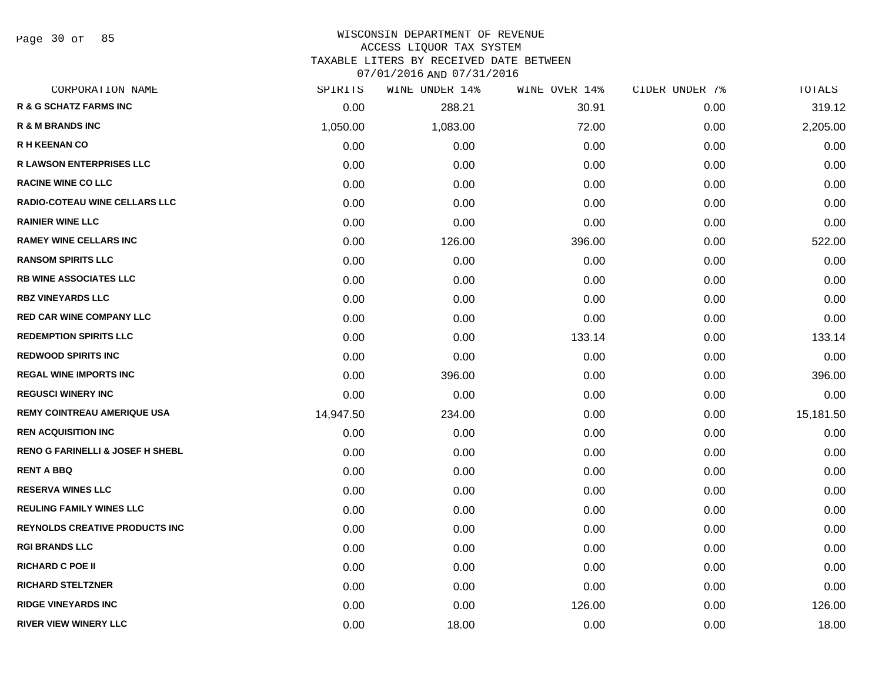Page 30 of 85

# WISCONSIN DEPARTMENT OF REVENUE ACCESS LIQUOR TAX SYSTEM

TAXABLE LITERS BY RECEIVED DATE BETWEEN

| CORPORATION NAME                      | SPIRITS   | WINE UNDER 14% | WINE OVER 14% | CIDER UNDER 7% | TOTALS    |
|---------------------------------------|-----------|----------------|---------------|----------------|-----------|
| R & G SCHATZ FARMS INC                | 0.00      | 288.21         | 30.91         | 0.00           | 319.12    |
| <b>R &amp; M BRANDS INC</b>           | 1,050.00  | 1,083.00       | 72.00         | 0.00           | 2,205.00  |
| <b>R H KEENAN CO</b>                  | 0.00      | 0.00           | 0.00          | 0.00           | 0.00      |
| <b>R LAWSON ENTERPRISES LLC</b>       | 0.00      | 0.00           | 0.00          | 0.00           | 0.00      |
| <b>RACINE WINE CO LLC</b>             | 0.00      | 0.00           | 0.00          | 0.00           | 0.00      |
| <b>RADIO-COTEAU WINE CELLARS LLC</b>  | 0.00      | 0.00           | 0.00          | 0.00           | 0.00      |
| <b>RAINIER WINE LLC</b>               | 0.00      | 0.00           | 0.00          | 0.00           | 0.00      |
| <b>RAMEY WINE CELLARS INC</b>         | 0.00      | 126.00         | 396.00        | 0.00           | 522.00    |
| <b>RANSOM SPIRITS LLC</b>             | 0.00      | 0.00           | 0.00          | 0.00           | 0.00      |
| <b>RB WINE ASSOCIATES LLC</b>         | 0.00      | 0.00           | 0.00          | 0.00           | 0.00      |
| <b>RBZ VINEYARDS LLC</b>              | 0.00      | 0.00           | 0.00          | 0.00           | 0.00      |
| <b>RED CAR WINE COMPANY LLC</b>       | 0.00      | 0.00           | 0.00          | 0.00           | 0.00      |
| <b>REDEMPTION SPIRITS LLC</b>         | 0.00      | 0.00           | 133.14        | 0.00           | 133.14    |
| <b>REDWOOD SPIRITS INC</b>            | 0.00      | 0.00           | 0.00          | 0.00           | 0.00      |
| <b>REGAL WINE IMPORTS INC</b>         | 0.00      | 396.00         | 0.00          | 0.00           | 396.00    |
| <b>REGUSCI WINERY INC</b>             | 0.00      | 0.00           | 0.00          | 0.00           | 0.00      |
| <b>REMY COINTREAU AMERIQUE USA</b>    | 14,947.50 | 234.00         | 0.00          | 0.00           | 15,181.50 |
| <b>REN ACQUISITION INC</b>            | 0.00      | 0.00           | 0.00          | 0.00           | 0.00      |
| RENO G FARINELLI & JOSEF H SHEBL      | 0.00      | 0.00           | 0.00          | 0.00           | 0.00      |
| <b>RENT A BBQ</b>                     | 0.00      | 0.00           | 0.00          | 0.00           | 0.00      |
| <b>RESERVA WINES LLC</b>              | 0.00      | 0.00           | 0.00          | 0.00           | 0.00      |
| <b>REULING FAMILY WINES LLC</b>       | 0.00      | 0.00           | 0.00          | 0.00           | 0.00      |
| <b>REYNOLDS CREATIVE PRODUCTS INC</b> | 0.00      | 0.00           | 0.00          | 0.00           | 0.00      |
| <b>RGI BRANDS LLC</b>                 | 0.00      | 0.00           | 0.00          | 0.00           | 0.00      |
| <b>RICHARD C POE II</b>               | 0.00      | 0.00           | 0.00          | 0.00           | 0.00      |
| <b>RICHARD STELTZNER</b>              | 0.00      | 0.00           | 0.00          | 0.00           | 0.00      |
| <b>RIDGE VINEYARDS INC</b>            | 0.00      | 0.00           | 126.00        | 0.00           | 126.00    |
| <b>RIVER VIEW WINERY LLC</b>          | 0.00      | 18.00          | 0.00          | 0.00           | 18.00     |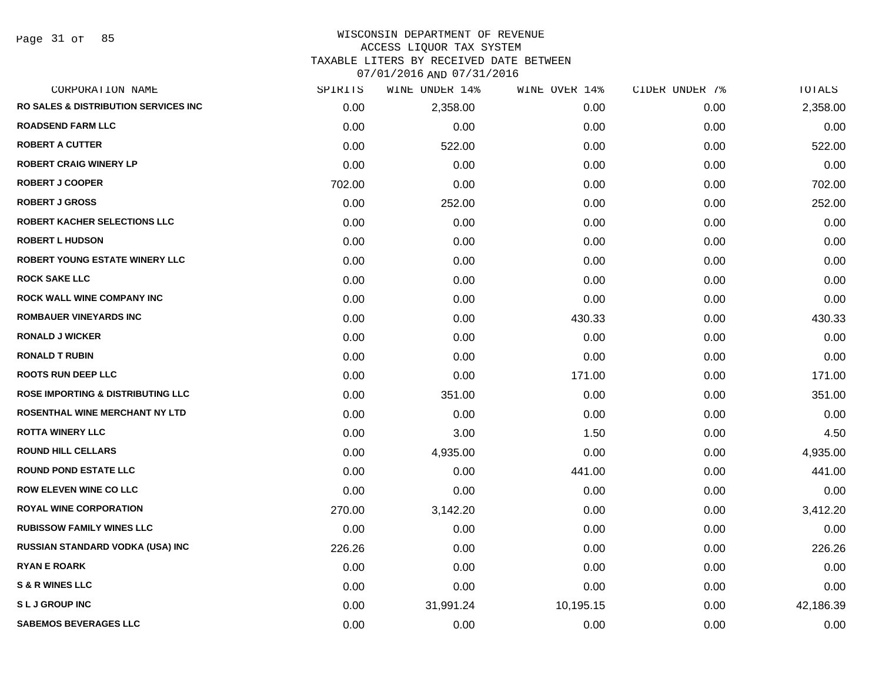Page 31 of 85

# WISCONSIN DEPARTMENT OF REVENUE ACCESS LIQUOR TAX SYSTEM TAXABLE LITERS BY RECEIVED DATE BETWEEN

| CORPORATION NAME                                 | SPIRITS | WINE UNDER 14% | WINE OVER 14% | CIDER UNDER 7% | TOTALS    |
|--------------------------------------------------|---------|----------------|---------------|----------------|-----------|
| <b>RO SALES &amp; DISTRIBUTION SERVICES INC.</b> | 0.00    | 2,358.00       | 0.00          | 0.00           | 2,358.00  |
| <b>ROADSEND FARM LLC</b>                         | 0.00    | 0.00           | 0.00          | 0.00           | 0.00      |
| <b>ROBERT A CUTTER</b>                           | 0.00    | 522.00         | 0.00          | 0.00           | 522.00    |
| <b>ROBERT CRAIG WINERY LP</b>                    | 0.00    | 0.00           | 0.00          | 0.00           | 0.00      |
| <b>ROBERT J COOPER</b>                           | 702.00  | 0.00           | 0.00          | 0.00           | 702.00    |
| <b>ROBERT J GROSS</b>                            | 0.00    | 252.00         | 0.00          | 0.00           | 252.00    |
| <b>ROBERT KACHER SELECTIONS LLC</b>              | 0.00    | 0.00           | 0.00          | 0.00           | 0.00      |
| <b>ROBERT L HUDSON</b>                           | 0.00    | 0.00           | 0.00          | 0.00           | 0.00      |
| <b>ROBERT YOUNG ESTATE WINERY LLC</b>            | 0.00    | 0.00           | 0.00          | 0.00           | 0.00      |
| <b>ROCK SAKE LLC</b>                             | 0.00    | 0.00           | 0.00          | 0.00           | 0.00      |
| <b>ROCK WALL WINE COMPANY INC</b>                | 0.00    | 0.00           | 0.00          | 0.00           | 0.00      |
| <b>ROMBAUER VINEYARDS INC</b>                    | 0.00    | 0.00           | 430.33        | 0.00           | 430.33    |
| <b>RONALD J WICKER</b>                           | 0.00    | 0.00           | 0.00          | 0.00           | 0.00      |
| <b>RONALD T RUBIN</b>                            | 0.00    | 0.00           | 0.00          | 0.00           | 0.00      |
| <b>ROOTS RUN DEEP LLC</b>                        | 0.00    | 0.00           | 171.00        | 0.00           | 171.00    |
| <b>ROSE IMPORTING &amp; DISTRIBUTING LLC</b>     | 0.00    | 351.00         | 0.00          | 0.00           | 351.00    |
| ROSENTHAL WINE MERCHANT NY LTD                   | 0.00    | 0.00           | 0.00          | 0.00           | 0.00      |
| <b>ROTTA WINERY LLC</b>                          | 0.00    | 3.00           | 1.50          | 0.00           | 4.50      |
| <b>ROUND HILL CELLARS</b>                        | 0.00    | 4,935.00       | 0.00          | 0.00           | 4,935.00  |
| <b>ROUND POND ESTATE LLC</b>                     | 0.00    | 0.00           | 441.00        | 0.00           | 441.00    |
| <b>ROW ELEVEN WINE CO LLC</b>                    | 0.00    | 0.00           | 0.00          | 0.00           | 0.00      |
| <b>ROYAL WINE CORPORATION</b>                    | 270.00  | 3,142.20       | 0.00          | 0.00           | 3,412.20  |
| <b>RUBISSOW FAMILY WINES LLC</b>                 | 0.00    | 0.00           | 0.00          | 0.00           | 0.00      |
| RUSSIAN STANDARD VODKA (USA) INC                 | 226.26  | 0.00           | 0.00          | 0.00           | 226.26    |
| <b>RYAN E ROARK</b>                              | 0.00    | 0.00           | 0.00          | 0.00           | 0.00      |
| <b>S &amp; R WINES LLC</b>                       | 0.00    | 0.00           | 0.00          | 0.00           | 0.00      |
| <b>SLJ GROUP INC</b>                             | 0.00    | 31,991.24      | 10,195.15     | 0.00           | 42,186.39 |
| <b>SABEMOS BEVERAGES LLC</b>                     | 0.00    | 0.00           | 0.00          | 0.00           | 0.00      |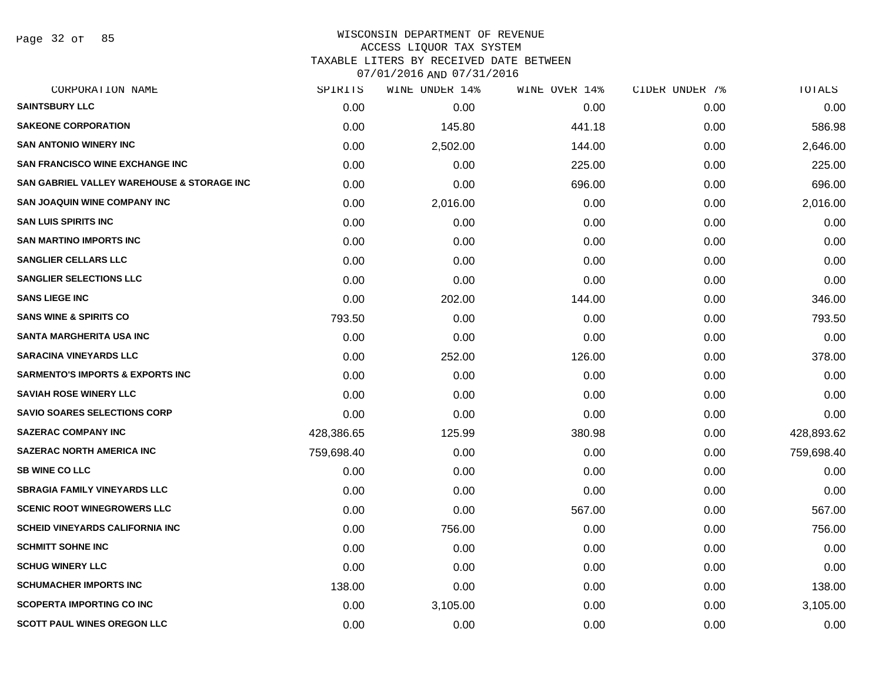Page 32 of 85

# WISCONSIN DEPARTMENT OF REVENUE ACCESS LIQUOR TAX SYSTEM TAXABLE LITERS BY RECEIVED DATE BETWEEN

| CORPORATION NAME                            | SPIRITS    | WINE UNDER 14% | WINE OVER 14% | CIDER UNDER 7% | TOTALS     |
|---------------------------------------------|------------|----------------|---------------|----------------|------------|
| <b>SAINTSBURY LLC</b>                       | 0.00       | 0.00           | 0.00          | 0.00           | 0.00       |
| <b>SAKEONE CORPORATION</b>                  | 0.00       | 145.80         | 441.18        | 0.00           | 586.98     |
| <b>SAN ANTONIO WINERY INC</b>               | 0.00       | 2,502.00       | 144.00        | 0.00           | 2,646.00   |
| <b>SAN FRANCISCO WINE EXCHANGE INC.</b>     | 0.00       | 0.00           | 225.00        | 0.00           | 225.00     |
| SAN GABRIEL VALLEY WAREHOUSE & STORAGE INC  | 0.00       | 0.00           | 696.00        | 0.00           | 696.00     |
| SAN JOAQUIN WINE COMPANY INC                | 0.00       | 2,016.00       | 0.00          | 0.00           | 2,016.00   |
| <b>SAN LUIS SPIRITS INC</b>                 | 0.00       | 0.00           | 0.00          | 0.00           | 0.00       |
| <b>SAN MARTINO IMPORTS INC</b>              | 0.00       | 0.00           | 0.00          | 0.00           | 0.00       |
| <b>SANGLIER CELLARS LLC</b>                 | 0.00       | 0.00           | 0.00          | 0.00           | 0.00       |
| <b>SANGLIER SELECTIONS LLC</b>              | 0.00       | 0.00           | 0.00          | 0.00           | 0.00       |
| <b>SANS LIEGE INC</b>                       | 0.00       | 202.00         | 144.00        | 0.00           | 346.00     |
| <b>SANS WINE &amp; SPIRITS CO</b>           | 793.50     | 0.00           | 0.00          | 0.00           | 793.50     |
| <b>SANTA MARGHERITA USA INC</b>             | 0.00       | 0.00           | 0.00          | 0.00           | 0.00       |
| <b>SARACINA VINEYARDS LLC</b>               | 0.00       | 252.00         | 126.00        | 0.00           | 378.00     |
| <b>SARMENTO'S IMPORTS &amp; EXPORTS INC</b> | 0.00       | 0.00           | 0.00          | 0.00           | 0.00       |
| <b>SAVIAH ROSE WINERY LLC</b>               | 0.00       | 0.00           | 0.00          | 0.00           | 0.00       |
| <b>SAVIO SOARES SELECTIONS CORP</b>         | 0.00       | 0.00           | 0.00          | 0.00           | 0.00       |
| <b>SAZERAC COMPANY INC</b>                  | 428,386.65 | 125.99         | 380.98        | 0.00           | 428,893.62 |
| <b>SAZERAC NORTH AMERICA INC</b>            | 759,698.40 | 0.00           | 0.00          | 0.00           | 759,698.40 |
| <b>SB WINE CO LLC</b>                       | 0.00       | 0.00           | 0.00          | 0.00           | 0.00       |
| <b>SBRAGIA FAMILY VINEYARDS LLC</b>         | 0.00       | 0.00           | 0.00          | 0.00           | 0.00       |
| <b>SCENIC ROOT WINEGROWERS LLC</b>          | 0.00       | 0.00           | 567.00        | 0.00           | 567.00     |
| <b>SCHEID VINEYARDS CALIFORNIA INC</b>      | 0.00       | 756.00         | 0.00          | 0.00           | 756.00     |
| <b>SCHMITT SOHNE INC</b>                    | 0.00       | 0.00           | 0.00          | 0.00           | 0.00       |
| <b>SCHUG WINERY LLC</b>                     | 0.00       | 0.00           | 0.00          | 0.00           | 0.00       |
| <b>SCHUMACHER IMPORTS INC</b>               | 138.00     | 0.00           | 0.00          | 0.00           | 138.00     |
| <b>SCOPERTA IMPORTING CO INC</b>            | 0.00       | 3,105.00       | 0.00          | 0.00           | 3,105.00   |
| <b>SCOTT PAUL WINES OREGON LLC</b>          | 0.00       | 0.00           | 0.00          | 0.00           | 0.00       |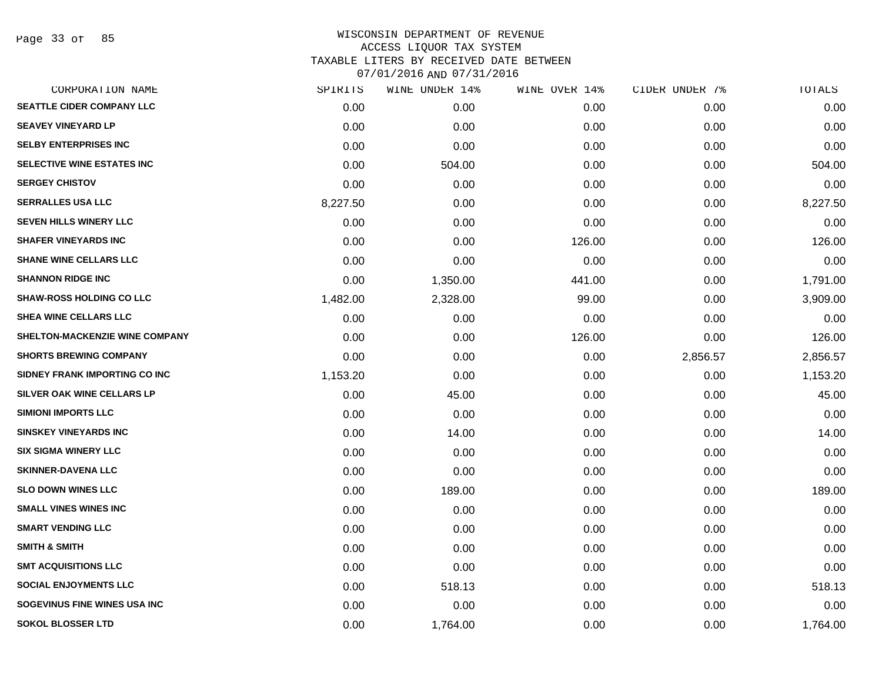Page 33 of 85

| CORPORATION NAME                | SPIRITS  | WINE UNDER 14% | WINE OVER 14% | CIDER UNDER 7% | TOTALS   |
|---------------------------------|----------|----------------|---------------|----------------|----------|
| SEATTLE CIDER COMPANY LLC       | 0.00     | 0.00           | 0.00          | 0.00           | 0.00     |
| <b>SEAVEY VINEYARD LP</b>       | 0.00     | 0.00           | 0.00          | 0.00           | 0.00     |
| <b>SELBY ENTERPRISES INC</b>    | 0.00     | 0.00           | 0.00          | 0.00           | 0.00     |
| SELECTIVE WINE ESTATES INC      | 0.00     | 504.00         | 0.00          | 0.00           | 504.00   |
| <b>SERGEY CHISTOV</b>           | 0.00     | 0.00           | 0.00          | 0.00           | 0.00     |
| <b>SERRALLES USA LLC</b>        | 8,227.50 | 0.00           | 0.00          | 0.00           | 8,227.50 |
| <b>SEVEN HILLS WINERY LLC</b>   | 0.00     | 0.00           | 0.00          | 0.00           | 0.00     |
| <b>SHAFER VINEYARDS INC</b>     | 0.00     | 0.00           | 126.00        | 0.00           | 126.00   |
| <b>SHANE WINE CELLARS LLC</b>   | 0.00     | 0.00           | 0.00          | 0.00           | 0.00     |
| <b>SHANNON RIDGE INC</b>        | 0.00     | 1,350.00       | 441.00        | 0.00           | 1,791.00 |
| <b>SHAW-ROSS HOLDING CO LLC</b> | 1,482.00 | 2,328.00       | 99.00         | 0.00           | 3,909.00 |
| SHEA WINE CELLARS LLC           | 0.00     | 0.00           | 0.00          | 0.00           | 0.00     |
| SHELTON-MACKENZIE WINE COMPANY  | 0.00     | 0.00           | 126.00        | 0.00           | 126.00   |
| <b>SHORTS BREWING COMPANY</b>   | 0.00     | 0.00           | 0.00          | 2,856.57       | 2,856.57 |
| SIDNEY FRANK IMPORTING CO INC   | 1,153.20 | 0.00           | 0.00          | 0.00           | 1,153.20 |
| SILVER OAK WINE CELLARS LP      | 0.00     | 45.00          | 0.00          | 0.00           | 45.00    |
| <b>SIMIONI IMPORTS LLC</b>      | 0.00     | 0.00           | 0.00          | 0.00           | 0.00     |
| <b>SINSKEY VINEYARDS INC</b>    | 0.00     | 14.00          | 0.00          | 0.00           | 14.00    |
| <b>SIX SIGMA WINERY LLC</b>     | 0.00     | 0.00           | 0.00          | 0.00           | 0.00     |
| <b>SKINNER-DAVENA LLC</b>       | 0.00     | 0.00           | 0.00          | 0.00           | 0.00     |
| <b>SLO DOWN WINES LLC</b>       | 0.00     | 189.00         | 0.00          | 0.00           | 189.00   |
| <b>SMALL VINES WINES INC</b>    | 0.00     | 0.00           | 0.00          | 0.00           | 0.00     |
| <b>SMART VENDING LLC</b>        | 0.00     | 0.00           | 0.00          | 0.00           | 0.00     |
| <b>SMITH &amp; SMITH</b>        | 0.00     | 0.00           | 0.00          | 0.00           | 0.00     |
| <b>SMT ACQUISITIONS LLC</b>     | 0.00     | 0.00           | 0.00          | 0.00           | 0.00     |
| <b>SOCIAL ENJOYMENTS LLC</b>    | 0.00     | 518.13         | 0.00          | 0.00           | 518.13   |
| SOGEVINUS FINE WINES USA INC    | 0.00     | 0.00           | 0.00          | 0.00           | 0.00     |
| <b>SOKOL BLOSSER LTD</b>        | 0.00     | 1,764.00       | 0.00          | 0.00           | 1,764.00 |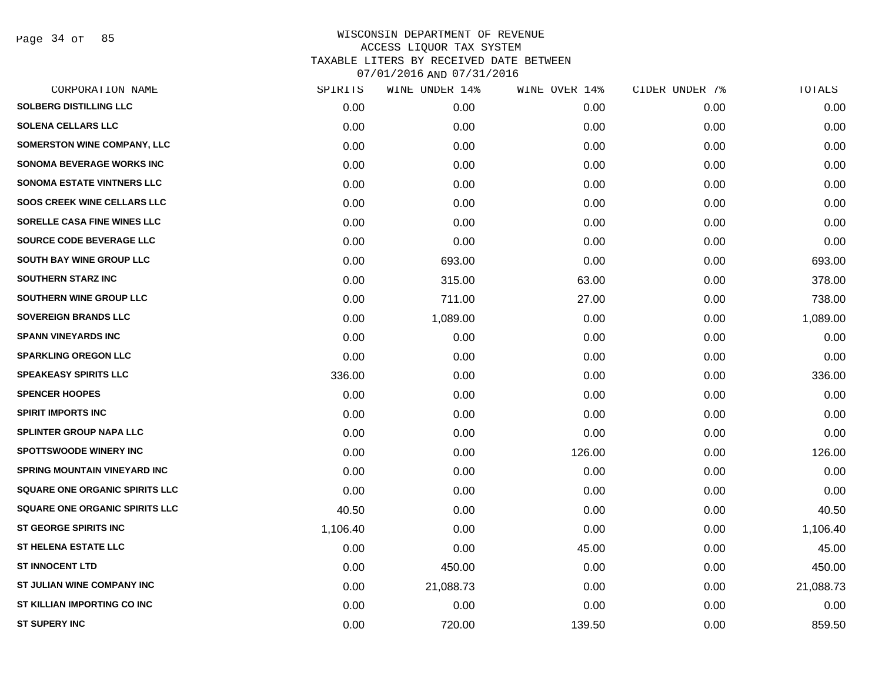Page 34 of 85

| CORPORATION NAME                      | SPIRITS  | WINE UNDER 14% | WINE OVER 14% | CIDER UNDER 7% | TOTALS    |
|---------------------------------------|----------|----------------|---------------|----------------|-----------|
| <b>SOLBERG DISTILLING LLC</b>         | 0.00     | 0.00           | 0.00          | 0.00           | 0.00      |
| <b>SOLENA CELLARS LLC</b>             | 0.00     | 0.00           | 0.00          | 0.00           | 0.00      |
| <b>SOMERSTON WINE COMPANY, LLC</b>    | 0.00     | 0.00           | 0.00          | 0.00           | 0.00      |
| <b>SONOMA BEVERAGE WORKS INC</b>      | 0.00     | 0.00           | 0.00          | 0.00           | 0.00      |
| <b>SONOMA ESTATE VINTNERS LLC</b>     | 0.00     | 0.00           | 0.00          | 0.00           | 0.00      |
| <b>SOOS CREEK WINE CELLARS LLC</b>    | 0.00     | 0.00           | 0.00          | 0.00           | 0.00      |
| SORELLE CASA FINE WINES LLC           | 0.00     | 0.00           | 0.00          | 0.00           | 0.00      |
| <b>SOURCE CODE BEVERAGE LLC</b>       | 0.00     | 0.00           | 0.00          | 0.00           | 0.00      |
| SOUTH BAY WINE GROUP LLC              | 0.00     | 693.00         | 0.00          | 0.00           | 693.00    |
| <b>SOUTHERN STARZ INC</b>             | 0.00     | 315.00         | 63.00         | 0.00           | 378.00    |
| SOUTHERN WINE GROUP LLC               | 0.00     | 711.00         | 27.00         | 0.00           | 738.00    |
| <b>SOVEREIGN BRANDS LLC</b>           | 0.00     | 1,089.00       | 0.00          | 0.00           | 1,089.00  |
| <b>SPANN VINEYARDS INC</b>            | 0.00     | 0.00           | 0.00          | 0.00           | 0.00      |
| <b>SPARKLING OREGON LLC</b>           | 0.00     | 0.00           | 0.00          | 0.00           | 0.00      |
| <b>SPEAKEASY SPIRITS LLC</b>          | 336.00   | 0.00           | 0.00          | 0.00           | 336.00    |
| <b>SPENCER HOOPES</b>                 | 0.00     | 0.00           | 0.00          | 0.00           | 0.00      |
| <b>SPIRIT IMPORTS INC</b>             | 0.00     | 0.00           | 0.00          | 0.00           | 0.00      |
| <b>SPLINTER GROUP NAPA LLC</b>        | 0.00     | 0.00           | 0.00          | 0.00           | 0.00      |
| <b>SPOTTSWOODE WINERY INC</b>         | 0.00     | 0.00           | 126.00        | 0.00           | 126.00    |
| <b>SPRING MOUNTAIN VINEYARD INC</b>   | 0.00     | 0.00           | 0.00          | 0.00           | 0.00      |
| <b>SQUARE ONE ORGANIC SPIRITS LLC</b> | 0.00     | 0.00           | 0.00          | 0.00           | 0.00      |
| <b>SQUARE ONE ORGANIC SPIRITS LLC</b> | 40.50    | 0.00           | 0.00          | 0.00           | 40.50     |
| ST GEORGE SPIRITS INC                 | 1,106.40 | 0.00           | 0.00          | 0.00           | 1,106.40  |
| <b>ST HELENA ESTATE LLC</b>           | 0.00     | 0.00           | 45.00         | 0.00           | 45.00     |
| <b>ST INNOCENT LTD</b>                | 0.00     | 450.00         | 0.00          | 0.00           | 450.00    |
| ST JULIAN WINE COMPANY INC            | 0.00     | 21,088.73      | 0.00          | 0.00           | 21,088.73 |
| ST KILLIAN IMPORTING CO INC           | 0.00     | 0.00           | 0.00          | 0.00           | 0.00      |
| <b>ST SUPERY INC</b>                  | 0.00     | 720.00         | 139.50        | 0.00           | 859.50    |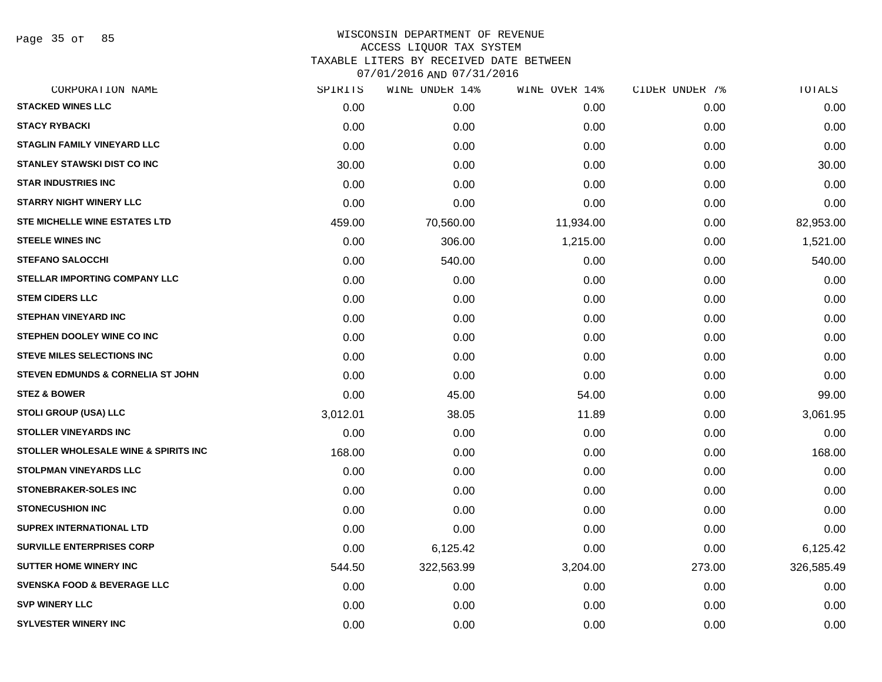Page 35 of 85

| CORPORATION NAME                       | SPIRITS  | WINE UNDER 14% | WINE OVER 14% | CIDER UNDER 7% | TOTALS     |
|----------------------------------------|----------|----------------|---------------|----------------|------------|
| <b>STACKED WINES LLC</b>               | 0.00     | 0.00           | 0.00          | 0.00           | 0.00       |
| <b>STACY RYBACKI</b>                   | 0.00     | 0.00           | 0.00          | 0.00           | 0.00       |
| <b>STAGLIN FAMILY VINEYARD LLC</b>     | 0.00     | 0.00           | 0.00          | 0.00           | 0.00       |
| <b>STANLEY STAWSKI DIST CO INC</b>     | 30.00    | 0.00           | 0.00          | 0.00           | 30.00      |
| <b>STAR INDUSTRIES INC</b>             | 0.00     | 0.00           | 0.00          | 0.00           | 0.00       |
| <b>STARRY NIGHT WINERY LLC</b>         | 0.00     | 0.00           | 0.00          | 0.00           | 0.00       |
| <b>STE MICHELLE WINE ESTATES LTD</b>   | 459.00   | 70,560.00      | 11,934.00     | 0.00           | 82,953.00  |
| <b>STEELE WINES INC</b>                | 0.00     | 306.00         | 1,215.00      | 0.00           | 1,521.00   |
| <b>STEFANO SALOCCHI</b>                | 0.00     | 540.00         | 0.00          | 0.00           | 540.00     |
| <b>STELLAR IMPORTING COMPANY LLC</b>   | 0.00     | 0.00           | 0.00          | 0.00           | 0.00       |
| <b>STEM CIDERS LLC</b>                 | 0.00     | 0.00           | 0.00          | 0.00           | 0.00       |
| <b>STEPHAN VINEYARD INC</b>            | 0.00     | 0.00           | 0.00          | 0.00           | 0.00       |
| STEPHEN DOOLEY WINE CO INC             | 0.00     | 0.00           | 0.00          | 0.00           | 0.00       |
| <b>STEVE MILES SELECTIONS INC</b>      | 0.00     | 0.00           | 0.00          | 0.00           | 0.00       |
| STEVEN EDMUNDS & CORNELIA ST JOHN      | 0.00     | 0.00           | 0.00          | 0.00           | 0.00       |
| <b>STEZ &amp; BOWER</b>                | 0.00     | 45.00          | 54.00         | 0.00           | 99.00      |
| STOLI GROUP (USA) LLC                  | 3,012.01 | 38.05          | 11.89         | 0.00           | 3,061.95   |
| <b>STOLLER VINEYARDS INC</b>           | 0.00     | 0.00           | 0.00          | 0.00           | 0.00       |
| STOLLER WHOLESALE WINE & SPIRITS INC   | 168.00   | 0.00           | 0.00          | 0.00           | 168.00     |
| <b>STOLPMAN VINEYARDS LLC</b>          | 0.00     | 0.00           | 0.00          | 0.00           | 0.00       |
| <b>STONEBRAKER-SOLES INC</b>           | 0.00     | 0.00           | 0.00          | 0.00           | 0.00       |
| <b>STONECUSHION INC</b>                | 0.00     | 0.00           | 0.00          | 0.00           | 0.00       |
| <b>SUPREX INTERNATIONAL LTD</b>        | 0.00     | 0.00           | 0.00          | 0.00           | 0.00       |
| <b>SURVILLE ENTERPRISES CORP</b>       | 0.00     | 6,125.42       | 0.00          | 0.00           | 6,125.42   |
| <b>SUTTER HOME WINERY INC.</b>         | 544.50   | 322,563.99     | 3,204.00      | 273.00         | 326,585.49 |
| <b>SVENSKA FOOD &amp; BEVERAGE LLC</b> | 0.00     | 0.00           | 0.00          | 0.00           | 0.00       |
| <b>SVP WINERY LLC</b>                  | 0.00     | 0.00           | 0.00          | 0.00           | 0.00       |
| <b>SYLVESTER WINERY INC</b>            | 0.00     | 0.00           | 0.00          | 0.00           | 0.00       |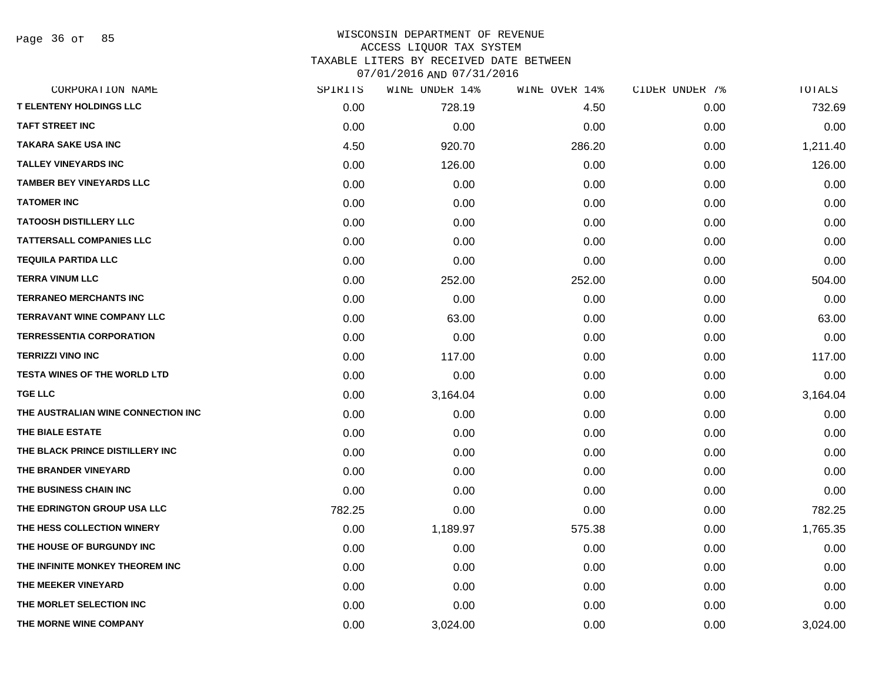Page 36 of 85

| CORPORATION NAME                   | SPIRITS | WINE UNDER 14% | WINE OVER 14% | CIDER UNDER 7% | TOTALS   |
|------------------------------------|---------|----------------|---------------|----------------|----------|
| <b>T ELENTENY HOLDINGS LLC</b>     | 0.00    | 728.19         | 4.50          | 0.00           | 732.69   |
| <b>TAFT STREET INC</b>             | 0.00    | 0.00           | 0.00          | 0.00           | 0.00     |
| TAKARA SAKE USA INC                | 4.50    | 920.70         | 286.20        | 0.00           | 1,211.40 |
| <b>TALLEY VINEYARDS INC</b>        | 0.00    | 126.00         | 0.00          | 0.00           | 126.00   |
| <b>TAMBER BEY VINEYARDS LLC</b>    | 0.00    | 0.00           | 0.00          | 0.00           | 0.00     |
| <b>TATOMER INC</b>                 | 0.00    | 0.00           | 0.00          | 0.00           | 0.00     |
| <b>TATOOSH DISTILLERY LLC</b>      | 0.00    | 0.00           | 0.00          | 0.00           | 0.00     |
| <b>TATTERSALL COMPANIES LLC</b>    | 0.00    | 0.00           | 0.00          | 0.00           | 0.00     |
| <b>TEQUILA PARTIDA LLC</b>         | 0.00    | 0.00           | 0.00          | 0.00           | 0.00     |
| <b>TERRA VINUM LLC</b>             | 0.00    | 252.00         | 252.00        | 0.00           | 504.00   |
| <b>TERRANEO MERCHANTS INC</b>      | 0.00    | 0.00           | 0.00          | 0.00           | 0.00     |
| <b>TERRAVANT WINE COMPANY LLC</b>  | 0.00    | 63.00          | 0.00          | 0.00           | 63.00    |
| <b>TERRESSENTIA CORPORATION</b>    | 0.00    | 0.00           | 0.00          | 0.00           | 0.00     |
| <b>TERRIZZI VINO INC</b>           | 0.00    | 117.00         | 0.00          | 0.00           | 117.00   |
| TESTA WINES OF THE WORLD LTD       | 0.00    | 0.00           | 0.00          | 0.00           | 0.00     |
| <b>TGE LLC</b>                     | 0.00    | 3,164.04       | 0.00          | 0.00           | 3,164.04 |
| THE AUSTRALIAN WINE CONNECTION INC | 0.00    | 0.00           | 0.00          | 0.00           | 0.00     |
| THE BIALE ESTATE                   | 0.00    | 0.00           | 0.00          | 0.00           | 0.00     |
| THE BLACK PRINCE DISTILLERY INC    | 0.00    | 0.00           | 0.00          | 0.00           | 0.00     |
| THE BRANDER VINEYARD               | 0.00    | 0.00           | 0.00          | 0.00           | 0.00     |
| THE BUSINESS CHAIN INC             | 0.00    | 0.00           | 0.00          | 0.00           | 0.00     |
| THE EDRINGTON GROUP USA LLC        | 782.25  | 0.00           | 0.00          | 0.00           | 782.25   |
| THE HESS COLLECTION WINERY         | 0.00    | 1,189.97       | 575.38        | 0.00           | 1,765.35 |
| THE HOUSE OF BURGUNDY INC          | 0.00    | 0.00           | 0.00          | 0.00           | 0.00     |
| THE INFINITE MONKEY THEOREM INC    | 0.00    | 0.00           | 0.00          | 0.00           | 0.00     |
| THE MEEKER VINEYARD                | 0.00    | 0.00           | 0.00          | 0.00           | 0.00     |
| THE MORLET SELECTION INC           | 0.00    | 0.00           | 0.00          | 0.00           | 0.00     |
| THE MORNE WINE COMPANY             | 0.00    | 3,024.00       | 0.00          | 0.00           | 3,024.00 |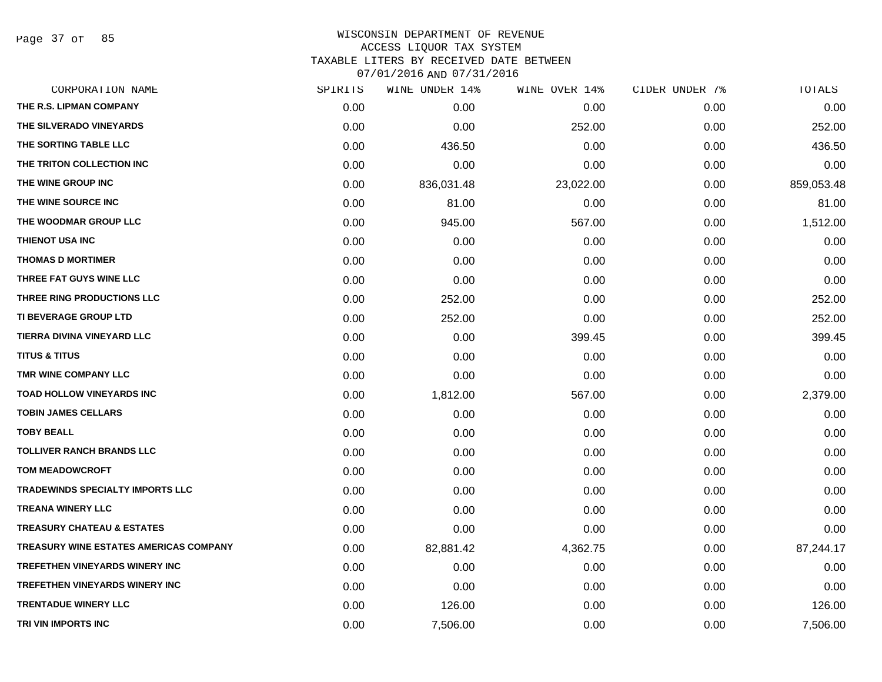Page 37 of 85

| SPIRITS | WINE UNDER 14% | WINE OVER 14% | CIDER UNDER 7% | TOTALS     |
|---------|----------------|---------------|----------------|------------|
| 0.00    | 0.00           | 0.00          | 0.00           | 0.00       |
| 0.00    | 0.00           | 252.00        | 0.00           | 252.00     |
| 0.00    | 436.50         | 0.00          | 0.00           | 436.50     |
| 0.00    | 0.00           | 0.00          | 0.00           | 0.00       |
| 0.00    | 836,031.48     | 23,022.00     | 0.00           | 859,053.48 |
| 0.00    | 81.00          | 0.00          | 0.00           | 81.00      |
| 0.00    | 945.00         | 567.00        | 0.00           | 1,512.00   |
| 0.00    | 0.00           | 0.00          | 0.00           | 0.00       |
| 0.00    | 0.00           | 0.00          | 0.00           | 0.00       |
| 0.00    | 0.00           | 0.00          | 0.00           | 0.00       |
| 0.00    | 252.00         | 0.00          | 0.00           | 252.00     |
| 0.00    | 252.00         | 0.00          | 0.00           | 252.00     |
| 0.00    | 0.00           | 399.45        | 0.00           | 399.45     |
| 0.00    | 0.00           | 0.00          | 0.00           | 0.00       |
| 0.00    | 0.00           | 0.00          | 0.00           | 0.00       |
| 0.00    | 1,812.00       | 567.00        | 0.00           | 2,379.00   |
| 0.00    | 0.00           | 0.00          | 0.00           | 0.00       |
| 0.00    | 0.00           | 0.00          | 0.00           | 0.00       |
| 0.00    | 0.00           | 0.00          | 0.00           | 0.00       |
| 0.00    | 0.00           | 0.00          | 0.00           | 0.00       |
| 0.00    | 0.00           | 0.00          | 0.00           | 0.00       |
| 0.00    | 0.00           | 0.00          | 0.00           | 0.00       |
| 0.00    | 0.00           | 0.00          | 0.00           | 0.00       |
| 0.00    | 82,881.42      | 4,362.75      | 0.00           | 87,244.17  |
| 0.00    | 0.00           | 0.00          | 0.00           | 0.00       |
| 0.00    | 0.00           | 0.00          | 0.00           | 0.00       |
| 0.00    | 126.00         | 0.00          | 0.00           | 126.00     |
| 0.00    | 7,506.00       | 0.00          | 0.00           | 7,506.00   |
|         |                |               |                |            |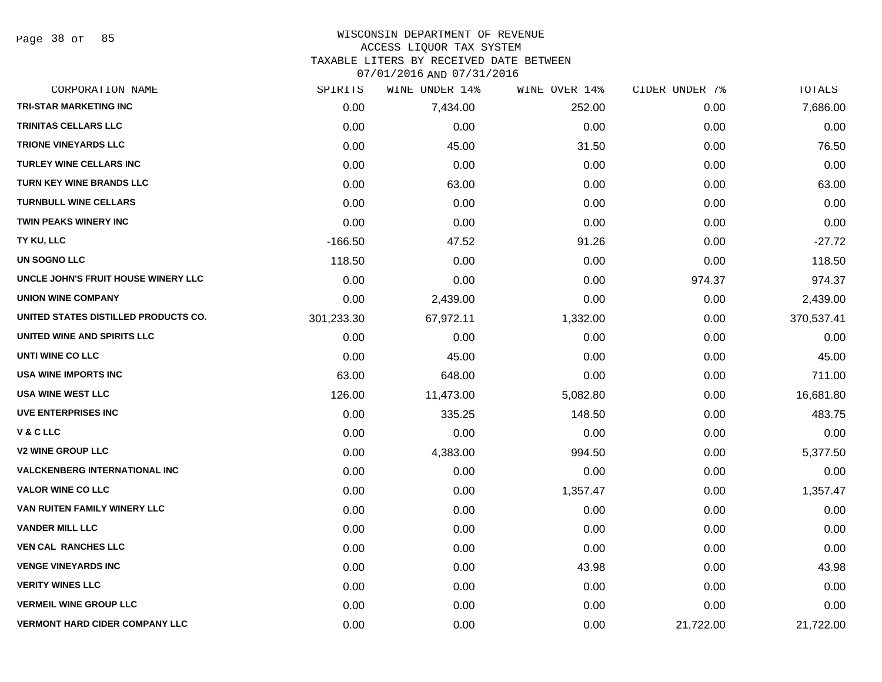Page 38 of 85

#### WISCONSIN DEPARTMENT OF REVENUE ACCESS LIQUOR TAX SYSTEM TAXABLE LITERS BY RECEIVED DATE BETWEEN

| CORPORATION NAME                      | SPIRITS    | WINE UNDER 14% | WINE OVER 14% | CIDER UNDER 7% | TOTALS     |
|---------------------------------------|------------|----------------|---------------|----------------|------------|
| TRI-STAR MARKETING INC                | 0.00       | 7,434.00       | 252.00        | 0.00           | 7,686.00   |
| <b>TRINITAS CELLARS LLC</b>           | 0.00       | 0.00           | 0.00          | 0.00           | 0.00       |
| <b>TRIONE VINEYARDS LLC</b>           | 0.00       | 45.00          | 31.50         | 0.00           | 76.50      |
| <b>TURLEY WINE CELLARS INC</b>        | 0.00       | 0.00           | 0.00          | 0.00           | 0.00       |
| <b>TURN KEY WINE BRANDS LLC</b>       | 0.00       | 63.00          | 0.00          | 0.00           | 63.00      |
| <b>TURNBULL WINE CELLARS</b>          | 0.00       | 0.00           | 0.00          | 0.00           | 0.00       |
| <b>TWIN PEAKS WINERY INC</b>          | 0.00       | 0.00           | 0.00          | 0.00           | 0.00       |
| TY KU, LLC                            | $-166.50$  | 47.52          | 91.26         | 0.00           | $-27.72$   |
| UN SOGNO LLC                          | 118.50     | 0.00           | 0.00          | 0.00           | 118.50     |
| UNCLE JOHN'S FRUIT HOUSE WINERY LLC   | 0.00       | 0.00           | 0.00          | 974.37         | 974.37     |
| <b>UNION WINE COMPANY</b>             | 0.00       | 2,439.00       | 0.00          | 0.00           | 2,439.00   |
| UNITED STATES DISTILLED PRODUCTS CO.  | 301,233.30 | 67,972.11      | 1,332.00      | 0.00           | 370,537.41 |
| UNITED WINE AND SPIRITS LLC           | 0.00       | 0.00           | 0.00          | 0.00           | 0.00       |
| UNTI WINE CO LLC                      | 0.00       | 45.00          | 0.00          | 0.00           | 45.00      |
| USA WINE IMPORTS INC                  | 63.00      | 648.00         | 0.00          | 0.00           | 711.00     |
| <b>USA WINE WEST LLC</b>              | 126.00     | 11,473.00      | 5,082.80      | 0.00           | 16,681.80  |
| <b>UVE ENTERPRISES INC</b>            | 0.00       | 335.25         | 148.50        | 0.00           | 483.75     |
| <b>V&amp;CLLC</b>                     | 0.00       | 0.00           | 0.00          | 0.00           | 0.00       |
| <b>V2 WINE GROUP LLC</b>              | 0.00       | 4,383.00       | 994.50        | 0.00           | 5,377.50   |
| <b>VALCKENBERG INTERNATIONAL INC</b>  | 0.00       | 0.00           | 0.00          | 0.00           | 0.00       |
| <b>VALOR WINE CO LLC</b>              | 0.00       | 0.00           | 1,357.47      | 0.00           | 1,357.47   |
| VAN RUITEN FAMILY WINERY LLC          | 0.00       | 0.00           | 0.00          | 0.00           | 0.00       |
| <b>VANDER MILL LLC</b>                | 0.00       | 0.00           | 0.00          | 0.00           | 0.00       |
| <b>VEN CAL RANCHES LLC</b>            | 0.00       | 0.00           | 0.00          | 0.00           | 0.00       |
| <b>VENGE VINEYARDS INC</b>            | 0.00       | 0.00           | 43.98         | 0.00           | 43.98      |
| <b>VERITY WINES LLC</b>               | 0.00       | 0.00           | 0.00          | 0.00           | 0.00       |
| <b>VERMEIL WINE GROUP LLC</b>         | 0.00       | 0.00           | 0.00          | 0.00           | 0.00       |
| <b>VERMONT HARD CIDER COMPANY LLC</b> | 0.00       | 0.00           | 0.00          | 21,722.00      | 21,722.00  |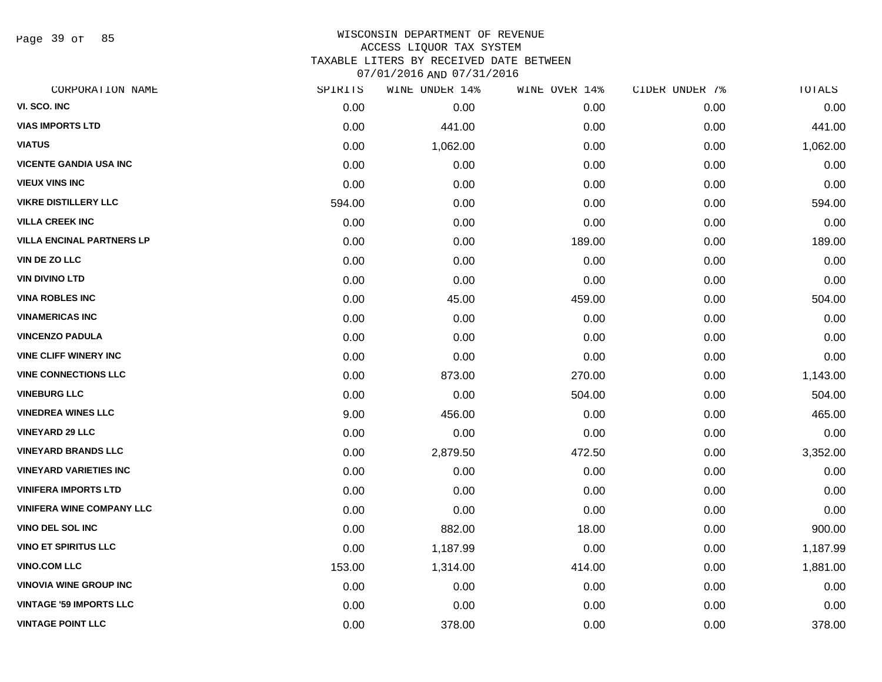Page 39 of 85

#### WISCONSIN DEPARTMENT OF REVENUE ACCESS LIQUOR TAX SYSTEM TAXABLE LITERS BY RECEIVED DATE BETWEEN

| CORPORATION NAME                 | SPIRITS | WINE UNDER 14% | WINE OVER 14% | CIDER UNDER 7% | TOTALS   |
|----------------------------------|---------|----------------|---------------|----------------|----------|
| VI. SCO. INC                     | 0.00    | 0.00           | 0.00          | 0.00           | 0.00     |
| <b>VIAS IMPORTS LTD</b>          | 0.00    | 441.00         | 0.00          | 0.00           | 441.00   |
| <b>VIATUS</b>                    | 0.00    | 1,062.00       | 0.00          | 0.00           | 1,062.00 |
| <b>VICENTE GANDIA USA INC</b>    | 0.00    | 0.00           | 0.00          | 0.00           | 0.00     |
| <b>VIEUX VINS INC</b>            | 0.00    | 0.00           | 0.00          | 0.00           | 0.00     |
| <b>VIKRE DISTILLERY LLC</b>      | 594.00  | 0.00           | 0.00          | 0.00           | 594.00   |
| <b>VILLA CREEK INC</b>           | 0.00    | 0.00           | 0.00          | 0.00           | 0.00     |
| <b>VILLA ENCINAL PARTNERS LP</b> | 0.00    | 0.00           | 189.00        | 0.00           | 189.00   |
| VIN DE ZO LLC                    | 0.00    | 0.00           | 0.00          | 0.00           | 0.00     |
| <b>VIN DIVINO LTD</b>            | 0.00    | 0.00           | 0.00          | 0.00           | 0.00     |
| <b>VINA ROBLES INC</b>           | 0.00    | 45.00          | 459.00        | 0.00           | 504.00   |
| <b>VINAMERICAS INC</b>           | 0.00    | 0.00           | 0.00          | 0.00           | 0.00     |
| <b>VINCENZO PADULA</b>           | 0.00    | 0.00           | 0.00          | 0.00           | 0.00     |
| <b>VINE CLIFF WINERY INC</b>     | 0.00    | 0.00           | 0.00          | 0.00           | 0.00     |
| <b>VINE CONNECTIONS LLC</b>      | 0.00    | 873.00         | 270.00        | 0.00           | 1,143.00 |
| <b>VINEBURG LLC</b>              | 0.00    | 0.00           | 504.00        | 0.00           | 504.00   |
| <b>VINEDREA WINES LLC</b>        | 9.00    | 456.00         | 0.00          | 0.00           | 465.00   |
| <b>VINEYARD 29 LLC</b>           | 0.00    | 0.00           | 0.00          | 0.00           | 0.00     |
| <b>VINEYARD BRANDS LLC</b>       | 0.00    | 2,879.50       | 472.50        | 0.00           | 3,352.00 |
| <b>VINEYARD VARIETIES INC</b>    | 0.00    | 0.00           | 0.00          | 0.00           | 0.00     |
| <b>VINIFERA IMPORTS LTD</b>      | 0.00    | 0.00           | 0.00          | 0.00           | 0.00     |
| <b>VINIFERA WINE COMPANY LLC</b> | 0.00    | 0.00           | 0.00          | 0.00           | 0.00     |
| <b>VINO DEL SOL INC</b>          | 0.00    | 882.00         | 18.00         | 0.00           | 900.00   |
| <b>VINO ET SPIRITUS LLC</b>      | 0.00    | 1,187.99       | 0.00          | 0.00           | 1,187.99 |
| <b>VINO.COM LLC</b>              | 153.00  | 1,314.00       | 414.00        | 0.00           | 1,881.00 |
| <b>VINOVIA WINE GROUP INC</b>    | 0.00    | 0.00           | 0.00          | 0.00           | 0.00     |
| <b>VINTAGE '59 IMPORTS LLC</b>   | 0.00    | 0.00           | 0.00          | 0.00           | 0.00     |
| <b>VINTAGE POINT LLC</b>         | 0.00    | 378.00         | 0.00          | 0.00           | 378.00   |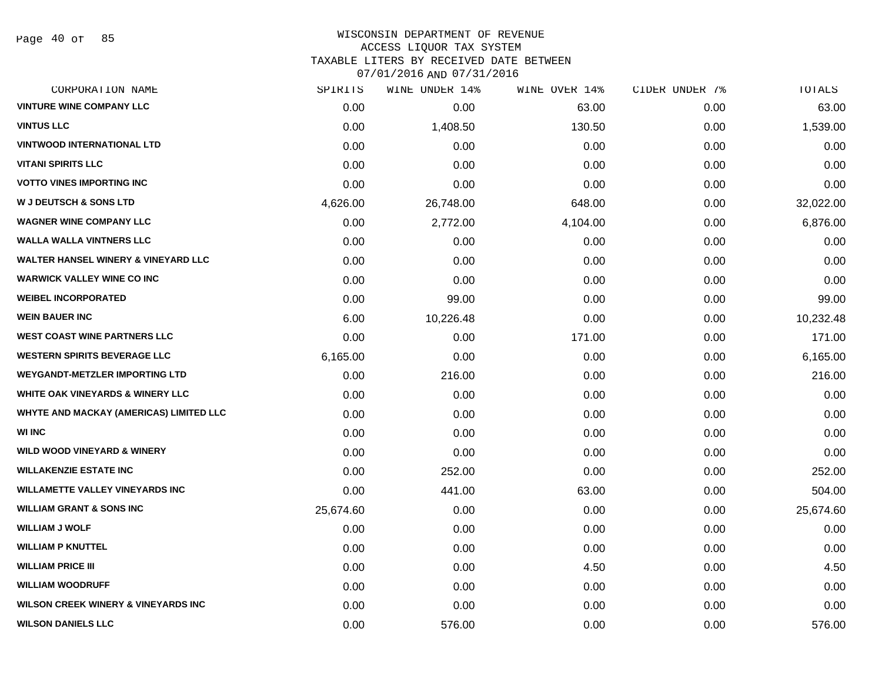Page 40 of 85

| CORPORATION NAME                               | SPIRITS   | WINE UNDER 14% | WINE OVER 14% | CIDER UNDER 7% | TOTALS    |
|------------------------------------------------|-----------|----------------|---------------|----------------|-----------|
| <b>VINTURE WINE COMPANY LLC</b>                | 0.00      | 0.00           | 63.00         | 0.00           | 63.00     |
| <b>VINTUS LLC</b>                              | 0.00      | 1,408.50       | 130.50        | 0.00           | 1,539.00  |
| <b>VINTWOOD INTERNATIONAL LTD</b>              | 0.00      | 0.00           | 0.00          | 0.00           | 0.00      |
| <b>VITANI SPIRITS LLC</b>                      | 0.00      | 0.00           | 0.00          | 0.00           | 0.00      |
| <b>VOTTO VINES IMPORTING INC</b>               | 0.00      | 0.00           | 0.00          | 0.00           | 0.00      |
| <b>W J DEUTSCH &amp; SONS LTD</b>              | 4,626.00  | 26,748.00      | 648.00        | 0.00           | 32,022.00 |
| <b>WAGNER WINE COMPANY LLC</b>                 | 0.00      | 2,772.00       | 4,104.00      | 0.00           | 6,876.00  |
| <b>WALLA WALLA VINTNERS LLC</b>                | 0.00      | 0.00           | 0.00          | 0.00           | 0.00      |
| <b>WALTER HANSEL WINERY &amp; VINEYARD LLC</b> | 0.00      | 0.00           | 0.00          | 0.00           | 0.00      |
| <b>WARWICK VALLEY WINE CO INC</b>              | 0.00      | 0.00           | 0.00          | 0.00           | 0.00      |
| <b>WEIBEL INCORPORATED</b>                     | 0.00      | 99.00          | 0.00          | 0.00           | 99.00     |
| <b>WEIN BAUER INC</b>                          | 6.00      | 10,226.48      | 0.00          | 0.00           | 10,232.48 |
| <b>WEST COAST WINE PARTNERS LLC</b>            | 0.00      | 0.00           | 171.00        | 0.00           | 171.00    |
| <b>WESTERN SPIRITS BEVERAGE LLC</b>            | 6,165.00  | 0.00           | 0.00          | 0.00           | 6,165.00  |
| <b>WEYGANDT-METZLER IMPORTING LTD</b>          | 0.00      | 216.00         | 0.00          | 0.00           | 216.00    |
| WHITE OAK VINEYARDS & WINERY LLC               | 0.00      | 0.00           | 0.00          | 0.00           | 0.00      |
| <b>WHYTE AND MACKAY (AMERICAS) LIMITED LLC</b> | 0.00      | 0.00           | 0.00          | 0.00           | 0.00      |
| <b>WI INC</b>                                  | 0.00      | 0.00           | 0.00          | 0.00           | 0.00      |
| <b>WILD WOOD VINEYARD &amp; WINERY</b>         | 0.00      | 0.00           | 0.00          | 0.00           | 0.00      |
| <b>WILLAKENZIE ESTATE INC</b>                  | 0.00      | 252.00         | 0.00          | 0.00           | 252.00    |
| <b>WILLAMETTE VALLEY VINEYARDS INC</b>         | 0.00      | 441.00         | 63.00         | 0.00           | 504.00    |
| <b>WILLIAM GRANT &amp; SONS INC</b>            | 25,674.60 | 0.00           | 0.00          | 0.00           | 25,674.60 |
| <b>WILLIAM J WOLF</b>                          | 0.00      | 0.00           | 0.00          | 0.00           | 0.00      |
| <b>WILLIAM P KNUTTEL</b>                       | 0.00      | 0.00           | 0.00          | 0.00           | 0.00      |
| <b>WILLIAM PRICE III</b>                       | 0.00      | 0.00           | 4.50          | 0.00           | 4.50      |
| <b>WILLIAM WOODRUFF</b>                        | 0.00      | 0.00           | 0.00          | 0.00           | 0.00      |
| <b>WILSON CREEK WINERY &amp; VINEYARDS INC</b> | 0.00      | 0.00           | 0.00          | 0.00           | 0.00      |
| <b>WILSON DANIELS LLC</b>                      | 0.00      | 576.00         | 0.00          | 0.00           | 576.00    |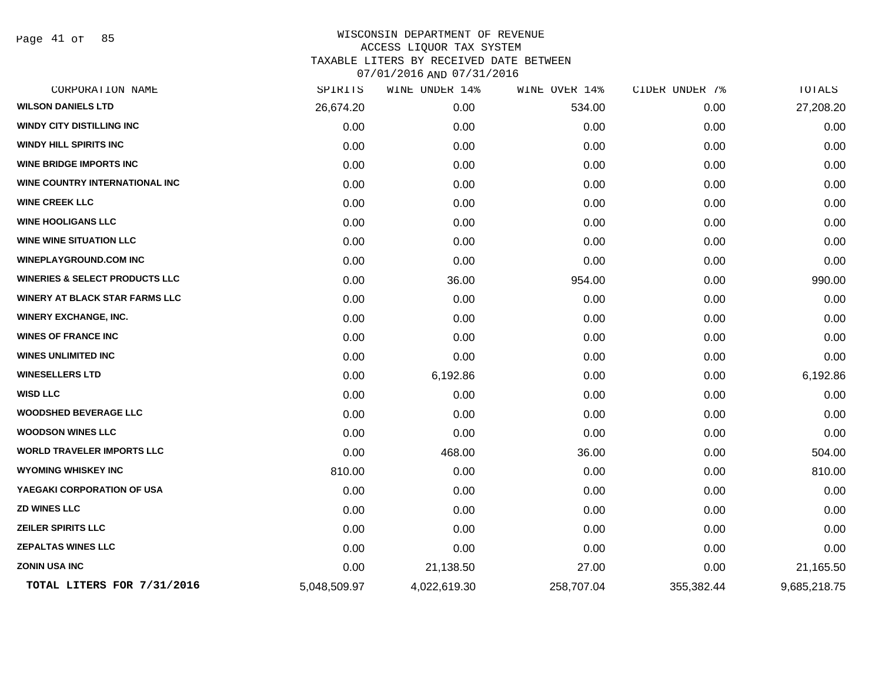Page 41 of 85

| CORPORATION NAME                          | SPIRITS      | WINE UNDER 14% | WINE OVER 14% | CIDER UNDER 7% | TOTALS       |
|-------------------------------------------|--------------|----------------|---------------|----------------|--------------|
| <b>WILSON DANIELS LTD</b>                 | 26,674.20    | 0.00           | 534.00        | 0.00           | 27,208.20    |
| <b>WINDY CITY DISTILLING INC</b>          | 0.00         | 0.00           | 0.00          | 0.00           | 0.00         |
| WINDY HILL SPIRITS INC                    | 0.00         | 0.00           | 0.00          | 0.00           | 0.00         |
| <b>WINE BRIDGE IMPORTS INC</b>            | 0.00         | 0.00           | 0.00          | 0.00           | 0.00         |
| WINE COUNTRY INTERNATIONAL INC            | 0.00         | 0.00           | 0.00          | 0.00           | 0.00         |
| <b>WINE CREEK LLC</b>                     | 0.00         | 0.00           | 0.00          | 0.00           | 0.00         |
| <b>WINE HOOLIGANS LLC</b>                 | 0.00         | 0.00           | 0.00          | 0.00           | 0.00         |
| <b>WINE WINE SITUATION LLC</b>            | 0.00         | 0.00           | 0.00          | 0.00           | 0.00         |
| <b>WINEPLAYGROUND.COM INC</b>             | 0.00         | 0.00           | 0.00          | 0.00           | 0.00         |
| <b>WINERIES &amp; SELECT PRODUCTS LLC</b> | 0.00         | 36.00          | 954.00        | 0.00           | 990.00       |
| <b>WINERY AT BLACK STAR FARMS LLC</b>     | 0.00         | 0.00           | 0.00          | 0.00           | 0.00         |
| <b>WINERY EXCHANGE, INC.</b>              | 0.00         | 0.00           | 0.00          | 0.00           | 0.00         |
| <b>WINES OF FRANCE INC</b>                | 0.00         | 0.00           | 0.00          | 0.00           | 0.00         |
| <b>WINES UNLIMITED INC</b>                | 0.00         | 0.00           | 0.00          | 0.00           | 0.00         |
| <b>WINESELLERS LTD</b>                    | 0.00         | 6,192.86       | 0.00          | 0.00           | 6,192.86     |
| <b>WISD LLC</b>                           | 0.00         | 0.00           | 0.00          | 0.00           | 0.00         |
| <b>WOODSHED BEVERAGE LLC</b>              | 0.00         | 0.00           | 0.00          | 0.00           | 0.00         |
| <b>WOODSON WINES LLC</b>                  | 0.00         | 0.00           | 0.00          | 0.00           | 0.00         |
| <b>WORLD TRAVELER IMPORTS LLC</b>         | 0.00         | 468.00         | 36.00         | 0.00           | 504.00       |
| <b>WYOMING WHISKEY INC</b>                | 810.00       | 0.00           | 0.00          | 0.00           | 810.00       |
| YAEGAKI CORPORATION OF USA                | 0.00         | 0.00           | 0.00          | 0.00           | 0.00         |
| <b>ZD WINES LLC</b>                       | 0.00         | 0.00           | 0.00          | 0.00           | 0.00         |
| <b>ZEILER SPIRITS LLC</b>                 | 0.00         | 0.00           | 0.00          | 0.00           | 0.00         |
| <b>ZEPALTAS WINES LLC</b>                 | 0.00         | 0.00           | 0.00          | 0.00           | 0.00         |
| <b>ZONIN USA INC</b>                      | 0.00         | 21,138.50      | 27.00         | 0.00           | 21,165.50    |
| TOTAL LITERS FOR 7/31/2016                | 5,048,509.97 | 4,022,619.30   | 258,707.04    | 355,382.44     | 9,685,218.75 |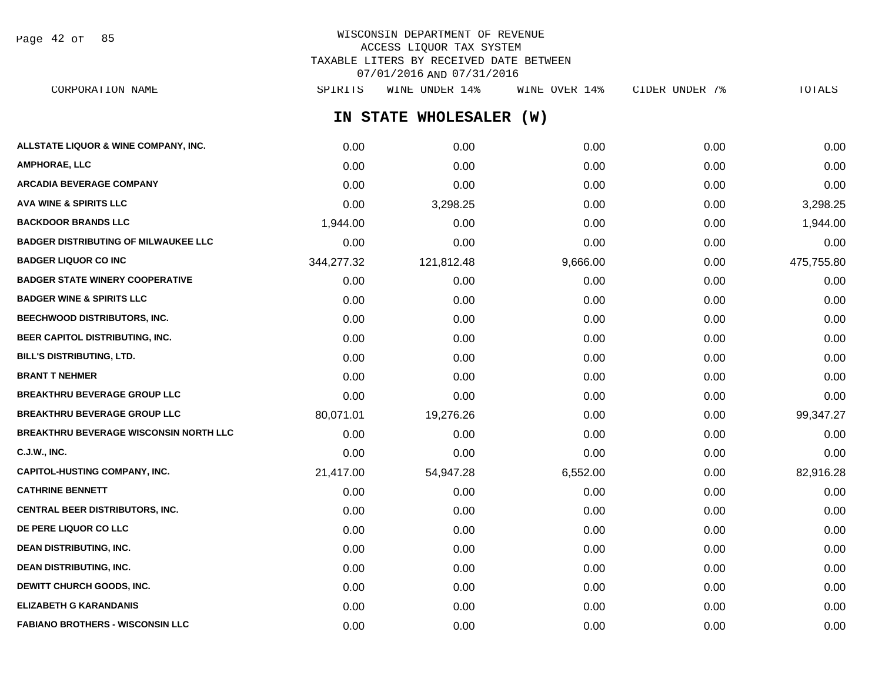Page 42 of 85

## WISCONSIN DEPARTMENT OF REVENUE ACCESS LIQUOR TAX SYSTEM TAXABLE LITERS BY RECEIVED DATE BETWEEN 07/01/2016 AND 07/31/2016

**IN STATE WHOLESALER (W) ALLSTATE LIQUOR & WINE COMPANY, INC.**  $0.00$   $0.00$   $0.00$   $0.00$   $0.00$   $0.00$   $0.00$   $0.00$   $0.00$   $0.00$   $0.00$   $0.00$ **AMPHORAE, LLC** 0.00 0.00 0.00 0.00 0.00 **ARCADIA BEVERAGE COMPANY** 0.00 0.00 0.00 0.00 0.00 **AVA WINE & SPIRITS LLC** 0.00 3,298.25 0.00 0.00 3,298.25 **BACKDOOR BRANDS LLC** 1,944.00 0.00 0.00 0.00 1,944.00 **BADGER DISTRIBUTING OF MILWAUKEE LLC** 0.00 0.00 0.00 0.00 0.00 **BADGER LIQUOR CO INC** 344,277.32 121,812.48 9,666.00 0.00 475,755.80 **BADGER STATE WINERY COOPERATIVE** 0.00 0.00 0.00 0.00 0.00 **BADGER WINE & SPIRITS LLC**  $\begin{array}{ccc} 0.00 & 0.00 & 0.00 \\ 0.00 & 0.00 & 0.00 \end{array}$ **BEECHWOOD DISTRIBUTORS, INC.** 0.00 0.00 0.00 0.00 0.00 **BEER CAPITOL DISTRIBUTING, INC.** 0.00 0.00 0.00 0.00 0.00 **BILL'S DISTRIBUTING, LTD.** 0.00 0.00 0.00 0.00 0.00 **BRANT T NEHMER** 0.00 0.00 0.00 0.00 0.00 **BREAKTHRU BEVERAGE GROUP LLC** 0.00 0.00 0.00 0.00 0.00 **BREAKTHRU BEVERAGE GROUP LLC**  $80.071.01$   $19.276.26$   $0.00$   $0.00$   $0.00$   $99.347.27$ **BREAKTHRU BEVERAGE WISCONSIN NORTH LLC** 0.00 0.00 0.00 0.00 0.00 **C.J.W., INC.** 0.00 0.00 0.00 0.00 0.00 **CAPITOL-HUSTING COMPANY, INC.** 21,417.00 54,947.28 6,552.00 0.00 82,916.28 **CATHRINE BENNETT** 0.00 0.00 0.00 0.00 0.00 **CENTRAL BEER DISTRIBUTORS, INC.** 0.00 0.00 0.00 0.00 0.00 **DE PERE LIQUOR CO LLC** 0.00 0.00 0.00 0.00 0.00 **DEAN DISTRIBUTING, INC.** 0.00 0.00 0.00 0.00 0.00 **DEAN DISTRIBUTING, INC.** 0.00 0.00 0.00 0.00 0.00 **DEWITT CHURCH GOODS, INC.** 0.00 0.00 0.00 0.00 0.00 **ELIZABETH G KARANDANIS** 0.00 0.00 0.00 0.00 0.00 CORPORATION NAME SPIRITS WINE UNDER 14% WINE OVER 14% CIDER UNDER 7% TOTALS

**FABIANO BROTHERS - WISCONSIN LLC** 0.00 0.00 0.00 0.00 0.00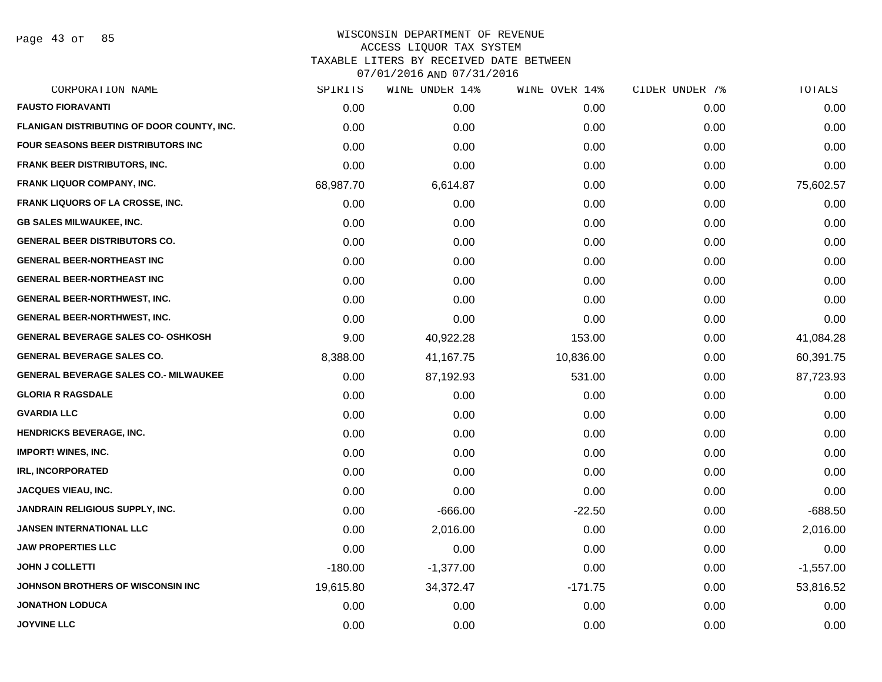Page 43 of 85

| CORPORATION NAME                             | SPIRITS   | WINE UNDER 14% | WINE OVER 14% | CIDER UNDER 7% | TOTALS      |
|----------------------------------------------|-----------|----------------|---------------|----------------|-------------|
| <b>FAUSTO FIORAVANTI</b>                     | 0.00      | 0.00           | 0.00          | 0.00           | 0.00        |
| FLANIGAN DISTRIBUTING OF DOOR COUNTY, INC.   | 0.00      | 0.00           | 0.00          | 0.00           | 0.00        |
| FOUR SEASONS BEER DISTRIBUTORS INC           | 0.00      | 0.00           | 0.00          | 0.00           | 0.00        |
| FRANK BEER DISTRIBUTORS, INC.                | 0.00      | 0.00           | 0.00          | 0.00           | 0.00        |
| FRANK LIQUOR COMPANY, INC.                   | 68,987.70 | 6,614.87       | 0.00          | 0.00           | 75,602.57   |
| <b>FRANK LIQUORS OF LA CROSSE, INC.</b>      | 0.00      | 0.00           | 0.00          | 0.00           | 0.00        |
| <b>GB SALES MILWAUKEE, INC.</b>              | 0.00      | 0.00           | 0.00          | 0.00           | 0.00        |
| <b>GENERAL BEER DISTRIBUTORS CO.</b>         | 0.00      | 0.00           | 0.00          | 0.00           | 0.00        |
| <b>GENERAL BEER-NORTHEAST INC</b>            | 0.00      | 0.00           | 0.00          | 0.00           | 0.00        |
| <b>GENERAL BEER-NORTHEAST INC</b>            | 0.00      | 0.00           | 0.00          | 0.00           | 0.00        |
| <b>GENERAL BEER-NORTHWEST, INC.</b>          | 0.00      | 0.00           | 0.00          | 0.00           | 0.00        |
| <b>GENERAL BEER-NORTHWEST, INC.</b>          | 0.00      | 0.00           | 0.00          | 0.00           | 0.00        |
| <b>GENERAL BEVERAGE SALES CO- OSHKOSH</b>    | 9.00      | 40,922.28      | 153.00        | 0.00           | 41,084.28   |
| <b>GENERAL BEVERAGE SALES CO.</b>            | 8,388.00  | 41,167.75      | 10,836.00     | 0.00           | 60,391.75   |
| <b>GENERAL BEVERAGE SALES CO.- MILWAUKEE</b> | 0.00      | 87,192.93      | 531.00        | 0.00           | 87,723.93   |
| <b>GLORIA R RAGSDALE</b>                     | 0.00      | 0.00           | 0.00          | 0.00           | 0.00        |
| GVARDIA LLC                                  | 0.00      | 0.00           | 0.00          | 0.00           | 0.00        |
| <b>HENDRICKS BEVERAGE, INC.</b>              | 0.00      | 0.00           | 0.00          | 0.00           | 0.00        |
| <b>IMPORT! WINES, INC.</b>                   | 0.00      | 0.00           | 0.00          | 0.00           | 0.00        |
| <b>IRL, INCORPORATED</b>                     | 0.00      | 0.00           | 0.00          | 0.00           | 0.00        |
| JACQUES VIEAU, INC.                          | 0.00      | 0.00           | 0.00          | 0.00           | 0.00        |
| JANDRAIN RELIGIOUS SUPPLY, INC.              | 0.00      | $-666.00$      | $-22.50$      | 0.00           | $-688.50$   |
| <b>JANSEN INTERNATIONAL LLC</b>              | 0.00      | 2,016.00       | 0.00          | 0.00           | 2,016.00    |
| <b>JAW PROPERTIES LLC</b>                    | 0.00      | 0.00           | 0.00          | 0.00           | 0.00        |
| <b>JOHN J COLLETTI</b>                       | $-180.00$ | $-1,377.00$    | 0.00          | 0.00           | $-1,557.00$ |
| JOHNSON BROTHERS OF WISCONSIN INC            | 19,615.80 | 34,372.47      | $-171.75$     | 0.00           | 53,816.52   |
| <b>JONATHON LODUCA</b>                       | 0.00      | 0.00           | 0.00          | 0.00           | 0.00        |
| <b>JOYVINE LLC</b>                           | 0.00      | 0.00           | 0.00          | 0.00           | 0.00        |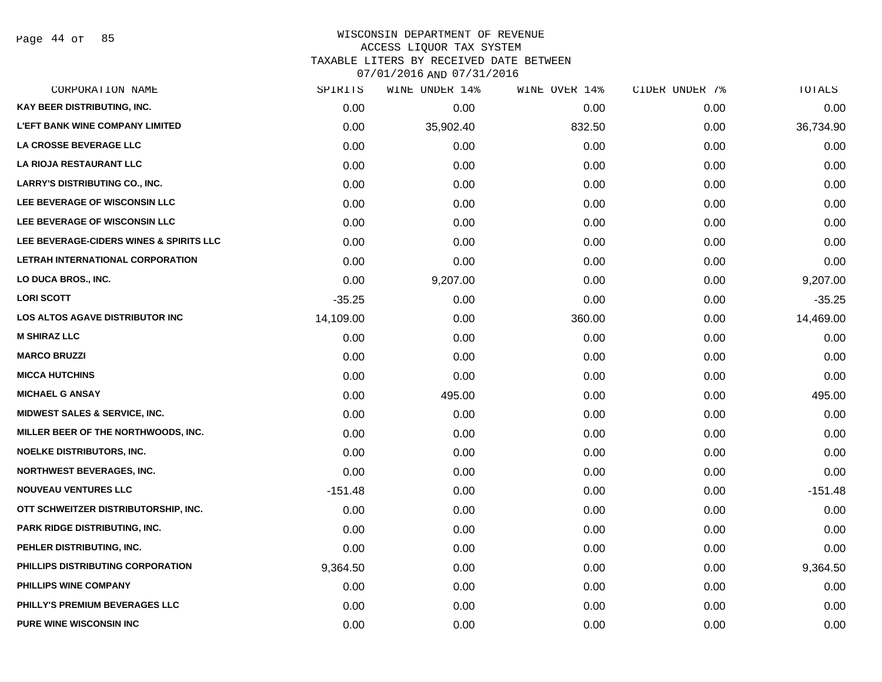Page 44 of 85

#### WISCONSIN DEPARTMENT OF REVENUE ACCESS LIQUOR TAX SYSTEM TAXABLE LITERS BY RECEIVED DATE BETWEEN

| CORPORATION NAME                         | SPIRITS   | WINE UNDER 14% | WINE OVER 14% | CIDER UNDER 7% | TOTALS    |
|------------------------------------------|-----------|----------------|---------------|----------------|-----------|
| KAY BEER DISTRIBUTING, INC.              | 0.00      | 0.00           | 0.00          | 0.00           | 0.00      |
| <b>L'EFT BANK WINE COMPANY LIMITED</b>   | 0.00      | 35,902.40      | 832.50        | 0.00           | 36,734.90 |
| <b>LA CROSSE BEVERAGE LLC</b>            | 0.00      | 0.00           | 0.00          | 0.00           | 0.00      |
| LA RIOJA RESTAURANT LLC                  | 0.00      | 0.00           | 0.00          | 0.00           | 0.00      |
| <b>LARRY'S DISTRIBUTING CO., INC.</b>    | 0.00      | 0.00           | 0.00          | 0.00           | 0.00      |
| LEE BEVERAGE OF WISCONSIN LLC            | 0.00      | 0.00           | 0.00          | 0.00           | 0.00      |
| LEE BEVERAGE OF WISCONSIN LLC            | 0.00      | 0.00           | 0.00          | 0.00           | 0.00      |
| LEE BEVERAGE-CIDERS WINES & SPIRITS LLC  | 0.00      | 0.00           | 0.00          | 0.00           | 0.00      |
| LETRAH INTERNATIONAL CORPORATION         | 0.00      | 0.00           | 0.00          | 0.00           | 0.00      |
| LO DUCA BROS., INC.                      | 0.00      | 9,207.00       | 0.00          | 0.00           | 9,207.00  |
| <b>LORI SCOTT</b>                        | $-35.25$  | 0.00           | 0.00          | 0.00           | $-35.25$  |
| <b>LOS ALTOS AGAVE DISTRIBUTOR INC</b>   | 14,109.00 | 0.00           | 360.00        | 0.00           | 14,469.00 |
| <b>M SHIRAZ LLC</b>                      | 0.00      | 0.00           | 0.00          | 0.00           | 0.00      |
| <b>MARCO BRUZZI</b>                      | 0.00      | 0.00           | 0.00          | 0.00           | 0.00      |
| <b>MICCA HUTCHINS</b>                    | 0.00      | 0.00           | 0.00          | 0.00           | 0.00      |
| <b>MICHAEL G ANSAY</b>                   | 0.00      | 495.00         | 0.00          | 0.00           | 495.00    |
| <b>MIDWEST SALES &amp; SERVICE, INC.</b> | 0.00      | 0.00           | 0.00          | 0.00           | 0.00      |
| MILLER BEER OF THE NORTHWOODS, INC.      | 0.00      | 0.00           | 0.00          | 0.00           | 0.00      |
| <b>NOELKE DISTRIBUTORS, INC.</b>         | 0.00      | 0.00           | 0.00          | 0.00           | 0.00      |
| <b>NORTHWEST BEVERAGES, INC.</b>         | 0.00      | 0.00           | 0.00          | 0.00           | 0.00      |
| <b>NOUVEAU VENTURES LLC</b>              | $-151.48$ | 0.00           | 0.00          | 0.00           | $-151.48$ |
| OTT SCHWEITZER DISTRIBUTORSHIP, INC.     | 0.00      | 0.00           | 0.00          | 0.00           | 0.00      |
| <b>PARK RIDGE DISTRIBUTING, INC.</b>     | 0.00      | 0.00           | 0.00          | 0.00           | 0.00      |
| PEHLER DISTRIBUTING, INC.                | 0.00      | 0.00           | 0.00          | 0.00           | 0.00      |
| PHILLIPS DISTRIBUTING CORPORATION        | 9,364.50  | 0.00           | 0.00          | 0.00           | 9,364.50  |
| PHILLIPS WINE COMPANY                    | 0.00      | 0.00           | 0.00          | 0.00           | 0.00      |
| PHILLY'S PREMIUM BEVERAGES LLC           | 0.00      | 0.00           | 0.00          | 0.00           | 0.00      |
| <b>PURE WINE WISCONSIN INC</b>           | 0.00      | 0.00           | 0.00          | 0.00           | 0.00      |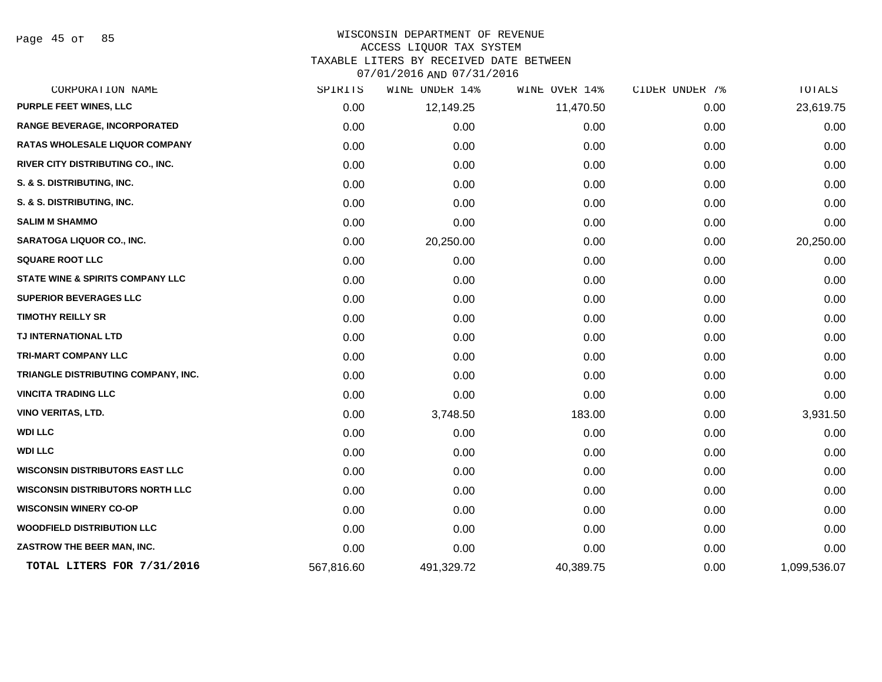Page 45 of 85

#### WISCONSIN DEPARTMENT OF REVENUE ACCESS LIQUOR TAX SYSTEM

TAXABLE LITERS BY RECEIVED DATE BETWEEN

| CORPORATION NAME                            | SPIRITS    | UNDER 14%<br>WINE | WINE OVER 14% | CIDER UNDER 7% | <b>TOTALS</b> |
|---------------------------------------------|------------|-------------------|---------------|----------------|---------------|
| <b>PURPLE FEET WINES, LLC</b>               | 0.00       | 12,149.25         | 11,470.50     | 0.00           | 23,619.75     |
| RANGE BEVERAGE, INCORPORATED                | 0.00       | 0.00              | 0.00          | 0.00           | 0.00          |
| <b>RATAS WHOLESALE LIQUOR COMPANY</b>       | 0.00       | 0.00              | 0.00          | 0.00           | 0.00          |
| RIVER CITY DISTRIBUTING CO., INC.           | 0.00       | 0.00              | 0.00          | 0.00           | 0.00          |
| S. & S. DISTRIBUTING, INC.                  | 0.00       | 0.00              | 0.00          | 0.00           | 0.00          |
| S. & S. DISTRIBUTING, INC.                  | 0.00       | 0.00              | 0.00          | 0.00           | 0.00          |
| <b>SALIM M SHAMMO</b>                       | 0.00       | 0.00              | 0.00          | 0.00           | 0.00          |
| <b>SARATOGA LIQUOR CO., INC.</b>            | 0.00       | 20,250.00         | 0.00          | 0.00           | 20,250.00     |
| <b>SQUARE ROOT LLC</b>                      | 0.00       | 0.00              | 0.00          | 0.00           | 0.00          |
| <b>STATE WINE &amp; SPIRITS COMPANY LLC</b> | 0.00       | 0.00              | 0.00          | 0.00           | 0.00          |
| SUPERIOR BEVERAGES LLC                      | 0.00       | 0.00              | 0.00          | 0.00           | 0.00          |
| <b>TIMOTHY REILLY SR</b>                    | 0.00       | 0.00              | 0.00          | 0.00           | 0.00          |
| TJ INTERNATIONAL LTD                        | 0.00       | 0.00              | 0.00          | 0.00           | 0.00          |
| <b>TRI-MART COMPANY LLC</b>                 | 0.00       | 0.00              | 0.00          | 0.00           | 0.00          |
| TRIANGLE DISTRIBUTING COMPANY, INC.         | 0.00       | 0.00              | 0.00          | 0.00           | 0.00          |
| <b>VINCITA TRADING LLC</b>                  | 0.00       | 0.00              | 0.00          | 0.00           | 0.00          |
| VINO VERITAS, LTD.                          | 0.00       | 3,748.50          | 183.00        | 0.00           | 3,931.50      |
| <b>WDI LLC</b>                              | 0.00       | 0.00              | 0.00          | 0.00           | 0.00          |
| <b>WDI LLC</b>                              | 0.00       | 0.00              | 0.00          | 0.00           | 0.00          |
| <b>WISCONSIN DISTRIBUTORS EAST LLC</b>      | 0.00       | 0.00              | 0.00          | 0.00           | 0.00          |
| <b>WISCONSIN DISTRIBUTORS NORTH LLC</b>     | 0.00       | 0.00              | 0.00          | 0.00           | 0.00          |
| <b>WISCONSIN WINERY CO-OP</b>               | 0.00       | 0.00              | 0.00          | 0.00           | 0.00          |
| <b>WOODFIELD DISTRIBUTION LLC</b>           | 0.00       | 0.00              | 0.00          | 0.00           | 0.00          |
| ZASTROW THE BEER MAN, INC.                  | 0.00       | 0.00              | 0.00          | 0.00           | 0.00          |
| TOTAL LITERS FOR 7/31/2016                  | 567,816.60 | 491,329.72        | 40,389.75     | 0.00           | 1,099,536.07  |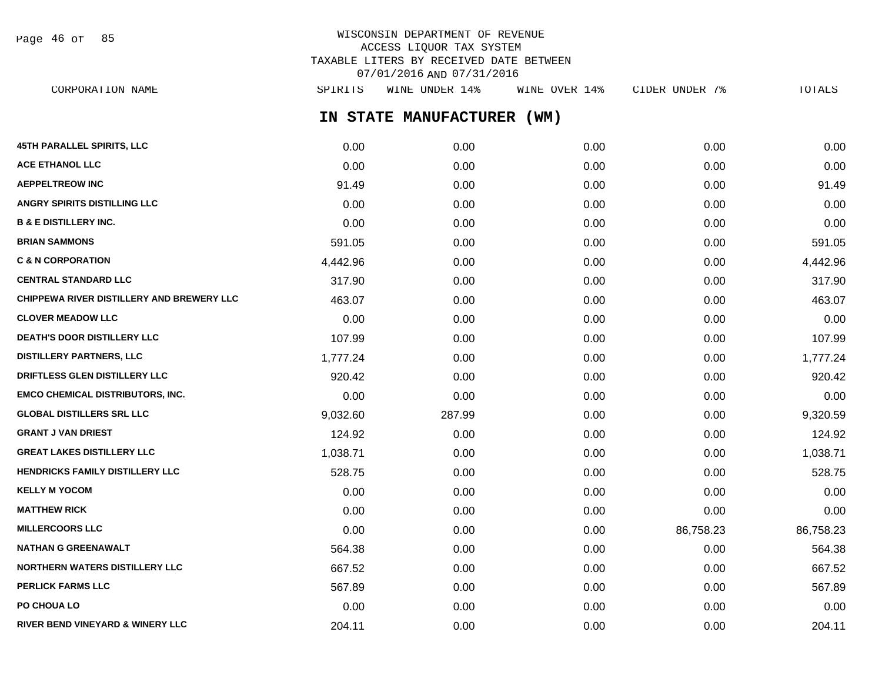| Page 46 of |  |  | 85 |
|------------|--|--|----|
|------------|--|--|----|

## WISCONSIN DEPARTMENT OF REVENUE ACCESS LIQUOR TAX SYSTEM TAXABLE LITERS BY RECEIVED DATE BETWEEN 07/01/2016 AND 07/31/2016

**IN STATE MANUFACTURER (WM) 45TH PARALLEL SPIRITS, LLC** 0.00 0.00 0.00 0.00 0.00 **ACE ETHANOL LLC** 0.00 0.00 0.00 0.00 0.00 **AEPPELTREOW INC** 91.49 0.00 0.00 0.00 91.49 **ANGRY SPIRITS DISTILLING LLC** 0.00 0.00 0.00 0.00 0.00 **B & E DISTILLERY INC.** 0.00 0.00 0.00 0.00 0.00 **BRIAN SAMMONS** 591.05 0.00 0.00 0.00 591.05 **C & N CORPORATION** 4,442.96 0.00 0.00 0.00 4,442.96 **CENTRAL STANDARD LLC** 317.90 0.00 0.00 0.00 317.90 **CHIPPEWA RIVER DISTILLERY AND BREWERY LLC**  $463.07$  0.00 0.00 0.00 0.00 0.00 0.00 463.07 **CLOVER MEADOW LLC** 0.00 0.00 0.00 0.00 0.00 **DEATH'S DOOR DISTILLERY LLC** 107.99 0.00 0.00 0.00 107.99 **DISTILLERY PARTNERS, LLC** 1,777.24 0.00 0.00 0.00 1,777.24 **DRIFTLESS GLEN DISTILLERY LLC** 920.42 0.00 0.00 0.00 920.42 **EMCO CHEMICAL DISTRIBUTORS, INC.** 0.00 0.00 0.00 0.00 0.00 **GLOBAL DISTILLERS SRL LLC** 9,032.60 287.99 0.00 0.00 9,320.59 **GRANT J VAN DRIEST** 124.92 0.00 0.00 0.00 124.92 **GREAT LAKES DISTILLERY LLC** 1,038.71 0.00 0.00 0.00 1,038.71 **HENDRICKS FAMILY DISTILLERY LLC** 628.75 528.75 0.00 0.00 0.00 0.00 0.00 0.00 528.75 **KELLY M YOCOM** 0.00 0.00 0.00 0.00 0.00 **MATTHEW RICK** 0.00 0.00 0.00 0.00 0.00 **MILLERCOORS LLC** 0.00 0.00 0.00 86,758.23 86,758.23 **NATHAN G GREENAWALT** 564.38 0.00 0.00 0.00 564.38 **NORTHERN WATERS DISTILLERY LLC** 667.52 667.52 0.00 0.00 0.00 0.00 0.00 0.00 667.52 **PERLICK FARMS LLC** 67.89 567.89 0.00 0.00 0.00 0.00 0.00 0.00 0.00 567.89 **PO CHOUA LO** 0.00 0.00 0.00 0.00 0.00 CORPORATION NAME SPIRITS WINE UNDER 14% WINE OVER 14% CIDER UNDER 7% TOTALS

**RIVER BEND VINEYARD & WINERY LLC** 204.11 0.00 0.00 0.00 204.11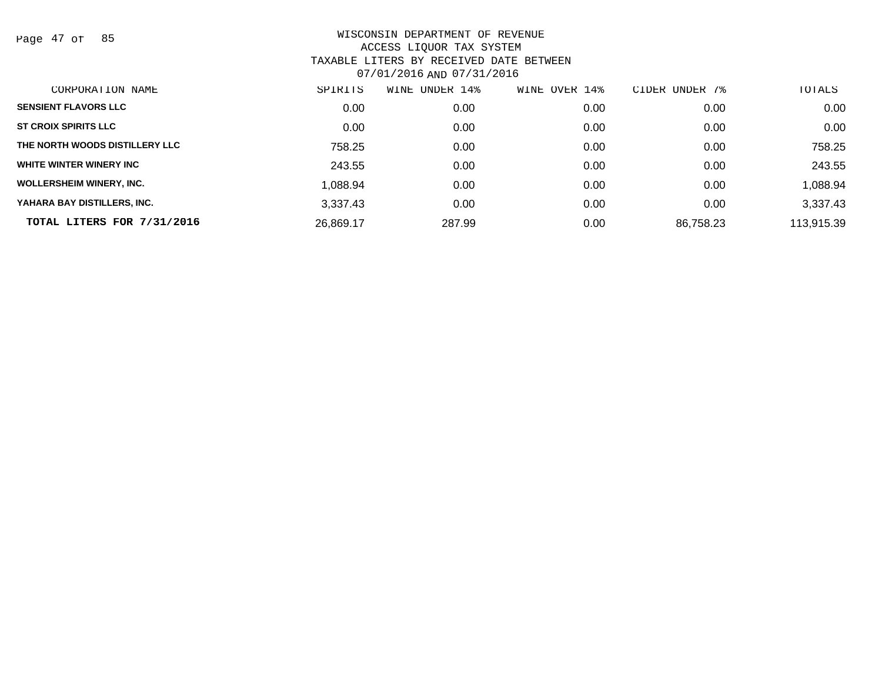Page 47 of 85

| CORPORATION NAME                | SPIRITS   | UNDER 14%<br>WINE | OVER 14%<br>WINE | UNDER 7%<br>CIDER | TOTALS     |
|---------------------------------|-----------|-------------------|------------------|-------------------|------------|
| <b>SENSIENT FLAVORS LLC</b>     | 0.00      | 0.00              | 0.00             | 0.00              | 0.00       |
| <b>ST CROIX SPIRITS LLC</b>     | 0.00      | 0.00              | 0.00             | 0.00              | 0.00       |
| THE NORTH WOODS DISTILLERY LLC  | 758.25    | 0.00              | 0.00             | 0.00              | 758.25     |
| WHITE WINTER WINERY INC         | 243.55    | 0.00              | 0.00             | 0.00              | 243.55     |
| <b>WOLLERSHEIM WINERY, INC.</b> | 1.088.94  | 0.00              | 0.00             | 0.00              | 1,088.94   |
| YAHARA BAY DISTILLERS, INC.     | 3.337.43  | 0.00              | 0.00             | 0.00              | 3,337.43   |
| TOTAL LITERS FOR 7/31/2016      | 26,869.17 | 287.99            | 0.00             | 86,758.23         | 113,915.39 |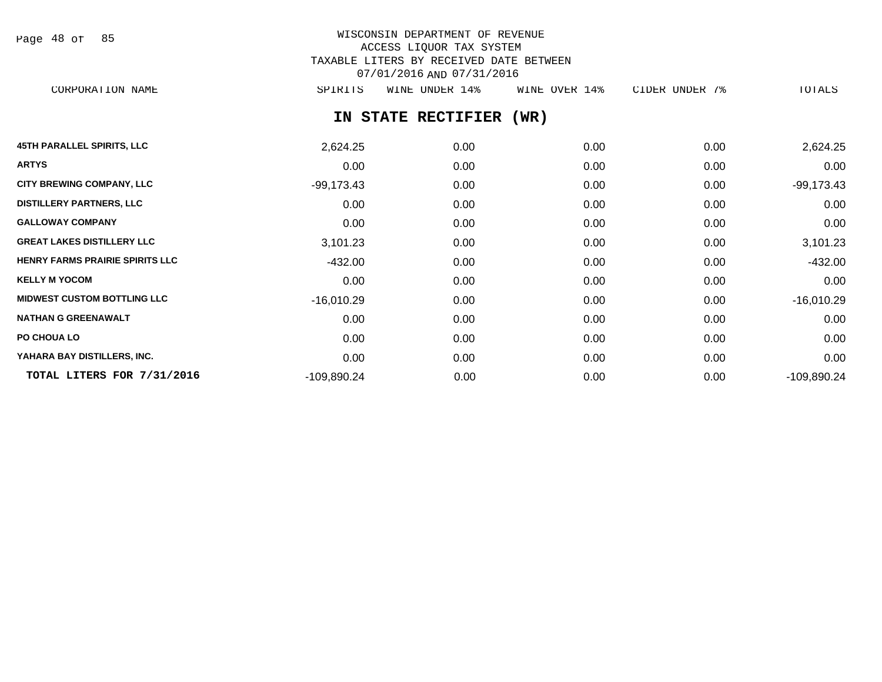| Page 48 of |  |  | 85 |
|------------|--|--|----|
|------------|--|--|----|

# WISCONSIN DEPARTMENT OF REVENUE ACCESS LIQUOR TAX SYSTEM TAXABLE LITERS BY RECEIVED DATE BETWEEN 07/01/2016 AND 07/31/2016

CORPORATION NAME SPIRITS WINE UNDER 14% WINE OVER 14% CIDER UNDER 7% TOTALS

# **IN STATE RECTIFIER (WR)**

| <b>45TH PARALLEL SPIRITS, LLC</b>      | 2,624.25     | 0.00 | 0.00 | 0.00 | 2,624.25      |
|----------------------------------------|--------------|------|------|------|---------------|
| <b>ARTYS</b>                           | 0.00         | 0.00 | 0.00 | 0.00 | 0.00          |
| <b>CITY BREWING COMPANY, LLC</b>       | $-99,173.43$ | 0.00 | 0.00 | 0.00 | $-99,173.43$  |
| <b>DISTILLERY PARTNERS, LLC</b>        | 0.00         | 0.00 | 0.00 | 0.00 | 0.00          |
| <b>GALLOWAY COMPANY</b>                | 0.00         | 0.00 | 0.00 | 0.00 | 0.00          |
| <b>GREAT LAKES DISTILLERY LLC</b>      | 3,101.23     | 0.00 | 0.00 | 0.00 | 3,101.23      |
| <b>HENRY FARMS PRAIRIE SPIRITS LLC</b> | -432.00      | 0.00 | 0.00 | 0.00 | $-432.00$     |
| <b>KELLY M YOCOM</b>                   | 0.00         | 0.00 | 0.00 | 0.00 | 0.00          |
| <b>MIDWEST CUSTOM BOTTLING LLC</b>     | $-16,010.29$ | 0.00 | 0.00 | 0.00 | $-16,010.29$  |
| <b>NATHAN G GREENAWALT</b>             | 0.00         | 0.00 | 0.00 | 0.00 | 0.00          |
| PO CHOUA LO                            | 0.00         | 0.00 | 0.00 | 0.00 | 0.00          |
| YAHARA BAY DISTILLERS, INC.            | 0.00         | 0.00 | 0.00 | 0.00 | 0.00          |
| TOTAL LITERS FOR 7/31/2016             | -109,890.24  | 0.00 | 0.00 | 0.00 | $-109,890.24$ |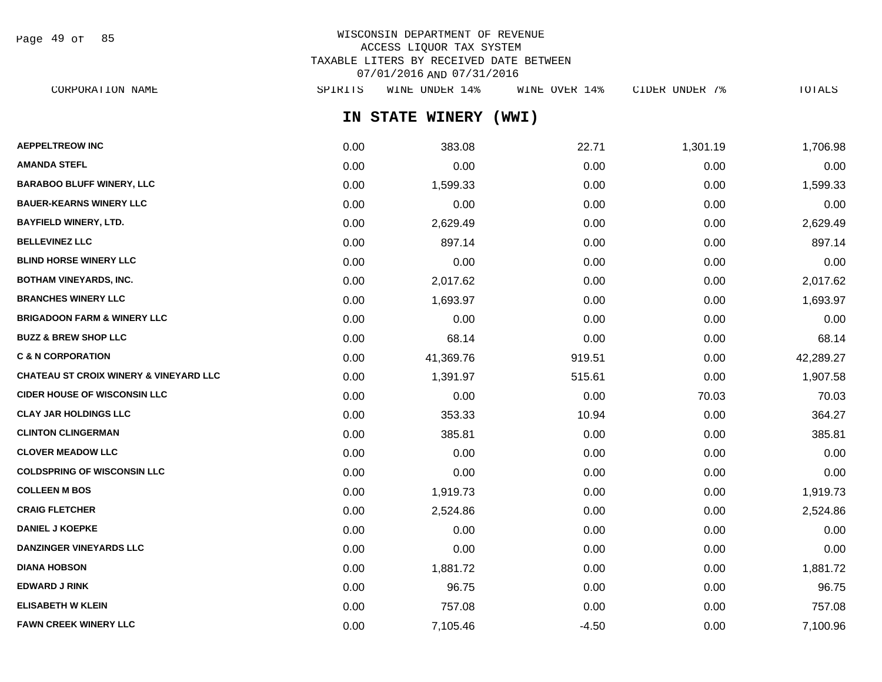Page 49 of 85

## WISCONSIN DEPARTMENT OF REVENUE ACCESS LIQUOR TAX SYSTEM TAXABLE LITERS BY RECEIVED DATE BETWEEN 07/01/2016 AND 07/31/2016

**IN STATE WINERY (WWI) AEPPELTREOW INC** 1,706.98 22.71 1,301.19 1,706.98 **AMANDA STEFL** 0.00 0.00 0.00 0.00 0.00 **BARABOO BLUFF WINERY, LLC** 0.00 1,599.33 0.00 0.00 1,599.33 **BAUER-KEARNS WINERY LLC** 0.00 0.00 0.00 0.00 0.00 **BAYFIELD WINERY, LTD.** 0.00 2,629.49 0.00 0.00 2,629.49 **BELLEVINEZ LLC** 0.00 897.14 0.00 0.00 897.14 **BLIND HORSE WINERY LLC** 0.00 0.00 0.00 0.00 0.00 **BOTHAM VINEYARDS, INC.** 0.00 2,017.62 0.00 0.00 2,017.62 **BRANCHES WINERY LLC** 1,693.97 0.00 1,693.97 **BRIGADOON FARM & WINERY LLC** 0.00 0.00 0.00 0.00 0.00 CORPORATION NAME SPIRITS WINE UNDER 14% WINE OVER 14% CIDER UNDER 7% TOTALS

**BUZZ & BREW SHOP LLC** 68.14 0.00 68.14 0.00 68.14 0.00 0.00 68.14 0.00 0.00 0.00 68.14 **C & N CORPORATION** 0.00 41,369.76 919.51 0.00 42,289.27 **CHATEAU ST CROIX WINERY & VINEYARD LLC** 0.00 1,391.97 515.61 0.00 1,907.58 **CIDER HOUSE OF WISCONSIN LLC** 0.00 0.00 0.00 0.00 0.00 70.03 70.03 70.03 **CLAY JAR HOLDINGS LLC** 854.27 **CLINTON CLINGERMAN** 0.00 385.81 0.00 0.00 385.81

|                                    | $\mathsf{v} \cdot \mathsf{v} \cdot \mathsf{v}$ | 000.OT   | $\mathsf{v} \cdot \mathsf{v} \cdot \mathsf{v}$ | $\mathsf{v} \cdot \mathsf{v} \cdot \mathsf{v}$ | $\sim\!\sim\!$ |
|------------------------------------|------------------------------------------------|----------|------------------------------------------------|------------------------------------------------|----------------|
| <b>CLOVER MEADOW LLC</b>           | 0.00                                           | 0.00     | 0.00                                           | 0.00                                           | 0.00           |
| <b>COLDSPRING OF WISCONSIN LLC</b> | 0.00                                           | 0.00     | 0.00                                           | 0.00                                           | 0.00           |
| <b>COLLEEN M BOS</b>               | 0.00                                           | 1,919.73 | 0.00                                           | 0.00                                           | 1,919.73       |
| <b>CRAIG FLETCHER</b>              | 0.00                                           | 2,524.86 | 0.00                                           | 0.00                                           | 2,524.86       |
| <b>DANIEL J KOEPKE</b>             | 0.00                                           | 0.00     | 0.00                                           | 0.00                                           | 0.00           |
| <b>DANZINGER VINEYARDS LLC</b>     | 0.00                                           | 0.00     | 0.00                                           | 0.00                                           | 0.00           |
| <b>DIANA HOBSON</b>                | 0.00                                           | 1,881.72 | 0.00                                           | 0.00                                           | 1,881.72       |
| <b>EDWARD J RINK</b>               | 0.00                                           | 96.75    | 0.00                                           | 0.00                                           | 96.75          |
| <b>ELISABETH W KLEIN</b>           | 0.00                                           | 757.08   | 0.00                                           | 0.00                                           | 757.08         |
| <b>FAWN CREEK WINERY LLC</b>       | 0.00                                           | 7,105.46 | $-4.50$                                        | 0.00                                           | 7,100.96       |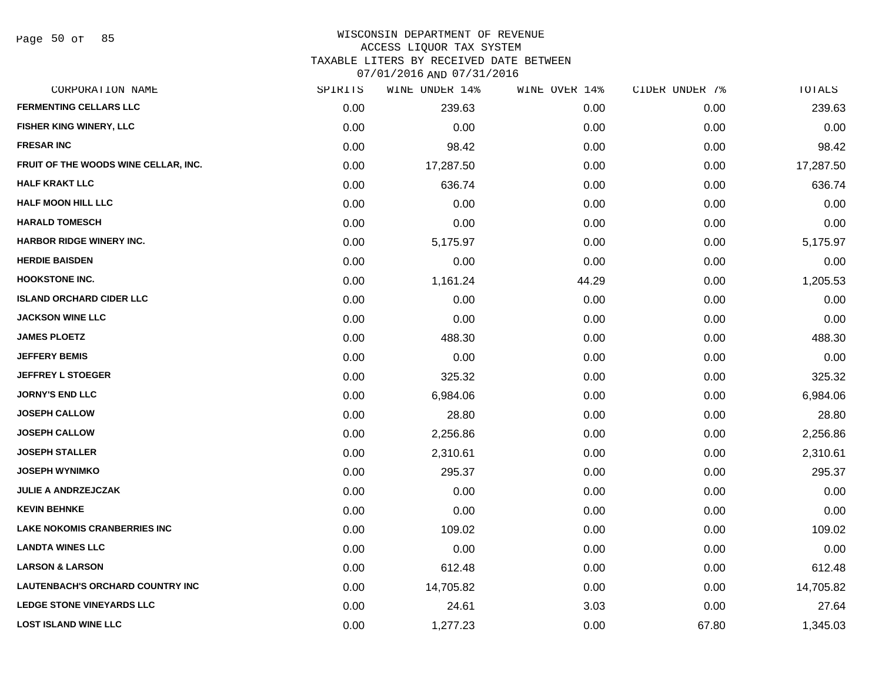#### WISCONSIN DEPARTMENT OF REVENUE ACCESS LIQUOR TAX SYSTEM

TAXABLE LITERS BY RECEIVED DATE BETWEEN

| CORPORATION NAME                        | SPIRITS | WINE UNDER 14% | WINE OVER 14% | CIDER UNDER 7% | TOTALS    |
|-----------------------------------------|---------|----------------|---------------|----------------|-----------|
| <b>FERMENTING CELLARS LLC</b>           | 0.00    | 239.63         | 0.00          | 0.00           | 239.63    |
| FISHER KING WINERY, LLC                 | 0.00    | 0.00           | 0.00          | 0.00           | 0.00      |
| <b>FRESAR INC</b>                       | 0.00    | 98.42          | 0.00          | 0.00           | 98.42     |
| FRUIT OF THE WOODS WINE CELLAR, INC.    | 0.00    | 17,287.50      | 0.00          | 0.00           | 17,287.50 |
| <b>HALF KRAKT LLC</b>                   | 0.00    | 636.74         | 0.00          | 0.00           | 636.74    |
| <b>HALF MOON HILL LLC</b>               | 0.00    | 0.00           | 0.00          | 0.00           | 0.00      |
| <b>HARALD TOMESCH</b>                   | 0.00    | 0.00           | 0.00          | 0.00           | 0.00      |
| <b>HARBOR RIDGE WINERY INC.</b>         | 0.00    | 5,175.97       | 0.00          | 0.00           | 5,175.97  |
| <b>HERDIE BAISDEN</b>                   | 0.00    | 0.00           | 0.00          | 0.00           | 0.00      |
| <b>HOOKSTONE INC.</b>                   | 0.00    | 1,161.24       | 44.29         | 0.00           | 1,205.53  |
| <b>ISLAND ORCHARD CIDER LLC</b>         | 0.00    | 0.00           | 0.00          | 0.00           | 0.00      |
| <b>JACKSON WINE LLC</b>                 | 0.00    | 0.00           | 0.00          | 0.00           | 0.00      |
| <b>JAMES PLOETZ</b>                     | 0.00    | 488.30         | 0.00          | 0.00           | 488.30    |
| <b>JEFFERY BEMIS</b>                    | 0.00    | 0.00           | 0.00          | 0.00           | 0.00      |
| <b>JEFFREY L STOEGER</b>                | 0.00    | 325.32         | 0.00          | 0.00           | 325.32    |
| <b>JORNY'S END LLC</b>                  | 0.00    | 6,984.06       | 0.00          | 0.00           | 6,984.06  |
| <b>JOSEPH CALLOW</b>                    | 0.00    | 28.80          | 0.00          | 0.00           | 28.80     |
| <b>JOSEPH CALLOW</b>                    | 0.00    | 2,256.86       | 0.00          | 0.00           | 2,256.86  |
| <b>JOSEPH STALLER</b>                   | 0.00    | 2,310.61       | 0.00          | 0.00           | 2,310.61  |
| <b>JOSEPH WYNIMKO</b>                   | 0.00    | 295.37         | 0.00          | 0.00           | 295.37    |
| <b>JULIE A ANDRZEJCZAK</b>              | 0.00    | 0.00           | 0.00          | 0.00           | 0.00      |
| <b>KEVIN BEHNKE</b>                     | 0.00    | 0.00           | 0.00          | 0.00           | 0.00      |
| <b>LAKE NOKOMIS CRANBERRIES INC</b>     | 0.00    | 109.02         | 0.00          | 0.00           | 109.02    |
| <b>LANDTA WINES LLC</b>                 | 0.00    | 0.00           | 0.00          | 0.00           | 0.00      |
| <b>LARSON &amp; LARSON</b>              | 0.00    | 612.48         | 0.00          | 0.00           | 612.48    |
| <b>LAUTENBACH'S ORCHARD COUNTRY INC</b> | 0.00    | 14,705.82      | 0.00          | 0.00           | 14,705.82 |
| <b>LEDGE STONE VINEYARDS LLC</b>        | 0.00    | 24.61          | 3.03          | 0.00           | 27.64     |
| <b>LOST ISLAND WINE LLC</b>             | 0.00    | 1,277.23       | 0.00          | 67.80          | 1,345.03  |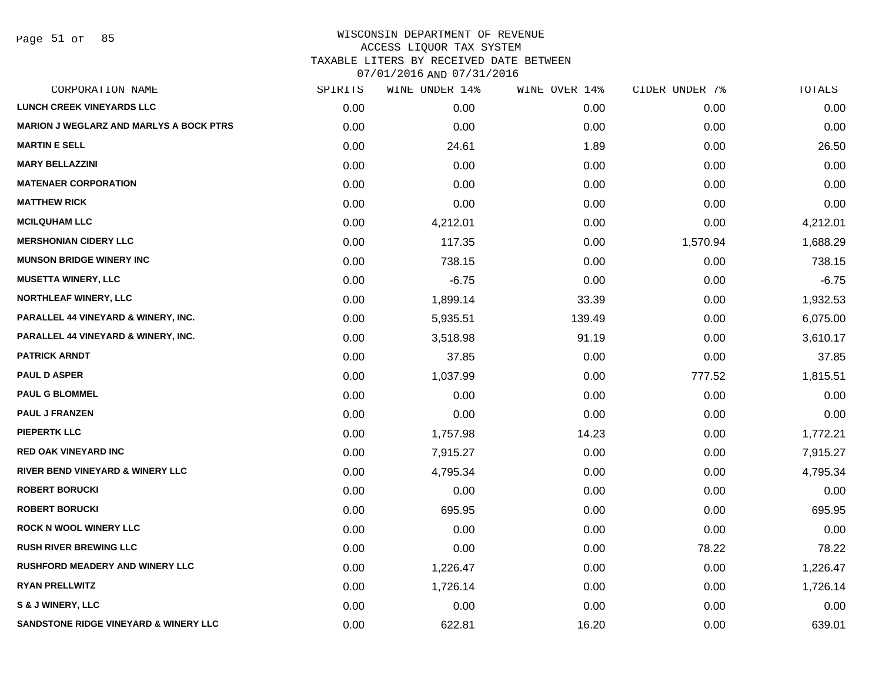| CORPORATION NAME                                 | SPIRITS | WINE UNDER 14% | WINE OVER 14% | CIDER UNDER 7% | TOTALS   |
|--------------------------------------------------|---------|----------------|---------------|----------------|----------|
| <b>LUNCH CREEK VINEYARDS LLC</b>                 | 0.00    | 0.00           | 0.00          | 0.00           | 0.00     |
| MARION J WEGLARZ AND MARLYS A BOCK PTRS          | 0.00    | 0.00           | 0.00          | 0.00           | 0.00     |
| <b>MARTIN E SELL</b>                             | 0.00    | 24.61          | 1.89          | 0.00           | 26.50    |
| <b>MARY BELLAZZINI</b>                           | 0.00    | 0.00           | 0.00          | 0.00           | 0.00     |
| <b>MATENAER CORPORATION</b>                      | 0.00    | 0.00           | 0.00          | 0.00           | 0.00     |
| <b>MATTHEW RICK</b>                              | 0.00    | 0.00           | 0.00          | 0.00           | 0.00     |
| <b>MCILQUHAM LLC</b>                             | 0.00    | 4,212.01       | 0.00          | 0.00           | 4,212.01 |
| <b>MERSHONIAN CIDERY LLC</b>                     | 0.00    | 117.35         | 0.00          | 1,570.94       | 1,688.29 |
| <b>MUNSON BRIDGE WINERY INC</b>                  | 0.00    | 738.15         | 0.00          | 0.00           | 738.15   |
| <b>MUSETTA WINERY, LLC</b>                       | 0.00    | $-6.75$        | 0.00          | 0.00           | $-6.75$  |
| <b>NORTHLEAF WINERY, LLC</b>                     | 0.00    | 1,899.14       | 33.39         | 0.00           | 1,932.53 |
| PARALLEL 44 VINEYARD & WINERY, INC.              | 0.00    | 5,935.51       | 139.49        | 0.00           | 6,075.00 |
| PARALLEL 44 VINEYARD & WINERY, INC.              | 0.00    | 3,518.98       | 91.19         | 0.00           | 3,610.17 |
| <b>PATRICK ARNDT</b>                             | 0.00    | 37.85          | 0.00          | 0.00           | 37.85    |
| <b>PAUL D ASPER</b>                              | 0.00    | 1,037.99       | 0.00          | 777.52         | 1,815.51 |
| <b>PAUL G BLOMMEL</b>                            | 0.00    | 0.00           | 0.00          | 0.00           | 0.00     |
| <b>PAUL J FRANZEN</b>                            | 0.00    | 0.00           | 0.00          | 0.00           | 0.00     |
| <b>PIEPERTK LLC</b>                              | 0.00    | 1,757.98       | 14.23         | 0.00           | 1,772.21 |
| <b>RED OAK VINEYARD INC</b>                      | 0.00    | 7,915.27       | 0.00          | 0.00           | 7,915.27 |
| <b>RIVER BEND VINEYARD &amp; WINERY LLC</b>      | 0.00    | 4,795.34       | 0.00          | 0.00           | 4,795.34 |
| <b>ROBERT BORUCKI</b>                            | 0.00    | 0.00           | 0.00          | 0.00           | 0.00     |
| <b>ROBERT BORUCKI</b>                            | 0.00    | 695.95         | 0.00          | 0.00           | 695.95   |
| <b>ROCK N WOOL WINERY LLC</b>                    | 0.00    | 0.00           | 0.00          | 0.00           | 0.00     |
| <b>RUSH RIVER BREWING LLC</b>                    | 0.00    | 0.00           | 0.00          | 78.22          | 78.22    |
| <b>RUSHFORD MEADERY AND WINERY LLC</b>           | 0.00    | 1,226.47       | 0.00          | 0.00           | 1,226.47 |
| <b>RYAN PRELLWITZ</b>                            | 0.00    | 1,726.14       | 0.00          | 0.00           | 1,726.14 |
| S & J WINERY, LLC                                | 0.00    | 0.00           | 0.00          | 0.00           | 0.00     |
| <b>SANDSTONE RIDGE VINEYARD &amp; WINERY LLC</b> | 0.00    | 622.81         | 16.20         | 0.00           | 639.01   |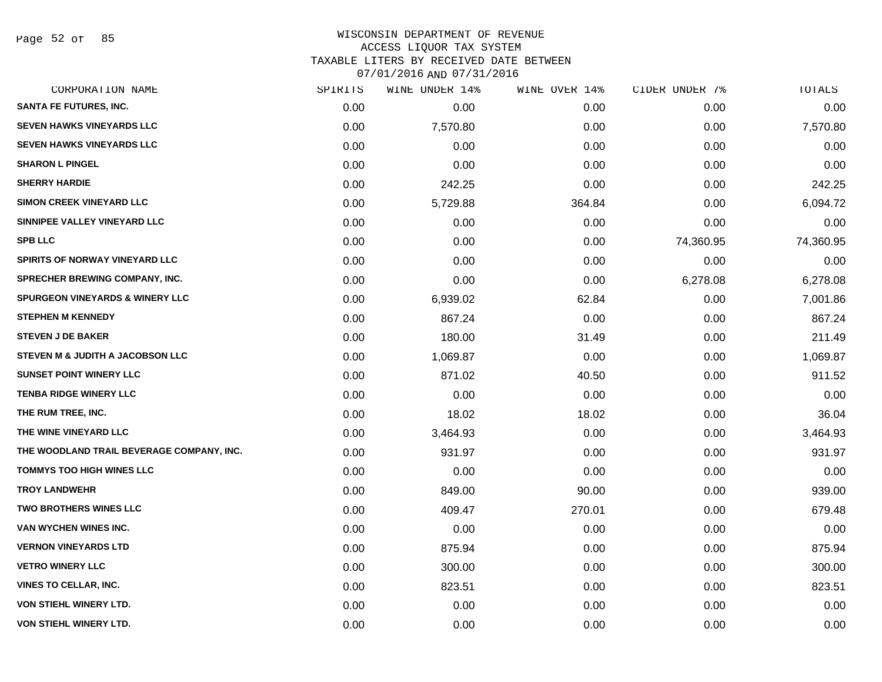Page 52 of 85

## WISCONSIN DEPARTMENT OF REVENUE ACCESS LIQUOR TAX SYSTEM TAXABLE LITERS BY RECEIVED DATE BETWEEN

| CORPORATION NAME                           | SPIRITS | WINE UNDER 14% | WINE OVER 14% | CIDER UNDER 7% | TOTALS    |
|--------------------------------------------|---------|----------------|---------------|----------------|-----------|
| <b>SANTA FE FUTURES, INC.</b>              | 0.00    | 0.00           | 0.00          | 0.00           | 0.00      |
| <b>SEVEN HAWKS VINEYARDS LLC</b>           | 0.00    | 7,570.80       | 0.00          | 0.00           | 7,570.80  |
| <b>SEVEN HAWKS VINEYARDS LLC</b>           | 0.00    | 0.00           | 0.00          | 0.00           | 0.00      |
| <b>SHARON L PINGEL</b>                     | 0.00    | 0.00           | 0.00          | 0.00           | 0.00      |
| <b>SHERRY HARDIE</b>                       | 0.00    | 242.25         | 0.00          | 0.00           | 242.25    |
| <b>SIMON CREEK VINEYARD LLC</b>            | 0.00    | 5,729.88       | 364.84        | 0.00           | 6,094.72  |
| SINNIPEE VALLEY VINEYARD LLC               | 0.00    | 0.00           | 0.00          | 0.00           | 0.00      |
| <b>SPB LLC</b>                             | 0.00    | 0.00           | 0.00          | 74,360.95      | 74,360.95 |
| <b>SPIRITS OF NORWAY VINEYARD LLC</b>      | 0.00    | 0.00           | 0.00          | 0.00           | 0.00      |
| <b>SPRECHER BREWING COMPANY, INC.</b>      | 0.00    | 0.00           | 0.00          | 6,278.08       | 6,278.08  |
| <b>SPURGEON VINEYARDS &amp; WINERY LLC</b> | 0.00    | 6,939.02       | 62.84         | 0.00           | 7,001.86  |
| <b>STEPHEN M KENNEDY</b>                   | 0.00    | 867.24         | 0.00          | 0.00           | 867.24    |
| <b>STEVEN J DE BAKER</b>                   | 0.00    | 180.00         | 31.49         | 0.00           | 211.49    |
| STEVEN M & JUDITH A JACOBSON LLC           | 0.00    | 1,069.87       | 0.00          | 0.00           | 1,069.87  |
| <b>SUNSET POINT WINERY LLC</b>             | 0.00    | 871.02         | 40.50         | 0.00           | 911.52    |
| <b>TENBA RIDGE WINERY LLC</b>              | 0.00    | 0.00           | 0.00          | 0.00           | 0.00      |
| THE RUM TREE, INC.                         | 0.00    | 18.02          | 18.02         | 0.00           | 36.04     |
| THE WINE VINEYARD LLC                      | 0.00    | 3,464.93       | 0.00          | 0.00           | 3,464.93  |
| THE WOODLAND TRAIL BEVERAGE COMPANY, INC.  | 0.00    | 931.97         | 0.00          | 0.00           | 931.97    |
| <b>TOMMYS TOO HIGH WINES LLC</b>           | 0.00    | 0.00           | 0.00          | 0.00           | 0.00      |
| <b>TROY LANDWEHR</b>                       | 0.00    | 849.00         | 90.00         | 0.00           | 939.00    |
| <b>TWO BROTHERS WINES LLC</b>              | 0.00    | 409.47         | 270.01        | 0.00           | 679.48    |
| VAN WYCHEN WINES INC.                      | 0.00    | 0.00           | 0.00          | 0.00           | 0.00      |
| <b>VERNON VINEYARDS LTD</b>                | 0.00    | 875.94         | 0.00          | 0.00           | 875.94    |
| <b>VETRO WINERY LLC</b>                    | 0.00    | 300.00         | 0.00          | 0.00           | 300.00    |
| <b>VINES TO CELLAR, INC.</b>               | 0.00    | 823.51         | 0.00          | 0.00           | 823.51    |
| VON STIEHL WINERY LTD.                     | 0.00    | 0.00           | 0.00          | 0.00           | 0.00      |
| <b>VON STIEHL WINERY LTD.</b>              | 0.00    | 0.00           | 0.00          | 0.00           | 0.00      |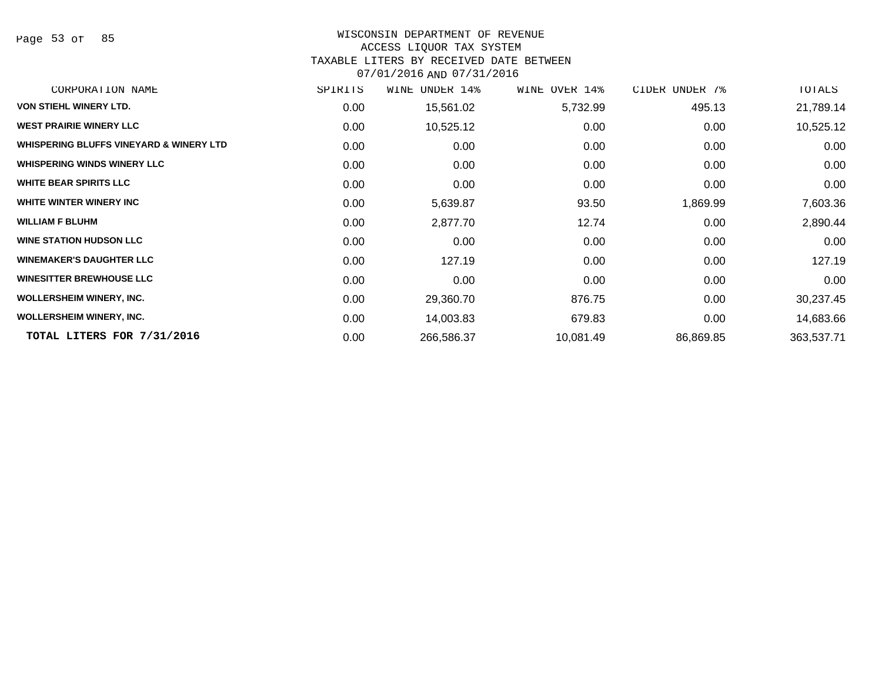Page 53 of 85

# WISCONSIN DEPARTMENT OF REVENUE

# ACCESS LIQUOR TAX SYSTEM

TAXABLE LITERS BY RECEIVED DATE BETWEEN

| CORPORATION NAME                                   | SPIRITS | UNDER 14%<br>WINE | WINE OVER 14% | CIDER UNDER 7% | TOTALS     |
|----------------------------------------------------|---------|-------------------|---------------|----------------|------------|
| <b>VON STIEHL WINERY LTD.</b>                      | 0.00    | 15,561.02         | 5,732.99      | 495.13         | 21,789.14  |
| <b>WEST PRAIRIE WINERY LLC</b>                     | 0.00    | 10,525.12         | 0.00          | 0.00           | 10,525.12  |
| <b>WHISPERING BLUFFS VINEYARD &amp; WINERY LTD</b> | 0.00    | 0.00              | 0.00          | 0.00           | 0.00       |
| <b>WHISPERING WINDS WINERY LLC</b>                 | 0.00    | 0.00              | 0.00          | 0.00           | 0.00       |
| <b>WHITE BEAR SPIRITS LLC</b>                      | 0.00    | 0.00              | 0.00          | 0.00           | 0.00       |
| WHITE WINTER WINERY INC                            | 0.00    | 5,639.87          | 93.50         | 1,869.99       | 7,603.36   |
| <b>WILLIAM F BLUHM</b>                             | 0.00    | 2,877.70          | 12.74         | 0.00           | 2,890.44   |
| <b>WINE STATION HUDSON LLC</b>                     | 0.00    | 0.00              | 0.00          | 0.00           | 0.00       |
| <b>WINEMAKER'S DAUGHTER LLC</b>                    | 0.00    | 127.19            | 0.00          | 0.00           | 127.19     |
| <b>WINESITTER BREWHOUSE LLC</b>                    | 0.00    | 0.00              | 0.00          | 0.00           | 0.00       |
| <b>WOLLERSHEIM WINERY, INC.</b>                    | 0.00    | 29,360.70         | 876.75        | 0.00           | 30,237.45  |
| <b>WOLLERSHEIM WINERY, INC.</b>                    | 0.00    | 14,003.83         | 679.83        | 0.00           | 14,683.66  |
| TOTAL LITERS FOR 7/31/2016                         | 0.00    | 266,586.37        | 10,081.49     | 86,869.85      | 363,537.71 |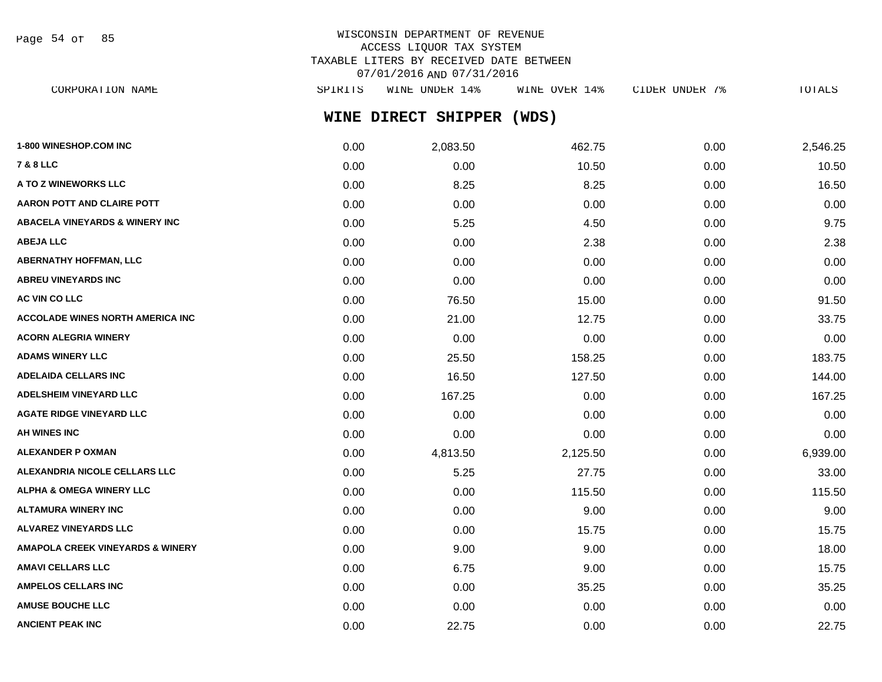Page 54 of 85

## WISCONSIN DEPARTMENT OF REVENUE ACCESS LIQUOR TAX SYSTEM TAXABLE LITERS BY RECEIVED DATE BETWEEN 07/01/2016 AND 07/31/2016

**WINE DIRECT SHIPPER (WDS)** CORPORATION NAME SPIRITS WINE UNDER 14% WINE OVER 14% CIDER UNDER 7% TOTALS

| 1-800 WINESHOP.COM INC                      | 0.00 | 2,083.50 | 462.75   | 0.00 | 2,546.25 |
|---------------------------------------------|------|----------|----------|------|----------|
| 7 & 8 LLC                                   | 0.00 | 0.00     | 10.50    | 0.00 | 10.50    |
| <b>A TO Z WINEWORKS LLC</b>                 | 0.00 | 8.25     | 8.25     | 0.00 | 16.50    |
| AARON POTT AND CLAIRE POTT                  | 0.00 | 0.00     | 0.00     | 0.00 | 0.00     |
| ABACELA VINEYARDS & WINERY INC              | 0.00 | 5.25     | 4.50     | 0.00 | 9.75     |
| <b>ABEJA LLC</b>                            | 0.00 | 0.00     | 2.38     | 0.00 | 2.38     |
| <b>ABERNATHY HOFFMAN, LLC</b>               | 0.00 | 0.00     | 0.00     | 0.00 | 0.00     |
| <b>ABREU VINEYARDS INC</b>                  | 0.00 | 0.00     | 0.00     | 0.00 | 0.00     |
| <b>AC VIN CO LLC</b>                        | 0.00 | 76.50    | 15.00    | 0.00 | 91.50    |
| <b>ACCOLADE WINES NORTH AMERICA INC</b>     | 0.00 | 21.00    | 12.75    | 0.00 | 33.75    |
| <b>ACORN ALEGRIA WINERY</b>                 | 0.00 | 0.00     | 0.00     | 0.00 | 0.00     |
| ADAMS WINERY LLC                            | 0.00 | 25.50    | 158.25   | 0.00 | 183.75   |
| ADELAIDA CELLARS INC                        | 0.00 | 16.50    | 127.50   | 0.00 | 144.00   |
| <b>ADELSHEIM VINEYARD LLC</b>               | 0.00 | 167.25   | 0.00     | 0.00 | 167.25   |
| <b>AGATE RIDGE VINEYARD LLC</b>             | 0.00 | 0.00     | 0.00     | 0.00 | 0.00     |
| AH WINES INC                                | 0.00 | 0.00     | 0.00     | 0.00 | 0.00     |
| <b>ALEXANDER P OXMAN</b>                    | 0.00 | 4,813.50 | 2,125.50 | 0.00 | 6,939.00 |
| ALEXANDRIA NICOLE CELLARS LLC               | 0.00 | 5.25     | 27.75    | 0.00 | 33.00    |
| <b>ALPHA &amp; OMEGA WINERY LLC</b>         | 0.00 | 0.00     | 115.50   | 0.00 | 115.50   |
| ALTAMURA WINERY INC                         | 0.00 | 0.00     | 9.00     | 0.00 | 9.00     |
| <b>ALVAREZ VINEYARDS LLC</b>                | 0.00 | 0.00     | 15.75    | 0.00 | 15.75    |
| <b>AMAPOLA CREEK VINEYARDS &amp; WINERY</b> | 0.00 | 9.00     | 9.00     | 0.00 | 18.00    |
| AMAVI CELLARS LLC                           | 0.00 | 6.75     | 9.00     | 0.00 | 15.75    |
| <b>AMPELOS CELLARS INC</b>                  | 0.00 | 0.00     | 35.25    | 0.00 | 35.25    |
| <b>AMUSE BOUCHE LLC</b>                     | 0.00 | 0.00     | 0.00     | 0.00 | 0.00     |
| <b>ANCIENT PEAK INC</b>                     | 0.00 | 22.75    | 0.00     | 0.00 | 22.75    |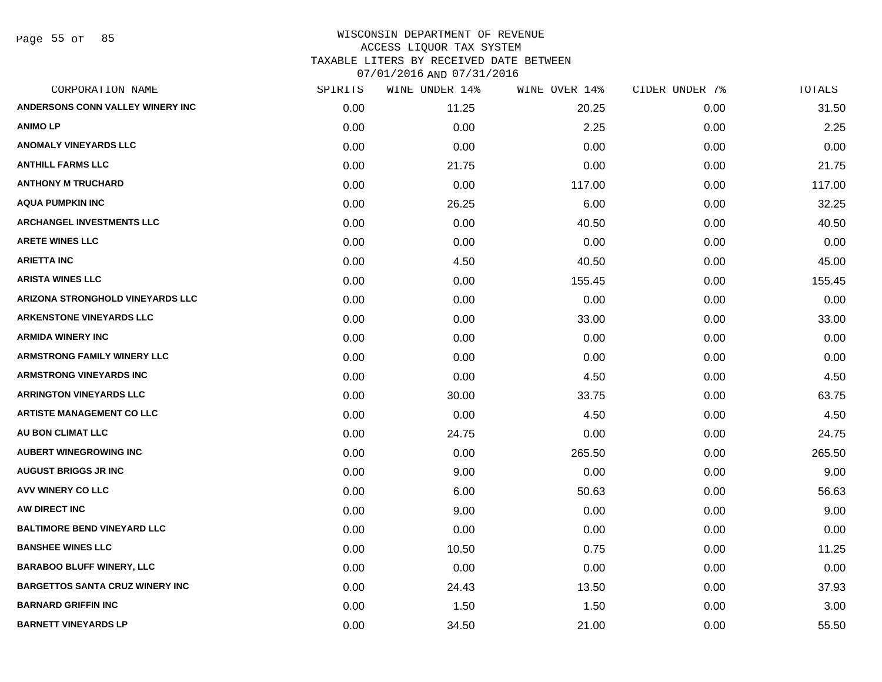Page 55 of 85

| CORPORATION NAME                        | SPIRITS | WINE UNDER 14% | WINE OVER 14% | CIDER UNDER 7% | TOTALS |
|-----------------------------------------|---------|----------------|---------------|----------------|--------|
| ANDERSONS CONN VALLEY WINERY INC        | 0.00    | 11.25          | 20.25         | 0.00           | 31.50  |
| <b>ANIMO LP</b>                         | 0.00    | 0.00           | 2.25          | 0.00           | 2.25   |
| <b>ANOMALY VINEYARDS LLC</b>            | 0.00    | 0.00           | 0.00          | 0.00           | 0.00   |
| <b>ANTHILL FARMS LLC</b>                | 0.00    | 21.75          | 0.00          | 0.00           | 21.75  |
| <b>ANTHONY M TRUCHARD</b>               | 0.00    | 0.00           | 117.00        | 0.00           | 117.00 |
| <b>AQUA PUMPKIN INC</b>                 | 0.00    | 26.25          | 6.00          | 0.00           | 32.25  |
| <b>ARCHANGEL INVESTMENTS LLC</b>        | 0.00    | 0.00           | 40.50         | 0.00           | 40.50  |
| <b>ARETE WINES LLC</b>                  | 0.00    | 0.00           | 0.00          | 0.00           | 0.00   |
| <b>ARIETTA INC</b>                      | 0.00    | 4.50           | 40.50         | 0.00           | 45.00  |
| <b>ARISTA WINES LLC</b>                 | 0.00    | 0.00           | 155.45        | 0.00           | 155.45 |
| <b>ARIZONA STRONGHOLD VINEYARDS LLC</b> | 0.00    | 0.00           | 0.00          | 0.00           | 0.00   |
| <b>ARKENSTONE VINEYARDS LLC</b>         | 0.00    | 0.00           | 33.00         | 0.00           | 33.00  |
| <b>ARMIDA WINERY INC</b>                | 0.00    | 0.00           | 0.00          | 0.00           | 0.00   |
| <b>ARMSTRONG FAMILY WINERY LLC</b>      | 0.00    | 0.00           | 0.00          | 0.00           | 0.00   |
| <b>ARMSTRONG VINEYARDS INC</b>          | 0.00    | 0.00           | 4.50          | 0.00           | 4.50   |
| <b>ARRINGTON VINEYARDS LLC</b>          | 0.00    | 30.00          | 33.75         | 0.00           | 63.75  |
| <b>ARTISTE MANAGEMENT CO LLC</b>        | 0.00    | 0.00           | 4.50          | 0.00           | 4.50   |
| AU BON CLIMAT LLC                       | 0.00    | 24.75          | 0.00          | 0.00           | 24.75  |
| <b>AUBERT WINEGROWING INC</b>           | 0.00    | 0.00           | 265.50        | 0.00           | 265.50 |
| <b>AUGUST BRIGGS JR INC</b>             | 0.00    | 9.00           | 0.00          | 0.00           | 9.00   |
| <b>AVV WINERY CO LLC</b>                | 0.00    | 6.00           | 50.63         | 0.00           | 56.63  |
| AW DIRECT INC                           | 0.00    | 9.00           | 0.00          | 0.00           | 9.00   |
| <b>BALTIMORE BEND VINEYARD LLC</b>      | 0.00    | 0.00           | 0.00          | 0.00           | 0.00   |
| <b>BANSHEE WINES LLC</b>                | 0.00    | 10.50          | 0.75          | 0.00           | 11.25  |
| <b>BARABOO BLUFF WINERY, LLC</b>        | 0.00    | 0.00           | 0.00          | 0.00           | 0.00   |
| <b>BARGETTOS SANTA CRUZ WINERY INC</b>  | 0.00    | 24.43          | 13.50         | 0.00           | 37.93  |
| <b>BARNARD GRIFFIN INC</b>              | 0.00    | 1.50           | 1.50          | 0.00           | 3.00   |
| <b>BARNETT VINEYARDS LP</b>             | 0.00    | 34.50          | 21.00         | 0.00           | 55.50  |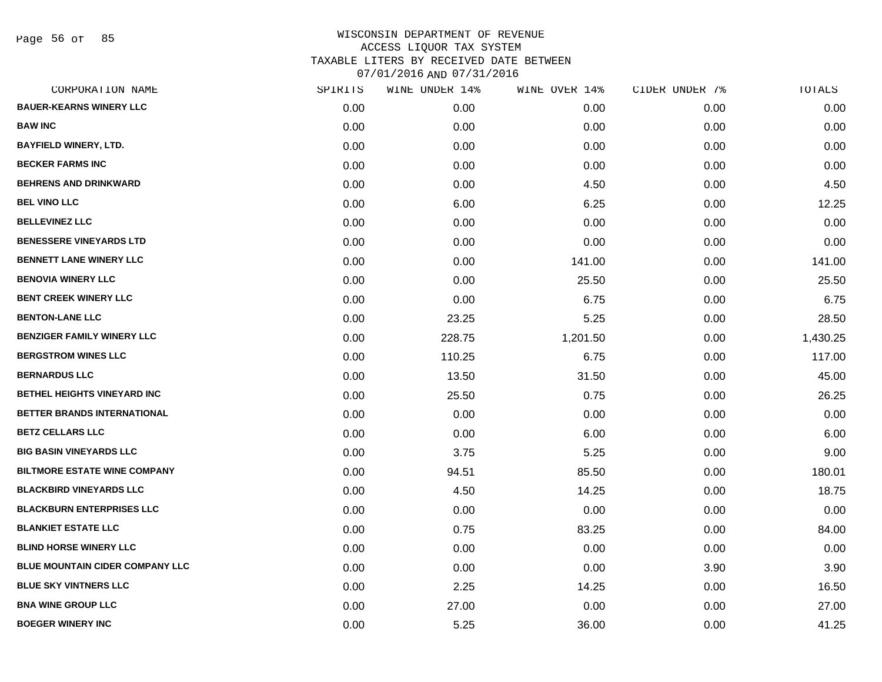Page 56 of 85

| CORPORATION NAME                       | SPIRITS | WINE UNDER 14% | WINE OVER 14% | CIDER UNDER 7% | TOTALS   |
|----------------------------------------|---------|----------------|---------------|----------------|----------|
| <b>BAUER-KEARNS WINERY LLC</b>         | 0.00    | 0.00           | 0.00          | 0.00           | 0.00     |
| <b>BAW INC</b>                         | 0.00    | 0.00           | 0.00          | 0.00           | 0.00     |
| <b>BAYFIELD WINERY, LTD.</b>           | 0.00    | 0.00           | 0.00          | 0.00           | 0.00     |
| <b>BECKER FARMS INC</b>                | 0.00    | 0.00           | 0.00          | 0.00           | 0.00     |
| <b>BEHRENS AND DRINKWARD</b>           | 0.00    | 0.00           | 4.50          | 0.00           | 4.50     |
| <b>BEL VINO LLC</b>                    | 0.00    | 6.00           | 6.25          | 0.00           | 12.25    |
| <b>BELLEVINEZ LLC</b>                  | 0.00    | 0.00           | 0.00          | 0.00           | 0.00     |
| <b>BENESSERE VINEYARDS LTD</b>         | 0.00    | 0.00           | 0.00          | 0.00           | 0.00     |
| <b>BENNETT LANE WINERY LLC</b>         | 0.00    | 0.00           | 141.00        | 0.00           | 141.00   |
| <b>BENOVIA WINERY LLC</b>              | 0.00    | 0.00           | 25.50         | 0.00           | 25.50    |
| <b>BENT CREEK WINERY LLC</b>           | 0.00    | 0.00           | 6.75          | 0.00           | 6.75     |
| <b>BENTON-LANE LLC</b>                 | 0.00    | 23.25          | 5.25          | 0.00           | 28.50    |
| <b>BENZIGER FAMILY WINERY LLC</b>      | 0.00    | 228.75         | 1,201.50      | 0.00           | 1,430.25 |
| <b>BERGSTROM WINES LLC</b>             | 0.00    | 110.25         | 6.75          | 0.00           | 117.00   |
| <b>BERNARDUS LLC</b>                   | 0.00    | 13.50          | 31.50         | 0.00           | 45.00    |
| BETHEL HEIGHTS VINEYARD INC            | 0.00    | 25.50          | 0.75          | 0.00           | 26.25    |
| <b>BETTER BRANDS INTERNATIONAL</b>     | 0.00    | 0.00           | 0.00          | 0.00           | 0.00     |
| <b>BETZ CELLARS LLC</b>                | 0.00    | 0.00           | 6.00          | 0.00           | 6.00     |
| <b>BIG BASIN VINEYARDS LLC</b>         | 0.00    | 3.75           | 5.25          | 0.00           | 9.00     |
| <b>BILTMORE ESTATE WINE COMPANY</b>    | 0.00    | 94.51          | 85.50         | 0.00           | 180.01   |
| <b>BLACKBIRD VINEYARDS LLC</b>         | 0.00    | 4.50           | 14.25         | 0.00           | 18.75    |
| <b>BLACKBURN ENTERPRISES LLC</b>       | 0.00    | 0.00           | 0.00          | 0.00           | 0.00     |
| <b>BLANKIET ESTATE LLC</b>             | 0.00    | 0.75           | 83.25         | 0.00           | 84.00    |
| <b>BLIND HORSE WINERY LLC</b>          | 0.00    | 0.00           | 0.00          | 0.00           | 0.00     |
| <b>BLUE MOUNTAIN CIDER COMPANY LLC</b> | 0.00    | 0.00           | 0.00          | 3.90           | 3.90     |
| <b>BLUE SKY VINTNERS LLC</b>           | 0.00    | 2.25           | 14.25         | 0.00           | 16.50    |
| <b>BNA WINE GROUP LLC</b>              | 0.00    | 27.00          | 0.00          | 0.00           | 27.00    |
| <b>BOEGER WINERY INC</b>               | 0.00    | 5.25           | 36.00         | 0.00           | 41.25    |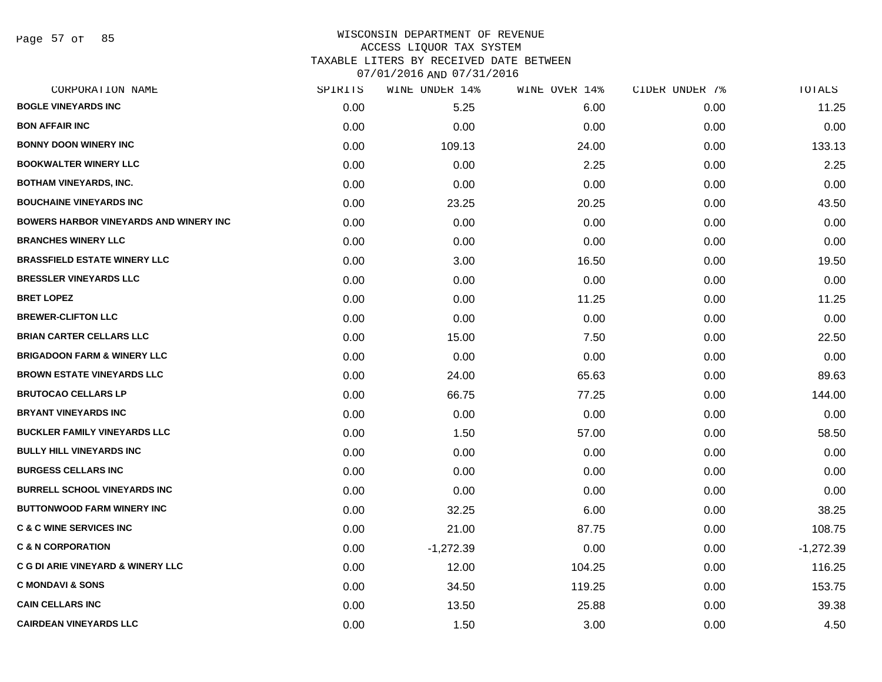Page 57 of 85

| CORPORATION NAME                               | SPIRITS | WINE UNDER 14% | WINE OVER 14% | CIDER UNDER 7% | TOTALS      |
|------------------------------------------------|---------|----------------|---------------|----------------|-------------|
| <b>BOGLE VINEYARDS INC</b>                     | 0.00    | 5.25           | 6.00          | 0.00           | 11.25       |
| <b>BON AFFAIR INC</b>                          | 0.00    | 0.00           | 0.00          | 0.00           | 0.00        |
| <b>BONNY DOON WINERY INC</b>                   | 0.00    | 109.13         | 24.00         | 0.00           | 133.13      |
| <b>BOOKWALTER WINERY LLC</b>                   | 0.00    | 0.00           | 2.25          | 0.00           | 2.25        |
| <b>BOTHAM VINEYARDS, INC.</b>                  | 0.00    | 0.00           | 0.00          | 0.00           | 0.00        |
| <b>BOUCHAINE VINEYARDS INC</b>                 | 0.00    | 23.25          | 20.25         | 0.00           | 43.50       |
| <b>BOWERS HARBOR VINEYARDS AND WINERY INC.</b> | 0.00    | 0.00           | 0.00          | 0.00           | 0.00        |
| <b>BRANCHES WINERY LLC</b>                     | 0.00    | 0.00           | 0.00          | 0.00           | 0.00        |
| <b>BRASSFIELD ESTATE WINERY LLC</b>            | 0.00    | 3.00           | 16.50         | 0.00           | 19.50       |
| <b>BRESSLER VINEYARDS LLC</b>                  | 0.00    | 0.00           | 0.00          | 0.00           | 0.00        |
| <b>BRET LOPEZ</b>                              | 0.00    | 0.00           | 11.25         | 0.00           | 11.25       |
| <b>BREWER-CLIFTON LLC</b>                      | 0.00    | 0.00           | 0.00          | 0.00           | 0.00        |
| <b>BRIAN CARTER CELLARS LLC</b>                | 0.00    | 15.00          | 7.50          | 0.00           | 22.50       |
| <b>BRIGADOON FARM &amp; WINERY LLC</b>         | 0.00    | 0.00           | 0.00          | 0.00           | 0.00        |
| <b>BROWN ESTATE VINEYARDS LLC</b>              | 0.00    | 24.00          | 65.63         | 0.00           | 89.63       |
| <b>BRUTOCAO CELLARS LP</b>                     | 0.00    | 66.75          | 77.25         | 0.00           | 144.00      |
| <b>BRYANT VINEYARDS INC</b>                    | 0.00    | 0.00           | 0.00          | 0.00           | 0.00        |
| <b>BUCKLER FAMILY VINEYARDS LLC</b>            | 0.00    | 1.50           | 57.00         | 0.00           | 58.50       |
| <b>BULLY HILL VINEYARDS INC</b>                | 0.00    | 0.00           | 0.00          | 0.00           | 0.00        |
| <b>BURGESS CELLARS INC</b>                     | 0.00    | 0.00           | 0.00          | 0.00           | 0.00        |
| <b>BURRELL SCHOOL VINEYARDS INC</b>            | 0.00    | 0.00           | 0.00          | 0.00           | 0.00        |
| <b>BUTTONWOOD FARM WINERY INC</b>              | 0.00    | 32.25          | 6.00          | 0.00           | 38.25       |
| <b>C &amp; C WINE SERVICES INC</b>             | 0.00    | 21.00          | 87.75         | 0.00           | 108.75      |
| <b>C &amp; N CORPORATION</b>                   | 0.00    | $-1,272.39$    | 0.00          | 0.00           | $-1,272.39$ |
| <b>C G DI ARIE VINEYARD &amp; WINERY LLC</b>   | 0.00    | 12.00          | 104.25        | 0.00           | 116.25      |
| <b>C MONDAVI &amp; SONS</b>                    | 0.00    | 34.50          | 119.25        | 0.00           | 153.75      |
| <b>CAIN CELLARS INC</b>                        | 0.00    | 13.50          | 25.88         | 0.00           | 39.38       |
| <b>CAIRDEAN VINEYARDS LLC</b>                  | 0.00    | 1.50           | 3.00          | 0.00           | 4.50        |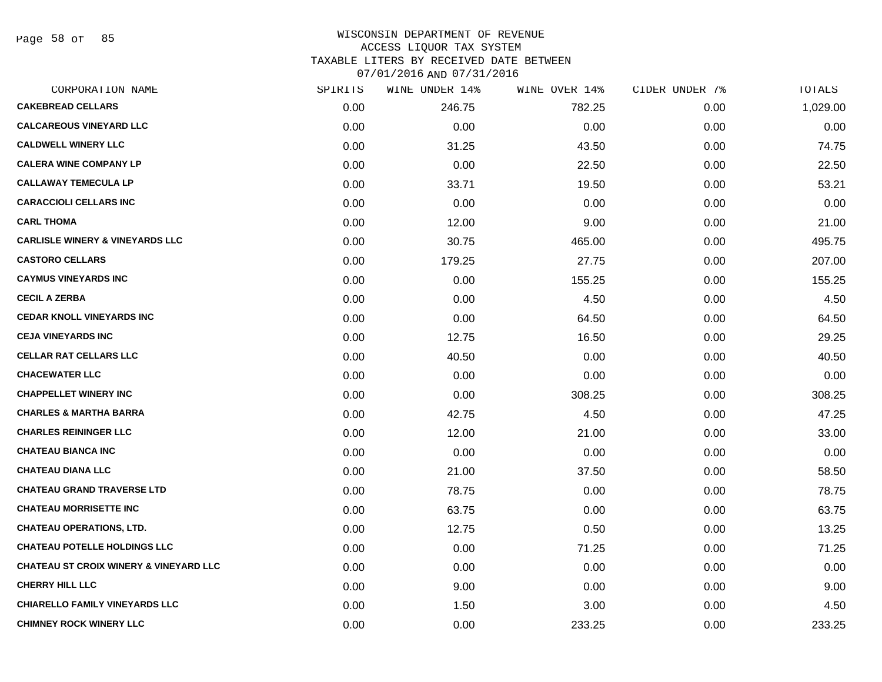Page 58 of 85

#### WISCONSIN DEPARTMENT OF REVENUE ACCESS LIQUOR TAX SYSTEM TAXABLE LITERS BY RECEIVED DATE BETWEEN

| CORPORATION NAME                                  | SPIRITS | WINE UNDER 14% | WINE OVER 14% | CIDER UNDER 7% | TOTALS   |
|---------------------------------------------------|---------|----------------|---------------|----------------|----------|
| <b>CAKEBREAD CELLARS</b>                          | 0.00    | 246.75         | 782.25        | 0.00           | 1,029.00 |
| <b>CALCAREOUS VINEYARD LLC</b>                    | 0.00    | 0.00           | 0.00          | 0.00           | 0.00     |
| <b>CALDWELL WINERY LLC</b>                        | 0.00    | 31.25          | 43.50         | 0.00           | 74.75    |
| <b>CALERA WINE COMPANY LP</b>                     | 0.00    | 0.00           | 22.50         | 0.00           | 22.50    |
| <b>CALLAWAY TEMECULA LP</b>                       | 0.00    | 33.71          | 19.50         | 0.00           | 53.21    |
| <b>CARACCIOLI CELLARS INC</b>                     | 0.00    | 0.00           | 0.00          | 0.00           | 0.00     |
| <b>CARL THOMA</b>                                 | 0.00    | 12.00          | 9.00          | 0.00           | 21.00    |
| <b>CARLISLE WINERY &amp; VINEYARDS LLC</b>        | 0.00    | 30.75          | 465.00        | 0.00           | 495.75   |
| <b>CASTORO CELLARS</b>                            | 0.00    | 179.25         | 27.75         | 0.00           | 207.00   |
| <b>CAYMUS VINEYARDS INC</b>                       | 0.00    | 0.00           | 155.25        | 0.00           | 155.25   |
| <b>CECIL A ZERBA</b>                              | 0.00    | 0.00           | 4.50          | 0.00           | 4.50     |
| <b>CEDAR KNOLL VINEYARDS INC</b>                  | 0.00    | 0.00           | 64.50         | 0.00           | 64.50    |
| <b>CEJA VINEYARDS INC</b>                         | 0.00    | 12.75          | 16.50         | 0.00           | 29.25    |
| <b>CELLAR RAT CELLARS LLC</b>                     | 0.00    | 40.50          | 0.00          | 0.00           | 40.50    |
| <b>CHACEWATER LLC</b>                             | 0.00    | 0.00           | 0.00          | 0.00           | 0.00     |
| <b>CHAPPELLET WINERY INC</b>                      | 0.00    | 0.00           | 308.25        | 0.00           | 308.25   |
| <b>CHARLES &amp; MARTHA BARRA</b>                 | 0.00    | 42.75          | 4.50          | 0.00           | 47.25    |
| <b>CHARLES REININGER LLC</b>                      | 0.00    | 12.00          | 21.00         | 0.00           | 33.00    |
| <b>CHATEAU BIANCA INC</b>                         | 0.00    | 0.00           | 0.00          | 0.00           | 0.00     |
| <b>CHATEAU DIANA LLC</b>                          | 0.00    | 21.00          | 37.50         | 0.00           | 58.50    |
| <b>CHATEAU GRAND TRAVERSE LTD</b>                 | 0.00    | 78.75          | 0.00          | 0.00           | 78.75    |
| <b>CHATEAU MORRISETTE INC</b>                     | 0.00    | 63.75          | 0.00          | 0.00           | 63.75    |
| <b>CHATEAU OPERATIONS, LTD.</b>                   | 0.00    | 12.75          | 0.50          | 0.00           | 13.25    |
| <b>CHATEAU POTELLE HOLDINGS LLC</b>               | 0.00    | 0.00           | 71.25         | 0.00           | 71.25    |
| <b>CHATEAU ST CROIX WINERY &amp; VINEYARD LLC</b> | 0.00    | 0.00           | 0.00          | 0.00           | 0.00     |
| <b>CHERRY HILL LLC</b>                            | 0.00    | 9.00           | 0.00          | 0.00           | 9.00     |
| <b>CHIARELLO FAMILY VINEYARDS LLC</b>             | 0.00    | 1.50           | 3.00          | 0.00           | 4.50     |
| <b>CHIMNEY ROCK WINERY LLC</b>                    | 0.00    | 0.00           | 233.25        | 0.00           | 233.25   |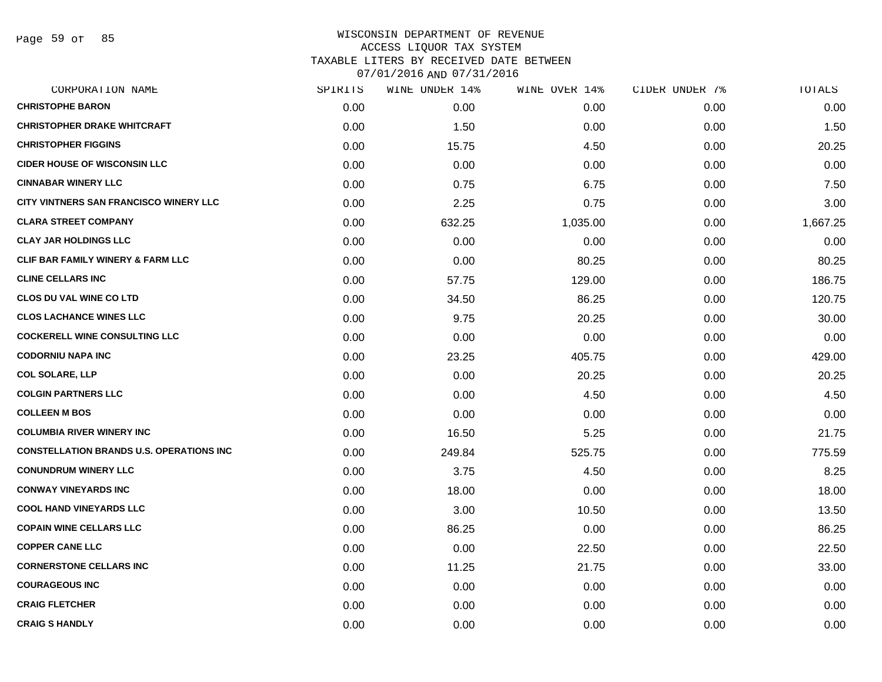Page 59 of 85

| CORPORATION NAME                                | SPIRITS | WINE UNDER 14% | WINE OVER 14% | CIDER UNDER 7% | TOTALS   |
|-------------------------------------------------|---------|----------------|---------------|----------------|----------|
| <b>CHRISTOPHE BARON</b>                         | 0.00    | 0.00           | 0.00          | 0.00           | 0.00     |
| <b>CHRISTOPHER DRAKE WHITCRAFT</b>              | 0.00    | 1.50           | 0.00          | 0.00           | 1.50     |
| <b>CHRISTOPHER FIGGINS</b>                      | 0.00    | 15.75          | 4.50          | 0.00           | 20.25    |
| <b>CIDER HOUSE OF WISCONSIN LLC</b>             | 0.00    | 0.00           | 0.00          | 0.00           | 0.00     |
| <b>CINNABAR WINERY LLC</b>                      | 0.00    | 0.75           | 6.75          | 0.00           | 7.50     |
| CITY VINTNERS SAN FRANCISCO WINERY LLC          | 0.00    | 2.25           | 0.75          | 0.00           | 3.00     |
| <b>CLARA STREET COMPANY</b>                     | 0.00    | 632.25         | 1,035.00      | 0.00           | 1,667.25 |
| <b>CLAY JAR HOLDINGS LLC</b>                    | 0.00    | 0.00           | 0.00          | 0.00           | 0.00     |
| <b>CLIF BAR FAMILY WINERY &amp; FARM LLC</b>    | 0.00    | 0.00           | 80.25         | 0.00           | 80.25    |
| <b>CLINE CELLARS INC</b>                        | 0.00    | 57.75          | 129.00        | 0.00           | 186.75   |
| <b>CLOS DU VAL WINE CO LTD</b>                  | 0.00    | 34.50          | 86.25         | 0.00           | 120.75   |
| <b>CLOS LACHANCE WINES LLC</b>                  | 0.00    | 9.75           | 20.25         | 0.00           | 30.00    |
| <b>COCKERELL WINE CONSULTING LLC</b>            | 0.00    | 0.00           | 0.00          | 0.00           | 0.00     |
| <b>CODORNIU NAPA INC</b>                        | 0.00    | 23.25          | 405.75        | 0.00           | 429.00   |
| <b>COL SOLARE, LLP</b>                          | 0.00    | 0.00           | 20.25         | 0.00           | 20.25    |
| <b>COLGIN PARTNERS LLC</b>                      | 0.00    | 0.00           | 4.50          | 0.00           | 4.50     |
| <b>COLLEEN M BOS</b>                            | 0.00    | 0.00           | 0.00          | 0.00           | 0.00     |
| <b>COLUMBIA RIVER WINERY INC</b>                | 0.00    | 16.50          | 5.25          | 0.00           | 21.75    |
| <b>CONSTELLATION BRANDS U.S. OPERATIONS INC</b> | 0.00    | 249.84         | 525.75        | 0.00           | 775.59   |
| <b>CONUNDRUM WINERY LLC</b>                     | 0.00    | 3.75           | 4.50          | 0.00           | 8.25     |
| <b>CONWAY VINEYARDS INC</b>                     | 0.00    | 18.00          | 0.00          | 0.00           | 18.00    |
| <b>COOL HAND VINEYARDS LLC</b>                  | 0.00    | 3.00           | 10.50         | 0.00           | 13.50    |
| <b>COPAIN WINE CELLARS LLC</b>                  | 0.00    | 86.25          | 0.00          | 0.00           | 86.25    |
| <b>COPPER CANE LLC</b>                          | 0.00    | 0.00           | 22.50         | 0.00           | 22.50    |
| <b>CORNERSTONE CELLARS INC</b>                  | 0.00    | 11.25          | 21.75         | 0.00           | 33.00    |
| <b>COURAGEOUS INC</b>                           | 0.00    | 0.00           | 0.00          | 0.00           | 0.00     |
| <b>CRAIG FLETCHER</b>                           | 0.00    | 0.00           | 0.00          | 0.00           | 0.00     |
| <b>CRAIG S HANDLY</b>                           | 0.00    | 0.00           | 0.00          | 0.00           | 0.00     |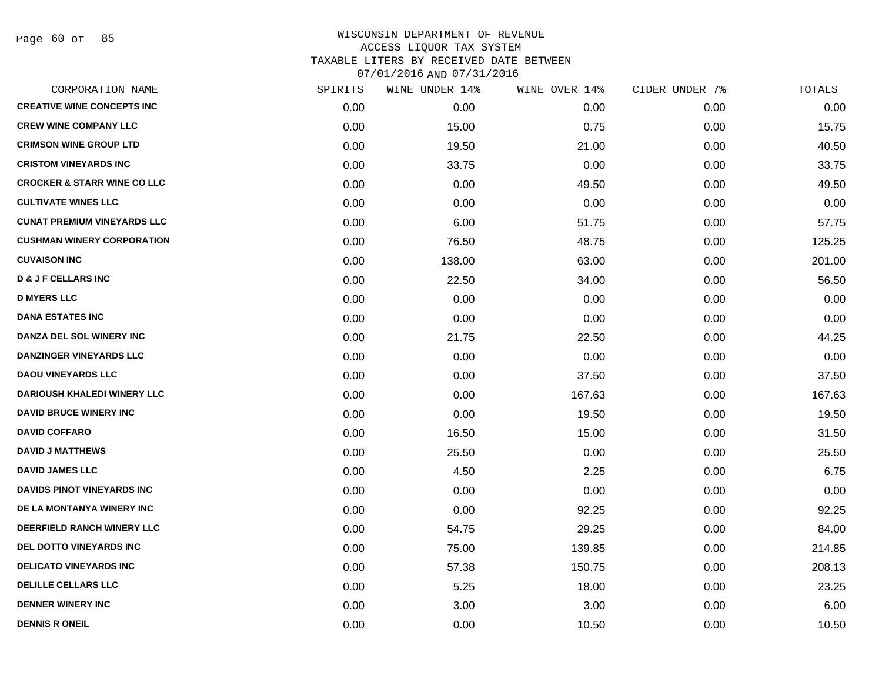Page 60 of 85

| SPIRITS | WINE UNDER 14% | WINE OVER 14% | CIDER UNDER 7% | TOTALS |
|---------|----------------|---------------|----------------|--------|
| 0.00    | 0.00           | 0.00          | 0.00           | 0.00   |
| 0.00    | 15.00          | 0.75          | 0.00           | 15.75  |
| 0.00    | 19.50          | 21.00         | 0.00           | 40.50  |
| 0.00    | 33.75          | 0.00          | 0.00           | 33.75  |
| 0.00    | 0.00           | 49.50         | 0.00           | 49.50  |
| 0.00    | 0.00           | 0.00          | 0.00           | 0.00   |
| 0.00    | 6.00           | 51.75         | 0.00           | 57.75  |
| 0.00    | 76.50          | 48.75         | 0.00           | 125.25 |
| 0.00    | 138.00         | 63.00         | 0.00           | 201.00 |
| 0.00    | 22.50          | 34.00         | 0.00           | 56.50  |
| 0.00    | 0.00           | 0.00          | 0.00           | 0.00   |
| 0.00    | 0.00           | 0.00          | 0.00           | 0.00   |
| 0.00    | 21.75          | 22.50         | 0.00           | 44.25  |
| 0.00    | 0.00           | 0.00          | 0.00           | 0.00   |
| 0.00    | 0.00           | 37.50         | 0.00           | 37.50  |
| 0.00    | 0.00           | 167.63        | 0.00           | 167.63 |
| 0.00    | 0.00           | 19.50         | 0.00           | 19.50  |
| 0.00    | 16.50          | 15.00         | 0.00           | 31.50  |
| 0.00    | 25.50          | 0.00          | 0.00           | 25.50  |
| 0.00    | 4.50           | 2.25          | 0.00           | 6.75   |
| 0.00    | 0.00           | 0.00          | 0.00           | 0.00   |
| 0.00    | 0.00           | 92.25         | 0.00           | 92.25  |
| 0.00    | 54.75          | 29.25         | 0.00           | 84.00  |
| 0.00    | 75.00          | 139.85        | 0.00           | 214.85 |
| 0.00    | 57.38          | 150.75        | 0.00           | 208.13 |
| 0.00    | 5.25           | 18.00         | 0.00           | 23.25  |
| 0.00    | 3.00           | 3.00          | 0.00           | 6.00   |
| 0.00    | 0.00           | 10.50         | 0.00           | 10.50  |
|         |                |               |                |        |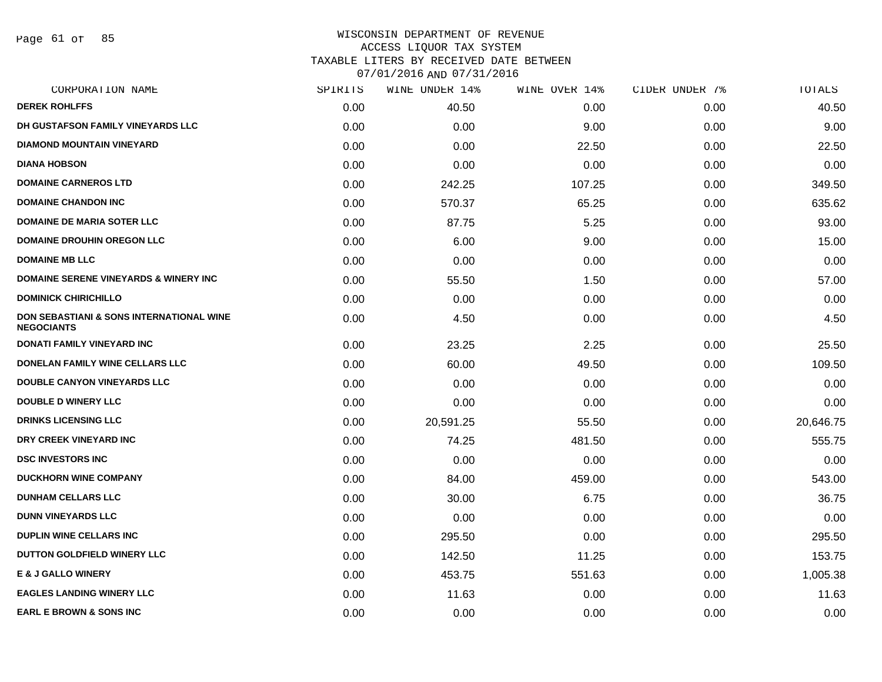Page 61 of 85

| CORPORATION NAME                                              | SPIRITS | WINE UNDER 14% | WINE OVER 14% | CIDER UNDER 7% | TOTALS    |
|---------------------------------------------------------------|---------|----------------|---------------|----------------|-----------|
| <b>DEREK ROHLFFS</b>                                          | 0.00    | 40.50          | 0.00          | 0.00           | 40.50     |
| DH GUSTAFSON FAMILY VINEYARDS LLC                             | 0.00    | 0.00           | 9.00          | 0.00           | 9.00      |
| DIAMOND MOUNTAIN VINEYARD                                     | 0.00    | 0.00           | 22.50         | 0.00           | 22.50     |
| <b>DIANA HOBSON</b>                                           | 0.00    | 0.00           | 0.00          | 0.00           | 0.00      |
| <b>DOMAINE CARNEROS LTD</b>                                   | 0.00    | 242.25         | 107.25        | 0.00           | 349.50    |
| <b>DOMAINE CHANDON INC</b>                                    | 0.00    | 570.37         | 65.25         | 0.00           | 635.62    |
| <b>DOMAINE DE MARIA SOTER LLC</b>                             | 0.00    | 87.75          | 5.25          | 0.00           | 93.00     |
| <b>DOMAINE DROUHIN OREGON LLC</b>                             | 0.00    | 6.00           | 9.00          | 0.00           | 15.00     |
| <b>DOMAINE MB LLC</b>                                         | 0.00    | 0.00           | 0.00          | 0.00           | 0.00      |
| <b>DOMAINE SERENE VINEYARDS &amp; WINERY INC</b>              | 0.00    | 55.50          | 1.50          | 0.00           | 57.00     |
| <b>DOMINICK CHIRICHILLO</b>                                   | 0.00    | 0.00           | 0.00          | 0.00           | 0.00      |
| DON SEBASTIANI & SONS INTERNATIONAL WINE<br><b>NEGOCIANTS</b> | 0.00    | 4.50           | 0.00          | 0.00           | 4.50      |
| DONATI FAMILY VINEYARD INC                                    | 0.00    | 23.25          | 2.25          | 0.00           | 25.50     |
| <b>DONELAN FAMILY WINE CELLARS LLC</b>                        | 0.00    | 60.00          | 49.50         | 0.00           | 109.50    |
| <b>DOUBLE CANYON VINEYARDS LLC</b>                            | 0.00    | 0.00           | 0.00          | 0.00           | 0.00      |
| <b>DOUBLE D WINERY LLC</b>                                    | 0.00    | 0.00           | 0.00          | 0.00           | 0.00      |
| <b>DRINKS LICENSING LLC</b>                                   | 0.00    | 20,591.25      | 55.50         | 0.00           | 20,646.75 |
| DRY CREEK VINEYARD INC                                        | 0.00    | 74.25          | 481.50        | 0.00           | 555.75    |
| <b>DSC INVESTORS INC</b>                                      | 0.00    | 0.00           | 0.00          | 0.00           | 0.00      |
| <b>DUCKHORN WINE COMPANY</b>                                  | 0.00    | 84.00          | 459.00        | 0.00           | 543.00    |
| <b>DUNHAM CELLARS LLC</b>                                     | 0.00    | 30.00          | 6.75          | 0.00           | 36.75     |
| <b>DUNN VINEYARDS LLC</b>                                     | 0.00    | 0.00           | 0.00          | 0.00           | 0.00      |
| <b>DUPLIN WINE CELLARS INC</b>                                | 0.00    | 295.50         | 0.00          | 0.00           | 295.50    |
| <b>DUTTON GOLDFIELD WINERY LLC</b>                            | 0.00    | 142.50         | 11.25         | 0.00           | 153.75    |
| <b>E &amp; J GALLO WINERY</b>                                 | 0.00    | 453.75         | 551.63        | 0.00           | 1,005.38  |
| <b>EAGLES LANDING WINERY LLC</b>                              | 0.00    | 11.63          | 0.00          | 0.00           | 11.63     |
| <b>EARL E BROWN &amp; SONS INC</b>                            | 0.00    | 0.00           | 0.00          | 0.00           | 0.00      |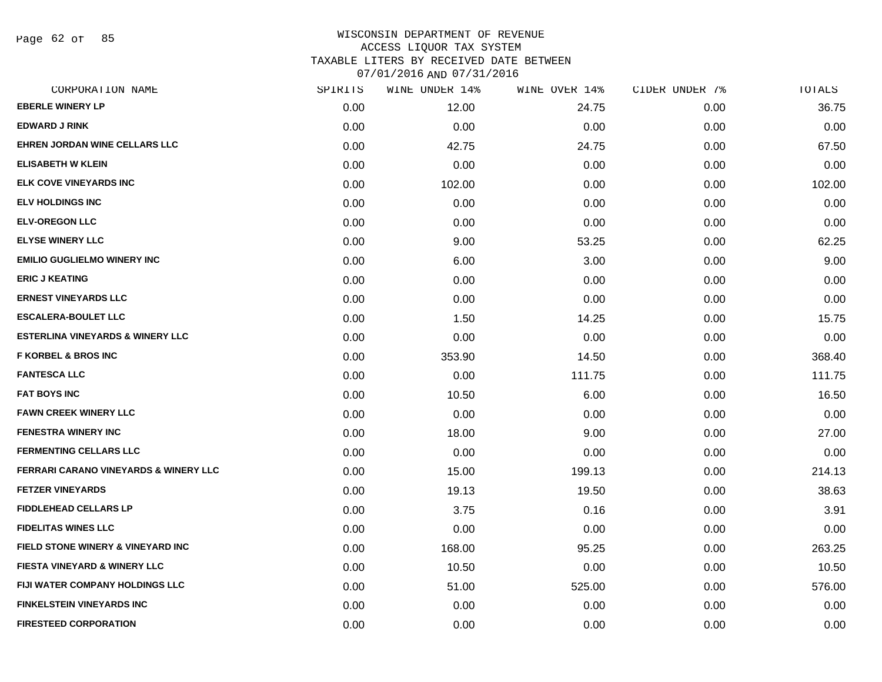Page 62 of 85

| CORPORATION NAME                                 | SPIRITS | WINE UNDER 14% | WINE OVER 14% | CIDER UNDER 7% | TOTALS |
|--------------------------------------------------|---------|----------------|---------------|----------------|--------|
| <b>EBERLE WINERY LP</b>                          | 0.00    | 12.00          | 24.75         | 0.00           | 36.75  |
| <b>EDWARD J RINK</b>                             | 0.00    | 0.00           | 0.00          | 0.00           | 0.00   |
| EHREN JORDAN WINE CELLARS LLC                    | 0.00    | 42.75          | 24.75         | 0.00           | 67.50  |
| <b>ELISABETH W KLEIN</b>                         | 0.00    | 0.00           | 0.00          | 0.00           | 0.00   |
| <b>ELK COVE VINEYARDS INC</b>                    | 0.00    | 102.00         | 0.00          | 0.00           | 102.00 |
| <b>ELV HOLDINGS INC</b>                          | 0.00    | 0.00           | 0.00          | 0.00           | 0.00   |
| <b>ELV-OREGON LLC</b>                            | 0.00    | 0.00           | 0.00          | 0.00           | 0.00   |
| <b>ELYSE WINERY LLC</b>                          | 0.00    | 9.00           | 53.25         | 0.00           | 62.25  |
| <b>EMILIO GUGLIELMO WINERY INC</b>               | 0.00    | 6.00           | 3.00          | 0.00           | 9.00   |
| <b>ERIC J KEATING</b>                            | 0.00    | 0.00           | 0.00          | 0.00           | 0.00   |
| <b>ERNEST VINEYARDS LLC</b>                      | 0.00    | 0.00           | 0.00          | 0.00           | 0.00   |
| <b>ESCALERA-BOULET LLC</b>                       | 0.00    | 1.50           | 14.25         | 0.00           | 15.75  |
| <b>ESTERLINA VINEYARDS &amp; WINERY LLC</b>      | 0.00    | 0.00           | 0.00          | 0.00           | 0.00   |
| <b>F KORBEL &amp; BROS INC</b>                   | 0.00    | 353.90         | 14.50         | 0.00           | 368.40 |
| <b>FANTESCA LLC</b>                              | 0.00    | 0.00           | 111.75        | 0.00           | 111.75 |
| <b>FAT BOYS INC</b>                              | 0.00    | 10.50          | 6.00          | 0.00           | 16.50  |
| <b>FAWN CREEK WINERY LLC</b>                     | 0.00    | 0.00           | 0.00          | 0.00           | 0.00   |
| <b>FENESTRA WINERY INC</b>                       | 0.00    | 18.00          | 9.00          | 0.00           | 27.00  |
| <b>FERMENTING CELLARS LLC</b>                    | 0.00    | 0.00           | 0.00          | 0.00           | 0.00   |
| <b>FERRARI CARANO VINEYARDS &amp; WINERY LLC</b> | 0.00    | 15.00          | 199.13        | 0.00           | 214.13 |
| <b>FETZER VINEYARDS</b>                          | 0.00    | 19.13          | 19.50         | 0.00           | 38.63  |
| <b>FIDDLEHEAD CELLARS LP</b>                     | 0.00    | 3.75           | 0.16          | 0.00           | 3.91   |
| <b>FIDELITAS WINES LLC</b>                       | 0.00    | 0.00           | 0.00          | 0.00           | 0.00   |
| <b>FIELD STONE WINERY &amp; VINEYARD INC</b>     | 0.00    | 168.00         | 95.25         | 0.00           | 263.25 |
| <b>FIESTA VINEYARD &amp; WINERY LLC</b>          | 0.00    | 10.50          | 0.00          | 0.00           | 10.50  |
| <b>FIJI WATER COMPANY HOLDINGS LLC</b>           | 0.00    | 51.00          | 525.00        | 0.00           | 576.00 |
| <b>FINKELSTEIN VINEYARDS INC</b>                 | 0.00    | 0.00           | 0.00          | 0.00           | 0.00   |
| <b>FIRESTEED CORPORATION</b>                     | 0.00    | 0.00           | 0.00          | 0.00           | 0.00   |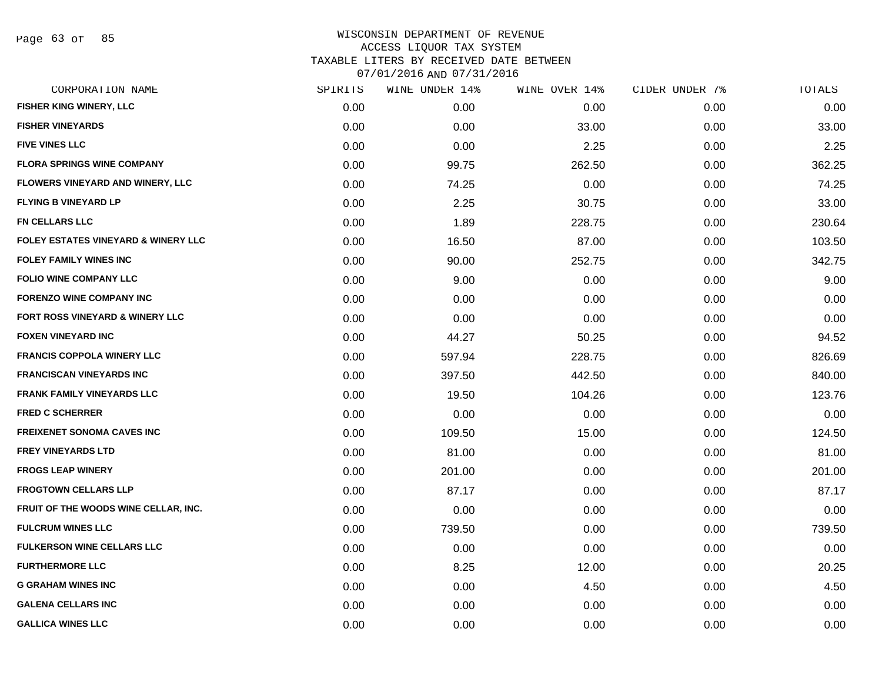|      | WINE UNDER 14% |        |               | TOTALS         |
|------|----------------|--------|---------------|----------------|
| 0.00 | 0.00           | 0.00   | 0.00          | 0.00           |
| 0.00 | 0.00           | 33.00  | 0.00          | 33.00          |
| 0.00 | 0.00           | 2.25   | 0.00          | 2.25           |
| 0.00 | 99.75          | 262.50 | 0.00          | 362.25         |
| 0.00 | 74.25          | 0.00   | 0.00          | 74.25          |
| 0.00 | 2.25           | 30.75  | 0.00          | 33.00          |
| 0.00 | 1.89           | 228.75 | 0.00          | 230.64         |
| 0.00 | 16.50          | 87.00  | 0.00          | 103.50         |
| 0.00 | 90.00          | 252.75 | 0.00          | 342.75         |
| 0.00 | 9.00           | 0.00   | 0.00          | 9.00           |
| 0.00 | 0.00           | 0.00   | 0.00          | 0.00           |
| 0.00 | 0.00           | 0.00   | 0.00          | 0.00           |
| 0.00 | 44.27          | 50.25  | 0.00          | 94.52          |
| 0.00 | 597.94         | 228.75 | 0.00          | 826.69         |
| 0.00 | 397.50         | 442.50 | 0.00          | 840.00         |
| 0.00 | 19.50          | 104.26 | 0.00          | 123.76         |
| 0.00 | 0.00           | 0.00   | 0.00          | 0.00           |
| 0.00 | 109.50         | 15.00  | 0.00          | 124.50         |
| 0.00 | 81.00          | 0.00   | 0.00          | 81.00          |
| 0.00 | 201.00         | 0.00   | 0.00          | 201.00         |
| 0.00 | 87.17          | 0.00   | 0.00          | 87.17          |
| 0.00 | 0.00           | 0.00   | 0.00          | 0.00           |
| 0.00 | 739.50         | 0.00   | 0.00          | 739.50         |
| 0.00 | 0.00           | 0.00   | 0.00          | 0.00           |
| 0.00 | 8.25           | 12.00  | 0.00          | 20.25          |
| 0.00 | 0.00           | 4.50   | 0.00          | 4.50           |
| 0.00 | 0.00           | 0.00   | 0.00          | 0.00           |
| 0.00 | 0.00           | 0.00   | 0.00          | 0.00           |
|      | SPIRITS        |        | WINE OVER 14% | CIDER UNDER 7% |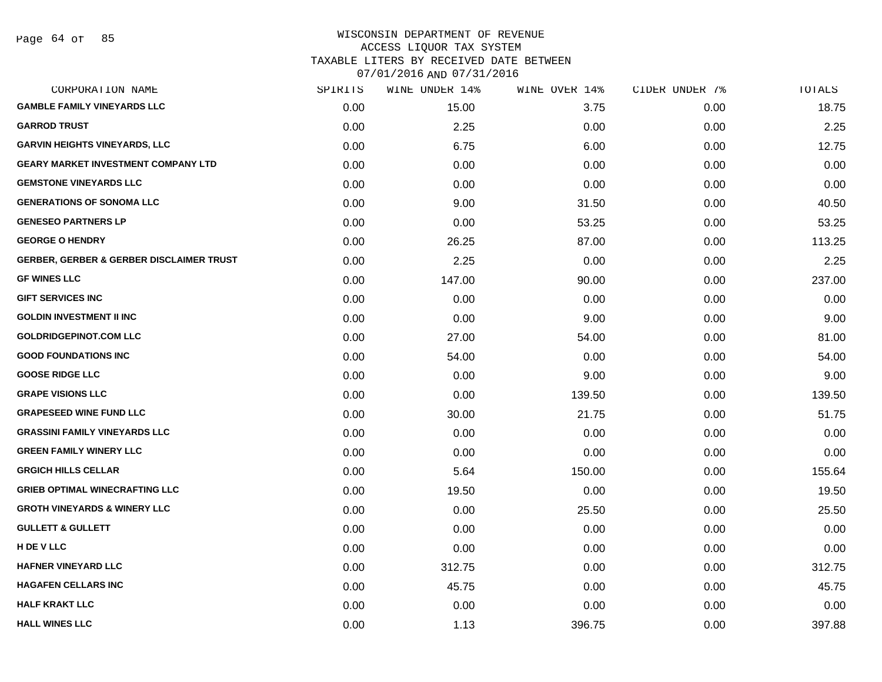| CORPORATION NAME                                    | SPIRITS | WINE UNDER 14% | WINE OVER 14% | CIDER UNDER 7% | TOTALS |
|-----------------------------------------------------|---------|----------------|---------------|----------------|--------|
| <b>GAMBLE FAMILY VINEYARDS LLC</b>                  | 0.00    | 15.00          | 3.75          | 0.00           | 18.75  |
| <b>GARROD TRUST</b>                                 | 0.00    | 2.25           | 0.00          | 0.00           | 2.25   |
| <b>GARVIN HEIGHTS VINEYARDS, LLC</b>                | 0.00    | 6.75           | 6.00          | 0.00           | 12.75  |
| <b>GEARY MARKET INVESTMENT COMPANY LTD</b>          | 0.00    | 0.00           | 0.00          | 0.00           | 0.00   |
| <b>GEMSTONE VINEYARDS LLC</b>                       | 0.00    | 0.00           | 0.00          | 0.00           | 0.00   |
| <b>GENERATIONS OF SONOMA LLC</b>                    | 0.00    | 9.00           | 31.50         | 0.00           | 40.50  |
| <b>GENESEO PARTNERS LP</b>                          | 0.00    | 0.00           | 53.25         | 0.00           | 53.25  |
| <b>GEORGE O HENDRY</b>                              | 0.00    | 26.25          | 87.00         | 0.00           | 113.25 |
| <b>GERBER, GERBER &amp; GERBER DISCLAIMER TRUST</b> | 0.00    | 2.25           | 0.00          | 0.00           | 2.25   |
| <b>GF WINES LLC</b>                                 | 0.00    | 147.00         | 90.00         | 0.00           | 237.00 |
| <b>GIFT SERVICES INC</b>                            | 0.00    | 0.00           | 0.00          | 0.00           | 0.00   |
| <b>GOLDIN INVESTMENT II INC</b>                     | 0.00    | 0.00           | 9.00          | 0.00           | 9.00   |
| <b>GOLDRIDGEPINOT.COM LLC</b>                       | 0.00    | 27.00          | 54.00         | 0.00           | 81.00  |
| <b>GOOD FOUNDATIONS INC</b>                         | 0.00    | 54.00          | 0.00          | 0.00           | 54.00  |
| <b>GOOSE RIDGE LLC</b>                              | 0.00    | 0.00           | 9.00          | 0.00           | 9.00   |
| <b>GRAPE VISIONS LLC</b>                            | 0.00    | 0.00           | 139.50        | 0.00           | 139.50 |
| <b>GRAPESEED WINE FUND LLC</b>                      | 0.00    | 30.00          | 21.75         | 0.00           | 51.75  |
| <b>GRASSINI FAMILY VINEYARDS LLC</b>                | 0.00    | 0.00           | 0.00          | 0.00           | 0.00   |
| <b>GREEN FAMILY WINERY LLC</b>                      | 0.00    | 0.00           | 0.00          | 0.00           | 0.00   |
| <b>GRGICH HILLS CELLAR</b>                          | 0.00    | 5.64           | 150.00        | 0.00           | 155.64 |
| <b>GRIEB OPTIMAL WINECRAFTING LLC</b>               | 0.00    | 19.50          | 0.00          | 0.00           | 19.50  |
| <b>GROTH VINEYARDS &amp; WINERY LLC</b>             | 0.00    | 0.00           | 25.50         | 0.00           | 25.50  |
| <b>GULLETT &amp; GULLETT</b>                        | 0.00    | 0.00           | 0.00          | 0.00           | 0.00   |
| H DE V LLC                                          | 0.00    | 0.00           | 0.00          | 0.00           | 0.00   |
| <b>HAFNER VINEYARD LLC</b>                          | 0.00    | 312.75         | 0.00          | 0.00           | 312.75 |
| <b>HAGAFEN CELLARS INC</b>                          | 0.00    | 45.75          | 0.00          | 0.00           | 45.75  |
| <b>HALF KRAKT LLC</b>                               | 0.00    | 0.00           | 0.00          | 0.00           | 0.00   |
| <b>HALL WINES LLC</b>                               | 0.00    | 1.13           | 396.75        | 0.00           | 397.88 |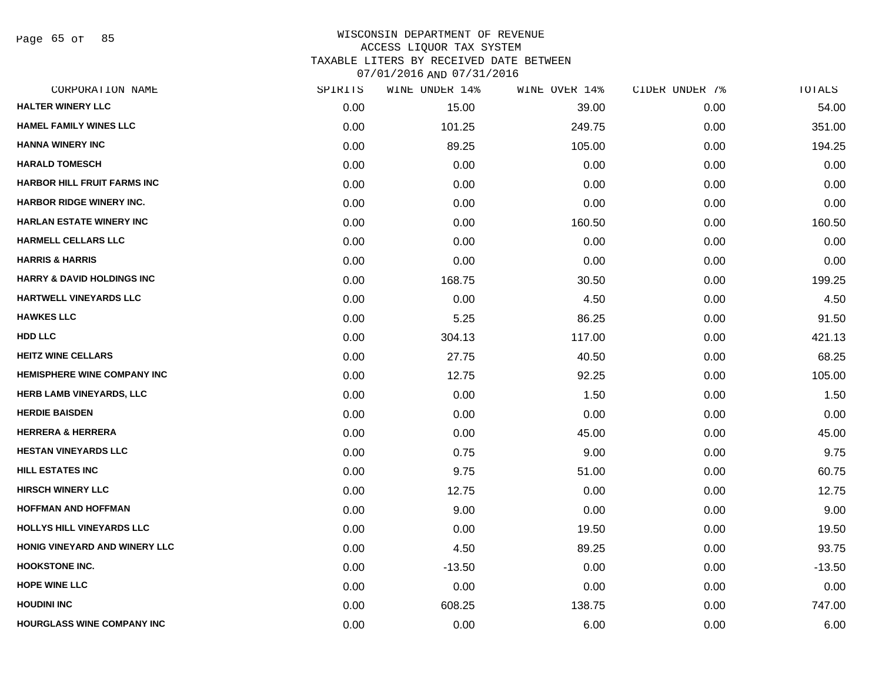Page 65 of 85

| SPIRITS | WINE UNDER 14% | WINE OVER 14% | CIDER UNDER 7% | TOTALS   |
|---------|----------------|---------------|----------------|----------|
| 0.00    | 15.00          | 39.00         | 0.00           | 54.00    |
| 0.00    | 101.25         | 249.75        | 0.00           | 351.00   |
| 0.00    | 89.25          | 105.00        | 0.00           | 194.25   |
| 0.00    | 0.00           | 0.00          | 0.00           | 0.00     |
| 0.00    | 0.00           | 0.00          | 0.00           | 0.00     |
| 0.00    | 0.00           | 0.00          | 0.00           | 0.00     |
| 0.00    | 0.00           | 160.50        | 0.00           | 160.50   |
| 0.00    | 0.00           | 0.00          | 0.00           | 0.00     |
| 0.00    | 0.00           | 0.00          | 0.00           | 0.00     |
| 0.00    | 168.75         | 30.50         | 0.00           | 199.25   |
| 0.00    | 0.00           | 4.50          | 0.00           | 4.50     |
| 0.00    | 5.25           | 86.25         | 0.00           | 91.50    |
| 0.00    | 304.13         | 117.00        | 0.00           | 421.13   |
| 0.00    | 27.75          | 40.50         | 0.00           | 68.25    |
| 0.00    | 12.75          | 92.25         | 0.00           | 105.00   |
| 0.00    | 0.00           | 1.50          | 0.00           | 1.50     |
| 0.00    | 0.00           | 0.00          | 0.00           | 0.00     |
| 0.00    | 0.00           | 45.00         | 0.00           | 45.00    |
| 0.00    | 0.75           | 9.00          | 0.00           | 9.75     |
| 0.00    | 9.75           | 51.00         | 0.00           | 60.75    |
| 0.00    | 12.75          | 0.00          | 0.00           | 12.75    |
| 0.00    | 9.00           | 0.00          | 0.00           | 9.00     |
| 0.00    | 0.00           | 19.50         | 0.00           | 19.50    |
| 0.00    | 4.50           | 89.25         | 0.00           | 93.75    |
| 0.00    | $-13.50$       | 0.00          | 0.00           | $-13.50$ |
| 0.00    | 0.00           | 0.00          | 0.00           | 0.00     |
| 0.00    | 608.25         | 138.75        | 0.00           | 747.00   |
| 0.00    | 0.00           | 6.00          | 0.00           | 6.00     |
|         |                |               |                |          |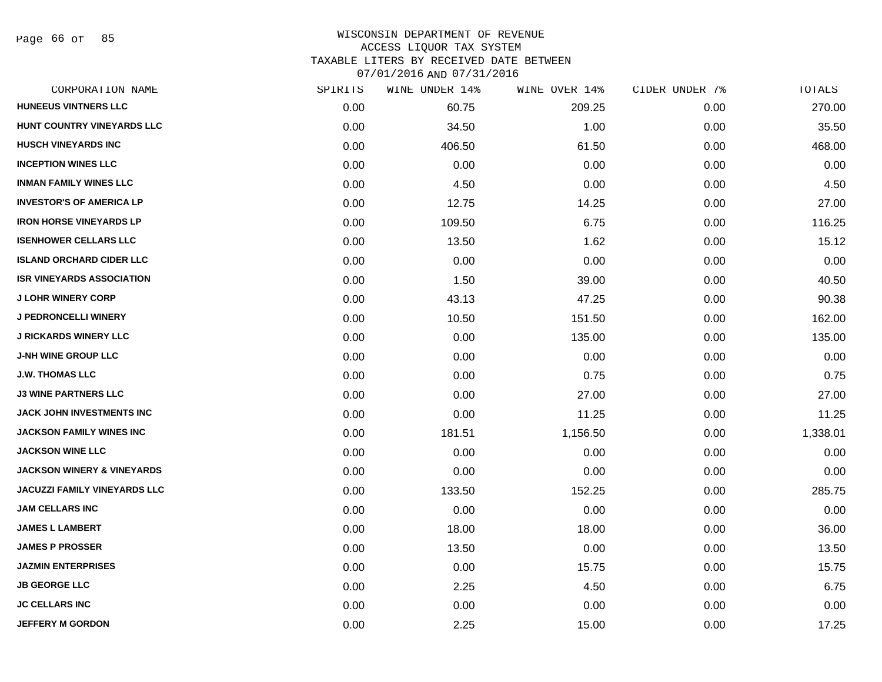Page 66 of 85

| CORPORATION NAME                      | SPIRITS | WINE UNDER 14% | WINE OVER 14% | CIDER UNDER 7% | TOTALS   |
|---------------------------------------|---------|----------------|---------------|----------------|----------|
| <b>HUNEEUS VINTNERS LLC</b>           | 0.00    | 60.75          | 209.25        | 0.00           | 270.00   |
| HUNT COUNTRY VINEYARDS LLC            | 0.00    | 34.50          | 1.00          | 0.00           | 35.50    |
| <b>HUSCH VINEYARDS INC</b>            | 0.00    | 406.50         | 61.50         | 0.00           | 468.00   |
| <b>INCEPTION WINES LLC</b>            | 0.00    | 0.00           | 0.00          | 0.00           | 0.00     |
| <b>INMAN FAMILY WINES LLC</b>         | 0.00    | 4.50           | 0.00          | 0.00           | 4.50     |
| <b>INVESTOR'S OF AMERICA LP</b>       | 0.00    | 12.75          | 14.25         | 0.00           | 27.00    |
| <b>IRON HORSE VINEYARDS LP</b>        | 0.00    | 109.50         | 6.75          | 0.00           | 116.25   |
| <b>ISENHOWER CELLARS LLC</b>          | 0.00    | 13.50          | 1.62          | 0.00           | 15.12    |
| <b>ISLAND ORCHARD CIDER LLC</b>       | 0.00    | 0.00           | 0.00          | 0.00           | 0.00     |
| <b>ISR VINEYARDS ASSOCIATION</b>      | 0.00    | 1.50           | 39.00         | 0.00           | 40.50    |
| <b>J LOHR WINERY CORP</b>             | 0.00    | 43.13          | 47.25         | 0.00           | 90.38    |
| J PEDRONCELLI WINERY                  | 0.00    | 10.50          | 151.50        | 0.00           | 162.00   |
| <b>J RICKARDS WINERY LLC</b>          | 0.00    | 0.00           | 135.00        | 0.00           | 135.00   |
| <b>J-NH WINE GROUP LLC</b>            | 0.00    | 0.00           | 0.00          | 0.00           | 0.00     |
| <b>J.W. THOMAS LLC</b>                | 0.00    | 0.00           | 0.75          | 0.00           | 0.75     |
| <b>J3 WINE PARTNERS LLC</b>           | 0.00    | 0.00           | 27.00         | 0.00           | 27.00    |
| JACK JOHN INVESTMENTS INC             | 0.00    | 0.00           | 11.25         | 0.00           | 11.25    |
| <b>JACKSON FAMILY WINES INC</b>       | 0.00    | 181.51         | 1,156.50      | 0.00           | 1,338.01 |
| <b>JACKSON WINE LLC</b>               | 0.00    | 0.00           | 0.00          | 0.00           | 0.00     |
| <b>JACKSON WINERY &amp; VINEYARDS</b> | 0.00    | 0.00           | 0.00          | 0.00           | 0.00     |
| <b>JACUZZI FAMILY VINEYARDS LLC</b>   | 0.00    | 133.50         | 152.25        | 0.00           | 285.75   |
| <b>JAM CELLARS INC</b>                | 0.00    | 0.00           | 0.00          | 0.00           | 0.00     |
| <b>JAMES L LAMBERT</b>                | 0.00    | 18.00          | 18.00         | 0.00           | 36.00    |
| <b>JAMES P PROSSER</b>                | 0.00    | 13.50          | 0.00          | 0.00           | 13.50    |
| <b>JAZMIN ENTERPRISES</b>             | 0.00    | 0.00           | 15.75         | 0.00           | 15.75    |
| <b>JB GEORGE LLC</b>                  | 0.00    | 2.25           | 4.50          | 0.00           | 6.75     |
| <b>JC CELLARS INC</b>                 | 0.00    | 0.00           | 0.00          | 0.00           | 0.00     |
| <b>JEFFERY M GORDON</b>               | 0.00    | 2.25           | 15.00         | 0.00           | 17.25    |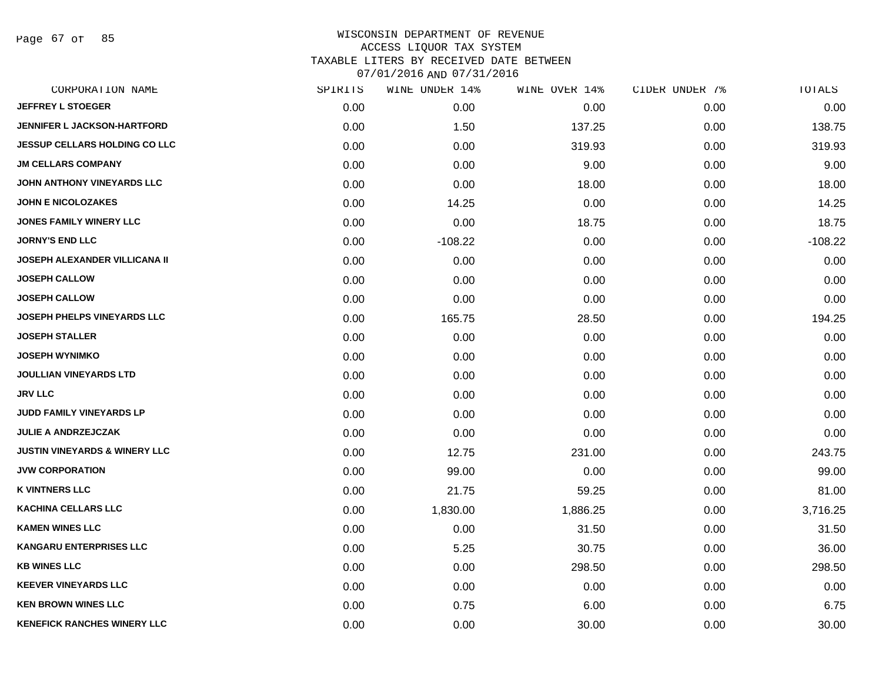Page 67 of 85

| CORPORATION NAME                         | SPIRITS | WINE UNDER 14% | WINE OVER 14% | CIDER UNDER 7% | TOTALS    |
|------------------------------------------|---------|----------------|---------------|----------------|-----------|
| <b>JEFFREY L STOEGER</b>                 | 0.00    | 0.00           | 0.00          | 0.00           | 0.00      |
| <b>JENNIFER L JACKSON-HARTFORD</b>       | 0.00    | 1.50           | 137.25        | 0.00           | 138.75    |
| <b>JESSUP CELLARS HOLDING CO LLC</b>     | 0.00    | 0.00           | 319.93        | 0.00           | 319.93    |
| <b>JM CELLARS COMPANY</b>                | 0.00    | 0.00           | 9.00          | 0.00           | 9.00      |
| JOHN ANTHONY VINEYARDS LLC               | 0.00    | 0.00           | 18.00         | 0.00           | 18.00     |
| <b>JOHN E NICOLOZAKES</b>                | 0.00    | 14.25          | 0.00          | 0.00           | 14.25     |
| <b>JONES FAMILY WINERY LLC</b>           | 0.00    | 0.00           | 18.75         | 0.00           | 18.75     |
| <b>JORNY'S END LLC</b>                   | 0.00    | $-108.22$      | 0.00          | 0.00           | $-108.22$ |
| <b>JOSEPH ALEXANDER VILLICANA II</b>     | 0.00    | 0.00           | 0.00          | 0.00           | 0.00      |
| <b>JOSEPH CALLOW</b>                     | 0.00    | 0.00           | 0.00          | 0.00           | 0.00      |
| <b>JOSEPH CALLOW</b>                     | 0.00    | 0.00           | 0.00          | 0.00           | 0.00      |
| <b>JOSEPH PHELPS VINEYARDS LLC</b>       | 0.00    | 165.75         | 28.50         | 0.00           | 194.25    |
| <b>JOSEPH STALLER</b>                    | 0.00    | 0.00           | 0.00          | 0.00           | 0.00      |
| <b>JOSEPH WYNIMKO</b>                    | 0.00    | 0.00           | 0.00          | 0.00           | 0.00      |
| <b>JOULLIAN VINEYARDS LTD</b>            | 0.00    | 0.00           | 0.00          | 0.00           | 0.00      |
| <b>JRV LLC</b>                           | 0.00    | 0.00           | 0.00          | 0.00           | 0.00      |
| <b>JUDD FAMILY VINEYARDS LP</b>          | 0.00    | 0.00           | 0.00          | 0.00           | 0.00      |
| <b>JULIE A ANDRZEJCZAK</b>               | 0.00    | 0.00           | 0.00          | 0.00           | 0.00      |
| <b>JUSTIN VINEYARDS &amp; WINERY LLC</b> | 0.00    | 12.75          | 231.00        | 0.00           | 243.75    |
| <b>JVW CORPORATION</b>                   | 0.00    | 99.00          | 0.00          | 0.00           | 99.00     |
| <b>K VINTNERS LLC</b>                    | 0.00    | 21.75          | 59.25         | 0.00           | 81.00     |
| <b>KACHINA CELLARS LLC</b>               | 0.00    | 1,830.00       | 1,886.25      | 0.00           | 3,716.25  |
| <b>KAMEN WINES LLC</b>                   | 0.00    | 0.00           | 31.50         | 0.00           | 31.50     |
| <b>KANGARU ENTERPRISES LLC</b>           | 0.00    | 5.25           | 30.75         | 0.00           | 36.00     |
| <b>KB WINES LLC</b>                      | 0.00    | 0.00           | 298.50        | 0.00           | 298.50    |
| <b>KEEVER VINEYARDS LLC</b>              | 0.00    | 0.00           | 0.00          | 0.00           | 0.00      |
| <b>KEN BROWN WINES LLC</b>               | 0.00    | 0.75           | 6.00          | 0.00           | 6.75      |
| <b>KENEFICK RANCHES WINERY LLC</b>       | 0.00    | 0.00           | 30.00         | 0.00           | 30.00     |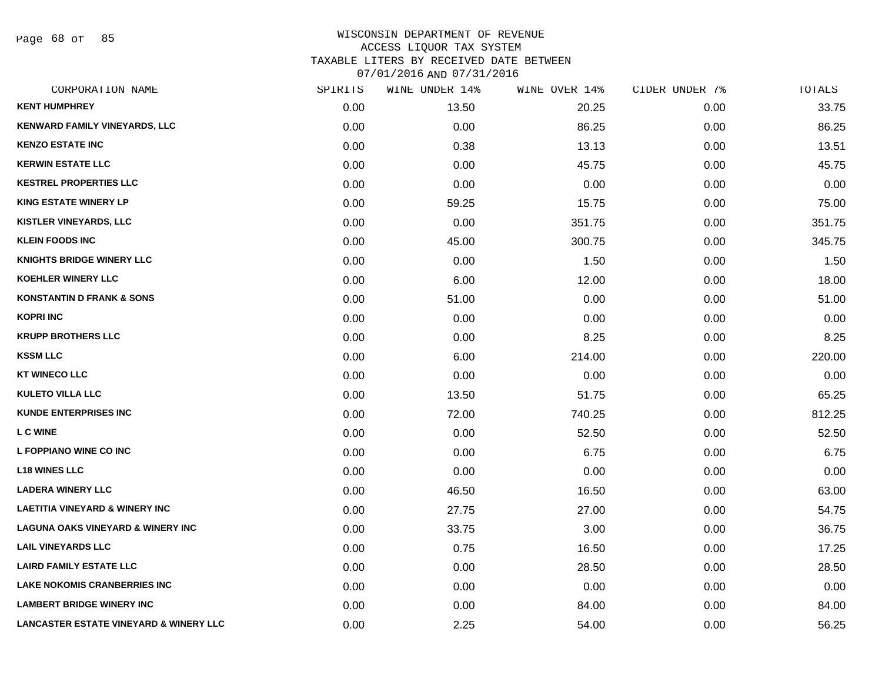Page 68 of 85

| CORPORATION NAME                                  | SPIRITS | WINE UNDER 14% | WINE OVER 14% | CIDER UNDER 7% | TOTALS |
|---------------------------------------------------|---------|----------------|---------------|----------------|--------|
| <b>KENT HUMPHREY</b>                              | 0.00    | 13.50          | 20.25         | 0.00           | 33.75  |
| <b>KENWARD FAMILY VINEYARDS, LLC</b>              | 0.00    | 0.00           | 86.25         | 0.00           | 86.25  |
| <b>KENZO ESTATE INC</b>                           | 0.00    | 0.38           | 13.13         | 0.00           | 13.51  |
| <b>KERWIN ESTATE LLC</b>                          | 0.00    | 0.00           | 45.75         | 0.00           | 45.75  |
| <b>KESTREL PROPERTIES LLC</b>                     | 0.00    | 0.00           | 0.00          | 0.00           | 0.00   |
| <b>KING ESTATE WINERY LP</b>                      | 0.00    | 59.25          | 15.75         | 0.00           | 75.00  |
| <b>KISTLER VINEYARDS, LLC</b>                     | 0.00    | 0.00           | 351.75        | 0.00           | 351.75 |
| <b>KLEIN FOODS INC</b>                            | 0.00    | 45.00          | 300.75        | 0.00           | 345.75 |
| <b>KNIGHTS BRIDGE WINERY LLC</b>                  | 0.00    | 0.00           | 1.50          | 0.00           | 1.50   |
| <b>KOEHLER WINERY LLC</b>                         | 0.00    | 6.00           | 12.00         | 0.00           | 18.00  |
| <b>KONSTANTIN D FRANK &amp; SONS</b>              | 0.00    | 51.00          | 0.00          | 0.00           | 51.00  |
| KOPRI INC                                         | 0.00    | 0.00           | 0.00          | 0.00           | 0.00   |
| <b>KRUPP BROTHERS LLC</b>                         | 0.00    | 0.00           | 8.25          | 0.00           | 8.25   |
| <b>KSSM LLC</b>                                   | 0.00    | 6.00           | 214.00        | 0.00           | 220.00 |
| <b>KT WINECO LLC</b>                              | 0.00    | 0.00           | 0.00          | 0.00           | 0.00   |
| <b>KULETO VILLA LLC</b>                           | 0.00    | 13.50          | 51.75         | 0.00           | 65.25  |
| <b>KUNDE ENTERPRISES INC</b>                      | 0.00    | 72.00          | 740.25        | 0.00           | 812.25 |
| <b>LC WINE</b>                                    | 0.00    | 0.00           | 52.50         | 0.00           | 52.50  |
| L FOPPIANO WINE CO INC                            | 0.00    | 0.00           | 6.75          | 0.00           | 6.75   |
| <b>L18 WINES LLC</b>                              | 0.00    | 0.00           | 0.00          | 0.00           | 0.00   |
| <b>LADERA WINERY LLC</b>                          | 0.00    | 46.50          | 16.50         | 0.00           | 63.00  |
| <b>LAETITIA VINEYARD &amp; WINERY INC</b>         | 0.00    | 27.75          | 27.00         | 0.00           | 54.75  |
| <b>LAGUNA OAKS VINEYARD &amp; WINERY INC</b>      | 0.00    | 33.75          | 3.00          | 0.00           | 36.75  |
| <b>LAIL VINEYARDS LLC</b>                         | 0.00    | 0.75           | 16.50         | 0.00           | 17.25  |
| <b>LAIRD FAMILY ESTATE LLC</b>                    | 0.00    | 0.00           | 28.50         | 0.00           | 28.50  |
| <b>LAKE NOKOMIS CRANBERRIES INC</b>               | 0.00    | 0.00           | 0.00          | 0.00           | 0.00   |
| <b>LAMBERT BRIDGE WINERY INC</b>                  | 0.00    | 0.00           | 84.00         | 0.00           | 84.00  |
| <b>LANCASTER ESTATE VINEYARD &amp; WINERY LLC</b> | 0.00    | 2.25           | 54.00         | 0.00           | 56.25  |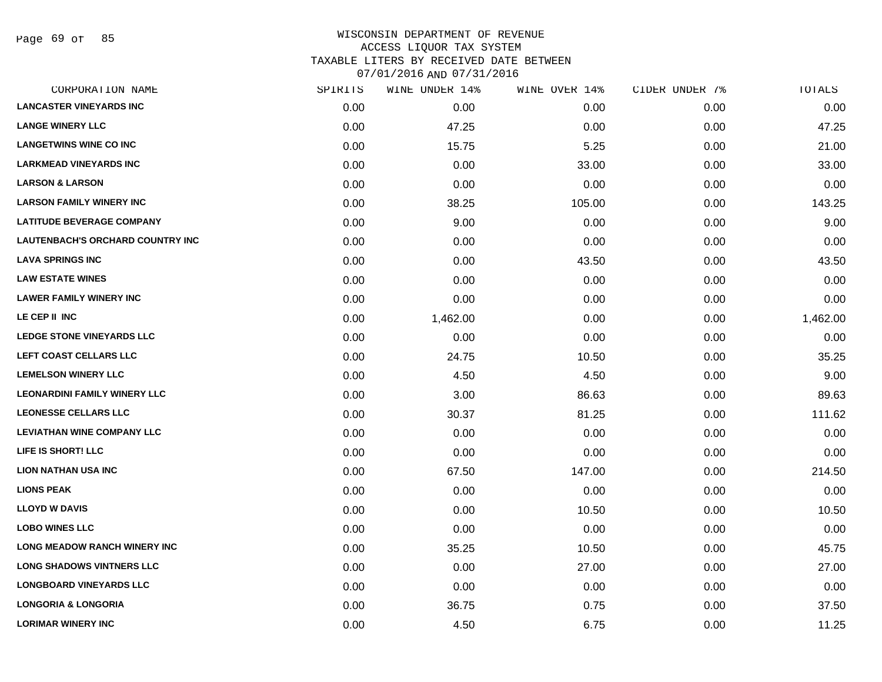Page 69 of 85

| CORPORATION NAME                    | SPIRITS | WINE UNDER 14% | WINE OVER 14% | CIDER UNDER 7% | TOTALS   |
|-------------------------------------|---------|----------------|---------------|----------------|----------|
| <b>LANCASTER VINEYARDS INC</b>      | 0.00    | 0.00           | 0.00          | 0.00           | 0.00     |
| <b>LANGE WINERY LLC</b>             | 0.00    | 47.25          | 0.00          | 0.00           | 47.25    |
| <b>LANGETWINS WINE CO INC</b>       | 0.00    | 15.75          | 5.25          | 0.00           | 21.00    |
| <b>LARKMEAD VINEYARDS INC</b>       | 0.00    | 0.00           | 33.00         | 0.00           | 33.00    |
| <b>LARSON &amp; LARSON</b>          | 0.00    | 0.00           | 0.00          | 0.00           | 0.00     |
| <b>LARSON FAMILY WINERY INC</b>     | 0.00    | 38.25          | 105.00        | 0.00           | 143.25   |
| <b>LATITUDE BEVERAGE COMPANY</b>    | 0.00    | 9.00           | 0.00          | 0.00           | 9.00     |
| LAUTENBACH'S ORCHARD COUNTRY INC    | 0.00    | 0.00           | 0.00          | 0.00           | 0.00     |
| <b>LAVA SPRINGS INC</b>             | 0.00    | 0.00           | 43.50         | 0.00           | 43.50    |
| <b>LAW ESTATE WINES</b>             | 0.00    | 0.00           | 0.00          | 0.00           | 0.00     |
| <b>LAWER FAMILY WINERY INC</b>      | 0.00    | 0.00           | 0.00          | 0.00           | 0.00     |
| LE CEP II INC                       | 0.00    | 1,462.00       | 0.00          | 0.00           | 1,462.00 |
| LEDGE STONE VINEYARDS LLC           | 0.00    | 0.00           | 0.00          | 0.00           | 0.00     |
| LEFT COAST CELLARS LLC              | 0.00    | 24.75          | 10.50         | 0.00           | 35.25    |
| <b>LEMELSON WINERY LLC</b>          | 0.00    | 4.50           | 4.50          | 0.00           | 9.00     |
| <b>LEONARDINI FAMILY WINERY LLC</b> | 0.00    | 3.00           | 86.63         | 0.00           | 89.63    |
| <b>LEONESSE CELLARS LLC</b>         | 0.00    | 30.37          | 81.25         | 0.00           | 111.62   |
| <b>LEVIATHAN WINE COMPANY LLC</b>   | 0.00    | 0.00           | 0.00          | 0.00           | 0.00     |
| LIFE IS SHORT! LLC                  | 0.00    | 0.00           | 0.00          | 0.00           | 0.00     |
| <b>LION NATHAN USA INC</b>          | 0.00    | 67.50          | 147.00        | 0.00           | 214.50   |
| <b>LIONS PEAK</b>                   | 0.00    | 0.00           | 0.00          | 0.00           | 0.00     |
| <b>LLOYD W DAVIS</b>                | 0.00    | 0.00           | 10.50         | 0.00           | 10.50    |
| <b>LOBO WINES LLC</b>               | 0.00    | 0.00           | 0.00          | 0.00           | 0.00     |
| <b>LONG MEADOW RANCH WINERY INC</b> | 0.00    | 35.25          | 10.50         | 0.00           | 45.75    |
| <b>LONG SHADOWS VINTNERS LLC</b>    | 0.00    | 0.00           | 27.00         | 0.00           | 27.00    |
| <b>LONGBOARD VINEYARDS LLC</b>      | 0.00    | 0.00           | 0.00          | 0.00           | 0.00     |
| <b>LONGORIA &amp; LONGORIA</b>      | 0.00    | 36.75          | 0.75          | 0.00           | 37.50    |
| <b>LORIMAR WINERY INC</b>           | 0.00    | 4.50           | 6.75          | 0.00           | 11.25    |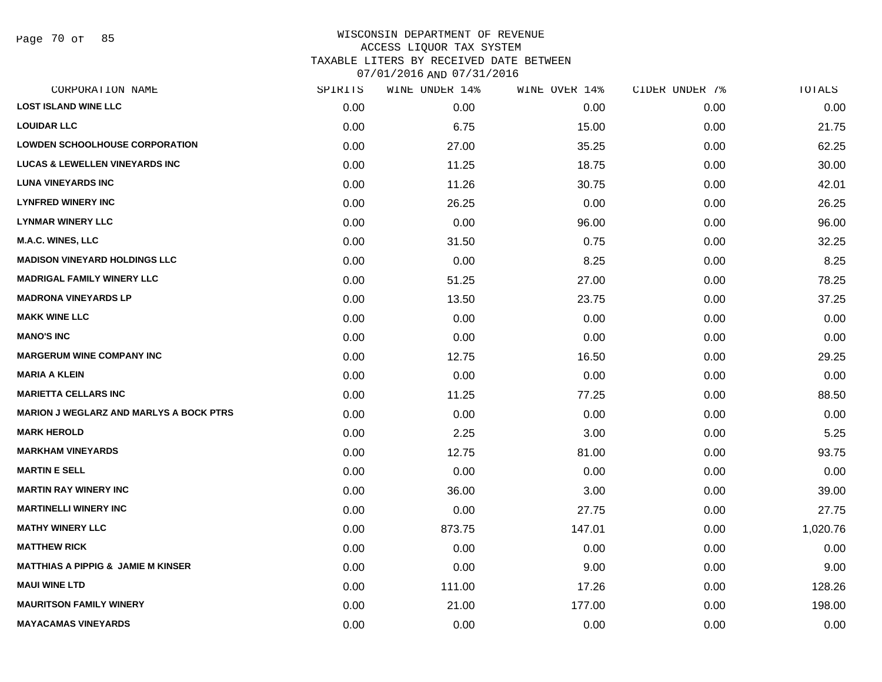Page 70 of 85

| SPIRITS | WINE UNDER 14% | WINE OVER 14% | CIDER UNDER 7% | TOTALS   |
|---------|----------------|---------------|----------------|----------|
| 0.00    | 0.00           | 0.00          | 0.00           | 0.00     |
| 0.00    | 6.75           | 15.00         | 0.00           | 21.75    |
| 0.00    | 27.00          | 35.25         | 0.00           | 62.25    |
| 0.00    | 11.25          | 18.75         | 0.00           | 30.00    |
| 0.00    | 11.26          | 30.75         | 0.00           | 42.01    |
| 0.00    | 26.25          | 0.00          | 0.00           | 26.25    |
| 0.00    | 0.00           | 96.00         | 0.00           | 96.00    |
| 0.00    | 31.50          | 0.75          | 0.00           | 32.25    |
| 0.00    | 0.00           | 8.25          | 0.00           | 8.25     |
| 0.00    | 51.25          | 27.00         | 0.00           | 78.25    |
| 0.00    | 13.50          | 23.75         | 0.00           | 37.25    |
| 0.00    | 0.00           | 0.00          | 0.00           | 0.00     |
| 0.00    | 0.00           | 0.00          | 0.00           | 0.00     |
| 0.00    | 12.75          | 16.50         | 0.00           | 29.25    |
| 0.00    | 0.00           | 0.00          | 0.00           | 0.00     |
| 0.00    | 11.25          | 77.25         | 0.00           | 88.50    |
| 0.00    | 0.00           | 0.00          | 0.00           | 0.00     |
| 0.00    | 2.25           | 3.00          | 0.00           | 5.25     |
| 0.00    | 12.75          | 81.00         | 0.00           | 93.75    |
| 0.00    | 0.00           | 0.00          | 0.00           | 0.00     |
| 0.00    | 36.00          | 3.00          | 0.00           | 39.00    |
| 0.00    | 0.00           | 27.75         | 0.00           | 27.75    |
| 0.00    | 873.75         | 147.01        | 0.00           | 1,020.76 |
| 0.00    | 0.00           | 0.00          | 0.00           | 0.00     |
| 0.00    | 0.00           | 9.00          | 0.00           | 9.00     |
| 0.00    | 111.00         | 17.26         | 0.00           | 128.26   |
| 0.00    | 21.00          | 177.00        | 0.00           | 198.00   |
| 0.00    | 0.00           | 0.00          | 0.00           | 0.00     |
|         |                |               |                |          |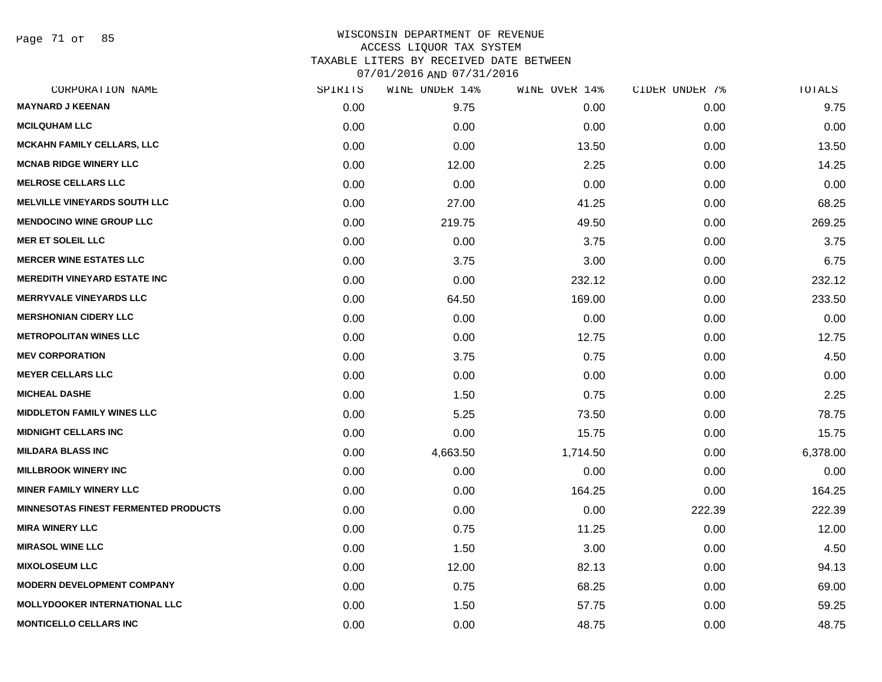Page 71 of 85

| CORPORATION NAME                     | SPIRITS | WINE UNDER 14% | WINE OVER 14% | CIDER UNDER 7% | TOTALS   |
|--------------------------------------|---------|----------------|---------------|----------------|----------|
| <b>MAYNARD J KEENAN</b>              | 0.00    | 9.75           | 0.00          | 0.00           | 9.75     |
| <b>MCILQUHAM LLC</b>                 | 0.00    | 0.00           | 0.00          | 0.00           | 0.00     |
| <b>MCKAHN FAMILY CELLARS, LLC</b>    | 0.00    | 0.00           | 13.50         | 0.00           | 13.50    |
| <b>MCNAB RIDGE WINERY LLC</b>        | 0.00    | 12.00          | 2.25          | 0.00           | 14.25    |
| <b>MELROSE CELLARS LLC</b>           | 0.00    | 0.00           | 0.00          | 0.00           | 0.00     |
| <b>MELVILLE VINEYARDS SOUTH LLC</b>  | 0.00    | 27.00          | 41.25         | 0.00           | 68.25    |
| <b>MENDOCINO WINE GROUP LLC</b>      | 0.00    | 219.75         | 49.50         | 0.00           | 269.25   |
| <b>MER ET SOLEIL LLC</b>             | 0.00    | 0.00           | 3.75          | 0.00           | 3.75     |
| <b>MERCER WINE ESTATES LLC</b>       | 0.00    | 3.75           | 3.00          | 0.00           | 6.75     |
| <b>MEREDITH VINEYARD ESTATE INC</b>  | 0.00    | 0.00           | 232.12        | 0.00           | 232.12   |
| <b>MERRYVALE VINEYARDS LLC</b>       | 0.00    | 64.50          | 169.00        | 0.00           | 233.50   |
| <b>MERSHONIAN CIDERY LLC</b>         | 0.00    | 0.00           | 0.00          | 0.00           | 0.00     |
| <b>METROPOLITAN WINES LLC</b>        | 0.00    | 0.00           | 12.75         | 0.00           | 12.75    |
| <b>MEV CORPORATION</b>               | 0.00    | 3.75           | 0.75          | 0.00           | 4.50     |
| <b>MEYER CELLARS LLC</b>             | 0.00    | 0.00           | 0.00          | 0.00           | 0.00     |
| <b>MICHEAL DASHE</b>                 | 0.00    | 1.50           | 0.75          | 0.00           | 2.25     |
| <b>MIDDLETON FAMILY WINES LLC</b>    | 0.00    | 5.25           | 73.50         | 0.00           | 78.75    |
| <b>MIDNIGHT CELLARS INC</b>          | 0.00    | 0.00           | 15.75         | 0.00           | 15.75    |
| <b>MILDARA BLASS INC</b>             | 0.00    | 4,663.50       | 1,714.50      | 0.00           | 6,378.00 |
| <b>MILLBROOK WINERY INC</b>          | 0.00    | 0.00           | 0.00          | 0.00           | 0.00     |
| <b>MINER FAMILY WINERY LLC</b>       | 0.00    | 0.00           | 164.25        | 0.00           | 164.25   |
| MINNESOTAS FINEST FERMENTED PRODUCTS | 0.00    | 0.00           | 0.00          | 222.39         | 222.39   |
| <b>MIRA WINERY LLC</b>               | 0.00    | 0.75           | 11.25         | 0.00           | 12.00    |
| <b>MIRASOL WINE LLC</b>              | 0.00    | 1.50           | 3.00          | 0.00           | 4.50     |
| <b>MIXOLOSEUM LLC</b>                | 0.00    | 12.00          | 82.13         | 0.00           | 94.13    |
| <b>MODERN DEVELOPMENT COMPANY</b>    | 0.00    | 0.75           | 68.25         | 0.00           | 69.00    |
| <b>MOLLYDOOKER INTERNATIONAL LLC</b> | 0.00    | 1.50           | 57.75         | 0.00           | 59.25    |
| <b>MONTICELLO CELLARS INC</b>        | 0.00    | 0.00           | 48.75         | 0.00           | 48.75    |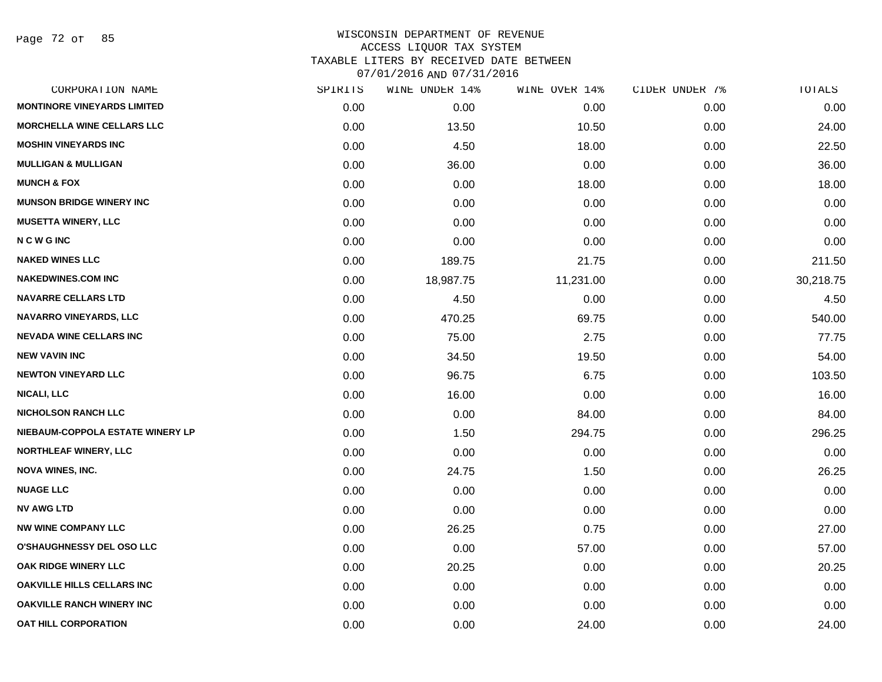Page 72 of 85

|      | WINE UNDER 14% |           |               | TOTALS         |
|------|----------------|-----------|---------------|----------------|
| 0.00 | 0.00           | 0.00      | 0.00          | 0.00           |
| 0.00 | 13.50          | 10.50     | 0.00          | 24.00          |
| 0.00 | 4.50           | 18.00     | 0.00          | 22.50          |
| 0.00 | 36.00          | 0.00      | 0.00          | 36.00          |
| 0.00 | 0.00           | 18.00     | 0.00          | 18.00          |
| 0.00 | 0.00           | 0.00      | 0.00          | 0.00           |
| 0.00 | 0.00           | 0.00      | 0.00          | 0.00           |
| 0.00 | 0.00           | 0.00      | 0.00          | 0.00           |
| 0.00 | 189.75         | 21.75     | 0.00          | 211.50         |
| 0.00 | 18,987.75      | 11,231.00 | 0.00          | 30,218.75      |
| 0.00 | 4.50           | 0.00      | 0.00          | 4.50           |
| 0.00 | 470.25         | 69.75     | 0.00          | 540.00         |
| 0.00 | 75.00          | 2.75      | 0.00          | 77.75          |
| 0.00 | 34.50          | 19.50     | 0.00          | 54.00          |
| 0.00 | 96.75          | 6.75      | 0.00          | 103.50         |
| 0.00 | 16.00          | 0.00      | 0.00          | 16.00          |
| 0.00 | 0.00           | 84.00     | 0.00          | 84.00          |
| 0.00 | 1.50           | 294.75    | 0.00          | 296.25         |
| 0.00 | 0.00           | 0.00      | 0.00          | 0.00           |
| 0.00 | 24.75          | 1.50      | 0.00          | 26.25          |
| 0.00 | 0.00           | 0.00      | 0.00          | 0.00           |
| 0.00 | 0.00           | 0.00      | 0.00          | 0.00           |
| 0.00 | 26.25          | 0.75      | 0.00          | 27.00          |
| 0.00 | 0.00           | 57.00     | 0.00          | 57.00          |
| 0.00 | 20.25          | 0.00      | 0.00          | 20.25          |
| 0.00 | 0.00           | 0.00      | 0.00          | 0.00           |
| 0.00 | 0.00           | 0.00      | 0.00          | 0.00           |
| 0.00 | 0.00           | 24.00     | 0.00          | 24.00          |
|      | SPIRITS        |           | WINE OVER 14% | CIDER UNDER 7% |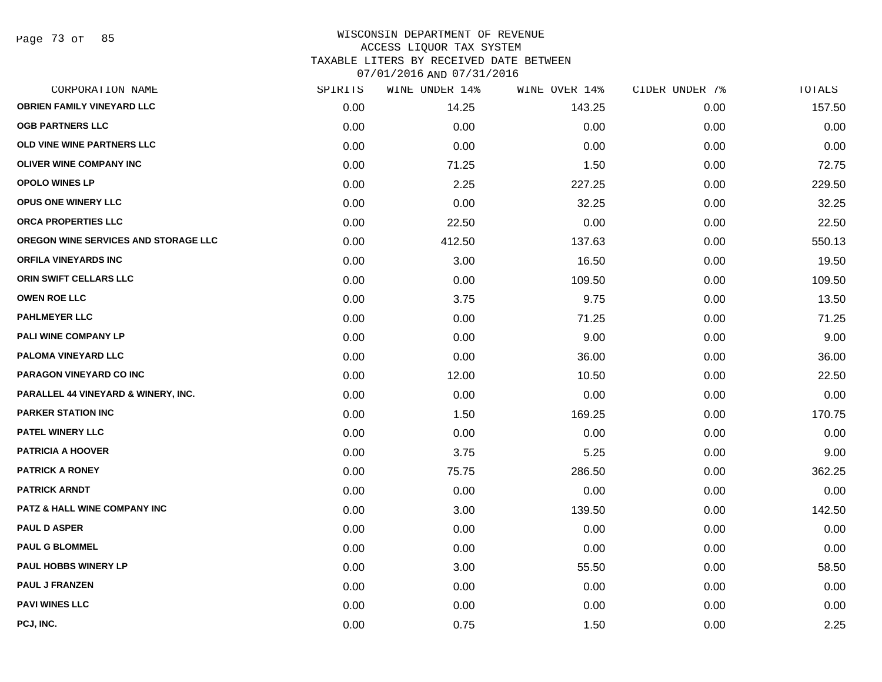Page 73 of 85

#### WISCONSIN DEPARTMENT OF REVENUE ACCESS LIQUOR TAX SYSTEM TAXABLE LITERS BY RECEIVED DATE BETWEEN

07/01/2016 AND 07/31/2016

| CORPORATION NAME                     | SPIRITS | WINE UNDER 14% | WINE OVER 14% | CIDER UNDER 7% | TOTALS |
|--------------------------------------|---------|----------------|---------------|----------------|--------|
| <b>OBRIEN FAMILY VINEYARD LLC</b>    | 0.00    | 14.25          | 143.25        | 0.00           | 157.50 |
| <b>OGB PARTNERS LLC</b>              | 0.00    | 0.00           | 0.00          | 0.00           | 0.00   |
| OLD VINE WINE PARTNERS LLC           | 0.00    | 0.00           | 0.00          | 0.00           | 0.00   |
| <b>OLIVER WINE COMPANY INC</b>       | 0.00    | 71.25          | 1.50          | 0.00           | 72.75  |
| <b>OPOLO WINES LP</b>                | 0.00    | 2.25           | 227.25        | 0.00           | 229.50 |
| <b>OPUS ONE WINERY LLC</b>           | 0.00    | 0.00           | 32.25         | 0.00           | 32.25  |
| ORCA PROPERTIES LLC                  | 0.00    | 22.50          | 0.00          | 0.00           | 22.50  |
| OREGON WINE SERVICES AND STORAGE LLC | 0.00    | 412.50         | 137.63        | 0.00           | 550.13 |
| ORFILA VINEYARDS INC                 | 0.00    | 3.00           | 16.50         | 0.00           | 19.50  |
| ORIN SWIFT CELLARS LLC               | 0.00    | 0.00           | 109.50        | 0.00           | 109.50 |
| <b>OWEN ROE LLC</b>                  | 0.00    | 3.75           | 9.75          | 0.00           | 13.50  |
| <b>PAHLMEYER LLC</b>                 | 0.00    | 0.00           | 71.25         | 0.00           | 71.25  |
| PALI WINE COMPANY LP                 | 0.00    | 0.00           | 9.00          | 0.00           | 9.00   |
| PALOMA VINEYARD LLC                  | 0.00    | 0.00           | 36.00         | 0.00           | 36.00  |
| PARAGON VINEYARD CO INC              | 0.00    | 12.00          | 10.50         | 0.00           | 22.50  |
| PARALLEL 44 VINEYARD & WINERY, INC.  | 0.00    | 0.00           | 0.00          | 0.00           | 0.00   |
| <b>PARKER STATION INC</b>            | 0.00    | 1.50           | 169.25        | 0.00           | 170.75 |
| <b>PATEL WINERY LLC</b>              | 0.00    | 0.00           | 0.00          | 0.00           | 0.00   |
| <b>PATRICIA A HOOVER</b>             | 0.00    | 3.75           | 5.25          | 0.00           | 9.00   |
| <b>PATRICK A RONEY</b>               | 0.00    | 75.75          | 286.50        | 0.00           | 362.25 |
| <b>PATRICK ARNDT</b>                 | 0.00    | 0.00           | 0.00          | 0.00           | 0.00   |
| PATZ & HALL WINE COMPANY INC         | 0.00    | 3.00           | 139.50        | 0.00           | 142.50 |
| <b>PAUL D ASPER</b>                  | 0.00    | 0.00           | 0.00          | 0.00           | 0.00   |
| <b>PAUL G BLOMMEL</b>                | 0.00    | 0.00           | 0.00          | 0.00           | 0.00   |
| <b>PAUL HOBBS WINERY LP</b>          | 0.00    | 3.00           | 55.50         | 0.00           | 58.50  |
| <b>PAUL J FRANZEN</b>                | 0.00    | 0.00           | 0.00          | 0.00           | 0.00   |
| <b>PAVI WINES LLC</b>                | 0.00    | 0.00           | 0.00          | 0.00           | 0.00   |
| PCJ, INC.                            | 0.00    | 0.75           | 1.50          | 0.00           | 2.25   |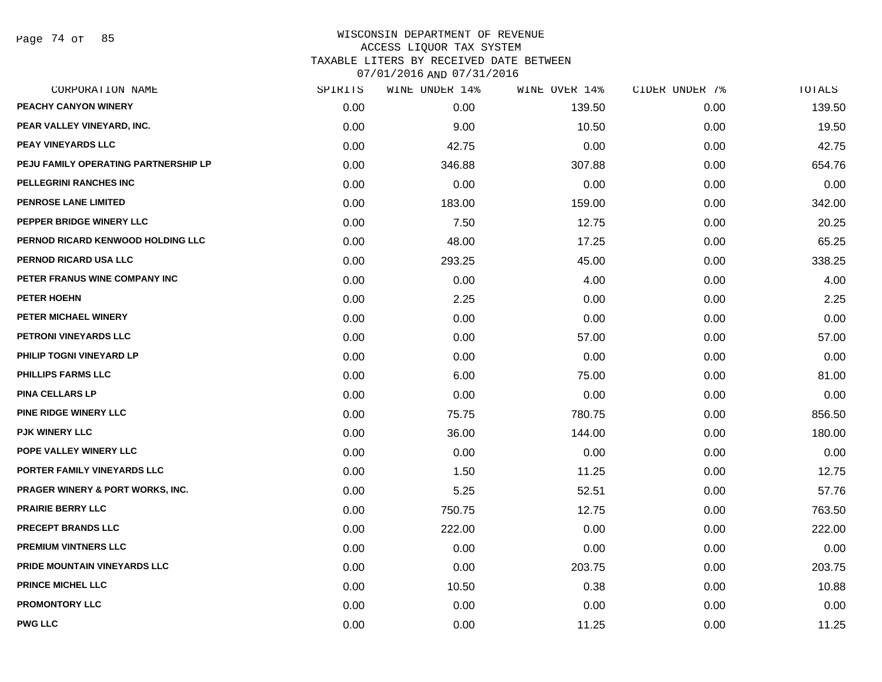| CORPORATION NAME                            | SPIRITS | WINE UNDER 14% | WINE OVER 14% | CIDER UNDER 7% | TOTALS |
|---------------------------------------------|---------|----------------|---------------|----------------|--------|
| PEACHY CANYON WINERY                        | 0.00    | 0.00           | 139.50        | 0.00           | 139.50 |
| PEAR VALLEY VINEYARD, INC.                  | 0.00    | 9.00           | 10.50         | 0.00           | 19.50  |
| PEAY VINEYARDS LLC                          | 0.00    | 42.75          | 0.00          | 0.00           | 42.75  |
| PEJU FAMILY OPERATING PARTNERSHIP LP        | 0.00    | 346.88         | 307.88        | 0.00           | 654.76 |
| PELLEGRINI RANCHES INC                      | 0.00    | 0.00           | 0.00          | 0.00           | 0.00   |
| <b>PENROSE LANE LIMITED</b>                 | 0.00    | 183.00         | 159.00        | 0.00           | 342.00 |
| PEPPER BRIDGE WINERY LLC                    | 0.00    | 7.50           | 12.75         | 0.00           | 20.25  |
| PERNOD RICARD KENWOOD HOLDING LLC           | 0.00    | 48.00          | 17.25         | 0.00           | 65.25  |
| PERNOD RICARD USA LLC                       | 0.00    | 293.25         | 45.00         | 0.00           | 338.25 |
| PETER FRANUS WINE COMPANY INC               | 0.00    | 0.00           | 4.00          | 0.00           | 4.00   |
| PETER HOEHN                                 | 0.00    | 2.25           | 0.00          | 0.00           | 2.25   |
| PETER MICHAEL WINERY                        | 0.00    | 0.00           | 0.00          | 0.00           | 0.00   |
| PETRONI VINEYARDS LLC                       | 0.00    | 0.00           | 57.00         | 0.00           | 57.00  |
| PHILIP TOGNI VINEYARD LP                    | 0.00    | 0.00           | 0.00          | 0.00           | 0.00   |
| <b>PHILLIPS FARMS LLC</b>                   | 0.00    | 6.00           | 75.00         | 0.00           | 81.00  |
| <b>PINA CELLARS LP</b>                      | 0.00    | 0.00           | 0.00          | 0.00           | 0.00   |
| <b>PINE RIDGE WINERY LLC</b>                | 0.00    | 75.75          | 780.75        | 0.00           | 856.50 |
| <b>PJK WINERY LLC</b>                       | 0.00    | 36.00          | 144.00        | 0.00           | 180.00 |
| POPE VALLEY WINERY LLC                      | 0.00    | 0.00           | 0.00          | 0.00           | 0.00   |
| PORTER FAMILY VINEYARDS LLC                 | 0.00    | 1.50           | 11.25         | 0.00           | 12.75  |
| <b>PRAGER WINERY &amp; PORT WORKS, INC.</b> | 0.00    | 5.25           | 52.51         | 0.00           | 57.76  |
| <b>PRAIRIE BERRY LLC</b>                    | 0.00    | 750.75         | 12.75         | 0.00           | 763.50 |
| <b>PRECEPT BRANDS LLC</b>                   | 0.00    | 222.00         | 0.00          | 0.00           | 222.00 |
| <b>PREMIUM VINTNERS LLC</b>                 | 0.00    | 0.00           | 0.00          | 0.00           | 0.00   |
| PRIDE MOUNTAIN VINEYARDS LLC                | 0.00    | 0.00           | 203.75        | 0.00           | 203.75 |
| <b>PRINCE MICHEL LLC</b>                    | 0.00    | 10.50          | 0.38          | 0.00           | 10.88  |
| <b>PROMONTORY LLC</b>                       | 0.00    | 0.00           | 0.00          | 0.00           | 0.00   |
| <b>PWG LLC</b>                              | 0.00    | 0.00           | 11.25         | 0.00           | 11.25  |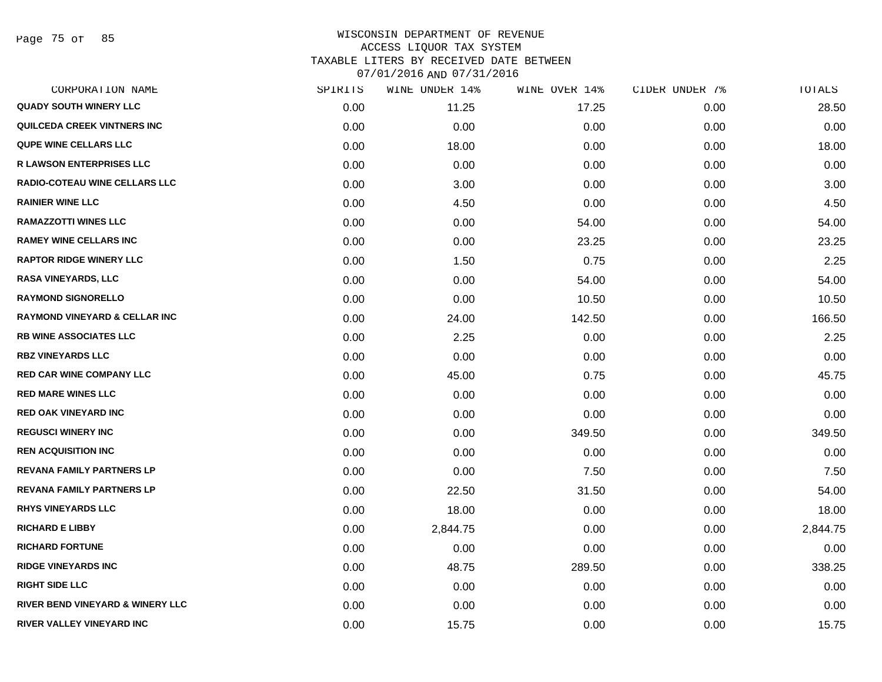Page 75 of 85

| CORPORATION NAME                         | SPIRITS | WINE UNDER 14% | WINE OVER 14% | CIDER UNDER 7% | TOTALS   |
|------------------------------------------|---------|----------------|---------------|----------------|----------|
| <b>QUADY SOUTH WINERY LLC</b>            | 0.00    | 11.25          | 17.25         | 0.00           | 28.50    |
| <b>QUILCEDA CREEK VINTNERS INC</b>       | 0.00    | 0.00           | 0.00          | 0.00           | 0.00     |
| QUPE WINE CELLARS LLC                    | 0.00    | 18.00          | 0.00          | 0.00           | 18.00    |
| <b>R LAWSON ENTERPRISES LLC</b>          | 0.00    | 0.00           | 0.00          | 0.00           | 0.00     |
| <b>RADIO-COTEAU WINE CELLARS LLC</b>     | 0.00    | 3.00           | 0.00          | 0.00           | 3.00     |
| <b>RAINIER WINE LLC</b>                  | 0.00    | 4.50           | 0.00          | 0.00           | 4.50     |
| <b>RAMAZZOTTI WINES LLC</b>              | 0.00    | 0.00           | 54.00         | 0.00           | 54.00    |
| <b>RAMEY WINE CELLARS INC</b>            | 0.00    | 0.00           | 23.25         | 0.00           | 23.25    |
| <b>RAPTOR RIDGE WINERY LLC</b>           | 0.00    | 1.50           | 0.75          | 0.00           | 2.25     |
| <b>RASA VINEYARDS, LLC</b>               | 0.00    | 0.00           | 54.00         | 0.00           | 54.00    |
| <b>RAYMOND SIGNORELLO</b>                | 0.00    | 0.00           | 10.50         | 0.00           | 10.50    |
| <b>RAYMOND VINEYARD &amp; CELLAR INC</b> | 0.00    | 24.00          | 142.50        | 0.00           | 166.50   |
| <b>RB WINE ASSOCIATES LLC</b>            | 0.00    | 2.25           | 0.00          | 0.00           | 2.25     |
| <b>RBZ VINEYARDS LLC</b>                 | 0.00    | 0.00           | 0.00          | 0.00           | 0.00     |
| <b>RED CAR WINE COMPANY LLC</b>          | 0.00    | 45.00          | 0.75          | 0.00           | 45.75    |
| <b>RED MARE WINES LLC</b>                | 0.00    | 0.00           | 0.00          | 0.00           | 0.00     |
| <b>RED OAK VINEYARD INC</b>              | 0.00    | 0.00           | 0.00          | 0.00           | 0.00     |
| <b>REGUSCI WINERY INC</b>                | 0.00    | 0.00           | 349.50        | 0.00           | 349.50   |
| <b>REN ACQUISITION INC</b>               | 0.00    | 0.00           | 0.00          | 0.00           | 0.00     |
| <b>REVANA FAMILY PARTNERS LP</b>         | 0.00    | 0.00           | 7.50          | 0.00           | 7.50     |
| <b>REVANA FAMILY PARTNERS LP</b>         | 0.00    | 22.50          | 31.50         | 0.00           | 54.00    |
| <b>RHYS VINEYARDS LLC</b>                | 0.00    | 18.00          | 0.00          | 0.00           | 18.00    |
| <b>RICHARD E LIBBY</b>                   | 0.00    | 2,844.75       | 0.00          | 0.00           | 2,844.75 |
| <b>RICHARD FORTUNE</b>                   | 0.00    | 0.00           | 0.00          | 0.00           | 0.00     |
| <b>RIDGE VINEYARDS INC</b>               | 0.00    | 48.75          | 289.50        | 0.00           | 338.25   |
| <b>RIGHT SIDE LLC</b>                    | 0.00    | 0.00           | 0.00          | 0.00           | 0.00     |
| RIVER BEND VINEYARD & WINERY LLC         | 0.00    | 0.00           | 0.00          | 0.00           | 0.00     |
| <b>RIVER VALLEY VINEYARD INC</b>         | 0.00    | 15.75          | 0.00          | 0.00           | 15.75    |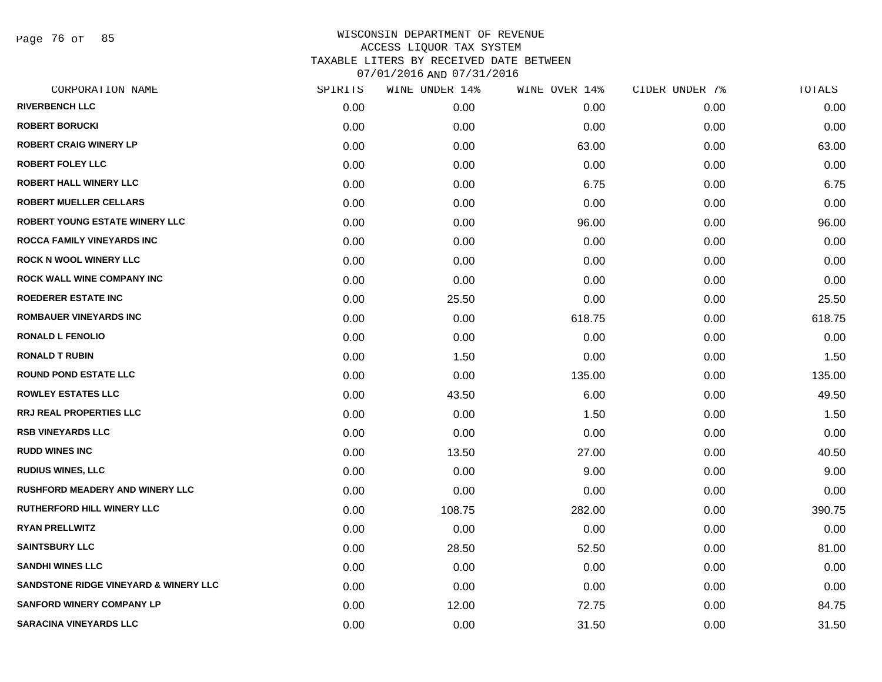Page 76 of 85

| CORPORATION NAME                       | SPIRITS | WINE UNDER 14% | WINE OVER 14% | CIDER UNDER 7% | TOTALS |
|----------------------------------------|---------|----------------|---------------|----------------|--------|
| <b>RIVERBENCH LLC</b>                  | 0.00    | 0.00           | 0.00          | 0.00           | 0.00   |
| <b>ROBERT BORUCKI</b>                  | 0.00    | 0.00           | 0.00          | 0.00           | 0.00   |
| <b>ROBERT CRAIG WINERY LP</b>          | 0.00    | 0.00           | 63.00         | 0.00           | 63.00  |
| <b>ROBERT FOLEY LLC</b>                | 0.00    | 0.00           | 0.00          | 0.00           | 0.00   |
| <b>ROBERT HALL WINERY LLC</b>          | 0.00    | 0.00           | 6.75          | 0.00           | 6.75   |
| <b>ROBERT MUELLER CELLARS</b>          | 0.00    | 0.00           | 0.00          | 0.00           | 0.00   |
| <b>ROBERT YOUNG ESTATE WINERY LLC</b>  | 0.00    | 0.00           | 96.00         | 0.00           | 96.00  |
| <b>ROCCA FAMILY VINEYARDS INC</b>      | 0.00    | 0.00           | 0.00          | 0.00           | 0.00   |
| <b>ROCK N WOOL WINERY LLC</b>          | 0.00    | 0.00           | 0.00          | 0.00           | 0.00   |
| <b>ROCK WALL WINE COMPANY INC</b>      | 0.00    | 0.00           | 0.00          | 0.00           | 0.00   |
| <b>ROEDERER ESTATE INC</b>             | 0.00    | 25.50          | 0.00          | 0.00           | 25.50  |
| <b>ROMBAUER VINEYARDS INC</b>          | 0.00    | 0.00           | 618.75        | 0.00           | 618.75 |
| <b>RONALD L FENOLIO</b>                | 0.00    | 0.00           | 0.00          | 0.00           | 0.00   |
| <b>RONALD T RUBIN</b>                  | 0.00    | 1.50           | 0.00          | 0.00           | 1.50   |
| <b>ROUND POND ESTATE LLC</b>           | 0.00    | 0.00           | 135.00        | 0.00           | 135.00 |
| <b>ROWLEY ESTATES LLC</b>              | 0.00    | 43.50          | 6.00          | 0.00           | 49.50  |
| <b>RRJ REAL PROPERTIES LLC</b>         | 0.00    | 0.00           | 1.50          | 0.00           | 1.50   |
| <b>RSB VINEYARDS LLC</b>               | 0.00    | 0.00           | 0.00          | 0.00           | 0.00   |
| <b>RUDD WINES INC</b>                  | 0.00    | 13.50          | 27.00         | 0.00           | 40.50  |
| <b>RUDIUS WINES, LLC</b>               | 0.00    | 0.00           | 9.00          | 0.00           | 9.00   |
| <b>RUSHFORD MEADERY AND WINERY LLC</b> | 0.00    | 0.00           | 0.00          | 0.00           | 0.00   |
| <b>RUTHERFORD HILL WINERY LLC</b>      | 0.00    | 108.75         | 282.00        | 0.00           | 390.75 |
| <b>RYAN PRELLWITZ</b>                  | 0.00    | 0.00           | 0.00          | 0.00           | 0.00   |
| <b>SAINTSBURY LLC</b>                  | 0.00    | 28.50          | 52.50         | 0.00           | 81.00  |
| <b>SANDHI WINES LLC</b>                | 0.00    | 0.00           | 0.00          | 0.00           | 0.00   |
| SANDSTONE RIDGE VINEYARD & WINERY LLC  | 0.00    | 0.00           | 0.00          | 0.00           | 0.00   |
| <b>SANFORD WINERY COMPANY LP</b>       | 0.00    | 12.00          | 72.75         | 0.00           | 84.75  |
| <b>SARACINA VINEYARDS LLC</b>          | 0.00    | 0.00           | 31.50         | 0.00           | 31.50  |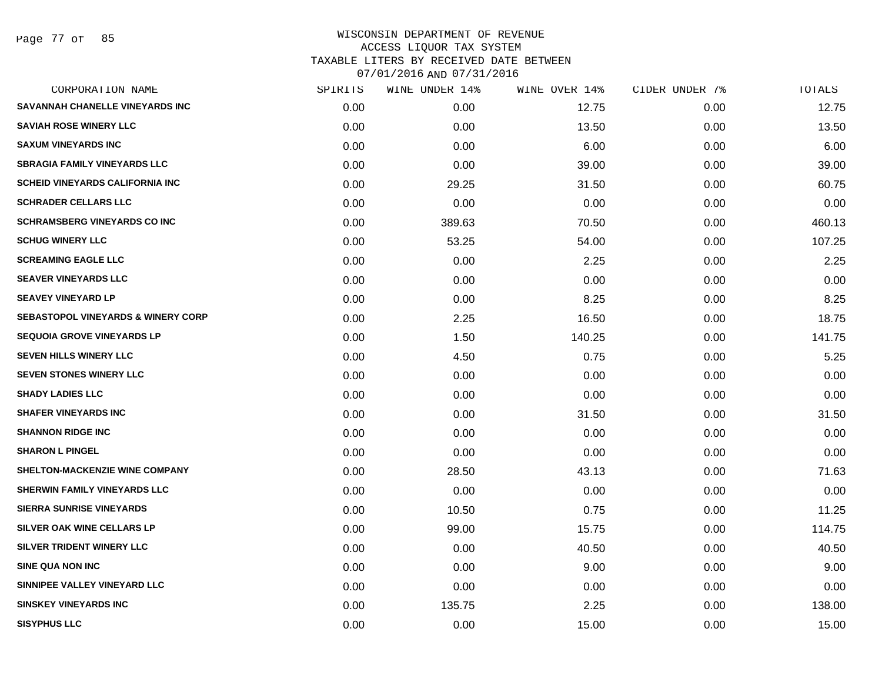Page 77 of 85

|      | WINE UNDER 14% |        |               | TOTALS         |
|------|----------------|--------|---------------|----------------|
| 0.00 | 0.00           | 12.75  | 0.00          | 12.75          |
| 0.00 | 0.00           | 13.50  | 0.00          | 13.50          |
| 0.00 | 0.00           | 6.00   | 0.00          | 6.00           |
| 0.00 | 0.00           | 39.00  | 0.00          | 39.00          |
| 0.00 | 29.25          | 31.50  | 0.00          | 60.75          |
| 0.00 | 0.00           | 0.00   | 0.00          | 0.00           |
| 0.00 | 389.63         | 70.50  | 0.00          | 460.13         |
| 0.00 | 53.25          | 54.00  | 0.00          | 107.25         |
| 0.00 | 0.00           | 2.25   | 0.00          | 2.25           |
| 0.00 | 0.00           | 0.00   | 0.00          | 0.00           |
| 0.00 | 0.00           | 8.25   | 0.00          | 8.25           |
| 0.00 | 2.25           | 16.50  | 0.00          | 18.75          |
| 0.00 | 1.50           | 140.25 | 0.00          | 141.75         |
| 0.00 | 4.50           | 0.75   | 0.00          | 5.25           |
| 0.00 | 0.00           | 0.00   | 0.00          | 0.00           |
| 0.00 | 0.00           | 0.00   | 0.00          | 0.00           |
| 0.00 | 0.00           | 31.50  | 0.00          | 31.50          |
| 0.00 | 0.00           | 0.00   | 0.00          | 0.00           |
| 0.00 | 0.00           | 0.00   | 0.00          | 0.00           |
| 0.00 | 28.50          | 43.13  | 0.00          | 71.63          |
| 0.00 | 0.00           | 0.00   | 0.00          | 0.00           |
| 0.00 | 10.50          | 0.75   | 0.00          | 11.25          |
| 0.00 | 99.00          | 15.75  | 0.00          | 114.75         |
| 0.00 | 0.00           | 40.50  | 0.00          | 40.50          |
| 0.00 | 0.00           | 9.00   | 0.00          | 9.00           |
| 0.00 | 0.00           | 0.00   | 0.00          | 0.00           |
| 0.00 | 135.75         | 2.25   | 0.00          | 138.00         |
| 0.00 | 0.00           | 15.00  | 0.00          | 15.00          |
|      | SPIRITS        |        | WINE OVER 14% | CIDER UNDER 7% |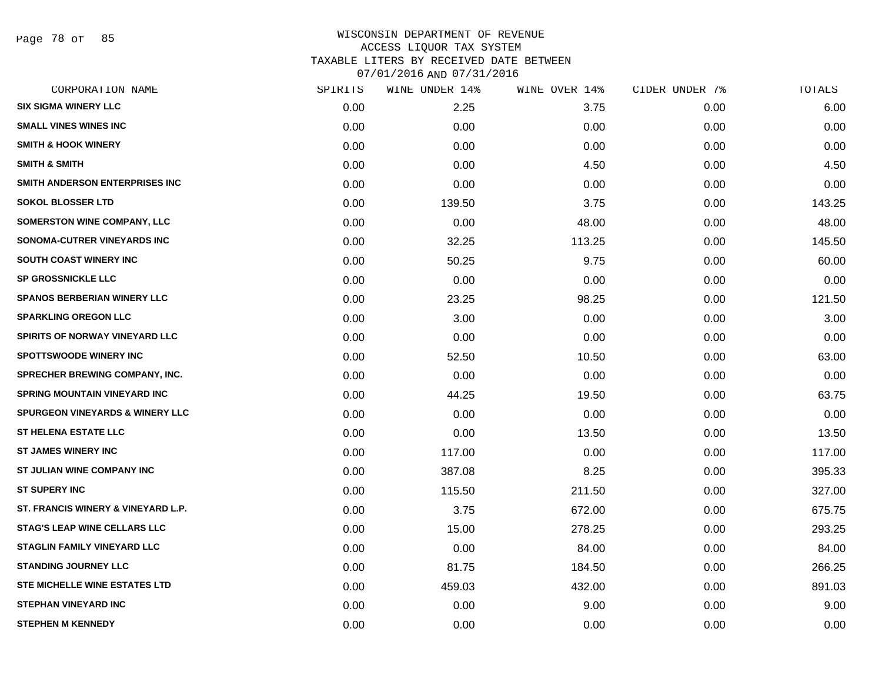Page 78 of 85

| CORPORATION NAME                           | SPIRITS | WINE UNDER 14% | WINE OVER 14% | CIDER UNDER 7% | TOTALS |
|--------------------------------------------|---------|----------------|---------------|----------------|--------|
| <b>SIX SIGMA WINERY LLC</b>                | 0.00    | 2.25           | 3.75          | 0.00           | 6.00   |
| <b>SMALL VINES WINES INC</b>               | 0.00    | 0.00           | 0.00          | 0.00           | 0.00   |
| <b>SMITH &amp; HOOK WINERY</b>             | 0.00    | 0.00           | 0.00          | 0.00           | 0.00   |
| <b>SMITH &amp; SMITH</b>                   | 0.00    | 0.00           | 4.50          | 0.00           | 4.50   |
| SMITH ANDERSON ENTERPRISES INC             | 0.00    | 0.00           | 0.00          | 0.00           | 0.00   |
| <b>SOKOL BLOSSER LTD</b>                   | 0.00    | 139.50         | 3.75          | 0.00           | 143.25 |
| <b>SOMERSTON WINE COMPANY, LLC</b>         | 0.00    | 0.00           | 48.00         | 0.00           | 48.00  |
| SONOMA-CUTRER VINEYARDS INC                | 0.00    | 32.25          | 113.25        | 0.00           | 145.50 |
| SOUTH COAST WINERY INC                     | 0.00    | 50.25          | 9.75          | 0.00           | 60.00  |
| SP GROSSNICKLE LLC                         | 0.00    | 0.00           | 0.00          | 0.00           | 0.00   |
| <b>SPANOS BERBERIAN WINERY LLC</b>         | 0.00    | 23.25          | 98.25         | 0.00           | 121.50 |
| <b>SPARKLING OREGON LLC</b>                | 0.00    | 3.00           | 0.00          | 0.00           | 3.00   |
| <b>SPIRITS OF NORWAY VINEYARD LLC</b>      | 0.00    | 0.00           | 0.00          | 0.00           | 0.00   |
| <b>SPOTTSWOODE WINERY INC</b>              | 0.00    | 52.50          | 10.50         | 0.00           | 63.00  |
| SPRECHER BREWING COMPANY, INC.             | 0.00    | 0.00           | 0.00          | 0.00           | 0.00   |
| <b>SPRING MOUNTAIN VINEYARD INC</b>        | 0.00    | 44.25          | 19.50         | 0.00           | 63.75  |
| <b>SPURGEON VINEYARDS &amp; WINERY LLC</b> | 0.00    | 0.00           | 0.00          | 0.00           | 0.00   |
| <b>ST HELENA ESTATE LLC</b>                | 0.00    | 0.00           | 13.50         | 0.00           | 13.50  |
| <b>ST JAMES WINERY INC</b>                 | 0.00    | 117.00         | 0.00          | 0.00           | 117.00 |
| ST JULIAN WINE COMPANY INC                 | 0.00    | 387.08         | 8.25          | 0.00           | 395.33 |
| <b>ST SUPERY INC</b>                       | 0.00    | 115.50         | 211.50        | 0.00           | 327.00 |
| ST. FRANCIS WINERY & VINEYARD L.P.         | 0.00    | 3.75           | 672.00        | 0.00           | 675.75 |
| <b>STAG'S LEAP WINE CELLARS LLC</b>        | 0.00    | 15.00          | 278.25        | 0.00           | 293.25 |
| <b>STAGLIN FAMILY VINEYARD LLC</b>         | 0.00    | 0.00           | 84.00         | 0.00           | 84.00  |
| <b>STANDING JOURNEY LLC</b>                | 0.00    | 81.75          | 184.50        | 0.00           | 266.25 |
| STE MICHELLE WINE ESTATES LTD              | 0.00    | 459.03         | 432.00        | 0.00           | 891.03 |
| <b>STEPHAN VINEYARD INC</b>                | 0.00    | 0.00           | 9.00          | 0.00           | 9.00   |
| <b>STEPHEN M KENNEDY</b>                   | 0.00    | 0.00           | 0.00          | 0.00           | 0.00   |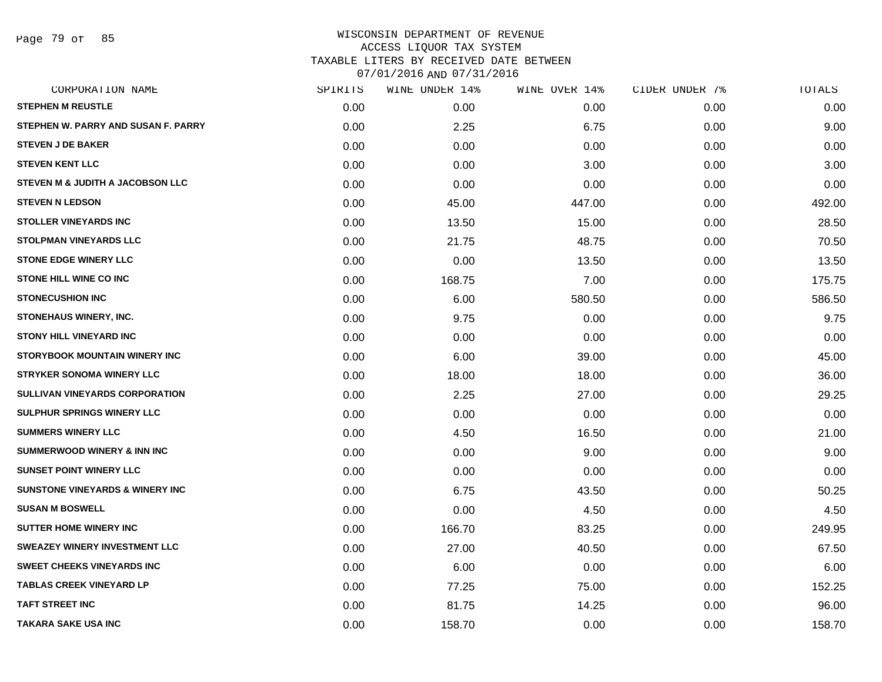Page 79 of 85

| SPIRITS | WINE UNDER 14% | WINE OVER 14% |      | TOTALS         |
|---------|----------------|---------------|------|----------------|
| 0.00    | 0.00           | 0.00          | 0.00 | 0.00           |
| 0.00    | 2.25           | 6.75          | 0.00 | 9.00           |
| 0.00    | 0.00           | 0.00          | 0.00 | 0.00           |
| 0.00    | 0.00           | 3.00          | 0.00 | 3.00           |
| 0.00    | 0.00           | 0.00          | 0.00 | 0.00           |
| 0.00    | 45.00          | 447.00        | 0.00 | 492.00         |
| 0.00    | 13.50          | 15.00         | 0.00 | 28.50          |
| 0.00    | 21.75          | 48.75         | 0.00 | 70.50          |
| 0.00    | 0.00           | 13.50         | 0.00 | 13.50          |
| 0.00    | 168.75         | 7.00          | 0.00 | 175.75         |
| 0.00    | 6.00           | 580.50        | 0.00 | 586.50         |
| 0.00    | 9.75           | 0.00          | 0.00 | 9.75           |
| 0.00    | 0.00           | 0.00          | 0.00 | 0.00           |
| 0.00    | 6.00           | 39.00         | 0.00 | 45.00          |
| 0.00    | 18.00          | 18.00         | 0.00 | 36.00          |
| 0.00    | 2.25           | 27.00         | 0.00 | 29.25          |
| 0.00    | 0.00           | 0.00          | 0.00 | 0.00           |
| 0.00    | 4.50           | 16.50         | 0.00 | 21.00          |
| 0.00    | 0.00           | 9.00          | 0.00 | 9.00           |
| 0.00    | 0.00           | 0.00          | 0.00 | 0.00           |
| 0.00    | 6.75           | 43.50         | 0.00 | 50.25          |
| 0.00    | 0.00           | 4.50          | 0.00 | 4.50           |
| 0.00    | 166.70         | 83.25         | 0.00 | 249.95         |
| 0.00    | 27.00          | 40.50         | 0.00 | 67.50          |
| 0.00    | 6.00           | 0.00          | 0.00 | 6.00           |
| 0.00    | 77.25          | 75.00         | 0.00 | 152.25         |
| 0.00    | 81.75          | 14.25         | 0.00 | 96.00          |
| 0.00    | 158.70         | 0.00          | 0.00 | 158.70         |
|         |                |               |      | CIDER UNDER 7% |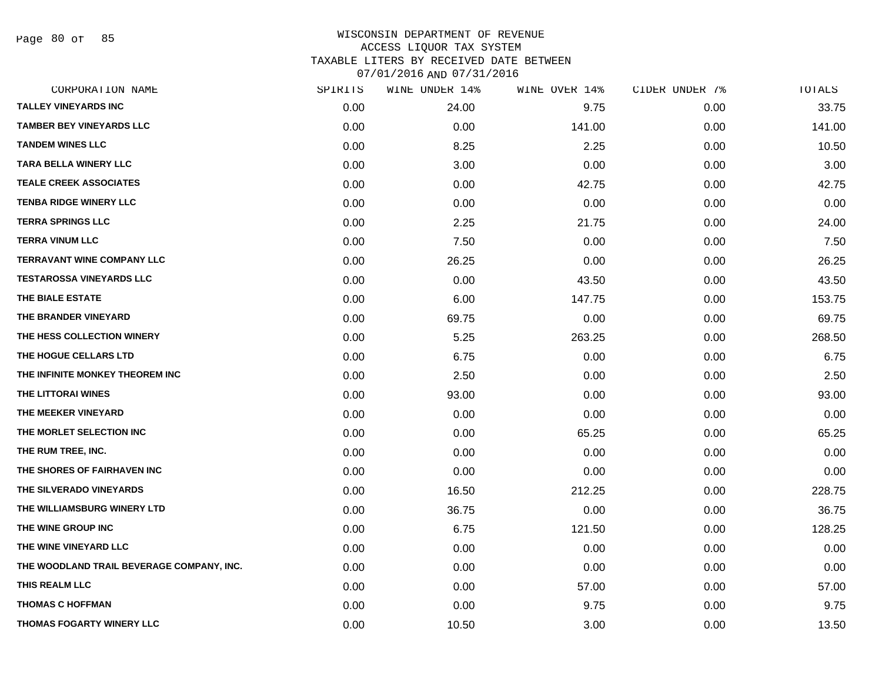Page 80 of 85

| CORPORATION NAME                          | SPIRITS | WINE UNDER 14% | WINE OVER 14% | CIDER UNDER 7% | TOTALS |
|-------------------------------------------|---------|----------------|---------------|----------------|--------|
| <b>TALLEY VINEYARDS INC</b>               | 0.00    | 24.00          | 9.75          | 0.00           | 33.75  |
| <b>TAMBER BEY VINEYARDS LLC</b>           | 0.00    | 0.00           | 141.00        | 0.00           | 141.00 |
| <b>TANDEM WINES LLC</b>                   | 0.00    | 8.25           | 2.25          | 0.00           | 10.50  |
| TARA BELLA WINERY LLC                     | 0.00    | 3.00           | 0.00          | 0.00           | 3.00   |
| <b>TEALE CREEK ASSOCIATES</b>             | 0.00    | 0.00           | 42.75         | 0.00           | 42.75  |
| <b>TENBA RIDGE WINERY LLC</b>             | 0.00    | 0.00           | 0.00          | 0.00           | 0.00   |
| <b>TERRA SPRINGS LLC</b>                  | 0.00    | 2.25           | 21.75         | 0.00           | 24.00  |
| <b>TERRA VINUM LLC</b>                    | 0.00    | 7.50           | 0.00          | 0.00           | 7.50   |
| TERRAVANT WINE COMPANY LLC                | 0.00    | 26.25          | 0.00          | 0.00           | 26.25  |
| <b>TESTAROSSA VINEYARDS LLC</b>           | 0.00    | 0.00           | 43.50         | 0.00           | 43.50  |
| THE BIALE ESTATE                          | 0.00    | 6.00           | 147.75        | 0.00           | 153.75 |
| THE BRANDER VINEYARD                      | 0.00    | 69.75          | 0.00          | 0.00           | 69.75  |
| THE HESS COLLECTION WINERY                | 0.00    | 5.25           | 263.25        | 0.00           | 268.50 |
| THE HOGUE CELLARS LTD                     | 0.00    | 6.75           | 0.00          | 0.00           | 6.75   |
| THE INFINITE MONKEY THEOREM INC           | 0.00    | 2.50           | 0.00          | 0.00           | 2.50   |
| THE LITTORAI WINES                        | 0.00    | 93.00          | 0.00          | 0.00           | 93.00  |
| THE MEEKER VINEYARD                       | 0.00    | 0.00           | 0.00          | 0.00           | 0.00   |
| THE MORLET SELECTION INC                  | 0.00    | 0.00           | 65.25         | 0.00           | 65.25  |
| THE RUM TREE, INC.                        | 0.00    | 0.00           | 0.00          | 0.00           | 0.00   |
| THE SHORES OF FAIRHAVEN INC               | 0.00    | 0.00           | 0.00          | 0.00           | 0.00   |
| THE SILVERADO VINEYARDS                   | 0.00    | 16.50          | 212.25        | 0.00           | 228.75 |
| THE WILLIAMSBURG WINERY LTD               | 0.00    | 36.75          | 0.00          | 0.00           | 36.75  |
| THE WINE GROUP INC                        | 0.00    | 6.75           | 121.50        | 0.00           | 128.25 |
| THE WINE VINEYARD LLC                     | 0.00    | 0.00           | 0.00          | 0.00           | 0.00   |
| THE WOODLAND TRAIL BEVERAGE COMPANY, INC. | 0.00    | 0.00           | 0.00          | 0.00           | 0.00   |
| THIS REALM LLC                            | 0.00    | 0.00           | 57.00         | 0.00           | 57.00  |
| <b>THOMAS C HOFFMAN</b>                   | 0.00    | 0.00           | 9.75          | 0.00           | 9.75   |
| THOMAS FOGARTY WINERY LLC                 | 0.00    | 10.50          | 3.00          | 0.00           | 13.50  |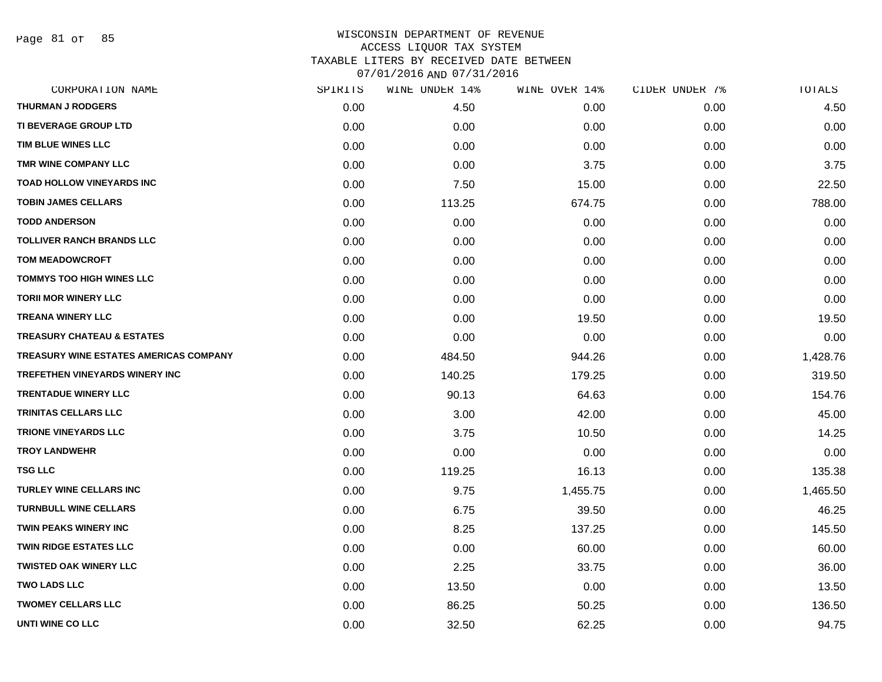Page 81 of 85

|      | WINE UNDER 14% |          | CIDER UNDER 7% | TOTALS   |
|------|----------------|----------|----------------|----------|
| 0.00 | 4.50           | 0.00     | 0.00           | 4.50     |
| 0.00 | 0.00           | 0.00     | 0.00           | 0.00     |
| 0.00 | 0.00           | 0.00     | 0.00           | 0.00     |
| 0.00 | 0.00           | 3.75     | 0.00           | 3.75     |
| 0.00 | 7.50           | 15.00    | 0.00           | 22.50    |
| 0.00 | 113.25         | 674.75   | 0.00           | 788.00   |
| 0.00 | 0.00           | 0.00     | 0.00           | 0.00     |
| 0.00 | 0.00           | 0.00     | 0.00           | 0.00     |
| 0.00 | 0.00           | 0.00     | 0.00           | 0.00     |
| 0.00 | 0.00           | 0.00     | 0.00           | 0.00     |
| 0.00 | 0.00           | 0.00     | 0.00           | 0.00     |
| 0.00 | 0.00           | 19.50    | 0.00           | 19.50    |
| 0.00 | 0.00           | 0.00     | 0.00           | 0.00     |
| 0.00 | 484.50         | 944.26   | 0.00           | 1,428.76 |
| 0.00 | 140.25         | 179.25   | 0.00           | 319.50   |
| 0.00 | 90.13          | 64.63    | 0.00           | 154.76   |
| 0.00 | 3.00           | 42.00    | 0.00           | 45.00    |
| 0.00 | 3.75           | 10.50    | 0.00           | 14.25    |
| 0.00 | 0.00           | 0.00     | 0.00           | 0.00     |
| 0.00 | 119.25         | 16.13    | 0.00           | 135.38   |
| 0.00 | 9.75           | 1,455.75 | 0.00           | 1,465.50 |
| 0.00 | 6.75           | 39.50    | 0.00           | 46.25    |
| 0.00 | 8.25           | 137.25   | 0.00           | 145.50   |
| 0.00 | 0.00           | 60.00    | 0.00           | 60.00    |
| 0.00 | 2.25           | 33.75    | 0.00           | 36.00    |
| 0.00 | 13.50          | 0.00     | 0.00           | 13.50    |
| 0.00 | 86.25          | 50.25    | 0.00           | 136.50   |
| 0.00 | 32.50          | 62.25    | 0.00           | 94.75    |
|      | SPIRITS        |          | WINE OVER 14%  |          |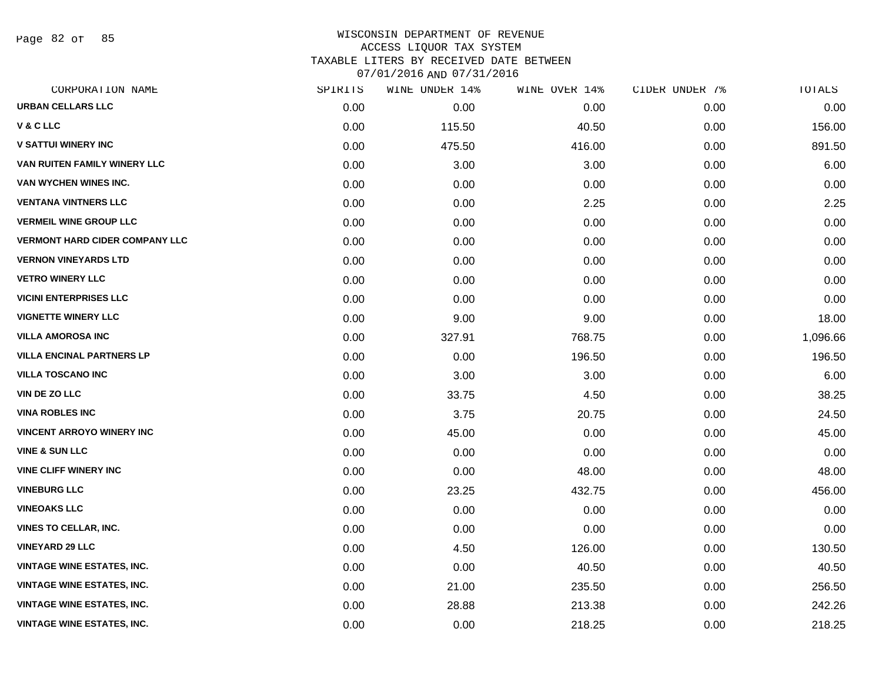Page 82 of 85

| CORPORATION NAME                      | SPIRITS | WINE UNDER 14% | WINE OVER 14% | CIDER UNDER 7% | TOTALS   |
|---------------------------------------|---------|----------------|---------------|----------------|----------|
| <b>URBAN CELLARS LLC</b>              | 0.00    | 0.00           | 0.00          | 0.00           | 0.00     |
| <b>V&amp;CLLC</b>                     | 0.00    | 115.50         | 40.50         | 0.00           | 156.00   |
| <b>V SATTUI WINERY INC</b>            | 0.00    | 475.50         | 416.00        | 0.00           | 891.50   |
| VAN RUITEN FAMILY WINERY LLC          | 0.00    | 3.00           | 3.00          | 0.00           | 6.00     |
| VAN WYCHEN WINES INC.                 | 0.00    | 0.00           | 0.00          | 0.00           | 0.00     |
| <b>VENTANA VINTNERS LLC</b>           | 0.00    | 0.00           | 2.25          | 0.00           | 2.25     |
| <b>VERMEIL WINE GROUP LLC</b>         | 0.00    | 0.00           | 0.00          | 0.00           | 0.00     |
| <b>VERMONT HARD CIDER COMPANY LLC</b> | 0.00    | 0.00           | 0.00          | 0.00           | 0.00     |
| <b>VERNON VINEYARDS LTD</b>           | 0.00    | 0.00           | 0.00          | 0.00           | 0.00     |
| <b>VETRO WINERY LLC</b>               | 0.00    | 0.00           | 0.00          | 0.00           | 0.00     |
| <b>VICINI ENTERPRISES LLC</b>         | 0.00    | 0.00           | 0.00          | 0.00           | 0.00     |
| <b>VIGNETTE WINERY LLC</b>            | 0.00    | 9.00           | 9.00          | 0.00           | 18.00    |
| <b>VILLA AMOROSA INC</b>              | 0.00    | 327.91         | 768.75        | 0.00           | 1,096.66 |
| <b>VILLA ENCINAL PARTNERS LP</b>      | 0.00    | 0.00           | 196.50        | 0.00           | 196.50   |
| <b>VILLA TOSCANO INC</b>              | 0.00    | 3.00           | 3.00          | 0.00           | 6.00     |
| <b>VIN DE ZO LLC</b>                  | 0.00    | 33.75          | 4.50          | 0.00           | 38.25    |
| <b>VINA ROBLES INC</b>                | 0.00    | 3.75           | 20.75         | 0.00           | 24.50    |
| <b>VINCENT ARROYO WINERY INC</b>      | 0.00    | 45.00          | 0.00          | 0.00           | 45.00    |
| <b>VINE &amp; SUN LLC</b>             | 0.00    | 0.00           | 0.00          | 0.00           | 0.00     |
| <b>VINE CLIFF WINERY INC</b>          | 0.00    | 0.00           | 48.00         | 0.00           | 48.00    |
| <b>VINEBURG LLC</b>                   | 0.00    | 23.25          | 432.75        | 0.00           | 456.00   |
| <b>VINEOAKS LLC</b>                   | 0.00    | 0.00           | 0.00          | 0.00           | 0.00     |
| <b>VINES TO CELLAR, INC.</b>          | 0.00    | 0.00           | 0.00          | 0.00           | 0.00     |
| <b>VINEYARD 29 LLC</b>                | 0.00    | 4.50           | 126.00        | 0.00           | 130.50   |
| <b>VINTAGE WINE ESTATES, INC.</b>     | 0.00    | 0.00           | 40.50         | 0.00           | 40.50    |
| <b>VINTAGE WINE ESTATES, INC.</b>     | 0.00    | 21.00          | 235.50        | 0.00           | 256.50   |
| <b>VINTAGE WINE ESTATES, INC.</b>     | 0.00    | 28.88          | 213.38        | 0.00           | 242.26   |
| <b>VINTAGE WINE ESTATES, INC.</b>     | 0.00    | 0.00           | 218.25        | 0.00           | 218.25   |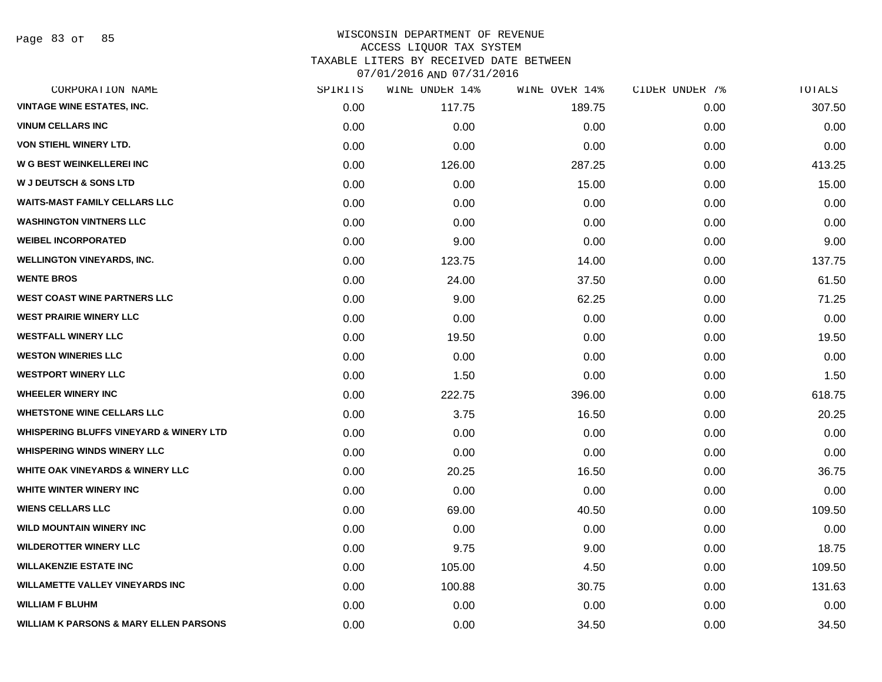Page 83 of 85

| CORPORATION NAME                                   | SPIRITS | WINE UNDER 14% | WINE OVER 14% | CIDER UNDER 7% | TOTALS |
|----------------------------------------------------|---------|----------------|---------------|----------------|--------|
| <b>VINTAGE WINE ESTATES, INC.</b>                  | 0.00    | 117.75         | 189.75        | 0.00           | 307.50 |
| <b>VINUM CELLARS INC</b>                           | 0.00    | 0.00           | 0.00          | 0.00           | 0.00   |
| <b>VON STIEHL WINERY LTD.</b>                      | 0.00    | 0.00           | 0.00          | 0.00           | 0.00   |
| <b>W G BEST WEINKELLEREI INC</b>                   | 0.00    | 126.00         | 287.25        | 0.00           | 413.25 |
| <b>W J DEUTSCH &amp; SONS LTD</b>                  | 0.00    | 0.00           | 15.00         | 0.00           | 15.00  |
| <b>WAITS-MAST FAMILY CELLARS LLC</b>               | 0.00    | 0.00           | 0.00          | 0.00           | 0.00   |
| <b>WASHINGTON VINTNERS LLC</b>                     | 0.00    | 0.00           | 0.00          | 0.00           | 0.00   |
| <b>WEIBEL INCORPORATED</b>                         | 0.00    | 9.00           | 0.00          | 0.00           | 9.00   |
| <b>WELLINGTON VINEYARDS, INC.</b>                  | 0.00    | 123.75         | 14.00         | 0.00           | 137.75 |
| <b>WENTE BROS</b>                                  | 0.00    | 24.00          | 37.50         | 0.00           | 61.50  |
| <b>WEST COAST WINE PARTNERS LLC</b>                | 0.00    | 9.00           | 62.25         | 0.00           | 71.25  |
| <b>WEST PRAIRIE WINERY LLC</b>                     | 0.00    | 0.00           | 0.00          | 0.00           | 0.00   |
| <b>WESTFALL WINERY LLC</b>                         | 0.00    | 19.50          | 0.00          | 0.00           | 19.50  |
| <b>WESTON WINERIES LLC</b>                         | 0.00    | 0.00           | 0.00          | 0.00           | 0.00   |
| <b>WESTPORT WINERY LLC</b>                         | 0.00    | 1.50           | 0.00          | 0.00           | 1.50   |
| <b>WHEELER WINERY INC</b>                          | 0.00    | 222.75         | 396.00        | 0.00           | 618.75 |
| <b>WHETSTONE WINE CELLARS LLC</b>                  | 0.00    | 3.75           | 16.50         | 0.00           | 20.25  |
| <b>WHISPERING BLUFFS VINEYARD &amp; WINERY LTD</b> | 0.00    | 0.00           | 0.00          | 0.00           | 0.00   |
| <b>WHISPERING WINDS WINERY LLC</b>                 | 0.00    | 0.00           | 0.00          | 0.00           | 0.00   |
| <b>WHITE OAK VINEYARDS &amp; WINERY LLC</b>        | 0.00    | 20.25          | 16.50         | 0.00           | 36.75  |
| WHITE WINTER WINERY INC                            | 0.00    | 0.00           | 0.00          | 0.00           | 0.00   |
| <b>WIENS CELLARS LLC</b>                           | 0.00    | 69.00          | 40.50         | 0.00           | 109.50 |
| <b>WILD MOUNTAIN WINERY INC</b>                    | 0.00    | 0.00           | 0.00          | 0.00           | 0.00   |
| <b>WILDEROTTER WINERY LLC</b>                      | 0.00    | 9.75           | 9.00          | 0.00           | 18.75  |
| <b>WILLAKENZIE ESTATE INC</b>                      | 0.00    | 105.00         | 4.50          | 0.00           | 109.50 |
| <b>WILLAMETTE VALLEY VINEYARDS INC</b>             | 0.00    | 100.88         | 30.75         | 0.00           | 131.63 |
| <b>WILLIAM F BLUHM</b>                             | 0.00    | 0.00           | 0.00          | 0.00           | 0.00   |
| <b>WILLIAM K PARSONS &amp; MARY ELLEN PARSONS</b>  | 0.00    | 0.00           | 34.50         | 0.00           | 34.50  |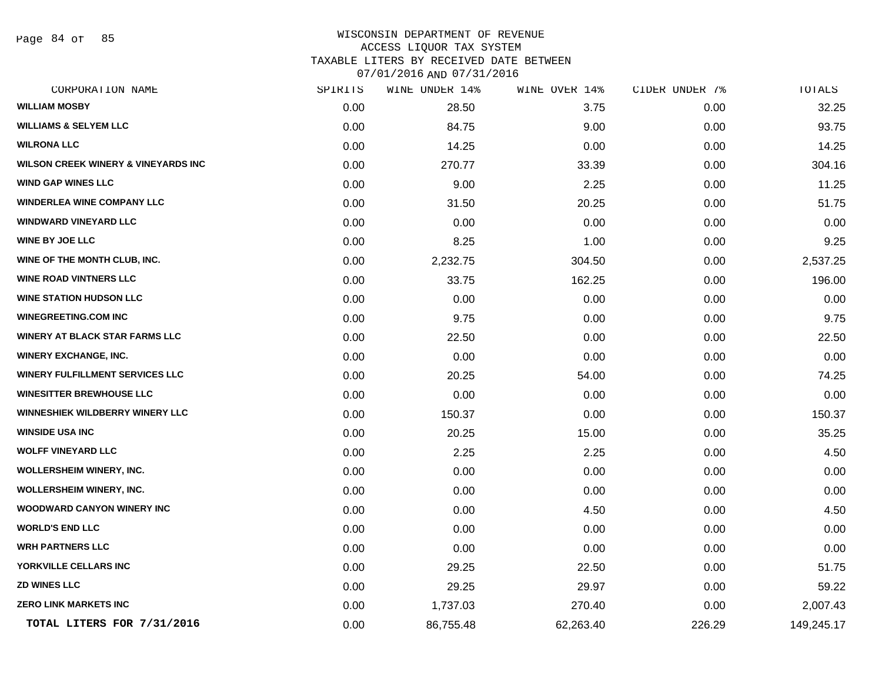Page 84 of 85

#### WISCONSIN DEPARTMENT OF REVENUE ACCESS LIQUOR TAX SYSTEM TAXABLE LITERS BY RECEIVED DATE BETWEEN

07/01/2016 AND 07/31/2016

| CORPORATION NAME                               | SPIRITS | WINE UNDER 14% | WINE OVER 14% | CIDER UNDER 7% | TOTALS     |
|------------------------------------------------|---------|----------------|---------------|----------------|------------|
| <b>WILLIAM MOSBY</b>                           | 0.00    | 28.50          | 3.75          | 0.00           | 32.25      |
| <b>WILLIAMS &amp; SELYEM LLC</b>               | 0.00    | 84.75          | 9.00          | 0.00           | 93.75      |
| <b>WILRONA LLC</b>                             | 0.00    | 14.25          | 0.00          | 0.00           | 14.25      |
| <b>WILSON CREEK WINERY &amp; VINEYARDS INC</b> | 0.00    | 270.77         | 33.39         | 0.00           | 304.16     |
| <b>WIND GAP WINES LLC</b>                      | 0.00    | 9.00           | 2.25          | 0.00           | 11.25      |
| <b>WINDERLEA WINE COMPANY LLC</b>              | 0.00    | 31.50          | 20.25         | 0.00           | 51.75      |
| <b>WINDWARD VINEYARD LLC</b>                   | 0.00    | 0.00           | 0.00          | 0.00           | 0.00       |
| <b>WINE BY JOE LLC</b>                         | 0.00    | 8.25           | 1.00          | 0.00           | 9.25       |
| WINE OF THE MONTH CLUB, INC.                   | 0.00    | 2,232.75       | 304.50        | 0.00           | 2,537.25   |
| <b>WINE ROAD VINTNERS LLC</b>                  | 0.00    | 33.75          | 162.25        | 0.00           | 196.00     |
| <b>WINE STATION HUDSON LLC</b>                 | 0.00    | 0.00           | 0.00          | 0.00           | 0.00       |
| <b>WINEGREETING.COM INC</b>                    | 0.00    | 9.75           | 0.00          | 0.00           | 9.75       |
| <b>WINERY AT BLACK STAR FARMS LLC</b>          | 0.00    | 22.50          | 0.00          | 0.00           | 22.50      |
| <b>WINERY EXCHANGE, INC.</b>                   | 0.00    | 0.00           | 0.00          | 0.00           | 0.00       |
| WINERY FULFILLMENT SERVICES LLC                | 0.00    | 20.25          | 54.00         | 0.00           | 74.25      |
| <b>WINESITTER BREWHOUSE LLC</b>                | 0.00    | 0.00           | 0.00          | 0.00           | 0.00       |
| <b>WINNESHIEK WILDBERRY WINERY LLC</b>         | 0.00    | 150.37         | 0.00          | 0.00           | 150.37     |
| <b>WINSIDE USA INC</b>                         | 0.00    | 20.25          | 15.00         | 0.00           | 35.25      |
| <b>WOLFF VINEYARD LLC</b>                      | 0.00    | 2.25           | 2.25          | 0.00           | 4.50       |
| <b>WOLLERSHEIM WINERY, INC.</b>                | 0.00    | 0.00           | 0.00          | 0.00           | 0.00       |
| <b>WOLLERSHEIM WINERY, INC.</b>                | 0.00    | 0.00           | 0.00          | 0.00           | 0.00       |
| <b>WOODWARD CANYON WINERY INC</b>              | 0.00    | 0.00           | 4.50          | 0.00           | 4.50       |
| <b>WORLD'S END LLC</b>                         | 0.00    | 0.00           | 0.00          | 0.00           | 0.00       |
| <b>WRH PARTNERS LLC</b>                        | 0.00    | 0.00           | 0.00          | 0.00           | 0.00       |
| YORKVILLE CELLARS INC                          | 0.00    | 29.25          | 22.50         | 0.00           | 51.75      |
| <b>ZD WINES LLC</b>                            | 0.00    | 29.25          | 29.97         | 0.00           | 59.22      |
| <b>ZERO LINK MARKETS INC</b>                   | 0.00    | 1,737.03       | 270.40        | 0.00           | 2,007.43   |
| TOTAL LITERS FOR 7/31/2016                     | 0.00    | 86,755.48      | 62,263.40     | 226.29         | 149,245.17 |